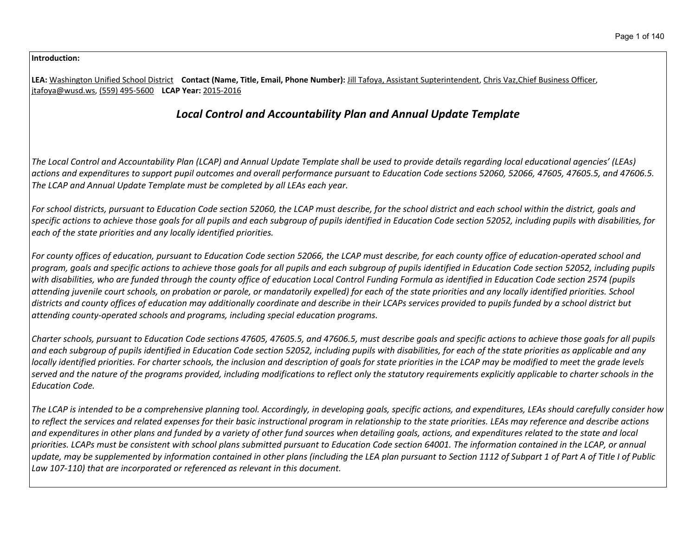#### **Introduction:**

**LEA:** Washington Unified School District **Contact (Name, Title, Email, Phone Number):** Jill Tafoya, Assistant Supterintendent, Chris Vaz,Chief Business Officer, jtafoya@wusd.ws, (559) 495-5600 **LCAP Year:** 2015-2016

# *Local Control and Accountability Plan and Annual Update Template*

The Local Control and Accountability Plan (LCAP) and Annual Update Template shall be used to provide details regarding local educational agencies' (LEAs) actions and expenditures to support pupil outcomes and overall performance pursuant to Education Code sections 52060, 52066, 47605, 47605.5, and 47606.5. *The LCAP and Annual Update Template must be completed by all LEAs each year.*

For school districts, pursuant to Education Code section 52060, the LCAP must describe, for the school district and each school within the district, goals and specific actions to achieve those goals for all pupils and each subgroup of pupils identified in Education Code section 52052, including pupils with disabilities, for *each of the state priorities and any locally identified priorities.*

For county offices of education, pursuant to Education Code section 52066, the LCAP must describe, for each county office of education-operated school and program, goals and specific actions to achieve those goals for all pupils and each subaroup of pupils identified in Education Code section 52052, including pupils with disabilities, who are funded through the county office of education Local Control Funding Formula as identified in Education Code section 2574 (pupils attending juvenile court schools, on probation or parole, or mandatorily expelled) for each of the state priorities and any locally identified priorities. School districts and county offices of education may additionally coordinate and describe in their LCAPs services provided to pupils funded by a school district but *attending county-operated schools and programs, including special education programs.*

Charter schools, pursuant to Education Code sections 47605, 47605.5, and 47606.5, must describe goals and specific actions to achieve those goals for all pupils and each subgroup of pupils identified in Education Code section 52052, including pupils with disabilities, for each of the state priorities as applicable and any locally identified priorities. For charter schools, the inclusion and description of goals for state priorities in the LCAP may be modified to meet the grade levels served and the nature of the programs provided, including modifications to reflect only the statutory requirements explicitly applicable to charter schools in the *Education Code.*

The LCAP is intended to be a comprehensive planning tool. Accordingly, in developing goals, specific actions, and expenditures, LEAs should carefully consider how to reflect the services and related expenses for their basic instructional program in relationship to the state priorities. LEAs may reference and describe actions and expenditures in other plans and funded by a variety of other fund sources when detailing goals, actions, and expenditures related to the state and local priorities. LCAPs must be consistent with school plans submitted pursuant to Education Code section 64001. The information contained in the LCAP, or annual update, may be supplemented by information contained in other plans (including the LEA plan pursuant to Section 1112 of Subpart 1 of Part A of Title I of Public *Law 107-110) that are incorporated or referenced as relevant in this document.*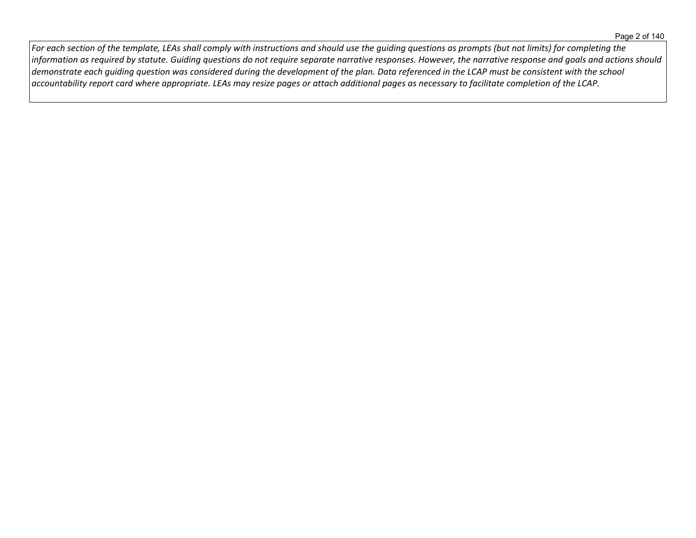For each section of the template, LEAs shall comply with instructions and should use the guiding questions as prompts (but not limits) for completing the information as required by statute. Guiding questions do not require separate narrative responses. However, the narrative response and goals and actions should demonstrate each guiding question was considered during the development of the plan. Data referenced in the LCAP must be consistent with the school  $\vert$  accountability report card where appropriate. LEAs may resize pages or attach additional pages as necessary to facilitate completion of the LCAP.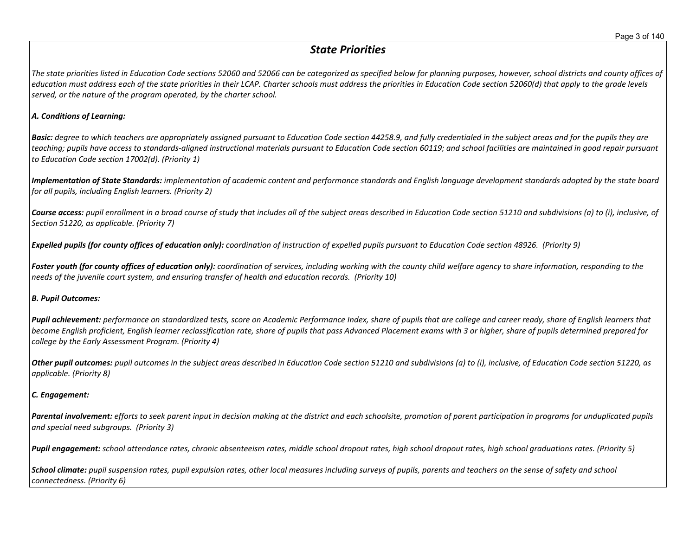# *State Priorities*

The state priorities listed in Education Code sections 52060 and 52066 can be categorized as specified below for planning purposes, however, school districts and county offices of education must address each of the state priorities in their LCAP. Charter schools must address the priorities in Education Code section 52060(d) that apply to the grade levels *served, or the nature of the program operated, by the charter school.*

### *A. Conditions of Learning:*

**Basic:** degree to which teachers are appropriately assigned pursuant to Education Code section 44258.9, and fully credentialed in the subject areas and for the pupils they are teaching; pupils have access to standards-aligned instructional materials pursuant to Education Code section 60119; and school facilities are maintained in good repair pursuant *to Education Code section 17002(d). (Priority 1)*

Implementation of State Standards: implementation of academic content and performance standards and English language development standards adopted by the state board *for all pupils, including English learners. (Priority 2)*

Course access: pupil enrollment in a broad course of study that includes all of the subject areas described in Education Code section 51210 and subdivisions (a) to (i), inclusive, of *Section 51220, as applicable. (Priority 7)*

Expelled pupils (for county offices of education only): coordination of instruction of expelled pupils pursuant to Education Code section 48926. (Priority 9)

Foster youth (for county offices of education only): coordination of services, including working with the county child welfare agency to share information, responding to the *needs of the juvenile court system, and ensuring transfer of health and education records. (Priority 10)*

#### *B. Pupil Outcomes:*

Pupil achievement: performance on standardized tests, score on Academic Performance Index, share of pupils that are college and career ready, share of English learners that become English proficient, English learner reclassification rate, share of pupils that pass Advanced Placement exams with 3 or higher, share of pupils determined prepared for *college by the Early Assessment Program. (Priority 4)*

Other pupil outcomes: pupil outcomes in the subject areas described in Education Code section 51210 and subdivisions (a) to (i), inclusive, of Education Code section 51220, as *applicable. (Priority 8)* 

## *C. Engagement:*

Parental involvement: efforts to seek parent input in decision making at the district and each schoolsite, promotion of parent participation in programs for unduplicated pupils *and special need subgroups. (Priority 3)*

Pupil engagement: school attendance rates, chronic absenteeism rates, middle school dropout rates, high school dropout rates, high school graduations rates. (Priority 5)

School climate: pupil suspension rates, pupil expulsion rates, other local measures including surveys of pupils, parents and teachers on the sense of safety and school *connectedness. (Priority 6)*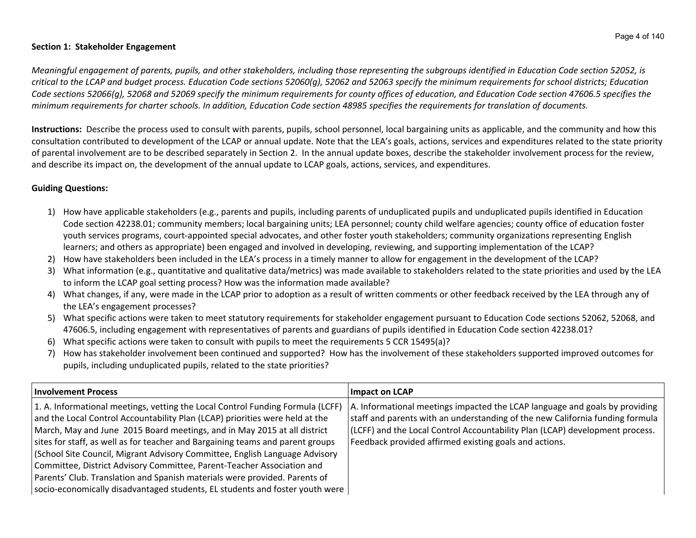#### **Section 1: Stakeholder Engagement**

Meaningful engagement of parents, pupils, and other stakeholders, including those representing the subgroups identified in Education Code section 52052, is critical to the LCAP and budget process. Education Code sections 52060(g), 52062 and 52063 specify the minimum requirements for school districts; Education Code sections 52066(g), 52068 and 52069 specify the minimum requirements for county offices of education, and Education Code section 47606.5 specifies the minimum requirements for charter schools. In addition, Education Code section 48985 specifies the requirements for translation of documents.

**Instructions:** Describe the process used to consult with parents, pupils, school personnel, local bargaining units as applicable, and the community and how this consultation contributed to development of the LCAP or annual update. Note that the LEA's goals, actions, services and expenditures related to the state priority of parental involvement are to be described separately in Section 2. In the annual update boxes, describe the stakeholder involvement process for the review, and describe its impact on, the development of the annual update to LCAP goals, actions, services, and expenditures.

## **Guiding Questions:**

- 1) How have applicable stakeholders (e.g., parents and pupils, including parents of unduplicated pupils and unduplicated pupils identified in Education Code section 42238.01; community members; local bargaining units; LEA personnel; county child welfare agencies; county office of education foster youth services programs, court-appointed special advocates, and other foster youth stakeholders; community organizations representing English learners; and others as appropriate) been engaged and involved in developing, reviewing, and supporting implementation of the LCAP?
- 2) How have stakeholders been included in the LEA's process in a timely manner to allow for engagement in the development of the LCAP?
- 3) What information (e.g., quantitative and qualitative data/metrics) was made available to stakeholders related to the state priorities and used by the LEA to inform the LCAP goal setting process? How was the information made available?
- 4) What changes, if any, were made in the LCAP prior to adoption as a result of written comments or other feedback received by the LEA through any of the LEA's engagement processes?
- 5) What specific actions were taken to meet statutory requirements for stakeholder engagement pursuant to Education Code sections 52062, 52068, and 47606.5, including engagement with representatives of parents and guardians of pupils identified in Education Code section 42238.01?
- 6) What specific actions were taken to consult with pupils to meet the requirements 5 CCR 15495(a)?
- 7) How has stakeholder involvement been continued and supported? How has the involvement of these stakeholders supported improved outcomes for pupils, including unduplicated pupils, related to the state priorities?

| <b>Involvement Process</b>                                                     | Impact on LCAP                                                                |
|--------------------------------------------------------------------------------|-------------------------------------------------------------------------------|
| 1. A. Informational meetings, vetting the Local Control Funding Formula (LCFF) | A. Informational meetings impacted the LCAP language and goals by providing   |
| and the Local Control Accountability Plan (LCAP) priorities were held at the   | staff and parents with an understanding of the new California funding formula |
| March, May and June 2015 Board meetings, and in May 2015 at all district       | (LCFF) and the Local Control Accountability Plan (LCAP) development process.  |
| sites for staff, as well as for teacher and Bargaining teams and parent groups | Feedback provided affirmed existing goals and actions.                        |
| (School Site Council, Migrant Advisory Committee, English Language Advisory    |                                                                               |
| Committee, District Advisory Committee, Parent-Teacher Association and         |                                                                               |
| Parents' Club. Translation and Spanish materials were provided. Parents of     |                                                                               |
| socio-economically disadvantaged students, EL students and foster youth were   |                                                                               |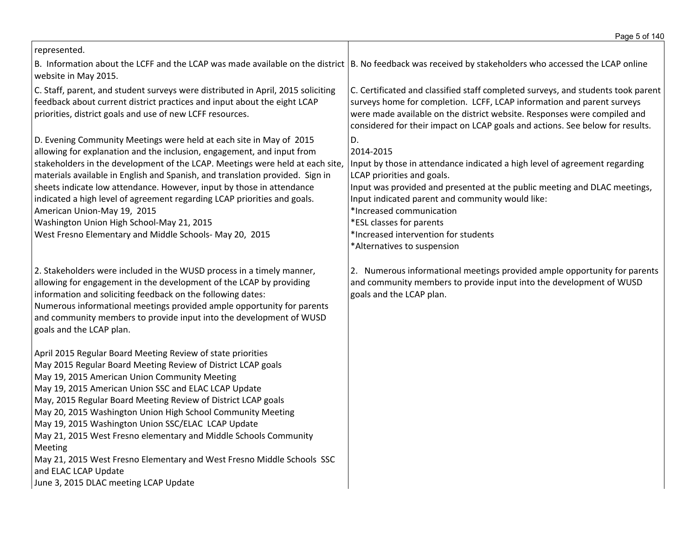| represented.                                                                                                                                                                                                                                                                                                                                                                                                                                                                                                                                                                                                                                         |                                                                                                                                                                                                                                                                                                                                                                                             |
|------------------------------------------------------------------------------------------------------------------------------------------------------------------------------------------------------------------------------------------------------------------------------------------------------------------------------------------------------------------------------------------------------------------------------------------------------------------------------------------------------------------------------------------------------------------------------------------------------------------------------------------------------|---------------------------------------------------------------------------------------------------------------------------------------------------------------------------------------------------------------------------------------------------------------------------------------------------------------------------------------------------------------------------------------------|
| B. Information about the LCFF and the LCAP was made available on the district  B. No feedback was received by stakeholders who accessed the LCAP online<br>website in May 2015.                                                                                                                                                                                                                                                                                                                                                                                                                                                                      |                                                                                                                                                                                                                                                                                                                                                                                             |
| C. Staff, parent, and student surveys were distributed in April, 2015 soliciting<br>feedback about current district practices and input about the eight LCAP<br>priorities, district goals and use of new LCFF resources.                                                                                                                                                                                                                                                                                                                                                                                                                            | C. Certificated and classified staff completed surveys, and students took parent<br>surveys home for completion. LCFF, LCAP information and parent surveys<br>were made available on the district website. Responses were compiled and<br>considered for their impact on LCAP goals and actions. See below for results.                                                                     |
| D. Evening Community Meetings were held at each site in May of 2015<br>allowing for explanation and the inclusion, engagement, and input from<br>stakeholders in the development of the LCAP. Meetings were held at each site,<br>materials available in English and Spanish, and translation provided. Sign in<br>sheets indicate low attendance. However, input by those in attendance<br>indicated a high level of agreement regarding LCAP priorities and goals.<br>American Union-May 19, 2015<br>Washington Union High School-May 21, 2015<br>West Fresno Elementary and Middle Schools-May 20, 2015                                           | D.<br>2014-2015<br>Input by those in attendance indicated a high level of agreement regarding<br>LCAP priorities and goals.<br>Input was provided and presented at the public meeting and DLAC meetings,<br>Input indicated parent and community would like:<br>*Increased communication<br>*ESL classes for parents<br>*Increased intervention for students<br>*Alternatives to suspension |
| 2. Stakeholders were included in the WUSD process in a timely manner,<br>allowing for engagement in the development of the LCAP by providing<br>information and soliciting feedback on the following dates:<br>Numerous informational meetings provided ample opportunity for parents<br>and community members to provide input into the development of WUSD<br>goals and the LCAP plan.                                                                                                                                                                                                                                                             | 2. Numerous informational meetings provided ample opportunity for parents<br>and community members to provide input into the development of WUSD<br>goals and the LCAP plan.                                                                                                                                                                                                                |
| April 2015 Regular Board Meeting Review of state priorities<br>May 2015 Regular Board Meeting Review of District LCAP goals<br>May 19, 2015 American Union Community Meeting<br>May 19, 2015 American Union SSC and ELAC LCAP Update<br>May, 2015 Regular Board Meeting Review of District LCAP goals<br>May 20, 2015 Washington Union High School Community Meeting<br>May 19, 2015 Washington Union SSC/ELAC LCAP Update<br>May 21, 2015 West Fresno elementary and Middle Schools Community<br>Meeting<br>May 21, 2015 West Fresno Elementary and West Fresno Middle Schools SSC<br>and ELAC LCAP Update<br>June 3, 2015 DLAC meeting LCAP Update |                                                                                                                                                                                                                                                                                                                                                                                             |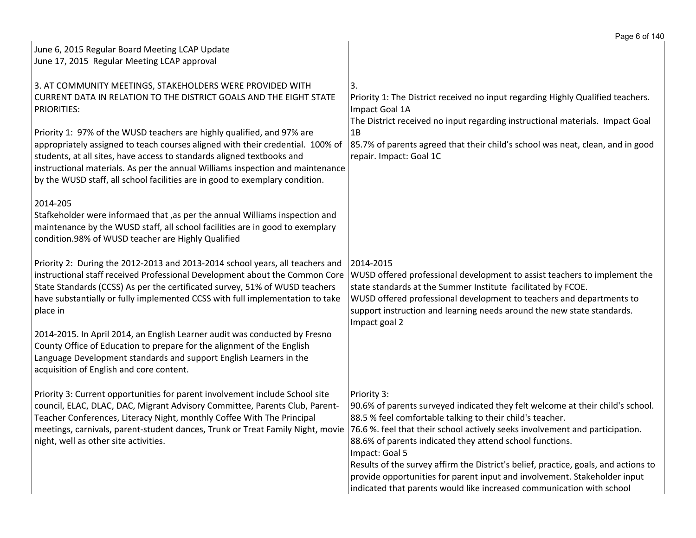|                                                                                                                                                                                                                                                                                                                                                                                                                                                                                                                                                               | Page 6 of 140                                                                                                                                                                                                                                                                                                                                                                                                                                                                                                                                                         |
|---------------------------------------------------------------------------------------------------------------------------------------------------------------------------------------------------------------------------------------------------------------------------------------------------------------------------------------------------------------------------------------------------------------------------------------------------------------------------------------------------------------------------------------------------------------|-----------------------------------------------------------------------------------------------------------------------------------------------------------------------------------------------------------------------------------------------------------------------------------------------------------------------------------------------------------------------------------------------------------------------------------------------------------------------------------------------------------------------------------------------------------------------|
| June 6, 2015 Regular Board Meeting LCAP Update                                                                                                                                                                                                                                                                                                                                                                                                                                                                                                                |                                                                                                                                                                                                                                                                                                                                                                                                                                                                                                                                                                       |
| June 17, 2015 Regular Meeting LCAP approval                                                                                                                                                                                                                                                                                                                                                                                                                                                                                                                   |                                                                                                                                                                                                                                                                                                                                                                                                                                                                                                                                                                       |
| 3. AT COMMUNITY MEETINGS, STAKEHOLDERS WERE PROVIDED WITH<br>CURRENT DATA IN RELATION TO THE DISTRICT GOALS AND THE EIGHT STATE<br><b>PRIORITIES:</b><br>Priority 1: 97% of the WUSD teachers are highly qualified, and 97% are<br>appropriately assigned to teach courses aligned with their credential. 100% of<br>students, at all sites, have access to standards aligned textbooks and<br>instructional materials. As per the annual Williams inspection and maintenance<br>by the WUSD staff, all school facilities are in good to exemplary condition. | 3.<br>Priority 1: The District received no input regarding Highly Qualified teachers.<br>Impact Goal 1A<br>The District received no input regarding instructional materials. Impact Goal<br>1B<br>85.7% of parents agreed that their child's school was neat, clean, and in good<br>repair. Impact: Goal 1C                                                                                                                                                                                                                                                           |
| 2014-205<br>Stafkeholder were informaed that ,as per the annual Williams inspection and<br>maintenance by the WUSD staff, all school facilities are in good to exemplary<br>condition.98% of WUSD teacher are Highly Qualified                                                                                                                                                                                                                                                                                                                                |                                                                                                                                                                                                                                                                                                                                                                                                                                                                                                                                                                       |
| Priority 2: During the 2012-2013 and 2013-2014 school years, all teachers and<br>instructional staff received Professional Development about the Common Core<br>State Standards (CCSS) As per the certificated survey, 51% of WUSD teachers<br>have substantially or fully implemented CCSS with full implementation to take<br>place in                                                                                                                                                                                                                      | 2014-2015<br>WUSD offered professional development to assist teachers to implement the<br>state standards at the Summer Institute facilitated by FCOE.<br>WUSD offered professional development to teachers and departments to<br>support instruction and learning needs around the new state standards.<br>Impact goal 2                                                                                                                                                                                                                                             |
| 2014-2015. In April 2014, an English Learner audit was conducted by Fresno<br>County Office of Education to prepare for the alignment of the English<br>Language Development standards and support English Learners in the<br>acquisition of English and core content.                                                                                                                                                                                                                                                                                        |                                                                                                                                                                                                                                                                                                                                                                                                                                                                                                                                                                       |
| Priority 3: Current opportunities for parent involvement include School site<br>council, ELAC, DLAC, DAC, Migrant Advisory Committee, Parents Club, Parent-<br>Teacher Conferences, Literacy Night, monthly Coffee With The Principal<br>meetings, carnivals, parent-student dances, Trunk or Treat Family Night, movie<br>night, well as other site activities.                                                                                                                                                                                              | Priority 3:<br>90.6% of parents surveyed indicated they felt welcome at their child's school.<br>88.5 % feel comfortable talking to their child's teacher.<br>76.6 %. feel that their school actively seeks involvement and participation.<br>88.6% of parents indicated they attend school functions.<br>Impact: Goal 5<br>Results of the survey affirm the District's belief, practice, goals, and actions to<br>provide opportunities for parent input and involvement. Stakeholder input<br>indicated that parents would like increased communication with school |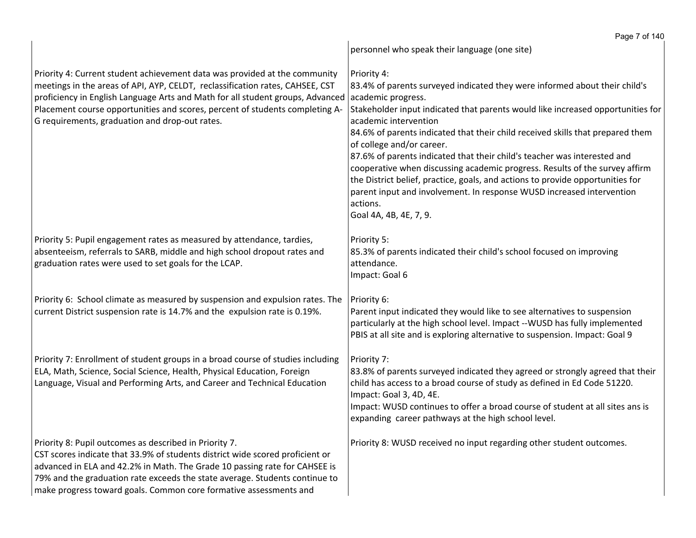|                                                                                                                                                                                                                                                                                                                                                                                 | Page 7 of 140                                                                                                                                                                                                                                                                                                                                                                                                                                                                                                                                                                                                                                                                                          |
|---------------------------------------------------------------------------------------------------------------------------------------------------------------------------------------------------------------------------------------------------------------------------------------------------------------------------------------------------------------------------------|--------------------------------------------------------------------------------------------------------------------------------------------------------------------------------------------------------------------------------------------------------------------------------------------------------------------------------------------------------------------------------------------------------------------------------------------------------------------------------------------------------------------------------------------------------------------------------------------------------------------------------------------------------------------------------------------------------|
|                                                                                                                                                                                                                                                                                                                                                                                 | personnel who speak their language (one site)                                                                                                                                                                                                                                                                                                                                                                                                                                                                                                                                                                                                                                                          |
| Priority 4: Current student achievement data was provided at the community<br>meetings in the areas of API, AYP, CELDT, reclassification rates, CAHSEE, CST<br>proficiency in English Language Arts and Math for all student groups, Advanced<br>Placement course opportunities and scores, percent of students completing A-<br>G requirements, graduation and drop-out rates. | Priority 4:<br>83.4% of parents surveyed indicated they were informed about their child's<br>academic progress.<br>Stakeholder input indicated that parents would like increased opportunities for<br>academic intervention<br>84.6% of parents indicated that their child received skills that prepared them<br>of college and/or career.<br>87.6% of parents indicated that their child's teacher was interested and<br>cooperative when discussing academic progress. Results of the survey affirm<br>the District belief, practice, goals, and actions to provide opportunities for<br>parent input and involvement. In response WUSD increased intervention<br>actions.<br>Goal 4A, 4B, 4E, 7, 9. |
| Priority 5: Pupil engagement rates as measured by attendance, tardies,<br>absenteeism, referrals to SARB, middle and high school dropout rates and<br>graduation rates were used to set goals for the LCAP.                                                                                                                                                                     | Priority 5:<br>85.3% of parents indicated their child's school focused on improving<br>attendance.<br>Impact: Goal 6                                                                                                                                                                                                                                                                                                                                                                                                                                                                                                                                                                                   |
| Priority 6: School climate as measured by suspension and expulsion rates. The<br>current District suspension rate is 14.7% and the expulsion rate is 0.19%.                                                                                                                                                                                                                     | Priority 6:<br>Parent input indicated they would like to see alternatives to suspension<br>particularly at the high school level. Impact --WUSD has fully implemented<br>PBIS at all site and is exploring alternative to suspension. Impact: Goal 9                                                                                                                                                                                                                                                                                                                                                                                                                                                   |
| Priority 7: Enrollment of student groups in a broad course of studies including<br>ELA, Math, Science, Social Science, Health, Physical Education, Foreign<br>Language, Visual and Performing Arts, and Career and Technical Education                                                                                                                                          | Priority 7:<br>83.8% of parents surveyed indicated they agreed or strongly agreed that their<br>child has access to a broad course of study as defined in Ed Code 51220.<br>Impact: Goal 3, 4D, 4E.<br>Impact: WUSD continues to offer a broad course of student at all sites ans is<br>expanding career pathways at the high school level.                                                                                                                                                                                                                                                                                                                                                            |
| Priority 8: Pupil outcomes as described in Priority 7.<br>CST scores indicate that 33.9% of students district wide scored proficient or<br>advanced in ELA and 42.2% in Math. The Grade 10 passing rate for CAHSEE is<br>79% and the graduation rate exceeds the state average. Students continue to<br>make progress toward goals. Common core formative assessments and       | Priority 8: WUSD received no input regarding other student outcomes.                                                                                                                                                                                                                                                                                                                                                                                                                                                                                                                                                                                                                                   |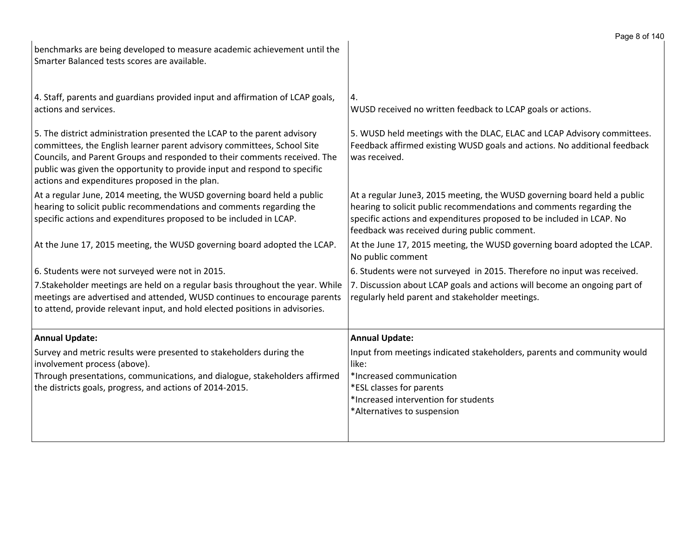|                                                                                                                                                                                                                                                                                                                                                                 | Page 8 of 140                                                                                                                                                                                                                                                             |
|-----------------------------------------------------------------------------------------------------------------------------------------------------------------------------------------------------------------------------------------------------------------------------------------------------------------------------------------------------------------|---------------------------------------------------------------------------------------------------------------------------------------------------------------------------------------------------------------------------------------------------------------------------|
| benchmarks are being developed to measure academic achievement until the<br>Smarter Balanced tests scores are available.                                                                                                                                                                                                                                        |                                                                                                                                                                                                                                                                           |
| 4. Staff, parents and guardians provided input and affirmation of LCAP goals,<br>actions and services.                                                                                                                                                                                                                                                          | 4.<br>WUSD received no written feedback to LCAP goals or actions.                                                                                                                                                                                                         |
| 5. The district administration presented the LCAP to the parent advisory<br>committees, the English learner parent advisory committees, School Site<br>Councils, and Parent Groups and responded to their comments received. The<br>public was given the opportunity to provide input and respond to specific<br>actions and expenditures proposed in the plan. | 5. WUSD held meetings with the DLAC, ELAC and LCAP Advisory committees.<br>Feedback affirmed existing WUSD goals and actions. No additional feedback<br>was received.                                                                                                     |
| At a regular June, 2014 meeting, the WUSD governing board held a public<br>hearing to solicit public recommendations and comments regarding the<br>specific actions and expenditures proposed to be included in LCAP.                                                                                                                                           | At a regular June3, 2015 meeting, the WUSD governing board held a public<br>hearing to solicit public recommendations and comments regarding the<br>specific actions and expenditures proposed to be included in LCAP. No<br>feedback was received during public comment. |
| At the June 17, 2015 meeting, the WUSD governing board adopted the LCAP.                                                                                                                                                                                                                                                                                        | At the June 17, 2015 meeting, the WUSD governing board adopted the LCAP.<br>No public comment                                                                                                                                                                             |
| 6. Students were not surveyed were not in 2015.                                                                                                                                                                                                                                                                                                                 | 6. Students were not surveyed in 2015. Therefore no input was received.                                                                                                                                                                                                   |
| 7. Stakeholder meetings are held on a regular basis throughout the year. While<br>meetings are advertised and attended, WUSD continues to encourage parents<br>to attend, provide relevant input, and hold elected positions in advisories.                                                                                                                     | 7. Discussion about LCAP goals and actions will become an ongoing part of<br>regularly held parent and stakeholder meetings.                                                                                                                                              |
| <b>Annual Update:</b>                                                                                                                                                                                                                                                                                                                                           | <b>Annual Update:</b>                                                                                                                                                                                                                                                     |
| Survey and metric results were presented to stakeholders during the<br>involvement process (above).<br>Through presentations, communications, and dialogue, stakeholders affirmed<br>the districts goals, progress, and actions of 2014-2015.                                                                                                                   | Input from meetings indicated stakeholders, parents and community would<br>like:<br>*Increased communication<br>*ESL classes for parents<br>*Increased intervention for students<br>*Alternatives to suspension                                                           |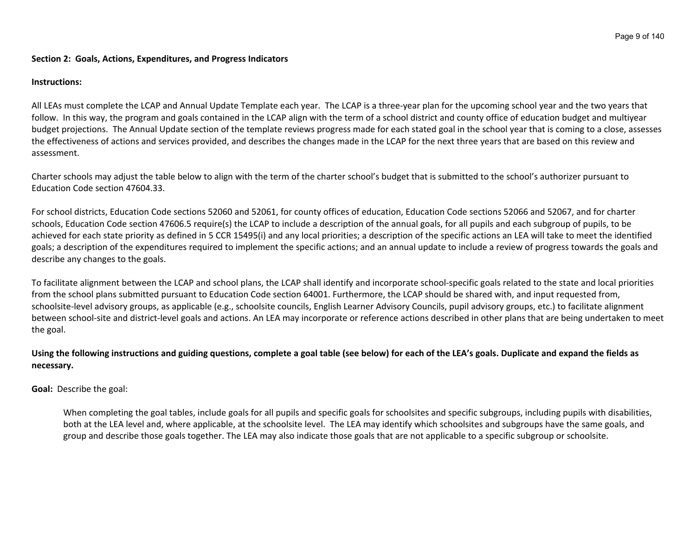#### **Section 2: Goals, Actions, Expenditures, and Progress Indicators**

#### **Instructions:**

All LEAs must complete the LCAP and Annual Update Template each year. The LCAP is a three-year plan for the upcoming school year and the two years that follow. In this way, the program and goals contained in the LCAP align with the term of a school district and county office of education budget and multiyear budget projections. The Annual Update section of the template reviews progress made for each stated goal in the school year that is coming to a close, assesses the effectiveness of actions and services provided, and describes the changes made in the LCAP for the next three years that are based on this review and assessment.

Charter schools may adjust the table below to align with the term of the charter school's budget that is submitted to the school's authorizer pursuant to Education Code section 47604.33.

For school districts, Education Code sections 52060 and 52061, for county offices of education, Education Code sections 52066 and 52067, and for charter schools, Education Code section 47606.5 require(s) the LCAP to include a description of the annual goals, for all pupils and each subgroup of pupils, to be achieved for each state priority as defined in 5 CCR 15495(i) and any local priorities; a description of the specific actions an LEA will take to meet the identified goals; a description of the expenditures required to implement the specific actions; and an annual update to include a review of progress towards the goals and describe any changes to the goals.

To facilitate alignment between the LCAP and school plans, the LCAP shall identify and incorporate school-specific goals related to the state and local priorities from the school plans submitted pursuant to Education Code section 64001. Furthermore, the LCAP should be shared with, and input requested from, schoolsite-level advisory groups, as applicable (e.g., schoolsite councils, English Learner Advisory Councils, pupil advisory groups, etc.) to facilitate alignment between school-site and district-level goals and actions. An LEA may incorporate or reference actions described in other plans that are being undertaken to meet the goal.

## Using the following instructions and guiding questions, complete a goal table (see below) for each of the LEA's goals. Duplicate and expand the fields as **necessary.**

**Goal:** Describe the goal:

When completing the goal tables, include goals for all pupils and specific goals for schoolsites and specific subgroups, including pupils with disabilities, both at the LEA level and, where applicable, at the schoolsite level. The LEA may identify which schoolsites and subgroups have the same goals, and group and describe those goals together. The LEA may also indicate those goals that are not applicable to a specific subgroup or schoolsite.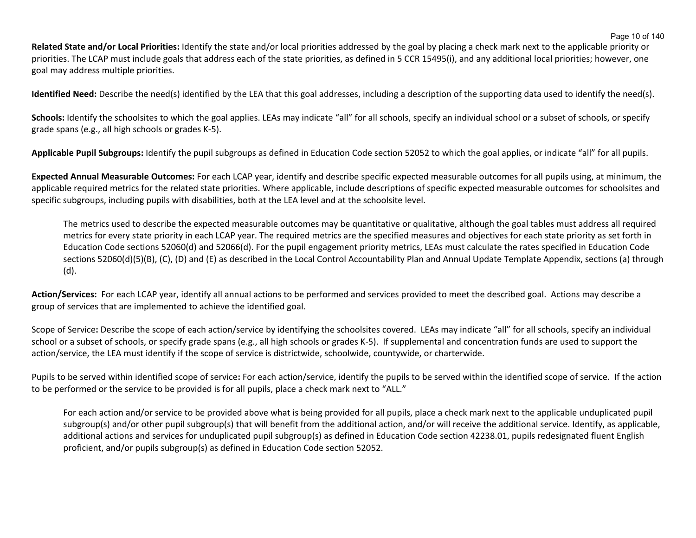Page 10 of 140

**Related State and/or Local Priorities:** Identify the state and/or local priorities addressed by the goal by placing a check mark next to the applicable priority or priorities. The LCAP must include goals that address each of the state priorities, as defined in 5 CCR 15495(i), and any additional local priorities; however, one goal may address multiple priorities.

**Identified Need:** Describe the need(s) identified by the LEA that this goal addresses, including a description of the supporting data used to identify the need(s).

Schools: Identify the schoolsites to which the goal applies. LEAs may indicate "all" for all schools, specify an individual school or a subset of schools, or specify grade spans (e.g., all high schools or grades K-5).

**Applicable Pupil Subgroups:** Identify the pupil subgroups as defined in Education Code section 52052 to which the goal applies, or indicate "all" for all pupils.

**Expected Annual Measurable Outcomes:** For each LCAP year, identify and describe specific expected measurable outcomes for all pupils using, at minimum, the applicable required metrics for the related state priorities. Where applicable, include descriptions of specific expected measurable outcomes for schoolsites and specific subgroups, including pupils with disabilities, both at the LEA level and at the schoolsite level.

The metrics used to describe the expected measurable outcomes may be quantitative or qualitative, although the goal tables must address all required metrics for every state priority in each LCAP year. The required metrics are the specified measures and objectives for each state priority as set forth in Education Code sections 52060(d) and 52066(d). For the pupil engagement priority metrics, LEAs must calculate the rates specified in Education Code sections 52060(d)(5)(B), (C), (D) and (E) as described in the Local Control Accountability Plan and Annual Update Template Appendix, sections (a) through (d).

**Action/Services:** For each LCAP year, identify all annual actions to be performed and services provided to meet the described goal. Actions may describe a group of services that are implemented to achieve the identified goal.

Scope of Service**:** Describe the scope of each action/service by identifying the schoolsites covered. LEAs may indicate "all" for all schools, specify an individual school or a subset of schools, or specify grade spans (e.g., all high schools or grades K-5). If supplemental and concentration funds are used to support the action/service, the LEA must identify if the scope of service is districtwide, schoolwide, countywide, or charterwide.

Pupils to be served within identified scope of service**:** For each action/service, identify the pupils to be served within the identified scope of service. If the action to be performed or the service to be provided is for all pupils, place a check mark next to "ALL."

For each action and/or service to be provided above what is being provided for all pupils, place a check mark next to the applicable unduplicated pupil subgroup(s) and/or other pupil subgroup(s) that will benefit from the additional action, and/or will receive the additional service. Identify, as applicable, additional actions and services for unduplicated pupil subgroup(s) as defined in Education Code section 42238.01, pupils redesignated fluent English proficient, and/or pupils subgroup(s) as defined in Education Code section 52052.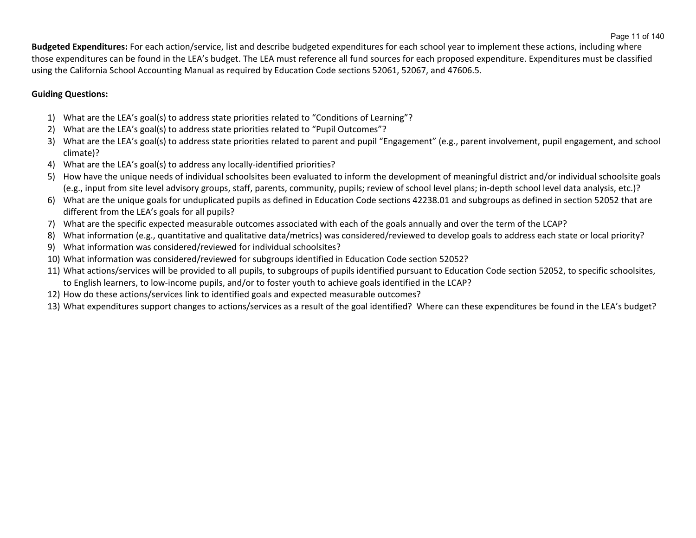**Budgeted Expenditures:** For each action/service, list and describe budgeted expenditures for each school year to implement these actions, including where those expenditures can be found in the LEA's budget. The LEA must reference all fund sources for each proposed expenditure. Expenditures must be classified using the California School Accounting Manual as required by Education Code sections 52061, 52067, and 47606.5.

# **Guiding Questions:**

- 1) What are the LEA's goal(s) to address state priorities related to "Conditions of Learning"?
- 2) What are the LEA's goal(s) to address state priorities related to "Pupil Outcomes"?
- 3) What are the LEA's goal(s) to address state priorities related to parent and pupil "Engagement" (e.g., parent involvement, pupil engagement, and school climate)?
- 4) What are the LEA's goal(s) to address any locally-identified priorities?
- 5) How have the unique needs of individual schoolsites been evaluated to inform the development of meaningful district and/or individual schoolsite goals (e.g., input from site level advisory groups, staff, parents, community, pupils; review of school level plans; in-depth school level data analysis, etc.)?
- 6) What are the unique goals for unduplicated pupils as defined in Education Code sections 42238.01 and subgroups as defined in section 52052 that are different from the LEA's goals for all pupils?
- 7) What are the specific expected measurable outcomes associated with each of the goals annually and over the term of the LCAP?
- 8) What information (e.g., quantitative and qualitative data/metrics) was considered/reviewed to develop goals to address each state or local priority?
- 9) What information was considered/reviewed for individual schoolsites?
- 10) What information was considered/reviewed for subgroups identified in Education Code section 52052?
- 11) What actions/services will be provided to all pupils, to subgroups of pupils identified pursuant to Education Code section 52052, to specific schoolsites, to English learners, to low-income pupils, and/or to foster youth to achieve goals identified in the LCAP?
- 12) How do these actions/services link to identified goals and expected measurable outcomes?
- 13) What expenditures support changes to actions/services as a result of the goal identified? Where can these expenditures be found in the LEA's budget?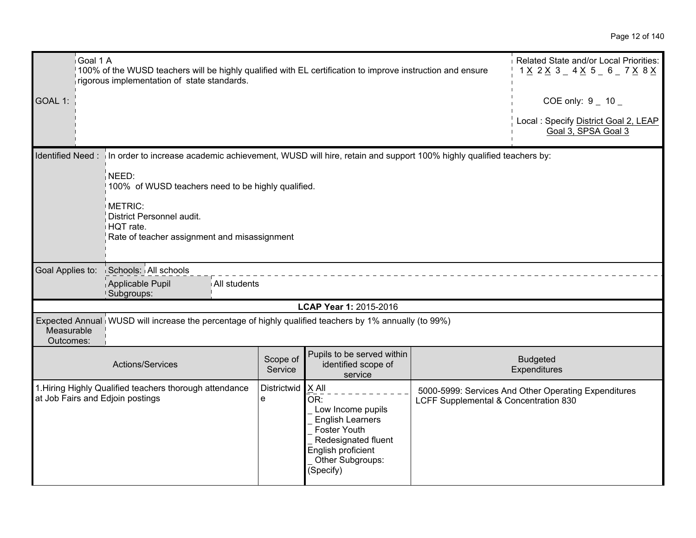|                         | Goal 1 A<br>100% of the WUSD teachers will be highly qualified with EL certification to improve instruction and ensure<br>rigorous implementation of state standards. |                     |                                                                                                                                                              |                                       | Related State and/or Local Priorities:<br>1 <u>X</u> 2 <u>X</u> 3 _ 4 <u>X</u> 5 _ 6 _ 7 <u>X</u> 8 <u>X</u> |
|-------------------------|-----------------------------------------------------------------------------------------------------------------------------------------------------------------------|---------------------|--------------------------------------------------------------------------------------------------------------------------------------------------------------|---------------------------------------|--------------------------------------------------------------------------------------------------------------|
| GOAL 1:                 |                                                                                                                                                                       |                     |                                                                                                                                                              |                                       | COE only: $9 - 10$                                                                                           |
|                         |                                                                                                                                                                       |                     |                                                                                                                                                              |                                       | Local: Specify District Goal 2, LEAP<br>Goal 3, SPSA Goal 3                                                  |
|                         | Identified Need: in order to increase academic achievement, WUSD will hire, retain and support 100% highly qualified teachers by:                                     |                     |                                                                                                                                                              |                                       |                                                                                                              |
|                         | NEED:<br>100% of WUSD teachers need to be highly qualified.                                                                                                           |                     |                                                                                                                                                              |                                       |                                                                                                              |
|                         | METRIC:<br>District Personnel audit.<br>HQT rate.<br>Rate of teacher assignment and misassignment                                                                     |                     |                                                                                                                                                              |                                       |                                                                                                              |
| Goal Applies to:        | Schools: All schools                                                                                                                                                  |                     |                                                                                                                                                              |                                       |                                                                                                              |
|                         | Applicable Pupil<br>All students<br>!Subgroups:                                                                                                                       |                     |                                                                                                                                                              |                                       |                                                                                                              |
|                         |                                                                                                                                                                       |                     | LCAP Year 1: 2015-2016                                                                                                                                       |                                       |                                                                                                              |
| Measurable<br>Outcomes: | Expected Annual WUSD will increase the percentage of highly qualified teachers by 1% annually (to 99%)                                                                |                     |                                                                                                                                                              |                                       |                                                                                                              |
|                         | Actions/Services                                                                                                                                                      | Scope of<br>Service | Pupils to be served within<br>identified scope of<br>service                                                                                                 |                                       | <b>Budgeted</b><br>Expenditures                                                                              |
|                         | 1. Hiring Highly Qualified teachers thorough attendance<br>at Job Fairs and Edjoin postings                                                                           | Districtwid<br>e    | $X$ All<br>OR:<br>Low Income pupils<br><b>English Learners</b><br>Foster Youth<br>Redesignated fluent<br>English proficient<br>Other Subgroups:<br>(Specify) | LCFF Supplemental & Concentration 830 | 5000-5999: Services And Other Operating Expenditures                                                         |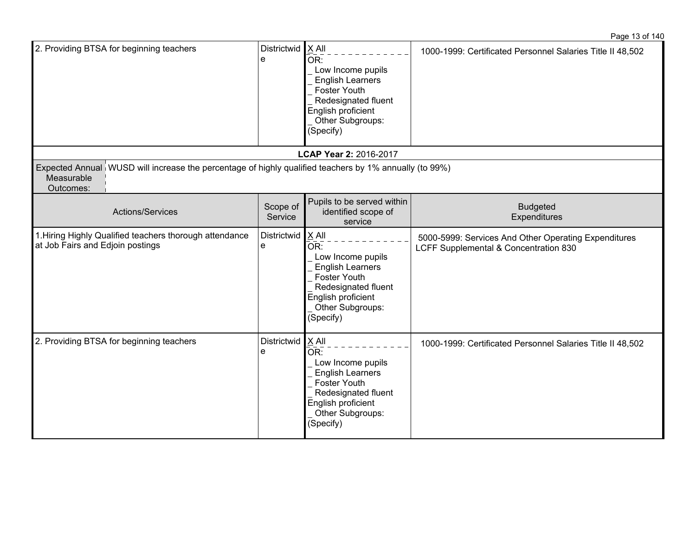| 2. Providing BTSA for beginning teachers                                                                                          | Districtwid<br>e    | $\mathsf{X}$ All<br>OR:<br>Low Income pupils<br><b>English Learners</b><br>Foster Youth<br>Redesignated fluent<br>English proficient<br>Other Subgroups:<br>(Specify) | 1000-1999: Certificated Personnel Salaries Title II 48,502                                    |
|-----------------------------------------------------------------------------------------------------------------------------------|---------------------|-----------------------------------------------------------------------------------------------------------------------------------------------------------------------|-----------------------------------------------------------------------------------------------|
|                                                                                                                                   |                     | LCAP Year 2: 2016-2017                                                                                                                                                |                                                                                               |
| Expected Annual WUSD will increase the percentage of highly qualified teachers by 1% annually (to 99%)<br>Measurable<br>Outcomes: |                     |                                                                                                                                                                       |                                                                                               |
| Actions/Services                                                                                                                  | Scope of<br>Service | Pupils to be served within<br>identified scope of<br>service                                                                                                          | <b>Budgeted</b><br>Expenditures                                                               |
| 1. Hiring Highly Qualified teachers thorough attendance<br>at Job Fairs and Edjoin postings                                       | Districtwid<br>e    | $X$ All<br>OR:<br>Low Income pupils<br><b>English Learners</b><br>Foster Youth<br>Redesignated fluent<br>English proficient<br>Other Subgroups:<br>(Specify)          | 5000-5999: Services And Other Operating Expenditures<br>LCFF Supplemental & Concentration 830 |
| 2. Providing BTSA for beginning teachers                                                                                          | Districtwid<br>е    | $X$ All<br>OR:<br>Low Income pupils<br><b>English Learners</b><br>Foster Youth<br>Redesignated fluent<br>English proficient<br>Other Subgroups:<br>(Specify)          | 1000-1999: Certificated Personnel Salaries Title II 48,502                                    |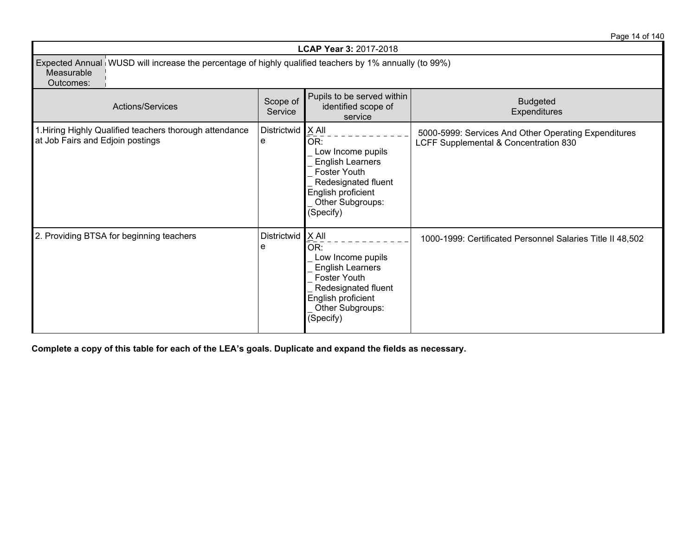Page 14 of 140

| <b>LCAP Year 3: 2017-2018</b>                                                                                                     |                          |                                                                                                                                                            |                                                                                               |  |
|-----------------------------------------------------------------------------------------------------------------------------------|--------------------------|------------------------------------------------------------------------------------------------------------------------------------------------------------|-----------------------------------------------------------------------------------------------|--|
| Expected Annual WUSD will increase the percentage of highly qualified teachers by 1% annually (to 99%)<br>Measurable<br>Outcomes: |                          |                                                                                                                                                            |                                                                                               |  |
| Actions/Services                                                                                                                  | Scope of<br>Service      | Pupils to be served within<br>identified scope of<br>service                                                                                               | <b>Budgeted</b><br>Expenditures                                                               |  |
| 1. Hiring Highly Qualified teachers thorough attendance<br>at Job Fairs and Edjoin postings                                       | Districtwid $X$ All<br>e | OR:<br>Low Income pupils<br><b>English Learners</b><br>Foster Youth<br>Redesignated fluent<br>English proficient<br>Other Subgroups:<br>(Specify)          | 5000-5999: Services And Other Operating Expenditures<br>LCFF Supplemental & Concentration 830 |  |
| 2. Providing BTSA for beginning teachers                                                                                          | Districtwid<br>е         | X All<br>OR:<br>Low Income pupils<br><b>English Learners</b><br>Foster Youth<br>Redesignated fluent<br>English proficient<br>Other Subgroups:<br>(Specify) | 1000-1999: Certificated Personnel Salaries Title II 48,502                                    |  |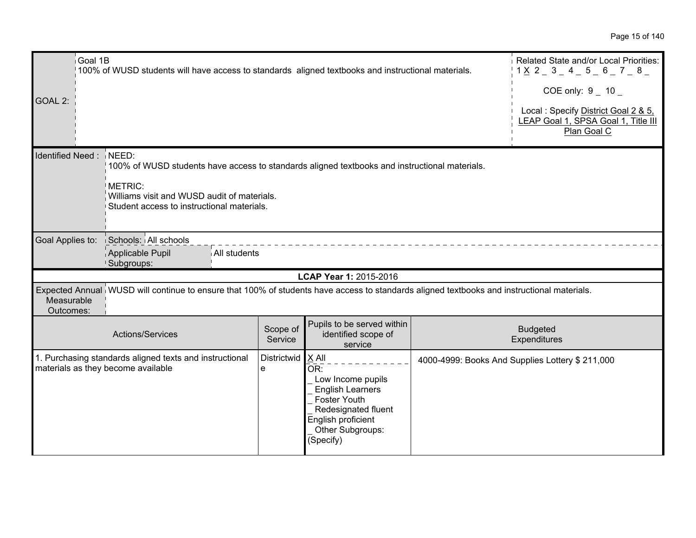| Goal 1B                 | 100% of WUSD students will have access to standards aligned textbooks and instructional materials.                                                                                                    |                     |                                                                                                                                                            | Related State and/or Local Priorities:<br>$1 \times 2 = 3 = 4 = 5 = 6 = 7 = 8 = 1$        |
|-------------------------|-------------------------------------------------------------------------------------------------------------------------------------------------------------------------------------------------------|---------------------|------------------------------------------------------------------------------------------------------------------------------------------------------------|-------------------------------------------------------------------------------------------|
|                         |                                                                                                                                                                                                       |                     |                                                                                                                                                            | COE only: $9 - 10 -$                                                                      |
| GOAL 2:                 |                                                                                                                                                                                                       |                     |                                                                                                                                                            | Local: Specify District Goal 2 & 5,<br>LEAP Goal 1, SPSA Goal 1, Title III<br>Plan Goal C |
| Identified Need: NEED:  | 100% of WUSD students have access to standards aligned textbooks and instructional materials.<br>METRIC:<br>Williams visit and WUSD audit of materials.<br>Student access to instructional materials. |                     |                                                                                                                                                            |                                                                                           |
| Goal Applies to:        | Schools: All schools<br>Applicable Pupil<br>All students<br>Subgroups:                                                                                                                                |                     |                                                                                                                                                            |                                                                                           |
|                         |                                                                                                                                                                                                       |                     | LCAP Year 1: 2015-2016                                                                                                                                     |                                                                                           |
| Measurable<br>Outcomes: | Expected Annual WUSD will continue to ensure that 100% of students have access to standards aligned textbooks and instructional materials.                                                            |                     |                                                                                                                                                            |                                                                                           |
|                         | Actions/Services                                                                                                                                                                                      | Scope of<br>Service | Pupils to be served within<br>identified scope of<br>service                                                                                               | <b>Budgeted</b><br>Expenditures                                                           |
|                         | 1. Purchasing standards aligned texts and instructional<br>materials as they become available                                                                                                         | Districtwid<br>e    | X All<br>OR:<br>Low Income pupils<br><b>English Learners</b><br>Foster Youth<br>Redesignated fluent<br>English proficient<br>Other Subgroups:<br>(Specify) | 4000-4999: Books And Supplies Lottery \$ 211,000                                          |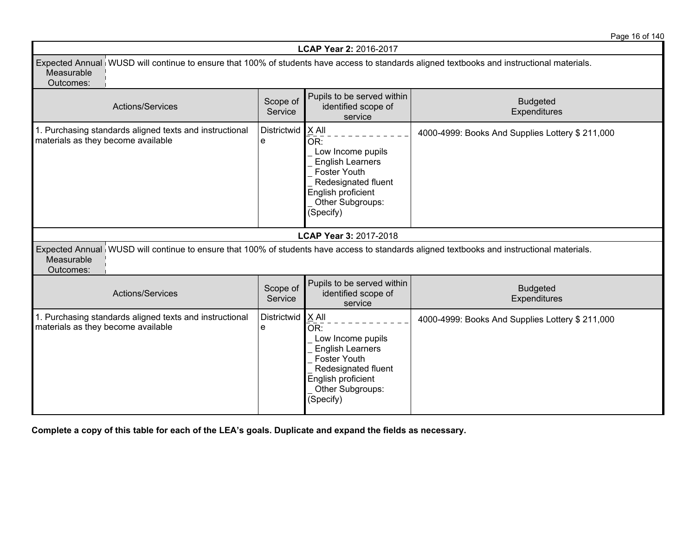Page 16 of 140

|                                                                                                                                                                       |                          | LCAP Year 2: 2016-2017                                                                                                                                       |                                                  |
|-----------------------------------------------------------------------------------------------------------------------------------------------------------------------|--------------------------|--------------------------------------------------------------------------------------------------------------------------------------------------------------|--------------------------------------------------|
| Expected Annual WUSD will continue to ensure that 100% of students have access to standards aligned textbooks and instructional materials.<br>Measurable<br>Outcomes: |                          |                                                                                                                                                              |                                                  |
| <b>Actions/Services</b>                                                                                                                                               | Scope of<br>Service      | Pupils to be served within<br>identified scope of<br>service                                                                                                 | <b>Budgeted</b><br>Expenditures                  |
| 1. Purchasing standards aligned texts and instructional<br>materials as they become available                                                                         | Districtwid   X All<br>e | OR:<br>Low Income pupils<br><b>English Learners</b><br>Foster Youth<br>Redesignated fluent<br>English proficient<br>Other Subgroups:<br>(Specify)            | 4000-4999: Books And Supplies Lottery \$ 211,000 |
|                                                                                                                                                                       |                          | LCAP Year 3: 2017-2018                                                                                                                                       |                                                  |
| Expected Annual WUSD will continue to ensure that 100% of students have access to standards aligned textbooks and instructional materials.<br>Measurable<br>Outcomes: |                          |                                                                                                                                                              |                                                  |
| Actions/Services                                                                                                                                                      | Scope of<br>Service      | Pupils to be served within<br>identified scope of<br>service                                                                                                 | <b>Budgeted</b><br>Expenditures                  |
| 1. Purchasing standards aligned texts and instructional<br>materials as they become available                                                                         | Districtwid<br>e         | $X$ All<br>OR:<br>Low Income pupils<br><b>English Learners</b><br>Foster Youth<br>Redesignated fluent<br>English proficient<br>Other Subgroups:<br>(Specify) | 4000-4999: Books And Supplies Lottery \$ 211,000 |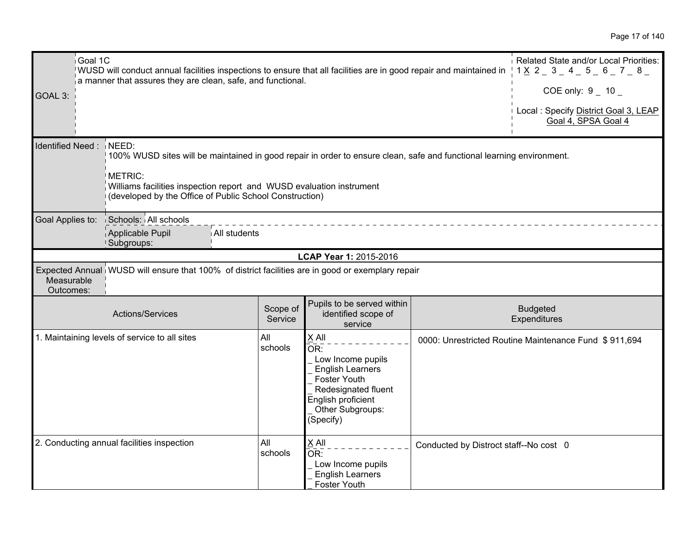| Goal 1C<br>GOAL 3:      | WUSD will conduct annual facilities inspections to ensure that all facilities are in good repair and maintained in<br>a manner that assures they are clean, safe, and functional.                                                                                   |                     |                                                                                                                                                            |                                        | Related State and/or Local Priorities:<br>$1 \times 2 = 3 = 4 = 5 = 6 = 7 = 8 = 1$<br>COE only: $9 - 10$<br>Local : Specify District Goal 3, LEAP<br>Goal 4, SPSA Goal 4 |
|-------------------------|---------------------------------------------------------------------------------------------------------------------------------------------------------------------------------------------------------------------------------------------------------------------|---------------------|------------------------------------------------------------------------------------------------------------------------------------------------------------|----------------------------------------|--------------------------------------------------------------------------------------------------------------------------------------------------------------------------|
| Identified Need: NEED:  | 100% WUSD sites will be maintained in good repair in order to ensure clean, safe and functional learning environment.<br>METRIC:<br>Williams facilities inspection report and WUSD evaluation instrument<br>(developed by the Office of Public School Construction) |                     |                                                                                                                                                            |                                        |                                                                                                                                                                          |
| Goal Applies to:        | Schools: All schools<br>All students<br>Applicable Pupil<br>Subgroups:                                                                                                                                                                                              |                     |                                                                                                                                                            |                                        |                                                                                                                                                                          |
|                         |                                                                                                                                                                                                                                                                     |                     | LCAP Year 1: 2015-2016                                                                                                                                     |                                        |                                                                                                                                                                          |
| Measurable<br>Outcomes: | Expected Annual WUSD will ensure that 100% of district facilities are in good or exemplary repair                                                                                                                                                                   |                     |                                                                                                                                                            |                                        |                                                                                                                                                                          |
|                         | Actions/Services                                                                                                                                                                                                                                                    | Scope of<br>Service | Pupils to be served within<br>identified scope of<br>service                                                                                               |                                        | <b>Budgeted</b><br>Expenditures                                                                                                                                          |
|                         | 1. Maintaining levels of service to all sites                                                                                                                                                                                                                       | All<br>schools      | X All<br>OR:<br>Low Income pupils<br><b>English Learners</b><br>Foster Youth<br>Redesignated fluent<br>English proficient<br>Other Subgroups:<br>(Specify) |                                        | 0000: Unrestricted Routine Maintenance Fund \$911,694                                                                                                                    |
|                         | 2. Conducting annual facilities inspection                                                                                                                                                                                                                          | All<br>schools      | X All<br>OR:<br>Low Income pupils<br><b>English Learners</b><br>Foster Youth                                                                               | Conducted by Distroct staff--No cost 0 |                                                                                                                                                                          |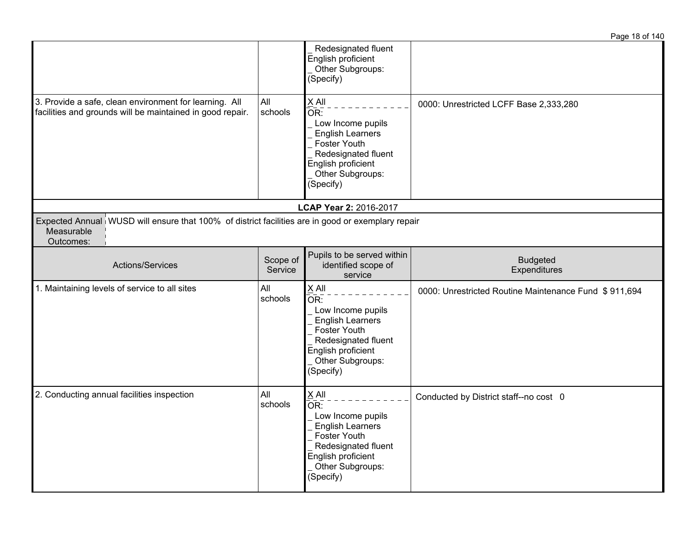|                                                                                                                              |                     |                                                                                                                                                                          | Page 18 of 140                                        |
|------------------------------------------------------------------------------------------------------------------------------|---------------------|--------------------------------------------------------------------------------------------------------------------------------------------------------------------------|-------------------------------------------------------|
|                                                                                                                              |                     | Redesignated fluent<br>English proficient<br>Other Subgroups:<br>(Specify)                                                                                               |                                                       |
| 3. Provide a safe, clean environment for learning. All<br>facilities and grounds will be maintained in good repair.          | All<br>schools      | $X$ All<br>OR:<br>Low Income pupils<br><b>English Learners</b><br>Foster Youth<br>Redesignated fluent<br>English proficient<br>Other Subgroups:<br>(Specify)             | 0000: Unrestricted LCFF Base 2,333,280                |
|                                                                                                                              |                     | LCAP Year 2: 2016-2017                                                                                                                                                   |                                                       |
| Expected Annual WUSD will ensure that 100% of district facilities are in good or exemplary repair<br>Measurable<br>Outcomes: |                     |                                                                                                                                                                          |                                                       |
| Actions/Services                                                                                                             | Scope of<br>Service | Pupils to be served within<br>identified scope of<br>service                                                                                                             | <b>Budgeted</b><br>Expenditures                       |
| 1. Maintaining levels of service to all sites                                                                                | All<br>schools      | $X$ All<br>OR:<br>Low Income pupils<br><b>English Learners</b><br>Foster Youth<br>Redesignated fluent<br>English proficient<br>Other Subgroups:<br>(Specify)             | 0000: Unrestricted Routine Maintenance Fund \$911,694 |
| 2. Conducting annual facilities inspection                                                                                   | All<br>schools      | $\underline{X}$ All<br>OR:<br>Low Income pupils<br><b>English Learners</b><br>Foster Youth<br>Redesignated fluent<br>English proficient<br>Other Subgroups:<br>(Specify) | Conducted by District staff--no cost 0                |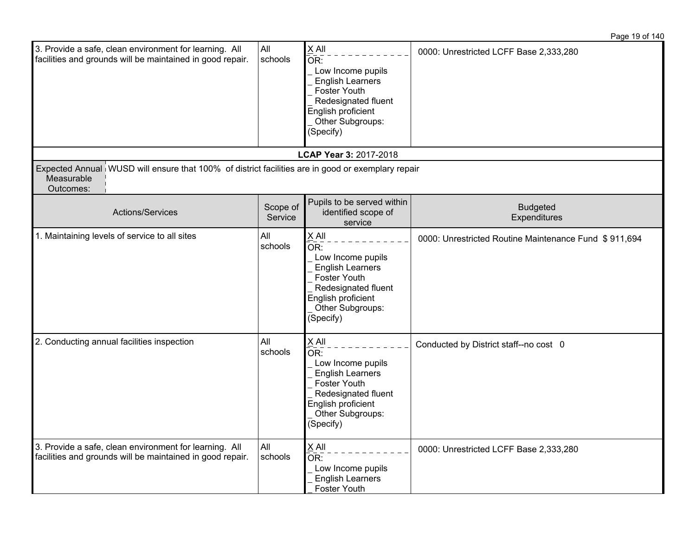| 3. Provide a safe, clean environment for learning. All<br>facilities and grounds will be maintained in good repair. |                                                                                                                     | All<br>schools      | X All<br>OR:<br>Low Income pupils<br><b>English Learners</b><br>Foster Youth<br>Redesignated fluent<br>English proficient<br>Other Subgroups:<br>(Specify)                        | 0000: Unrestricted LCFF Base 2,333,280                |
|---------------------------------------------------------------------------------------------------------------------|---------------------------------------------------------------------------------------------------------------------|---------------------|-----------------------------------------------------------------------------------------------------------------------------------------------------------------------------------|-------------------------------------------------------|
|                                                                                                                     |                                                                                                                     |                     | LCAP Year 3: 2017-2018                                                                                                                                                            |                                                       |
| Measurable<br>Outcomes:                                                                                             | Expected Annual WUSD will ensure that 100% of district facilities are in good or exemplary repair                   |                     |                                                                                                                                                                                   |                                                       |
|                                                                                                                     | Actions/Services                                                                                                    | Scope of<br>Service | Pupils to be served within<br>identified scope of<br>service                                                                                                                      | <b>Budgeted</b><br>Expenditures                       |
|                                                                                                                     | 1. Maintaining levels of service to all sites                                                                       | All<br>schools      | X All<br>$\overline{\mathsf{OR}}$ :<br>Low Income pupils<br><b>English Learners</b><br>Foster Youth<br>Redesignated fluent<br>English proficient<br>Other Subgroups:<br>(Specify) | 0000: Unrestricted Routine Maintenance Fund \$911,694 |
|                                                                                                                     | 2. Conducting annual facilities inspection                                                                          | All<br>schools      | $X$ All<br>OR:<br>Low Income pupils<br><b>English Learners</b><br><b>Foster Youth</b><br>Redesignated fluent<br>English proficient<br>Other Subgroups:<br>(Specify)               | Conducted by District staff--no cost 0                |
|                                                                                                                     | 3. Provide a safe, clean environment for learning. All<br>facilities and grounds will be maintained in good repair. | All<br>schools      | X All<br>$\bar{\mathsf{OR}}$ :<br>Low Income pupils<br><b>English Learners</b><br><b>Foster Youth</b>                                                                             | 0000: Unrestricted LCFF Base 2,333,280                |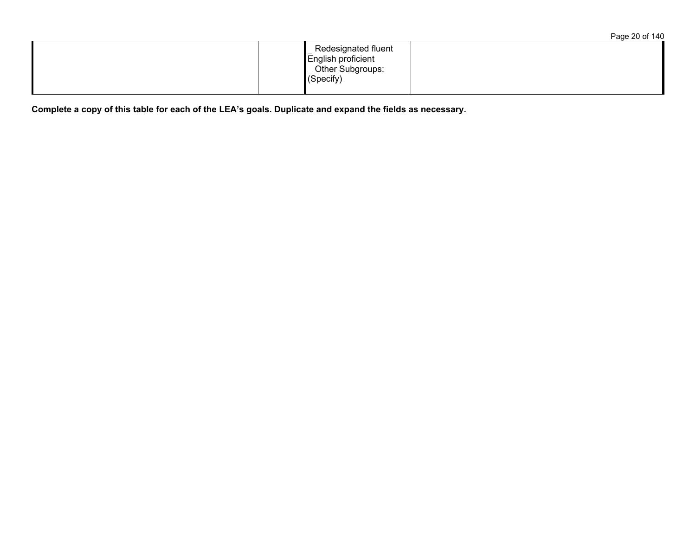|                                                                            | Page 20 of 140 |
|----------------------------------------------------------------------------|----------------|
| Redesignated fluent<br>English proficient<br>Other Subgroups:<br>(Specify) |                |
|                                                                            |                |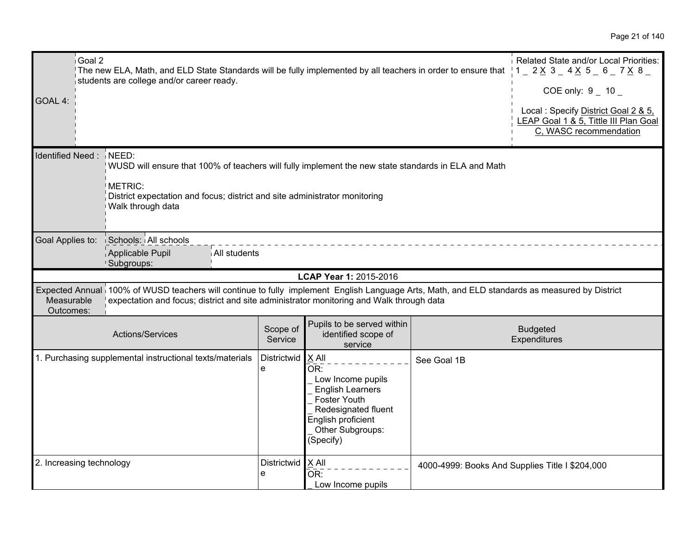| i Goal 2<br>GOAL 4:      | The new ELA, Math, and ELD State Standards will be fully implemented by all teachers in order to ensure that $1 - 2 \times 3 - 4 \times 5 - 6 - 7 \times 8 - 1$<br>students are college and/or career ready.                             |                     |                                                                                                                                                            |             | Related State and/or Local Priorities:<br>COE only: $9 - 10$<br>Local: Specify District Goal 2 & 5,<br><b>EAP Goal 1 &amp; 5, Tittle III Plan Goal</b><br>C, WASC recommendation |
|--------------------------|------------------------------------------------------------------------------------------------------------------------------------------------------------------------------------------------------------------------------------------|---------------------|------------------------------------------------------------------------------------------------------------------------------------------------------------|-------------|----------------------------------------------------------------------------------------------------------------------------------------------------------------------------------|
| Identified Need: NEED:   | WUSD will ensure that 100% of teachers will fully implement the new state standards in ELA and Math<br>METRIC:<br>District expectation and focus; district and site administrator monitoring<br>Walk through data                        |                     |                                                                                                                                                            |             |                                                                                                                                                                                  |
| Goal Applies to:         | Schools: All schools<br>Applicable Pupil<br>All students<br>Subgroups:                                                                                                                                                                   |                     |                                                                                                                                                            |             |                                                                                                                                                                                  |
|                          |                                                                                                                                                                                                                                          |                     | LCAP Year 1: 2015-2016                                                                                                                                     |             |                                                                                                                                                                                  |
| Measurable<br>Outcomes:  | Expected Annual 100% of WUSD teachers will continue to fully implement English Language Arts, Math, and ELD standards as measured by District<br>expectation and focus; district and site administrator monitoring and Walk through data |                     |                                                                                                                                                            |             |                                                                                                                                                                                  |
|                          | Actions/Services                                                                                                                                                                                                                         | Scope of<br>Service | Pupils to be served within<br>identified scope of<br>service                                                                                               |             | <b>Budgeted</b><br>Expenditures                                                                                                                                                  |
|                          | 1. Purchasing supplemental instructional texts/materials                                                                                                                                                                                 | Districtwid<br>e    | X All<br>OR:<br>Low Income pupils<br><b>English Learners</b><br>Foster Youth<br>Redesignated fluent<br>English proficient<br>Other Subgroups:<br>(Specify) | See Goal 1B |                                                                                                                                                                                  |
| 2. Increasing technology |                                                                                                                                                                                                                                          | Districtwid<br>e    | X All<br>OR:<br>Low Income pupils                                                                                                                          |             | 4000-4999: Books And Supplies Title I \$204,000                                                                                                                                  |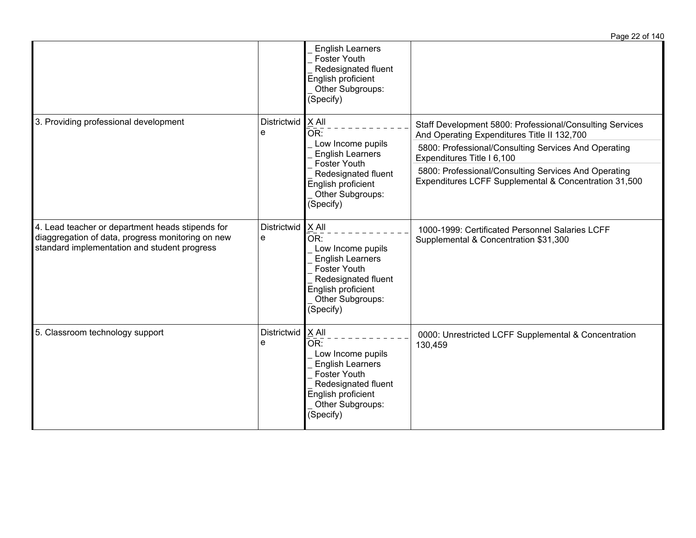|                                                                                                                                                       |                         |                                                                                                                                                                   | Page 22 of 140                                                                                                |
|-------------------------------------------------------------------------------------------------------------------------------------------------------|-------------------------|-------------------------------------------------------------------------------------------------------------------------------------------------------------------|---------------------------------------------------------------------------------------------------------------|
|                                                                                                                                                       |                         | <b>English Learners</b><br><b>Foster Youth</b><br>Redesignated fluent<br>English proficient<br>Other Subgroups:<br>(Specify)                                      |                                                                                                               |
| 3. Providing professional development                                                                                                                 | Districtwid<br>e        | $X$ All<br>OR:                                                                                                                                                    | Staff Development 5800: Professional/Consulting Services<br>And Operating Expenditures Title II 132,700       |
|                                                                                                                                                       |                         | Low Income pupils<br><b>English Learners</b><br>Foster Youth                                                                                                      | 5800: Professional/Consulting Services And Operating<br>Expenditures Title I 6,100                            |
|                                                                                                                                                       |                         | Redesignated fluent<br>English proficient<br>Other Subgroups:<br>(Specify)                                                                                        | 5800: Professional/Consulting Services And Operating<br>Expenditures LCFF Supplemental & Concentration 31,500 |
| 4. Lead teacher or department heads stipends for<br>diaggregation of data, progress monitoring on new<br>standard implementation and student progress | Districtwid<br>e        | X All<br>OR:<br>Low Income pupils<br><b>English Learners</b><br><b>Foster Youth</b><br>Redesignated fluent<br>English proficient<br>Other Subgroups:<br>(Specify) | 1000-1999: Certificated Personnel Salaries LCFF<br>Supplemental & Concentration \$31,300                      |
| 5. Classroom technology support                                                                                                                       | <b>Districtwid</b><br>e | X All<br>OR:<br>Low Income pupils<br><b>English Learners</b><br><b>Foster Youth</b><br>Redesignated fluent<br>English proficient<br>Other Subgroups:<br>(Specify) | 0000: Unrestricted LCFF Supplemental & Concentration<br>130,459                                               |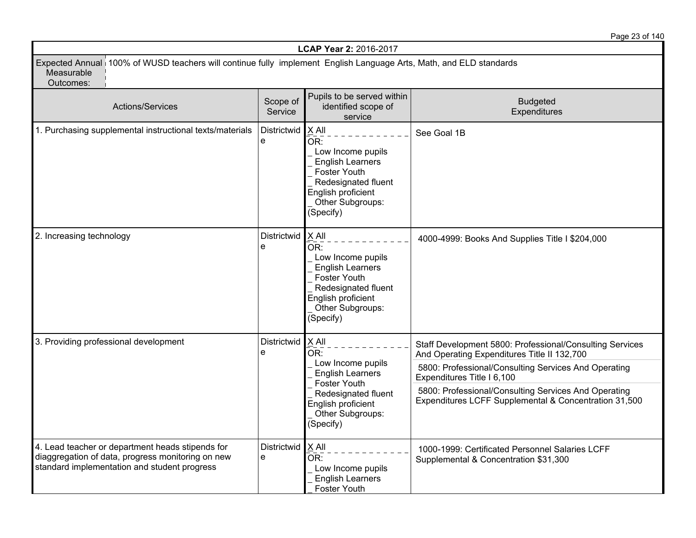Page 23 of 140

| LCAP Year 2: 2016-2017                                                                                                                                |                                                                                                                    |                                                                                                                                                                     |                                                                                                                                                                                                                                                       |  |  |  |
|-------------------------------------------------------------------------------------------------------------------------------------------------------|--------------------------------------------------------------------------------------------------------------------|---------------------------------------------------------------------------------------------------------------------------------------------------------------------|-------------------------------------------------------------------------------------------------------------------------------------------------------------------------------------------------------------------------------------------------------|--|--|--|
| Measurable<br>Outcomes:                                                                                                                               | Expected Annual 100% of WUSD teachers will continue fully implement English Language Arts, Math, and ELD standards |                                                                                                                                                                     |                                                                                                                                                                                                                                                       |  |  |  |
| Actions/Services                                                                                                                                      | Scope of<br>Service                                                                                                | Pupils to be served within<br>identified scope of<br>service                                                                                                        | <b>Budgeted</b><br>Expenditures                                                                                                                                                                                                                       |  |  |  |
| 1. Purchasing supplemental instructional texts/materials                                                                                              | Districtwid<br>е                                                                                                   | $X$ All<br>OR:<br>Low Income pupils<br><b>English Learners</b><br>Foster Youth<br>Redesignated fluent<br>English proficient<br>Other Subgroups:<br>(Specify)        | See Goal 1B                                                                                                                                                                                                                                           |  |  |  |
| 2. Increasing technology                                                                                                                              | Districtwid<br>e                                                                                                   | $X$ All<br>−−−<br>OR:<br>Low Income pupils<br><b>English Learners</b><br>Foster Youth<br>Redesignated fluent<br>English proficient<br>Other Subgroups:<br>(Specify) | 4000-4999: Books And Supplies Title I \$204,000                                                                                                                                                                                                       |  |  |  |
| 3. Providing professional development                                                                                                                 | Districtwid<br>e                                                                                                   | $X$ All<br>OR:<br>Low Income pupils<br><b>English Learners</b><br>Foster Youth<br>Redesignated fluent                                                               | Staff Development 5800: Professional/Consulting Services<br>And Operating Expenditures Title II 132,700<br>5800: Professional/Consulting Services And Operating<br>Expenditures Title I 6,100<br>5800: Professional/Consulting Services And Operating |  |  |  |
|                                                                                                                                                       |                                                                                                                    | English proficient<br>Other Subgroups:<br>(Specify)                                                                                                                 | Expenditures LCFF Supplemental & Concentration 31,500                                                                                                                                                                                                 |  |  |  |
| 4. Lead teacher or department heads stipends for<br>diaggregation of data, progress monitoring on new<br>standard implementation and student progress | Districtwid<br>e                                                                                                   | $X$ All<br>OR:<br>Low Income pupils<br><b>English Learners</b><br>Foster Youth                                                                                      | 1000-1999: Certificated Personnel Salaries LCFF<br>Supplemental & Concentration \$31,300                                                                                                                                                              |  |  |  |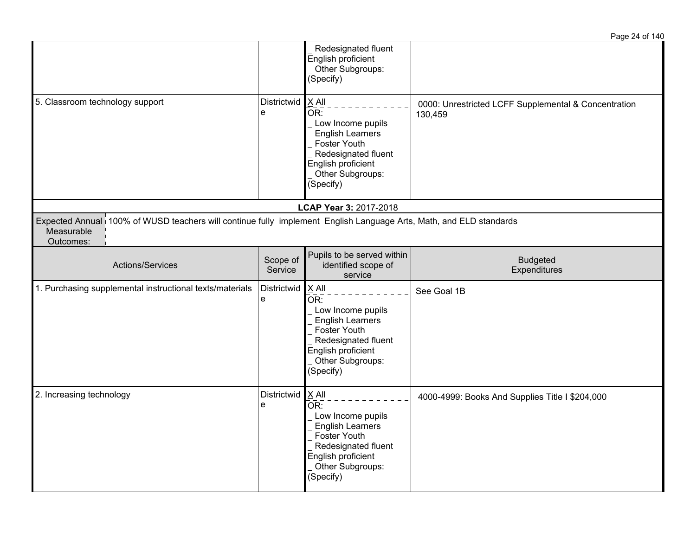|                                                                                                                                               |                        |                                                                                                                                                              | Page 24 of 140                                                  |
|-----------------------------------------------------------------------------------------------------------------------------------------------|------------------------|--------------------------------------------------------------------------------------------------------------------------------------------------------------|-----------------------------------------------------------------|
|                                                                                                                                               |                        | Redesignated fluent<br>English proficient<br>Other Subgroups:<br>(Specify)                                                                                   |                                                                 |
| 5. Classroom technology support                                                                                                               | Districtwid<br>e       | $X$ All<br>OR:<br>Low Income pupils<br><b>English Learners</b><br>Foster Youth<br>Redesignated fluent<br>English proficient<br>Other Subgroups:<br>(Specify) | 0000: Unrestricted LCFF Supplemental & Concentration<br>130,459 |
|                                                                                                                                               |                        | LCAP Year 3: 2017-2018                                                                                                                                       |                                                                 |
| Expected Annual 100% of WUSD teachers will continue fully implement English Language Arts, Math, and ELD standards<br>Measurable<br>Outcomes: |                        |                                                                                                                                                              |                                                                 |
| Actions/Services                                                                                                                              | Scope of<br>Service    | Pupils to be served within<br>identified scope of<br>service                                                                                                 | <b>Budgeted</b><br>Expenditures                                 |
| 1. Purchasing supplemental instructional texts/materials                                                                                      | Districtwid X All<br>e | OR:<br>Low Income pupils<br><b>English Learners</b><br>Foster Youth<br>Redesignated fluent<br>English proficient<br>Other Subgroups:<br>(Specify)            | See Goal 1B                                                     |
| 2. Increasing technology                                                                                                                      | Districtwid<br>e       | X All<br>OR:<br>Low Income pupils<br><b>English Learners</b><br>Foster Youth<br>Redesignated fluent<br>English proficient<br>Other Subgroups:<br>(Specify)   | 4000-4999: Books And Supplies Title I \$204,000                 |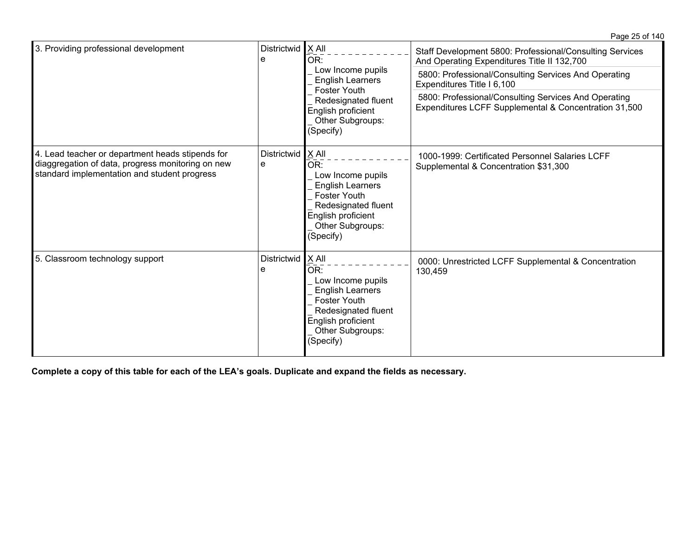| 3. Providing professional development                                                                                                                 | Districtwid<br>е                                                                           | $X$ All<br>OR:<br>Low Income pupils<br><b>English Learners</b>                                                                                                      | Staff Development 5800: Professional/Consulting Services<br>And Operating Expenditures Title II 132,700       |
|-------------------------------------------------------------------------------------------------------------------------------------------------------|--------------------------------------------------------------------------------------------|---------------------------------------------------------------------------------------------------------------------------------------------------------------------|---------------------------------------------------------------------------------------------------------------|
|                                                                                                                                                       |                                                                                            |                                                                                                                                                                     | 5800: Professional/Consulting Services And Operating<br>Expenditures Title I 6,100                            |
|                                                                                                                                                       | Foster Youth<br>Redesignated fluent<br>English proficient<br>Other Subgroups:<br>(Specify) |                                                                                                                                                                     | 5800: Professional/Consulting Services And Operating<br>Expenditures LCFF Supplemental & Concentration 31,500 |
| 4. Lead teacher or department heads stipends for<br>diaggregation of data, progress monitoring on new<br>standard implementation and student progress | Districtwid<br>e                                                                           | $X$ All<br>OR:<br>Low Income pupils<br><b>English Learners</b><br><b>Foster Youth</b><br>Redesignated fluent<br>English proficient<br>Other Subgroups:<br>(Specify) | 1000-1999: Certificated Personnel Salaries LCFF<br>Supplemental & Concentration \$31,300                      |
| 5. Classroom technology support                                                                                                                       | Districtwid<br>e                                                                           | X All<br>OR:<br>Low Income pupils<br><b>English Learners</b><br><b>Foster Youth</b><br>Redesignated fluent<br>English proficient<br>Other Subgroups:<br>(Specify)   | 0000: Unrestricted LCFF Supplemental & Concentration<br>130,459                                               |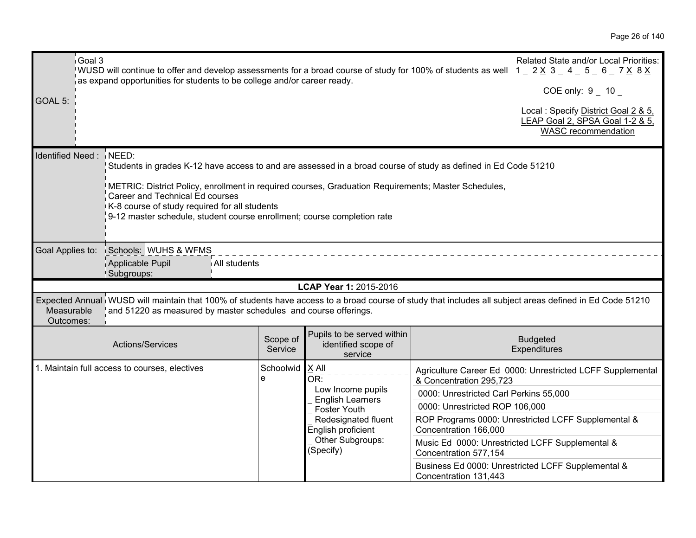| Goal 3<br>GOAL 5:       | WUSD will continue to offer and develop assessments for a broad course of study for 100% of students as well $1 - 2 \times 3 - 4 - 5 - 6 - 7 \times 8 \times 7$<br>as expand opportunities for students to be college and/or career ready.                                                                                                                                           |                     |                                                                                                                                                                     |                                                                                                                                                       | Related State and/or Local Priorities:<br>COE only: $9 - 10 -$<br>Local: Specify District Goal 2 & 5,<br>LEAP Goal 2, SPSA Goal 1-2 & 5,<br><b>WASC</b> recommendation |  |  |
|-------------------------|--------------------------------------------------------------------------------------------------------------------------------------------------------------------------------------------------------------------------------------------------------------------------------------------------------------------------------------------------------------------------------------|---------------------|---------------------------------------------------------------------------------------------------------------------------------------------------------------------|-------------------------------------------------------------------------------------------------------------------------------------------------------|------------------------------------------------------------------------------------------------------------------------------------------------------------------------|--|--|
| Identified Need: NEED:  | Students in grades K-12 have access to and are assessed in a broad course of study as defined in Ed Code 51210<br>METRIC: District Policy, enrollment in required courses, Graduation Requirements; Master Schedules,<br>Career and Technical Ed courses<br>K-8 course of study required for all students<br>9-12 master schedule, student course enrollment; course completion rate |                     |                                                                                                                                                                     |                                                                                                                                                       |                                                                                                                                                                        |  |  |
| Goal Applies to:        | Schools: WUHS & WFMS<br>Applicable Pupil<br>All students<br>Subgroups:                                                                                                                                                                                                                                                                                                               |                     |                                                                                                                                                                     |                                                                                                                                                       |                                                                                                                                                                        |  |  |
|                         |                                                                                                                                                                                                                                                                                                                                                                                      |                     | LCAP Year 1: 2015-2016                                                                                                                                              |                                                                                                                                                       |                                                                                                                                                                        |  |  |
| Measurable<br>Outcomes: | Expected Annual WUSD will maintain that 100% of students have access to a broad course of study that includes all subject areas defined in Ed Code 51210<br>and 51220 as measured by master schedules and course offerings.                                                                                                                                                          |                     |                                                                                                                                                                     |                                                                                                                                                       |                                                                                                                                                                        |  |  |
|                         | Actions/Services                                                                                                                                                                                                                                                                                                                                                                     | Scope of<br>Service | Pupils to be served within<br>identified scope of<br>service                                                                                                        |                                                                                                                                                       | <b>Budgeted</b><br>Expenditures                                                                                                                                        |  |  |
|                         | 1. Maintain full access to courses, electives                                                                                                                                                                                                                                                                                                                                        | Schoolwid<br>e      | $X$ All<br>OR:<br>Low Income pupils<br><b>English Learners</b><br><b>Foster Youth</b><br>Redesignated fluent<br>English proficient<br>Other Subgroups:<br>(Specify) | & Concentration 295,723<br>0000: Unrestricted Carl Perkins 55,000<br>0000: Unrestricted ROP 106,000<br>Concentration 166,000<br>Concentration 577,154 | Agriculture Career Ed 0000: Unrestricted LCFF Supplemental<br>ROP Programs 0000: Unrestricted LCFF Supplemental &<br>Music Ed 0000: Unrestricted LCFF Supplemental &   |  |  |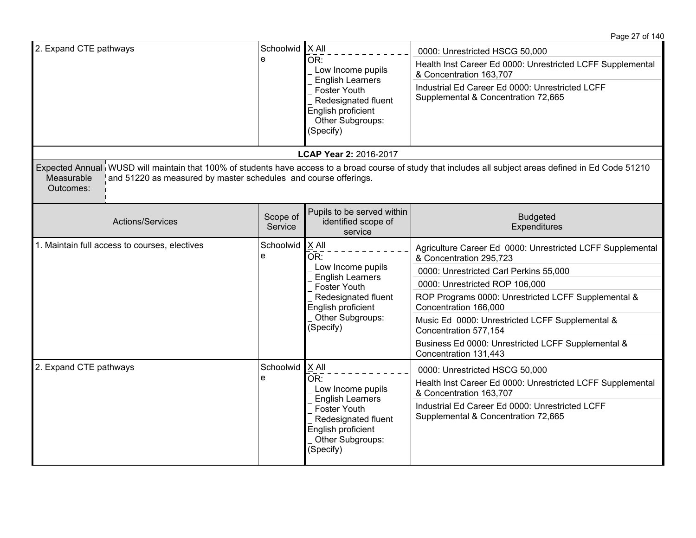Page 27 of 140

| 2. Expand CTE pathways                                                                     | Schoolwid   X All<br>e | OR:<br>Low Income pupils<br><b>English Learners</b><br><b>Foster Youth</b><br>Redesignated fluent<br>English proficient<br>Other Subgroups:<br>(Specify)     | 0000: Unrestricted HSCG 50,000<br>Health Inst Career Ed 0000: Unrestricted LCFF Supplemental<br>& Concentration 163,707<br>Industrial Ed Career Ed 0000: Unrestricted LCFF<br>Supplemental & Concentration 72,665 |
|--------------------------------------------------------------------------------------------|------------------------|--------------------------------------------------------------------------------------------------------------------------------------------------------------|-------------------------------------------------------------------------------------------------------------------------------------------------------------------------------------------------------------------|
|                                                                                            |                        | LCAP Year 2: 2016-2017                                                                                                                                       |                                                                                                                                                                                                                   |
| Measurable<br>and 51220 as measured by master schedules and course offerings.<br>Outcomes: |                        |                                                                                                                                                              | Expected Annual WUSD will maintain that 100% of students have access to a broad course of study that includes all subject areas defined in Ed Code 51210                                                          |
| Actions/Services                                                                           | Scope of<br>Service    | Pupils to be served within<br>identified scope of<br>service                                                                                                 | <b>Budgeted</b><br>Expenditures                                                                                                                                                                                   |
| 1. Maintain full access to courses, electives                                              | Schoolwid<br>e         | $X$ All<br>OR:<br>Low Income pupils<br><b>English Learners</b><br>Foster Youth<br>Redesignated fluent<br>English proficient<br>Other Subgroups:<br>(Specify) | Agriculture Career Ed 0000: Unrestricted LCFF Supplemental<br>& Concentration 295,723                                                                                                                             |
|                                                                                            |                        |                                                                                                                                                              | 0000: Unrestricted Carl Perkins 55,000                                                                                                                                                                            |
|                                                                                            |                        |                                                                                                                                                              | 0000: Unrestricted ROP 106,000                                                                                                                                                                                    |
|                                                                                            |                        |                                                                                                                                                              | ROP Programs 0000: Unrestricted LCFF Supplemental &<br>Concentration 166,000                                                                                                                                      |
|                                                                                            |                        |                                                                                                                                                              | Music Ed 0000: Unrestricted LCFF Supplemental &<br>Concentration 577,154                                                                                                                                          |
|                                                                                            |                        |                                                                                                                                                              | Business Ed 0000: Unrestricted LCFF Supplemental &<br>Concentration 131,443                                                                                                                                       |
| 2. Expand CTE pathways                                                                     | Schoolwid              | $X$ All                                                                                                                                                      | 0000: Unrestricted HSCG 50,000                                                                                                                                                                                    |
|                                                                                            | e                      | OR:<br>Low Income pupils                                                                                                                                     | Health Inst Career Ed 0000: Unrestricted LCFF Supplemental<br>& Concentration 163,707                                                                                                                             |
|                                                                                            |                        | <b>English Learners</b><br>Foster Youth<br>Redesignated fluent<br>English proficient<br>Other Subgroups:<br>(Specify)                                        | Industrial Ed Career Ed 0000: Unrestricted LCFF<br>Supplemental & Concentration 72,665                                                                                                                            |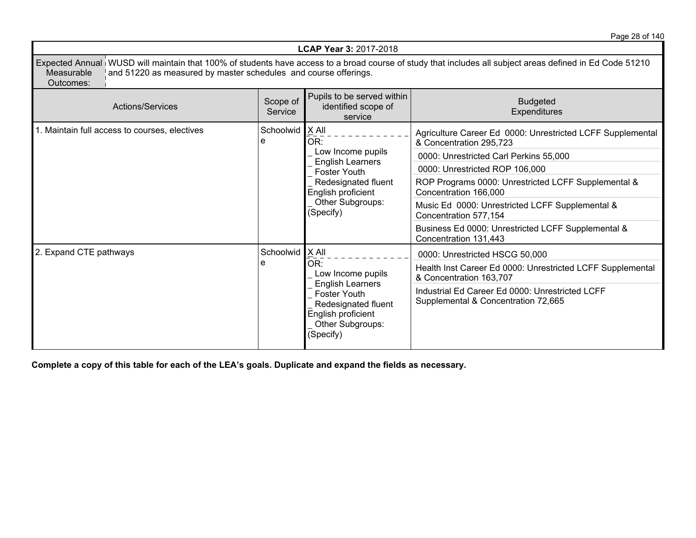Page 28 of 140

|                                                                                                                                                                                                                                                        | <b>LCAP Year 3: 2017-2018</b>                                        |                                                                                                                                                   |                                                                                                                                                                                                                                                                                                                                                                                     |  |  |  |
|--------------------------------------------------------------------------------------------------------------------------------------------------------------------------------------------------------------------------------------------------------|----------------------------------------------------------------------|---------------------------------------------------------------------------------------------------------------------------------------------------|-------------------------------------------------------------------------------------------------------------------------------------------------------------------------------------------------------------------------------------------------------------------------------------------------------------------------------------------------------------------------------------|--|--|--|
| Expected Annual WUSD will maintain that 100% of students have access to a broad course of study that includes all subject areas defined in Ed Code 51210<br>Measurable<br>and 51220 as measured by master schedules and course offerings.<br>Outcomes: |                                                                      |                                                                                                                                                   |                                                                                                                                                                                                                                                                                                                                                                                     |  |  |  |
| <b>Actions/Services</b>                                                                                                                                                                                                                                | Pupils to be served within<br><b>Budgeted</b><br><b>Expenditures</b> |                                                                                                                                                   |                                                                                                                                                                                                                                                                                                                                                                                     |  |  |  |
| 1. Maintain full access to courses, electives                                                                                                                                                                                                          | Schoolwid   X All<br>e                                               | OR:<br>Low Income pupils<br><b>English Learners</b><br>Foster Youth<br>Redesignated fluent<br>English proficient<br>Other Subgroups:<br>(Specify) | Agriculture Career Ed 0000: Unrestricted LCFF Supplemental<br>& Concentration 295,723<br>0000: Unrestricted Carl Perkins 55,000<br>0000: Unrestricted ROP 106,000<br>ROP Programs 0000: Unrestricted LCFF Supplemental &<br>Concentration 166,000<br>Music Ed 0000: Unrestricted LCFF Supplemental &<br>Concentration 577,154<br>Business Ed 0000: Unrestricted LCFF Supplemental & |  |  |  |
| 2. Expand CTE pathways                                                                                                                                                                                                                                 | Schoolwid   X All<br>e                                               | OR:<br>Low Income pupils<br><b>English Learners</b><br>Foster Youth<br>Redesignated fluent<br>English proficient<br>Other Subgroups:<br>(Specify) | Concentration 131,443<br>0000: Unrestricted HSCG 50,000<br>Health Inst Career Ed 0000: Unrestricted LCFF Supplemental<br>& Concentration 163,707<br>Industrial Ed Career Ed 0000: Unrestricted LCFF<br>Supplemental & Concentration 72,665                                                                                                                                          |  |  |  |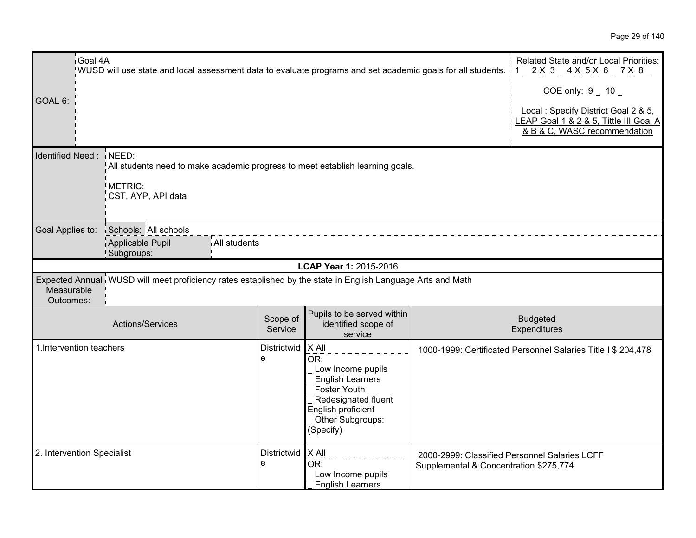| Goal 4A                    | WUSD will use state and local assessment data to evaluate programs and set academic goals for all students. |                     |                                                                                                                                                                   |                                                                                         | Related State and/or Local Priorities:<br>$1 - 2 \times 3 - 4 \times 5 \times 6 - 7 \times 8$                                         |
|----------------------------|-------------------------------------------------------------------------------------------------------------|---------------------|-------------------------------------------------------------------------------------------------------------------------------------------------------------------|-----------------------------------------------------------------------------------------|---------------------------------------------------------------------------------------------------------------------------------------|
| GOAL 6:                    |                                                                                                             |                     |                                                                                                                                                                   |                                                                                         | COE only: $9 - 10 -$<br>Local: Specify District Goal 2 & 5,<br>LEAP Goal 1 & 2 & 5, Tittle III Goal A<br>& B & C, WASC recommendation |
| Identified Need: NEED:     | METRIC:<br>CST, AYP, API data                                                                               |                     | All students need to make academic progress to meet establish learning goals.                                                                                     |                                                                                         |                                                                                                                                       |
| Goal Applies to:           | Schools: All schools<br>Applicable Pupil<br>Subgroups:                                                      | All students        |                                                                                                                                                                   |                                                                                         |                                                                                                                                       |
|                            |                                                                                                             |                     | LCAP Year 1: 2015-2016                                                                                                                                            |                                                                                         |                                                                                                                                       |
| Measurable<br>Outcomes:    | Expected Annual WUSD will meet proficiency rates established by the state in English Language Arts and Math |                     |                                                                                                                                                                   |                                                                                         |                                                                                                                                       |
|                            | Actions/Services                                                                                            | Scope of<br>Service | Pupils to be served within<br>identified scope of<br>service                                                                                                      |                                                                                         | <b>Budgeted</b><br>Expenditures                                                                                                       |
| 1. Intervention teachers   |                                                                                                             | Districtwid<br>e    | X All<br>OR:<br>Low Income pupils<br><b>English Learners</b><br><b>Foster Youth</b><br>Redesignated fluent<br>English proficient<br>Other Subgroups:<br>(Specify) |                                                                                         | 1000-1999: Certificated Personnel Salaries Title I \$ 204,478                                                                         |
| 2. Intervention Specialist |                                                                                                             | e                   | Districtwid   X All<br>OR:<br>Low Income pupils<br><b>English Learners</b>                                                                                        | 2000-2999: Classified Personnel Salaries LCFF<br>Supplemental & Concentration \$275,774 |                                                                                                                                       |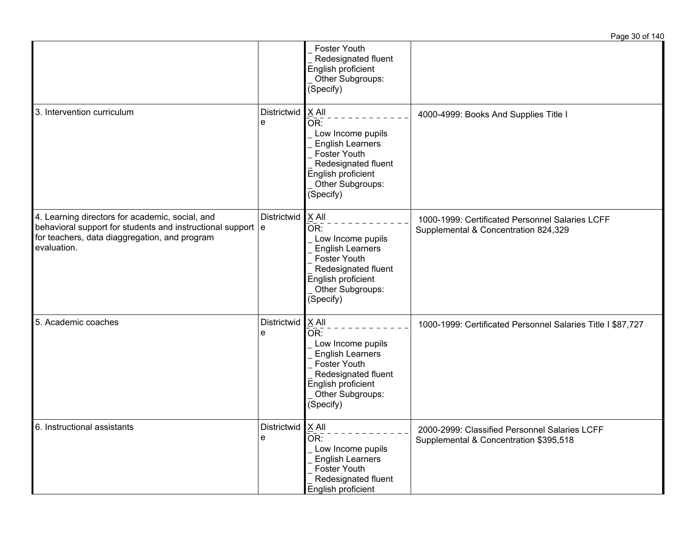|                                                                                                                                                                                              |                          |                                                                                                                                                   | Page 30 of 140                                                                          |
|----------------------------------------------------------------------------------------------------------------------------------------------------------------------------------------------|--------------------------|---------------------------------------------------------------------------------------------------------------------------------------------------|-----------------------------------------------------------------------------------------|
|                                                                                                                                                                                              |                          | Foster Youth<br>Redesignated fluent<br>English proficient<br>Other Subgroups:<br>(Specify)                                                        |                                                                                         |
| 3. Intervention curriculum                                                                                                                                                                   | Districtwid   X All<br>e | OR:<br>Low Income pupils<br><b>English Learners</b><br>Foster Youth<br>Redesignated fluent<br>English proficient<br>Other Subgroups:<br>(Specify) | 4000-4999: Books And Supplies Title I                                                   |
| 4. Learning directors for academic, social, and<br>behavioral support for students and instructional support $\vert e \vert$<br>for teachers, data diaggregation, and program<br>evaluation. | Districtwid   X All      | OR:<br>Low Income pupils<br><b>English Learners</b><br>Foster Youth<br>Redesignated fluent<br>English proficient<br>Other Subgroups:<br>(Specify) | 1000-1999: Certificated Personnel Salaries LCFF<br>Supplemental & Concentration 824,329 |
| 5. Academic coaches                                                                                                                                                                          | Districtwid   X All<br>е | OR:<br>Low Income pupils<br><b>English Learners</b><br>Foster Youth<br>Redesignated fluent<br>English proficient<br>Other Subgroups:<br>(Specify) | 1000-1999: Certificated Personnel Salaries Title I \$87,727                             |
| 6. Instructional assistants                                                                                                                                                                  | Districtwid<br>e         | $X$ All<br>OR:<br>Low Income pupils<br><b>English Learners</b><br>Foster Youth<br>Redesignated fluent<br>English proficient                       | 2000-2999: Classified Personnel Salaries LCFF<br>Supplemental & Concentration \$395,518 |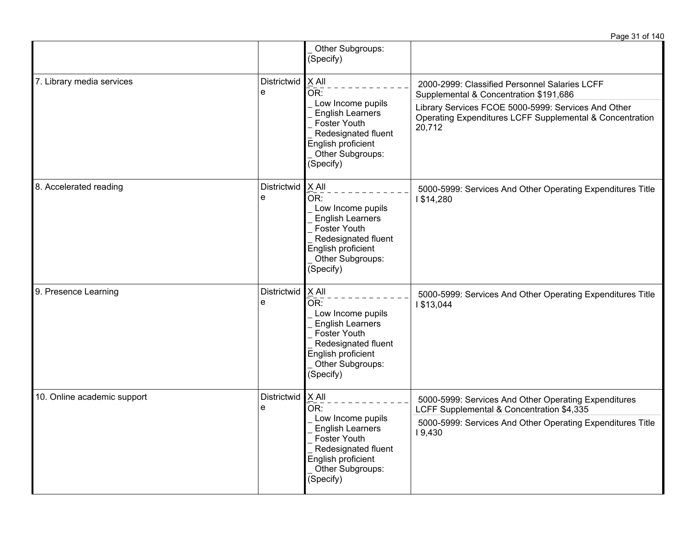|                             |                  | Other Subgroups:<br>(Specify)                                                                                                                                                     |                                                                                                                           |
|-----------------------------|------------------|-----------------------------------------------------------------------------------------------------------------------------------------------------------------------------------|---------------------------------------------------------------------------------------------------------------------------|
| 7. Library media services   | Districtwid<br>e | X All<br>OR:<br>Low Income pupils<br><b>English Learners</b><br>Foster Youth<br>Redesignated fluent<br>English proficient<br>Other Subgroups:<br>(Specify)                        | 2000-2999: Classified Personnel Salaries LCFF<br>Supplemental & Concentration \$191,686                                   |
|                             |                  |                                                                                                                                                                                   | Library Services FCOE 5000-5999: Services And Other<br>Operating Expenditures LCFF Supplemental & Concentration<br>20,712 |
| 8. Accelerated reading      | Districtwid<br>e | $X$ All<br>OR:<br>Low Income pupils<br><b>English Learners</b><br>Foster Youth<br>Redesignated fluent<br>English proficient<br>Other Subgroups:<br>(Specify)                      | 5000-5999: Services And Other Operating Expenditures Title<br>1\$14,280                                                   |
| 9. Presence Learning        | Districtwid<br>e | X All<br>$\overline{\mathsf{OR}}$ :<br>Low Income pupils<br><b>English Learners</b><br>Foster Youth<br>Redesignated fluent<br>English proficient<br>Other Subgroups:<br>(Specify) | 5000-5999: Services And Other Operating Expenditures Title<br>1\$13,044                                                   |
| 10. Online academic support | Districtwid<br>e | $X$ All<br>OR:<br>Low Income pupils<br><b>English Learners</b><br>Foster Youth<br>Redesignated fluent<br>English proficient<br>Other Subgroups:<br>(Specify)                      | 5000-5999: Services And Other Operating Expenditures<br>LCFF Supplemental & Concentration \$4,335                         |
|                             |                  |                                                                                                                                                                                   | 5000-5999: Services And Other Operating Expenditures Title<br>19,430                                                      |

Page 31 of 140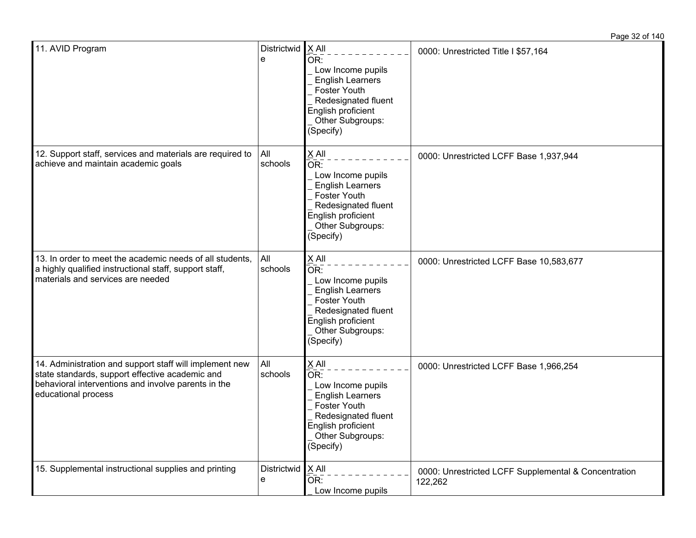| 11. AVID Program                                                                                                                                                                         | <b>Districtwid</b><br>e | $X$ All<br>$\bar{\mathsf{OR}}$ :<br>Low Income pupils<br><b>English Learners</b><br><b>Foster Youth</b><br>Redesignated fluent<br>English proficient<br>Other Subgroups:<br>(Specify) | 0000: Unrestricted Title I \$57,164                             |
|------------------------------------------------------------------------------------------------------------------------------------------------------------------------------------------|-------------------------|---------------------------------------------------------------------------------------------------------------------------------------------------------------------------------------|-----------------------------------------------------------------|
| 12. Support staff, services and materials are required to<br>achieve and maintain academic goals                                                                                         | All<br>schools          | X All<br>$\bar{\mathsf{OR}}$ :<br>Low Income pupils<br><b>English Learners</b><br><b>Foster Youth</b><br>Redesignated fluent<br>English proficient<br>Other Subgroups:<br>(Specify)   | 0000: Unrestricted LCFF Base 1,937,944                          |
| 13. In order to meet the academic needs of all students,<br>a highly qualified instructional staff, support staff,<br>materials and services are needed                                  | All<br>schools          | X All<br>OR:<br>Low Income pupils<br><b>English Learners</b><br><b>Foster Youth</b><br>Redesignated fluent<br>English proficient<br>Other Subgroups:<br>(Specify)                     | 0000: Unrestricted LCFF Base 10,583,677                         |
| 14. Administration and support staff will implement new<br>state standards, support effective academic and<br>behavioral interventions and involve parents in the<br>educational process | All<br>schools          | X All<br>$\mathrm{\bar{OR}}$ :<br>Low Income pupils<br><b>English Learners</b><br><b>Foster Youth</b><br>Redesignated fluent<br>English proficient<br>Other Subgroups:<br>(Specify)   | 0000: Unrestricted LCFF Base 1,966,254                          |
| 15. Supplemental instructional supplies and printing                                                                                                                                     | Districtwid<br>e        | X All<br>OR:<br>Low Income pupils                                                                                                                                                     | 0000: Unrestricted LCFF Supplemental & Concentration<br>122,262 |

Page 32 of 140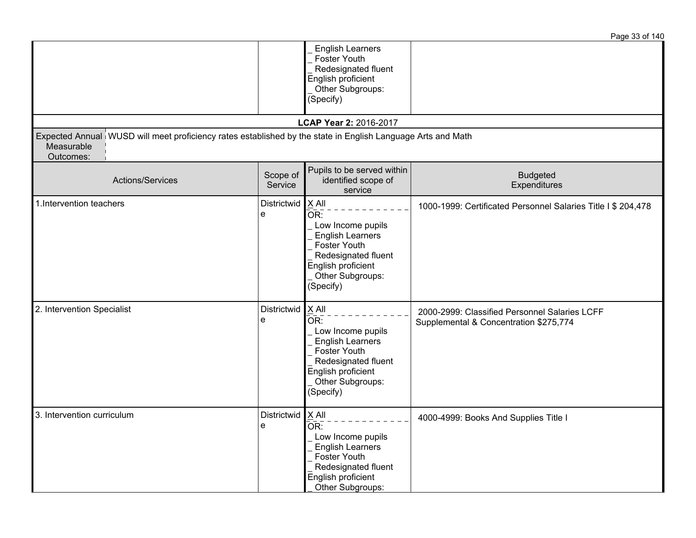|                                                                                                                                        |                          |                                                                                                                                                   | Page 33 of 140                                                                          |
|----------------------------------------------------------------------------------------------------------------------------------------|--------------------------|---------------------------------------------------------------------------------------------------------------------------------------------------|-----------------------------------------------------------------------------------------|
|                                                                                                                                        |                          | <b>English Learners</b><br>Foster Youth<br>Redesignated fluent<br>English proficient<br>Other Subgroups:<br>(Specify)                             |                                                                                         |
|                                                                                                                                        |                          | LCAP Year 2: 2016-2017                                                                                                                            |                                                                                         |
| Expected Annual WUSD will meet proficiency rates established by the state in English Language Arts and Math<br>Measurable<br>Outcomes: |                          |                                                                                                                                                   |                                                                                         |
| Actions/Services                                                                                                                       | Scope of<br>Service      | Pupils to be served within<br>identified scope of<br>service                                                                                      | <b>Budgeted</b><br>Expenditures                                                         |
| 1. Intervention teachers                                                                                                               | Districtwid   X All<br>e | OR:<br>Low Income pupils<br><b>English Learners</b><br>Foster Youth<br>Redesignated fluent<br>English proficient<br>Other Subgroups:<br>(Specify) | 1000-1999: Certificated Personnel Salaries Title I \$ 204,478                           |
| 2. Intervention Specialist                                                                                                             | Districtwid   X All<br>e | OR:<br>Low Income pupils<br><b>English Learners</b><br>Foster Youth<br>Redesignated fluent<br>English proficient<br>Other Subgroups:<br>(Specify) | 2000-2999: Classified Personnel Salaries LCFF<br>Supplemental & Concentration \$275,774 |
| 3. Intervention curriculum                                                                                                             | Districtwid $X$ All<br>ၔ | UK:<br>Low Income pupils<br><b>English Learners</b><br>Foster Youth<br>Redesignated fluent<br>English proficient<br>Other Subgroups:              | 4000-4999: Books And Supplies Title I                                                   |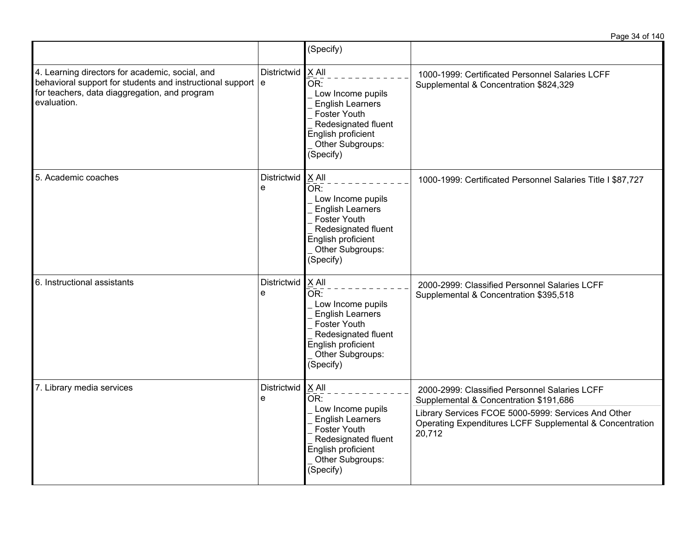|                                                                                                                                                                                |                         | (Specify)                                                                                                                                                                                |                                                                                                                                                                                                                      |
|--------------------------------------------------------------------------------------------------------------------------------------------------------------------------------|-------------------------|------------------------------------------------------------------------------------------------------------------------------------------------------------------------------------------|----------------------------------------------------------------------------------------------------------------------------------------------------------------------------------------------------------------------|
| 4. Learning directors for academic, social, and<br>behavioral support for students and instructional support e<br>for teachers, data diaggregation, and program<br>evaluation. | Districtwid             | $X$ All<br>OR:<br>Low Income pupils<br><b>English Learners</b><br><b>Foster Youth</b><br>Redesignated fluent<br>English proficient<br>Other Subgroups:<br>(Specify)                      | 1000-1999: Certificated Personnel Salaries LCFF<br>Supplemental & Concentration \$824,329                                                                                                                            |
| 5. Academic coaches                                                                                                                                                            | <b>Districtwid</b><br>e | $X$ All<br>$\overline{\mathsf{OR}}$ :<br>Low Income pupils<br><b>English Learners</b><br>Foster Youth<br>Redesignated fluent<br>English proficient<br>Other Subgroups:<br>(Specify)      | 1000-1999: Certificated Personnel Salaries Title I \$87,727                                                                                                                                                          |
| 6. Instructional assistants                                                                                                                                                    | Districtwid<br>e        | X All<br>$\overline{\mathsf{OR}}$ :<br>Low Income pupils<br><b>English Learners</b><br><b>Foster Youth</b><br>Redesignated fluent<br>English proficient<br>Other Subgroups:<br>(Specify) | 2000-2999: Classified Personnel Salaries LCFF<br>Supplemental & Concentration \$395,518                                                                                                                              |
| 7. Library media services                                                                                                                                                      | Districtwid<br>e        | $X$ All<br>OR:<br>Low Income pupils<br><b>English Learners</b><br>Foster Youth<br>Redesignated fluent<br>English proficient<br>Other Subgroups:<br>(Specify)                             | 2000-2999: Classified Personnel Salaries LCFF<br>Supplemental & Concentration \$191,686<br>Library Services FCOE 5000-5999: Services And Other<br>Operating Expenditures LCFF Supplemental & Concentration<br>20,712 |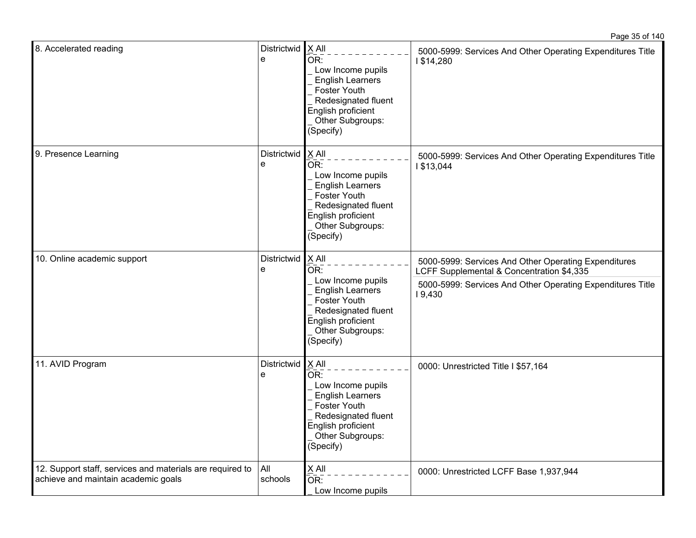| 8. Accelerated reading                                                                           | Districtwid   X All<br>e | OR:<br>Low Income pupils<br><b>English Learners</b><br>Foster Youth<br>Redesignated fluent<br>English proficient<br>Other Subgroups:<br>(Specify)            | 5000-5999: Services And Other Operating Expenditures Title<br>1\$14,280                                                                                                   |
|--------------------------------------------------------------------------------------------------|--------------------------|--------------------------------------------------------------------------------------------------------------------------------------------------------------|---------------------------------------------------------------------------------------------------------------------------------------------------------------------------|
| 9. Presence Learning                                                                             | Districtwid<br>e         | X All<br>OR:<br>Low Income pupils<br><b>English Learners</b><br>Foster Youth<br>Redesignated fluent<br>English proficient<br>Other Subgroups:<br>(Specify)   | 5000-5999: Services And Other Operating Expenditures Title<br>1\$13,044                                                                                                   |
| 10. Online academic support                                                                      | Districtwid<br>e         | $X$ All<br>OR:<br>Low Income pupils<br><b>English Learners</b><br>Foster Youth<br>Redesignated fluent<br>English proficient<br>Other Subgroups:<br>(Specify) | 5000-5999: Services And Other Operating Expenditures<br>LCFF Supplemental & Concentration \$4,335<br>5000-5999: Services And Other Operating Expenditures Title<br>19,430 |
| 11. AVID Program                                                                                 | Districtwid<br>e         | $X$ All<br>OR:<br>Low Income pupils<br><b>English Learners</b><br>Foster Youth<br>Redesignated fluent<br>English proficient<br>Other Subgroups:<br>(Specify) | 0000: Unrestricted Title I \$57,164                                                                                                                                       |
| 12. Support staff, services and materials are required to<br>achieve and maintain academic goals | All<br>schools           | $X$ All<br>OR:<br>Low Income pupils                                                                                                                          | 0000: Unrestricted LCFF Base 1,937,944                                                                                                                                    |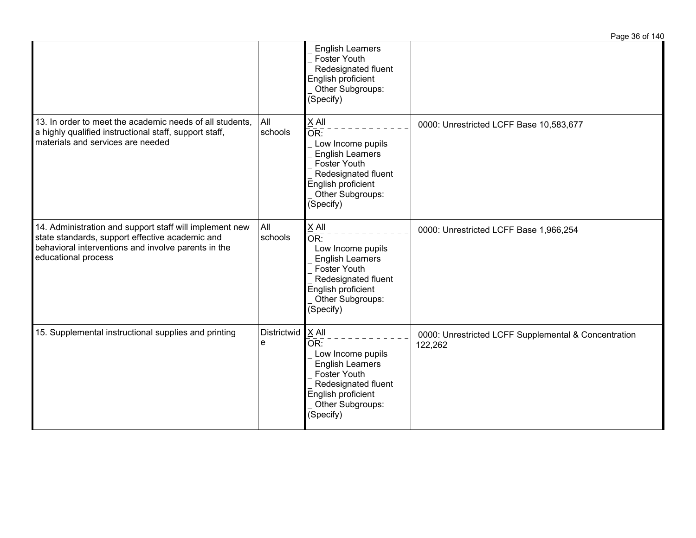|                                                                                                                                                                                          |                  |                                                                                                                                                                     | Page 36 of 140                                                  |
|------------------------------------------------------------------------------------------------------------------------------------------------------------------------------------------|------------------|---------------------------------------------------------------------------------------------------------------------------------------------------------------------|-----------------------------------------------------------------|
|                                                                                                                                                                                          |                  | <b>English Learners</b><br>Foster Youth<br>Redesignated fluent<br>English proficient<br>Other Subgroups:<br>(Specify)                                               |                                                                 |
| 13. In order to meet the academic needs of all students,<br>a highly qualified instructional staff, support staff,<br>materials and services are needed                                  | All<br>schools   | X All<br>OR:<br>Low Income pupils<br><b>English Learners</b><br>Foster Youth<br>Redesignated fluent<br>English proficient<br>Other Subgroups:<br>(Specify)          | 0000: Unrestricted LCFF Base 10,583,677                         |
| 14. Administration and support staff will implement new<br>state standards, support effective academic and<br>behavioral interventions and involve parents in the<br>educational process | All<br>schools   | X All<br>OR:<br>Low Income pupils<br><b>English Learners</b><br>Foster Youth<br>Redesignated fluent<br>English proficient<br>Other Subgroups:<br>(Specify)          | 0000: Unrestricted LCFF Base 1,966,254                          |
| 15. Supplemental instructional supplies and printing                                                                                                                                     | Districtwid<br>e | $X$ All<br>OR:<br>Low Income pupils<br><b>English Learners</b><br><b>Foster Youth</b><br>Redesignated fluent<br>English proficient<br>Other Subgroups:<br>(Specify) | 0000: Unrestricted LCFF Supplemental & Concentration<br>122,262 |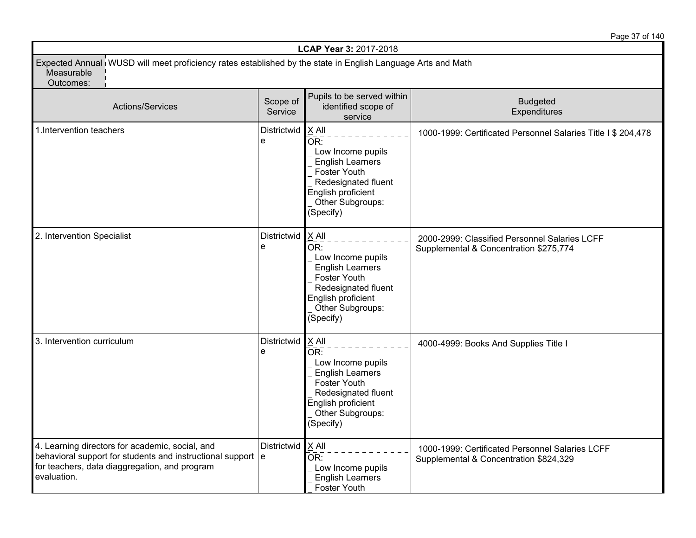Page 37 of 140

| LCAP Year 3: 2017-2018                                                                                                                                                                       |                     |                                                                                                                                                                     |                                                                                           |  |  |
|----------------------------------------------------------------------------------------------------------------------------------------------------------------------------------------------|---------------------|---------------------------------------------------------------------------------------------------------------------------------------------------------------------|-------------------------------------------------------------------------------------------|--|--|
| Expected Annual WUSD will meet proficiency rates established by the state in English Language Arts and Math<br>Measurable<br>Outcomes:                                                       |                     |                                                                                                                                                                     |                                                                                           |  |  |
| Actions/Services                                                                                                                                                                             | Scope of<br>Service | Pupils to be served within<br>identified scope of<br>service                                                                                                        | <b>Budgeted</b><br>Expenditures                                                           |  |  |
| 1. Intervention teachers                                                                                                                                                                     | Districtwid<br>e    | $X$ All<br>OR:<br>Low Income pupils<br><b>English Learners</b><br>Foster Youth<br>Redesignated fluent<br>English proficient<br>Other Subgroups:<br>(Specify)        | 1000-1999: Certificated Personnel Salaries Title I \$ 204,478                             |  |  |
| 2. Intervention Specialist                                                                                                                                                                   | Districtwid<br>e    | $X$ All<br>OR:<br>Low Income pupils<br><b>English Learners</b><br>Foster Youth<br>Redesignated fluent<br>English proficient<br>Other Subgroups:<br>(Specify)        | 2000-2999: Classified Personnel Salaries LCFF<br>Supplemental & Concentration \$275,774   |  |  |
| 3. Intervention curriculum                                                                                                                                                                   | Districtwid<br>e    | $X$ All<br>OR:<br>Low Income pupils<br><b>English Learners</b><br><b>Foster Youth</b><br>Redesignated fluent<br>English proficient<br>Other Subgroups:<br>(Specify) | 4000-4999: Books And Supplies Title I                                                     |  |  |
| 4. Learning directors for academic, social, and<br>behavioral support for students and instructional support $\vert e \vert$<br>for teachers, data diaggregation, and program<br>evaluation. | Districtwid         | $X$ All<br>OR:<br>Low Income pupils<br><b>English Learners</b><br>Foster Youth                                                                                      | 1000-1999: Certificated Personnel Salaries LCFF<br>Supplemental & Concentration \$824,329 |  |  |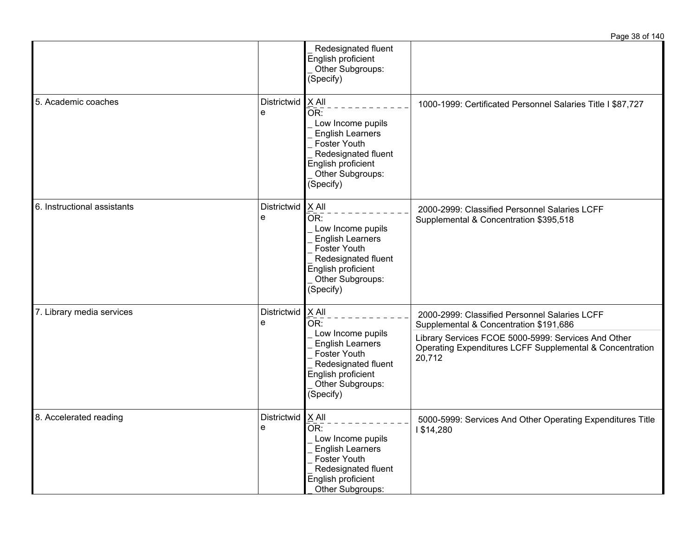|                             |                          |                                                                                                                                                              | Page 38 of 140                                                                                                                                                                                                       |
|-----------------------------|--------------------------|--------------------------------------------------------------------------------------------------------------------------------------------------------------|----------------------------------------------------------------------------------------------------------------------------------------------------------------------------------------------------------------------|
|                             |                          | Redesignated fluent<br>English proficient<br>Other Subgroups:<br>(Specify)                                                                                   |                                                                                                                                                                                                                      |
| 5. Academic coaches         | Districtwid<br>e         | X All<br>OR:<br>Low Income pupils<br><b>English Learners</b><br>Foster Youth<br>Redesignated fluent<br>English proficient<br>Other Subgroups:<br>(Specify)   | 1000-1999: Certificated Personnel Salaries Title I \$87,727                                                                                                                                                          |
| 6. Instructional assistants | Districtwid X All<br>e   | OR:<br>Low Income pupils<br><b>English Learners</b><br>Foster Youth<br>Redesignated fluent<br>English proficient<br>Other Subgroups:<br>(Specify)            | 2000-2999: Classified Personnel Salaries LCFF<br>Supplemental & Concentration \$395,518                                                                                                                              |
| 7. Library media services   | Districtwid<br>е         | $X$ All<br>OR:<br>Low Income pupils<br><b>English Learners</b><br>Foster Youth<br>Redesignated fluent<br>English proficient<br>Other Subgroups:<br>(Specify) | 2000-2999: Classified Personnel Salaries LCFF<br>Supplemental & Concentration \$191,686<br>Library Services FCOE 5000-5999: Services And Other<br>Operating Expenditures LCFF Supplemental & Concentration<br>20,712 |
| 8. Accelerated reading      | Districtwid   X All<br>е | OR:<br>Low Income pupils<br><b>English Learners</b><br>Foster Youth<br>Redesignated fluent<br>English proficient<br>Other Subgroups:                         | 5000-5999: Services And Other Operating Expenditures Title<br>1\$14,280                                                                                                                                              |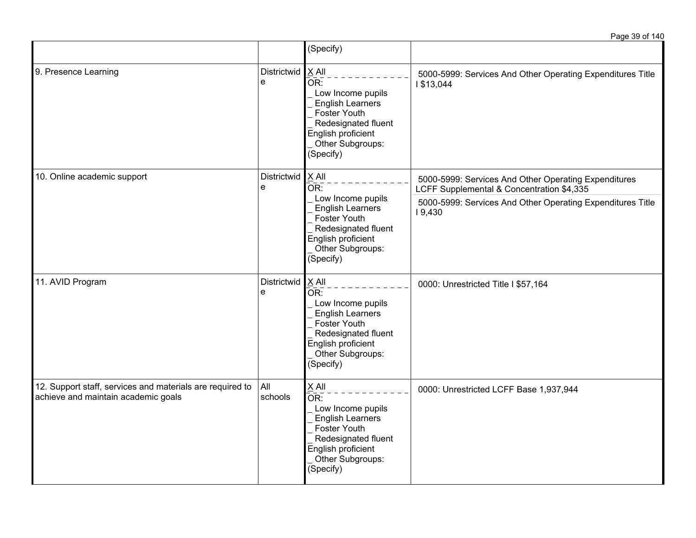|                                                                                                  |                                                                                                                                            | (Specify)                                                                                                                                                                           |                                                                                                   |
|--------------------------------------------------------------------------------------------------|--------------------------------------------------------------------------------------------------------------------------------------------|-------------------------------------------------------------------------------------------------------------------------------------------------------------------------------------|---------------------------------------------------------------------------------------------------|
| 9. Presence Learning                                                                             | Districtwid<br>e                                                                                                                           | $X$ All<br>OR:<br>Low Income pupils<br><b>English Learners</b><br>Foster Youth<br>Redesignated fluent<br>English proficient<br>Other Subgroups:<br>(Specify)                        | 5000-5999: Services And Other Operating Expenditures Title<br>1 \$13,044                          |
| 10. Online academic support                                                                      | Districtwid<br>e                                                                                                                           | X All<br>OR:                                                                                                                                                                        | 5000-5999: Services And Other Operating Expenditures<br>LCFF Supplemental & Concentration \$4,335 |
|                                                                                                  | Low Income pupils<br><b>English Learners</b><br>Foster Youth<br>Redesignated fluent<br>English proficient<br>Other Subgroups:<br>(Specify) |                                                                                                                                                                                     | 5000-5999: Services And Other Operating Expenditures Title<br>19,430                              |
| 11. AVID Program                                                                                 | Districtwid<br>e                                                                                                                           | $X$ All<br>$\overline{\mathsf{OR}}$ :<br>Low Income pupils<br><b>English Learners</b><br>Foster Youth<br>Redesignated fluent<br>English proficient<br>Other Subgroups:<br>(Specify) | 0000: Unrestricted Title I \$57,164                                                               |
| 12. Support staff, services and materials are required to<br>achieve and maintain academic goals | All<br>schools                                                                                                                             | X All<br>OR:<br>Low Income pupils<br><b>English Learners</b><br>Foster Youth<br>Redesignated fluent<br>English proficient<br>Other Subgroups:<br>(Specify)                          | 0000: Unrestricted LCFF Base 1,937,944                                                            |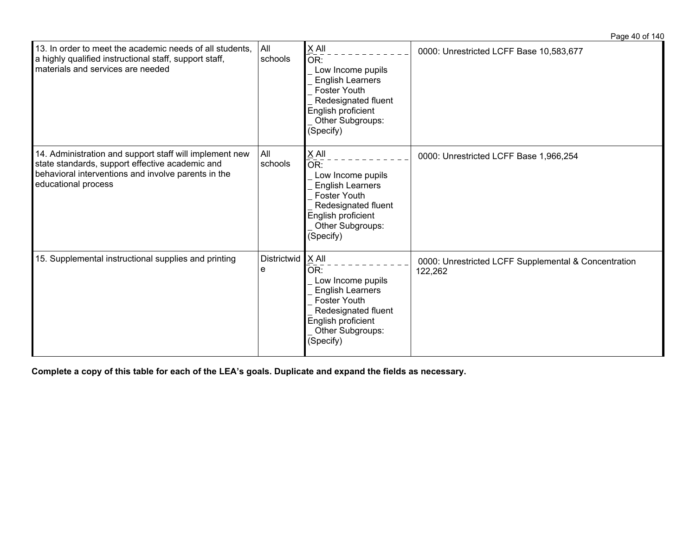| 13. In order to meet the academic needs of all students,<br>a highly qualified instructional staff, support staff,<br>materials and services are needed                                  | All<br>schools   | $X$ All<br>OR:<br>Low Income pupils<br><b>English Learners</b><br><b>Foster Youth</b><br>Redesignated fluent<br>English proficient<br>Other Subgroups:<br>(Specify) | 0000: Unrestricted LCFF Base 10,583,677                         |
|------------------------------------------------------------------------------------------------------------------------------------------------------------------------------------------|------------------|---------------------------------------------------------------------------------------------------------------------------------------------------------------------|-----------------------------------------------------------------|
| 14. Administration and support staff will implement new<br>state standards, support effective academic and<br>behavioral interventions and involve parents in the<br>educational process | All<br>schools   | $X$ All<br>OR:<br>Low Income pupils<br><b>English Learners</b><br><b>Foster Youth</b><br>Redesignated fluent<br>English proficient<br>Other Subgroups:<br>(Specify) | 0000: Unrestricted LCFF Base 1,966,254                          |
| 15. Supplemental instructional supplies and printing                                                                                                                                     | Districtwid<br>е | $X$ All<br>OR:<br>Low Income pupils<br><b>English Learners</b><br><b>Foster Youth</b><br>Redesignated fluent<br>English proficient<br>Other Subgroups:<br>(Specify) | 0000: Unrestricted LCFF Supplemental & Concentration<br>122,262 |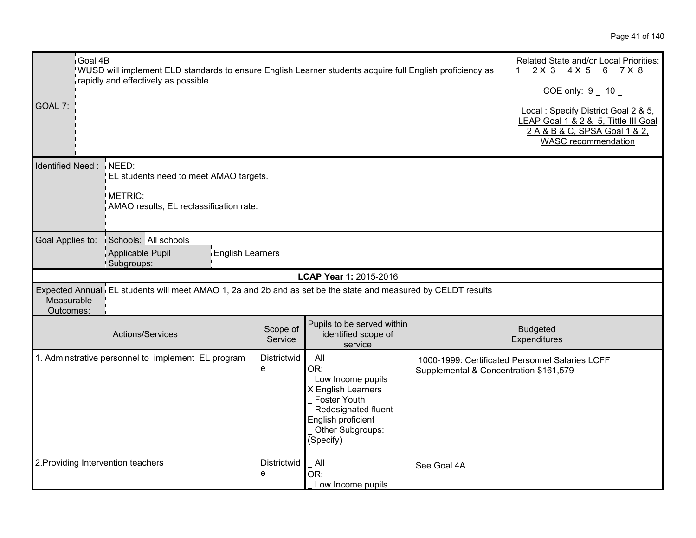| GOAL 7:                 | Goal 4B<br>WUSD will implement ELD standards to ensure English Learner students acquire full English proficiency as<br>rapidly and effectively as possible. |                     |                                                                                                                                                     |                                        | Related State and/or Local Priorities:<br>$1 - 2 \times 3 - 4 \times 5 - 6 - 7 \times 8$<br>COE only: $9 - 10$<br>Local: Specify District Goal 2 & 5,<br>LEAP Goal 1 & 2 & 5, Tittle III Goal<br>2 A & B & C, SPSA Goal 1 & 2,<br>WASC recommendation |
|-------------------------|-------------------------------------------------------------------------------------------------------------------------------------------------------------|---------------------|-----------------------------------------------------------------------------------------------------------------------------------------------------|----------------------------------------|-------------------------------------------------------------------------------------------------------------------------------------------------------------------------------------------------------------------------------------------------------|
|                         | Identified Need: NEED:<br>EL students need to meet AMAO targets.<br>METRIC:<br>AMAO results, EL reclassification rate.                                      |                     |                                                                                                                                                     |                                        |                                                                                                                                                                                                                                                       |
| Goal Applies to:        | Schools: All schools<br>Applicable Pupil<br><b>English Learners</b><br>Subgroups:                                                                           |                     |                                                                                                                                                     |                                        |                                                                                                                                                                                                                                                       |
|                         |                                                                                                                                                             |                     | LCAP Year 1: 2015-2016                                                                                                                              |                                        |                                                                                                                                                                                                                                                       |
| Measurable<br>Outcomes: | Expected Annual EL students will meet AMAO 1, 2a and 2b and as set be the state and measured by CELDT results                                               |                     |                                                                                                                                                     |                                        |                                                                                                                                                                                                                                                       |
|                         | Actions/Services                                                                                                                                            | Scope of<br>Service | Pupils to be served within<br>identified scope of<br>service                                                                                        |                                        | <b>Budgeted</b><br>Expenditures                                                                                                                                                                                                                       |
|                         | 1. Adminstrative personnel to implement EL program                                                                                                          | Districtwid<br>e    | All<br>OR:<br>Low Income pupils<br>X English Learners<br>Foster Youth<br>Redesignated fluent<br>English proficient<br>Other Subgroups:<br>(Specify) | Supplemental & Concentration \$161,579 | 1000-1999: Certificated Personnel Salaries LCFF                                                                                                                                                                                                       |
|                         | 2. Providing Intervention teachers                                                                                                                          | Districtwid<br>e    | All<br>OR:<br>Low Income pupils                                                                                                                     | See Goal 4A                            |                                                                                                                                                                                                                                                       |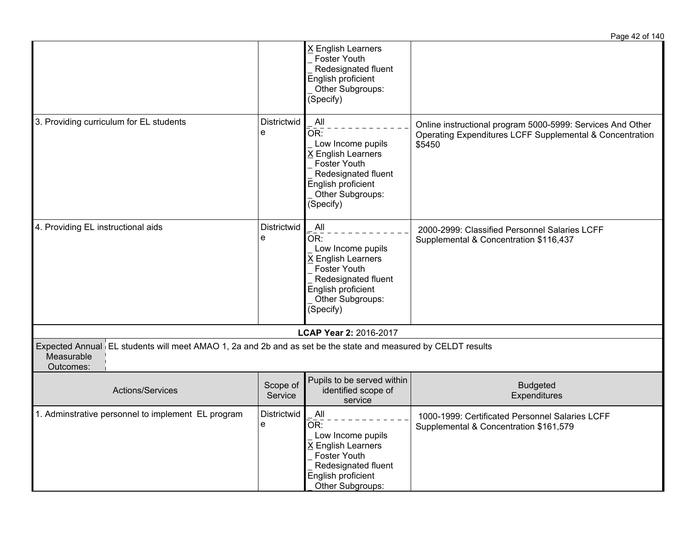|                                                                                                                                          |                     |                                                                                                                                                            | Page 42 of 140                                                                                                                   |
|------------------------------------------------------------------------------------------------------------------------------------------|---------------------|------------------------------------------------------------------------------------------------------------------------------------------------------------|----------------------------------------------------------------------------------------------------------------------------------|
|                                                                                                                                          |                     | X English Learners<br>Foster Youth<br>Redesignated fluent<br>English proficient<br>Other Subgroups:<br>(Specify)                                           |                                                                                                                                  |
| 3. Providing curriculum for EL students                                                                                                  | Districtwid<br>e    | All<br>OR:<br>Low Income pupils<br>X English Learners<br><b>Foster Youth</b><br>Redesignated fluent<br>English proficient<br>Other Subgroups:<br>(Specify) | Online instructional program 5000-5999: Services And Other<br>Operating Expenditures LCFF Supplemental & Concentration<br>\$5450 |
| 4. Providing EL instructional aids                                                                                                       | Districtwid<br>e    | All<br>OR:<br>Low Income pupils<br>X English Learners<br>Foster Youth<br>Redesignated fluent<br>English proficient<br>Other Subgroups:<br>(Specify)        | 2000-2999: Classified Personnel Salaries LCFF<br>Supplemental & Concentration \$116,437                                          |
|                                                                                                                                          |                     | LCAP Year 2: 2016-2017                                                                                                                                     |                                                                                                                                  |
| Expected Annual EL students will meet AMAO 1, 2a and 2b and as set be the state and measured by CELDT results<br>Measurable<br>Outcomes: |                     |                                                                                                                                                            |                                                                                                                                  |
| <b>Actions/Services</b>                                                                                                                  | Scope of<br>Service | Pupils to be served within<br>identified scope of<br>service                                                                                               | <b>Budgeted</b><br>Expenditures                                                                                                  |
| 1. Adminstrative personnel to implement EL program                                                                                       | Districtwid<br>e    | All<br>OR:<br>Low Income pupils<br>X English Learners<br>Foster Youth<br>Redesignated fluent<br>English proficient<br>Other Subgroups:                     | 1000-1999: Certificated Personnel Salaries LCFF<br>Supplemental & Concentration \$161,579                                        |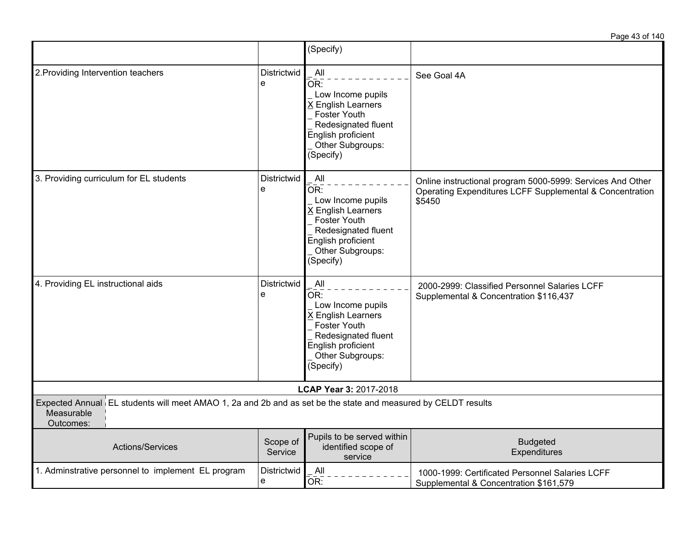Page 43 of 140

|                                                                                                                                          |                     | (Specify)                                                                                                                                           |                                                                                                                                  |
|------------------------------------------------------------------------------------------------------------------------------------------|---------------------|-----------------------------------------------------------------------------------------------------------------------------------------------------|----------------------------------------------------------------------------------------------------------------------------------|
| 2. Providing Intervention teachers                                                                                                       | Districtwid<br>e    | All<br>OR:<br>Low Income pupils<br>X English Learners<br>Foster Youth<br>Redesignated fluent<br>English proficient<br>Other Subgroups:<br>(Specify) | See Goal 4A                                                                                                                      |
| 3. Providing curriculum for EL students                                                                                                  | Districtwid<br>e    | All<br>OR:<br>Low Income pupils<br>X English Learners<br>Foster Youth<br>Redesignated fluent<br>English proficient<br>Other Subgroups:<br>(Specify) | Online instructional program 5000-5999: Services And Other<br>Operating Expenditures LCFF Supplemental & Concentration<br>\$5450 |
| 4. Providing EL instructional aids                                                                                                       | Districtwid<br>e    | All<br>OR:<br>Low Income pupils<br>X English Learners<br>Foster Youth<br>Redesignated fluent<br>English proficient<br>Other Subgroups:<br>(Specify) | 2000-2999: Classified Personnel Salaries LCFF<br>Supplemental & Concentration \$116,437                                          |
|                                                                                                                                          |                     | LCAP Year 3: 2017-2018                                                                                                                              |                                                                                                                                  |
| Expected Annual EL students will meet AMAO 1, 2a and 2b and as set be the state and measured by CELDT results<br>Measurable<br>Outcomes: |                     |                                                                                                                                                     |                                                                                                                                  |
| <b>Actions/Services</b>                                                                                                                  | Scope of<br>Service | Pupils to be served within<br>identified scope of<br>service                                                                                        | <b>Budgeted</b><br>Expenditures                                                                                                  |
| 1. Adminstrative personnel to implement EL program                                                                                       | Districtwid<br>e    | All<br>OR:                                                                                                                                          | 1000-1999: Certificated Personnel Salaries LCFF<br>Supplemental & Concentration \$161,579                                        |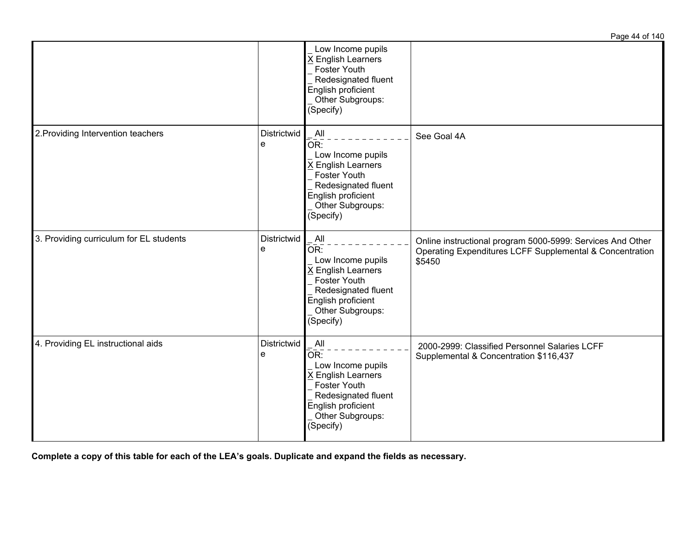|                                         |                  |                                                                                                                                                     | <u>ayo 11 Uilliu</u>                                                                                                             |
|-----------------------------------------|------------------|-----------------------------------------------------------------------------------------------------------------------------------------------------|----------------------------------------------------------------------------------------------------------------------------------|
|                                         |                  | Low Income pupils<br><b>English Learners</b><br>Foster Youth<br>Redesignated fluent<br>English proficient<br>Other Subgroups:<br>(Specify)          |                                                                                                                                  |
| 2. Providing Intervention teachers      | Districtwid<br>e | All<br>OR:<br>Low Income pupils<br>X English Learners<br>Foster Youth<br>Redesignated fluent<br>English proficient<br>Other Subgroups:<br>(Specify) | See Goal 4A                                                                                                                      |
| 3. Providing curriculum for EL students | Districtwid<br>e | All<br>OR:<br>Low Income pupils<br>X English Learners<br>Foster Youth<br>Redesignated fluent<br>English proficient<br>Other Subgroups:<br>(Specify) | Online instructional program 5000-5999: Services And Other<br>Operating Expenditures LCFF Supplemental & Concentration<br>\$5450 |
| 4. Providing EL instructional aids      | Districtwid<br>e | All<br>OR:<br>Low Income pupils<br>X English Learners<br>Foster Youth<br>Redesignated fluent<br>English proficient<br>Other Subgroups:<br>(Specify) | 2000-2999: Classified Personnel Salaries LCFF<br>Supplemental & Concentration \$116,437                                          |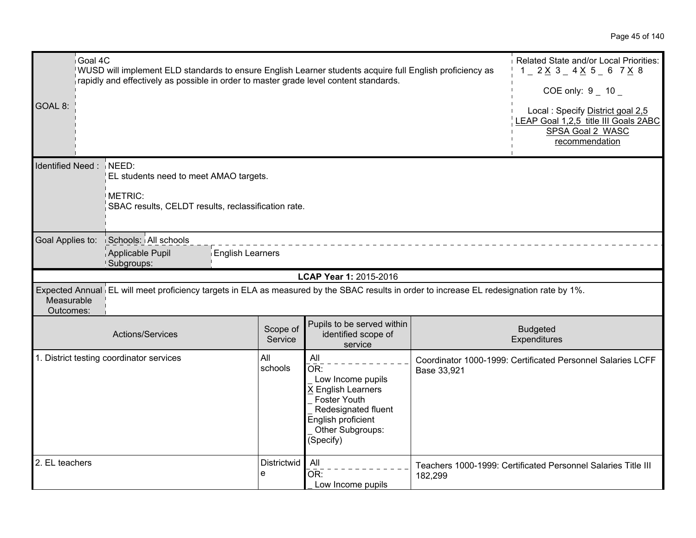| Goal 4C<br>GOAL 8:      | WUSD will implement ELD standards to ensure English Learner students acquire full English proficiency as<br>rapidly and effectively as possible in order to master grade level content standards. |                     |                                                                                                                                                     |             | Related State and/or Local Priorities:<br>$1 - 2 \times 3 - 4 \times 5 - 6$ 7 $\times$ 8<br>COE only: $9 - 10 -$<br>Local: Specify District goal 2,5<br>LEAP Goal 1,2,5 title III Goals 2ABC<br>SPSA Goal 2 WASC<br>recommendation |
|-------------------------|---------------------------------------------------------------------------------------------------------------------------------------------------------------------------------------------------|---------------------|-----------------------------------------------------------------------------------------------------------------------------------------------------|-------------|------------------------------------------------------------------------------------------------------------------------------------------------------------------------------------------------------------------------------------|
| Identified Need: NEED:  | EL students need to meet AMAO targets.<br>METRIC:<br>SBAC results, CELDT results, reclassification rate.                                                                                          |                     |                                                                                                                                                     |             |                                                                                                                                                                                                                                    |
| Goal Applies to:        | Schools: All schools<br>Applicable Pupil<br><b>English Learners</b><br>Subgroups:                                                                                                                 |                     |                                                                                                                                                     |             |                                                                                                                                                                                                                                    |
|                         |                                                                                                                                                                                                   |                     |                                                                                                                                                     |             |                                                                                                                                                                                                                                    |
| Measurable<br>Outcomes: | Expected Annual EL will meet proficiency targets in ELA as measured by the SBAC results in order to increase EL redesignation rate by 1%.                                                         |                     | LCAP Year 1: 2015-2016                                                                                                                              |             |                                                                                                                                                                                                                                    |
|                         | Actions/Services                                                                                                                                                                                  | Scope of<br>Service | Pupils to be served within<br>identified scope of<br>service                                                                                        |             | <b>Budgeted</b><br>Expenditures                                                                                                                                                                                                    |
|                         | 1. District testing coordinator services                                                                                                                                                          | All<br>schools      | All<br>OR:<br>Low Income pupils<br>X English Learners<br>Foster Youth<br>Redesignated fluent<br>English proficient<br>Other Subgroups:<br>(Specify) | Base 33,921 | Coordinator 1000-1999: Certificated Personnel Salaries LCFF                                                                                                                                                                        |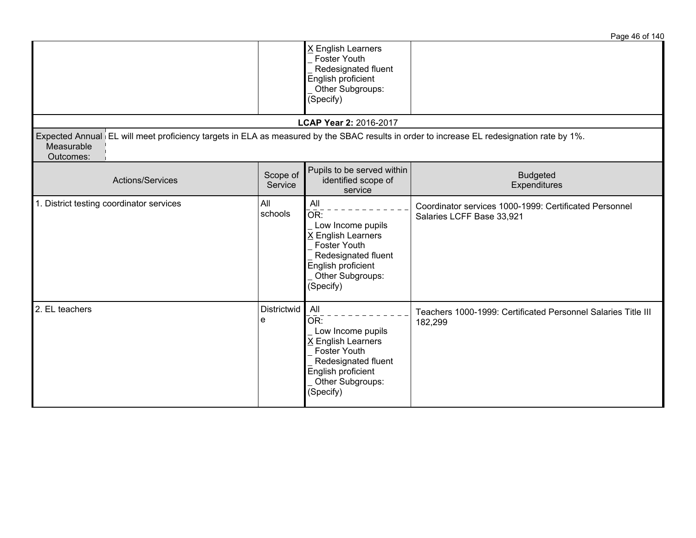|                                                                                                                                                                      |                     |                                                                                                                                                            | Page 46 of 140                                                                      |
|----------------------------------------------------------------------------------------------------------------------------------------------------------------------|---------------------|------------------------------------------------------------------------------------------------------------------------------------------------------------|-------------------------------------------------------------------------------------|
|                                                                                                                                                                      |                     | X English Learners<br>Foster Youth<br>Redesignated fluent<br>English proficient<br>Other Subgroups:<br>(Specify)                                           |                                                                                     |
|                                                                                                                                                                      |                     | LCAP Year 2: 2016-2017                                                                                                                                     |                                                                                     |
| Expected Annual EL will meet proficiency targets in ELA as measured by the SBAC results in order to increase EL redesignation rate by 1%.<br>Measurable<br>Outcomes: |                     |                                                                                                                                                            |                                                                                     |
| Actions/Services                                                                                                                                                     | Scope of<br>Service | Pupils to be served within<br>identified scope of<br>service                                                                                               | <b>Budgeted</b><br>Expenditures                                                     |
| 1. District testing coordinator services                                                                                                                             | All<br>schools      | All<br>OR:<br>Low Income pupils<br>X English Learners<br><b>Foster Youth</b><br>Redesignated fluent<br>English proficient<br>Other Subgroups:<br>(Specify) | Coordinator services 1000-1999: Certificated Personnel<br>Salaries LCFF Base 33,921 |
| 2. EL teachers                                                                                                                                                       | Districtwid<br>e    | All<br>OR:<br>Low Income pupils<br>X English Learners<br><b>Foster Youth</b><br>Redesignated fluent<br>English proficient<br>Other Subgroups:<br>(Specify) | Teachers 1000-1999: Certificated Personnel Salaries Title III<br>182,299            |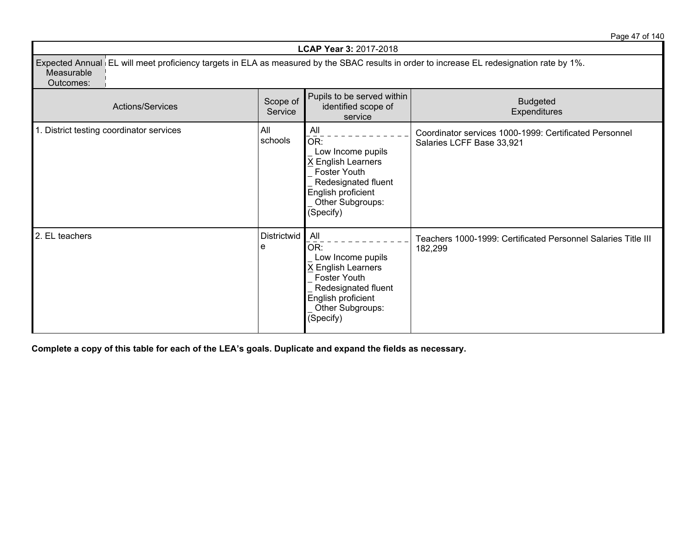Page 47 of 140

| <b>LCAP Year 3: 2017-2018</b>                                                                                                                                        |                         |                                                                                                                                                          |                                                                                     |  |  |
|----------------------------------------------------------------------------------------------------------------------------------------------------------------------|-------------------------|----------------------------------------------------------------------------------------------------------------------------------------------------------|-------------------------------------------------------------------------------------|--|--|
| Expected Annual EL will meet proficiency targets in ELA as measured by the SBAC results in order to increase EL redesignation rate by 1%.<br>Measurable<br>Outcomes: |                         |                                                                                                                                                          |                                                                                     |  |  |
| <b>Actions/Services</b>                                                                                                                                              | Scope of<br>Service     | Pupils to be served within<br>identified scope of<br>service                                                                                             | <b>Budgeted</b><br>Expenditures                                                     |  |  |
| 1. District testing coordinator services                                                                                                                             | All<br>schools          | All<br>OR:<br>Low Income pupils<br><b>English Learners</b><br>Foster Youth<br>Redesignated fluent<br>English proficient<br>Other Subgroups:<br>(Specify) | Coordinator services 1000-1999: Certificated Personnel<br>Salaries LCFF Base 33,921 |  |  |
| 2. EL teachers                                                                                                                                                       | <b>Districtwid</b><br>e | All<br>OR:<br>Low Income pupils<br><b>English Learners</b><br>Foster Youth<br>Redesignated fluent<br>English proficient<br>Other Subgroups:<br>(Specify) | Teachers 1000-1999: Certificated Personnel Salaries Title III<br>182,299            |  |  |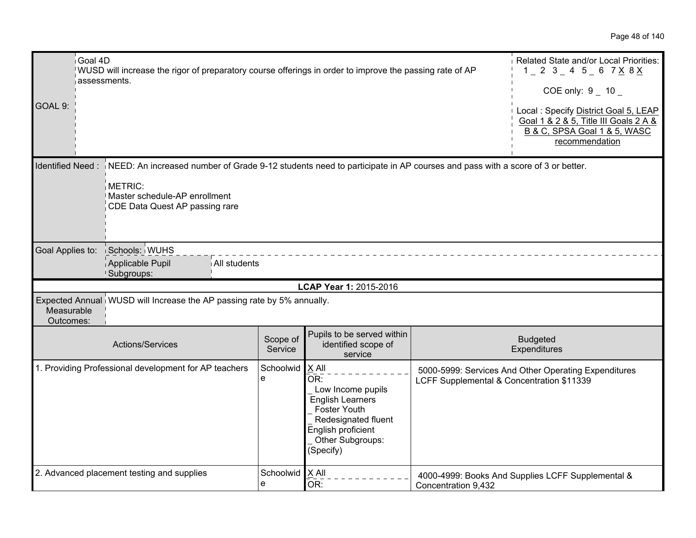| Goal 4D<br>GOAL 9:      | WUSD will increase the rigor of preparatory course offerings in order to improve the passing rate of AP<br>assessments.                                                                                                 |                     |                                                                                                                                                            |                                           | Related State and/or Local Priorities:<br>$1 - 2$ 3 $- 4$ 5 $- 6$ 7 $\times$ 8 $\times$<br>COE only: $9 - 10$<br>Local: Specify District Goal 5, LEAP<br>Goal 1 & 2 & 5, Title III Goals 2 A &<br>B & C, SPSA Goal 1 & 5, WASC<br>recommendation |
|-------------------------|-------------------------------------------------------------------------------------------------------------------------------------------------------------------------------------------------------------------------|---------------------|------------------------------------------------------------------------------------------------------------------------------------------------------------|-------------------------------------------|--------------------------------------------------------------------------------------------------------------------------------------------------------------------------------------------------------------------------------------------------|
|                         | Identified Need: NEED: An increased number of Grade 9-12 students need to participate in AP courses and pass with a score of 3 or better.<br>METRIC:<br>Master schedule-AP enrollment<br>CDE Data Quest AP passing rare |                     |                                                                                                                                                            |                                           |                                                                                                                                                                                                                                                  |
| Goal Applies to:        | Schools: WUHS                                                                                                                                                                                                           |                     |                                                                                                                                                            |                                           |                                                                                                                                                                                                                                                  |
|                         | Applicable Pupil<br>All students<br>Subgroups:                                                                                                                                                                          |                     |                                                                                                                                                            |                                           |                                                                                                                                                                                                                                                  |
|                         |                                                                                                                                                                                                                         |                     | LCAP Year 1: 2015-2016                                                                                                                                     |                                           |                                                                                                                                                                                                                                                  |
| Measurable<br>Outcomes: | Expected Annual WUSD will Increase the AP passing rate by 5% annually.                                                                                                                                                  |                     |                                                                                                                                                            |                                           |                                                                                                                                                                                                                                                  |
|                         | Actions/Services                                                                                                                                                                                                        | Scope of<br>Service | Pupils to be served within<br>identified scope of<br>service                                                                                               |                                           | <b>Budgeted</b><br>Expenditures                                                                                                                                                                                                                  |
|                         | 1. Providing Professional development for AP teachers                                                                                                                                                                   | Schoolwid<br>e      | X All<br>OR:<br>Low Income pupils<br><b>English Learners</b><br>Foster Youth<br>Redesignated fluent<br>English proficient<br>Other Subgroups:<br>(Specify) | LCFF Supplemental & Concentration \$11339 | 5000-5999: Services And Other Operating Expenditures                                                                                                                                                                                             |
|                         | 2. Advanced placement testing and supplies                                                                                                                                                                              | Schoolwid<br>e      | $X$ All<br>OR:                                                                                                                                             | Concentration 9,432                       | 4000-4999: Books And Supplies LCFF Supplemental &                                                                                                                                                                                                |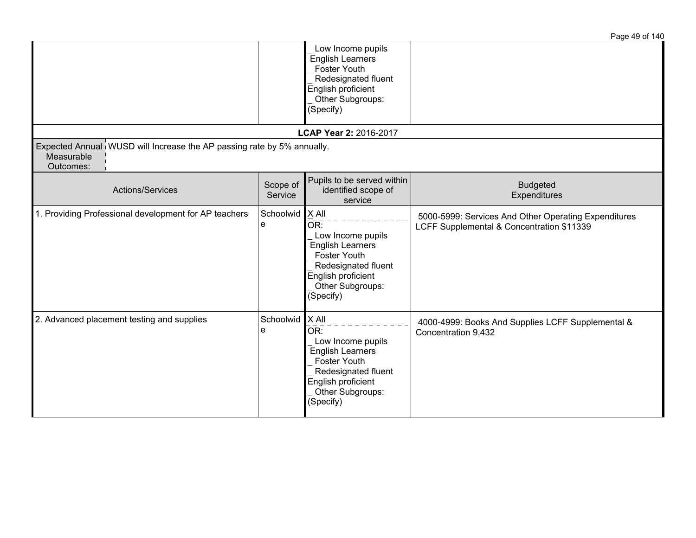|                                                                                                   |                     |                                                                                                                                                                     | ידו וט כד טעט ו                                                                                   |
|---------------------------------------------------------------------------------------------------|---------------------|---------------------------------------------------------------------------------------------------------------------------------------------------------------------|---------------------------------------------------------------------------------------------------|
|                                                                                                   |                     | Low Income pupils<br><b>English Learners</b><br>Foster Youth<br>Redesignated fluent<br>English proficient<br>Other Subgroups:<br>(Specify)                          |                                                                                                   |
|                                                                                                   |                     | LCAP Year 2: 2016-2017                                                                                                                                              |                                                                                                   |
| Expected Annual WUSD will Increase the AP passing rate by 5% annually.<br>Measurable<br>Outcomes: |                     |                                                                                                                                                                     |                                                                                                   |
| Actions/Services                                                                                  | Scope of<br>Service | Pupils to be served within<br>identified scope of<br>service                                                                                                        | <b>Budgeted</b><br>Expenditures                                                                   |
| 1. Providing Professional development for AP teachers                                             | Schoolwid<br>e      | X All<br>OR:<br>Low Income pupils<br><b>English Learners</b><br><b>Foster Youth</b><br>Redesignated fluent<br>English proficient<br>Other Subgroups:<br>(Specify)   | 5000-5999: Services And Other Operating Expenditures<br>LCFF Supplemental & Concentration \$11339 |
| 2. Advanced placement testing and supplies                                                        | Schoolwid<br>e      | $X$ All<br>OR:<br>Low Income pupils<br><b>English Learners</b><br><b>Foster Youth</b><br>Redesignated fluent<br>English proficient<br>Other Subgroups:<br>(Specify) | 4000-4999: Books And Supplies LCFF Supplemental &<br>Concentration 9,432                          |

Page 49 of 140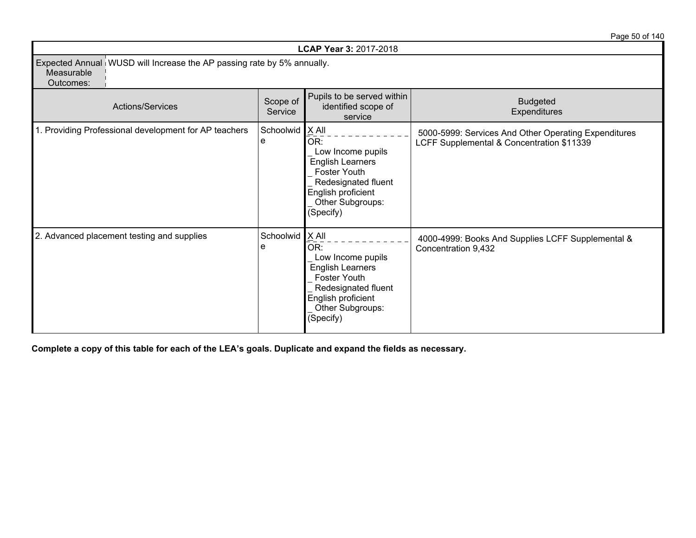|                                                                                                   |                        | <b>LCAP Year 3: 2017-2018</b>                                                                                                                     |                                                                                                   |
|---------------------------------------------------------------------------------------------------|------------------------|---------------------------------------------------------------------------------------------------------------------------------------------------|---------------------------------------------------------------------------------------------------|
| Expected Annual WUSD will Increase the AP passing rate by 5% annually.<br>Measurable<br>Outcomes: |                        |                                                                                                                                                   |                                                                                                   |
| Actions/Services                                                                                  | Scope of<br>Service    | Pupils to be served within<br>identified scope of<br>service                                                                                      | <b>Budgeted</b><br>Expenditures                                                                   |
| 1. Providing Professional development for AP teachers                                             | Schoolwid   X All<br>e | OR:<br>Low Income pupils<br><b>English Learners</b><br>Foster Youth<br>Redesignated fluent<br>English proficient<br>Other Subgroups:<br>(Specify) | 5000-5999: Services And Other Operating Expenditures<br>LCFF Supplemental & Concentration \$11339 |
| 2. Advanced placement testing and supplies                                                        | Schoolwid   X All<br>e | OR:<br>Low Income pupils<br><b>English Learners</b><br>Foster Youth<br>Redesignated fluent<br>English proficient<br>Other Subgroups:<br>(Specify) | 4000-4999: Books And Supplies LCFF Supplemental &<br>Concentration 9,432                          |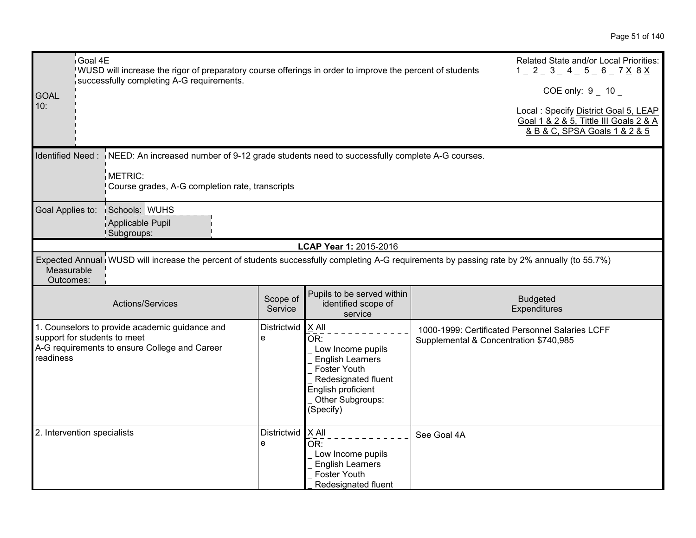| <b>GOAL</b><br>10:          | Goal 4E<br>WUSD will increase the rigor of preparatory course offerings in order to improve the percent of students<br>successfully completing A-G requirements.           | Related State and/or Local Priorities:<br>$1 = 2 = 3 = 4 = 5 = 6 = 7 \times 8 \times 1$<br>COE only: $9 - 10$<br>Local : Specify District Goal 5, LEAP<br>Goal 1 & 2 & 5, Tittle III Goals 2 & A<br>& B & C, SPSA Goals 1 & 2 & 5 |                     |                                                                                                                                                              |                                        |                                                 |
|-----------------------------|----------------------------------------------------------------------------------------------------------------------------------------------------------------------------|-----------------------------------------------------------------------------------------------------------------------------------------------------------------------------------------------------------------------------------|---------------------|--------------------------------------------------------------------------------------------------------------------------------------------------------------|----------------------------------------|-------------------------------------------------|
|                             | Identified Need: NEED: An increased number of 9-12 grade students need to successfully complete A-G courses.<br>METRIC:<br>Course grades, A-G completion rate, transcripts |                                                                                                                                                                                                                                   |                     |                                                                                                                                                              |                                        |                                                 |
|                             | Goal Applies to:<br>Schools: WUHS<br>Applicable Pupil<br>Subgroups:                                                                                                        |                                                                                                                                                                                                                                   |                     |                                                                                                                                                              |                                        |                                                 |
|                             |                                                                                                                                                                            |                                                                                                                                                                                                                                   |                     | LCAP Year 1: 2015-2016                                                                                                                                       |                                        |                                                 |
|                             | Expected Annual WUSD will increase the percent of students successfully completing A-G requirements by passing rate by 2% annually (to 55.7%)<br>Measurable<br>Outcomes:   |                                                                                                                                                                                                                                   |                     |                                                                                                                                                              |                                        |                                                 |
|                             |                                                                                                                                                                            | Actions/Services                                                                                                                                                                                                                  | Scope of<br>Service | Pupils to be served within<br>identified scope of<br>service                                                                                                 |                                        | <b>Budgeted</b><br>Expenditures                 |
| readiness                   |                                                                                                                                                                            | 1. Counselors to provide academic guidance and<br>support for students to meet<br>A-G requirements to ensure College and Career                                                                                                   | Districtwid<br>e    | $X$ All<br>OR:<br>Low Income pupils<br><b>English Learners</b><br>Foster Youth<br>Redesignated fluent<br>English proficient<br>Other Subgroups:<br>(Specify) | Supplemental & Concentration \$740,985 | 1000-1999: Certificated Personnel Salaries LCFF |
| 2. Intervention specialists |                                                                                                                                                                            |                                                                                                                                                                                                                                   | Districtwid<br>e    | $X$ All<br>OR:<br>Low Income pupils<br><b>English Learners</b><br>Foster Youth<br>Redesignated fluent                                                        | See Goal 4A                            |                                                 |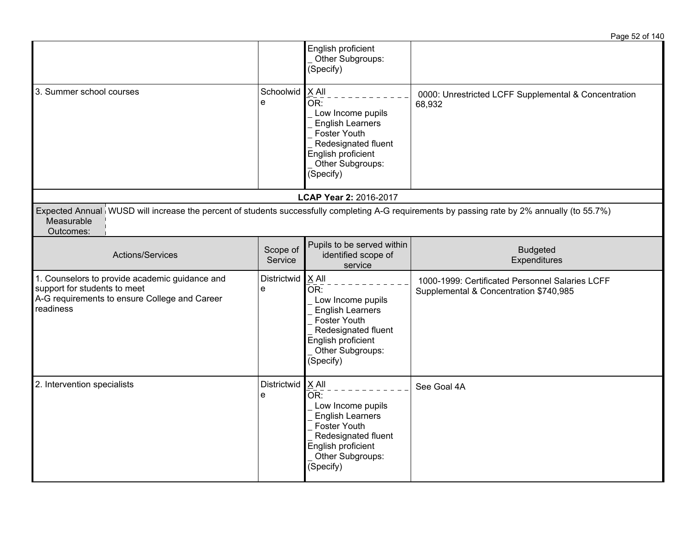|                                                                                                                                                                          |                     |                                                                                                                                                                                           | Page 52 of 140                                                                            |
|--------------------------------------------------------------------------------------------------------------------------------------------------------------------------|---------------------|-------------------------------------------------------------------------------------------------------------------------------------------------------------------------------------------|-------------------------------------------------------------------------------------------|
|                                                                                                                                                                          |                     | English proficient<br>Other Subgroups:<br>(Specify)                                                                                                                                       |                                                                                           |
| 3. Summer school courses                                                                                                                                                 | Schoolwid<br>e      | $X$ All<br>$\bar{\overline{\mathsf{OR}}}$ :<br>Low Income pupils<br><b>English Learners</b><br>Foster Youth<br>Redesignated fluent<br>English proficient<br>Other Subgroups:<br>(Specify) | 0000: Unrestricted LCFF Supplemental & Concentration<br>68,932                            |
|                                                                                                                                                                          |                     | LCAP Year 2: 2016-2017                                                                                                                                                                    |                                                                                           |
| Expected Annual WUSD will increase the percent of students successfully completing A-G requirements by passing rate by 2% annually (to 55.7%)<br>Measurable<br>Outcomes: |                     |                                                                                                                                                                                           |                                                                                           |
| Actions/Services                                                                                                                                                         | Scope of<br>Service | Pupils to be served within<br>identified scope of<br>service                                                                                                                              | <b>Budgeted</b><br>Expenditures                                                           |
| 1. Counselors to provide academic guidance and<br>support for students to meet<br>A-G requirements to ensure College and Career<br>readiness                             | Districtwid<br>e    | $X$ All<br>OR:<br>Low Income pupils<br><b>English Learners</b><br>Foster Youth<br>Redesignated fluent<br>English proficient<br>Other Subgroups:<br>(Specify)                              | 1000-1999: Certificated Personnel Salaries LCFF<br>Supplemental & Concentration \$740,985 |
| 2. Intervention specialists                                                                                                                                              | Districtwid<br>e    | X All<br>$\overline{\mathsf{OR}}$ :<br>Low Income pupils<br><b>English Learners</b><br><b>Foster Youth</b><br>Redesignated fluent<br>English proficient<br>Other Subgroups:<br>(Specify)  | See Goal 4A                                                                               |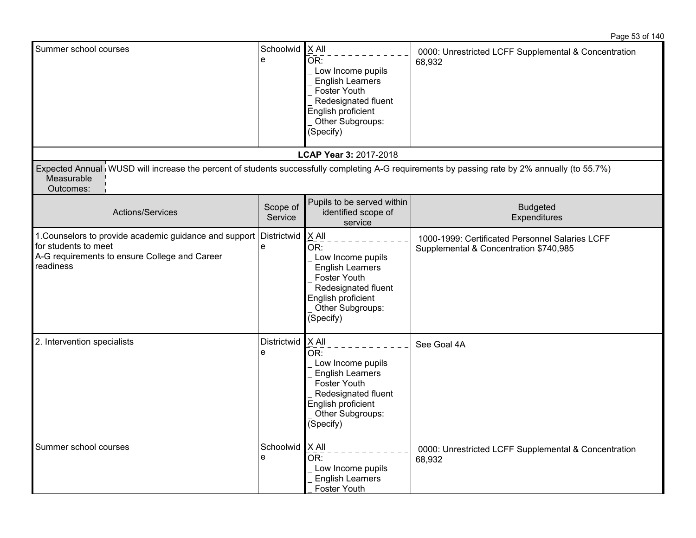| Summer school courses                                                                                                                                                    | Schoolwid<br>e      | X All<br>OR:<br>Low Income pupils<br><b>English Learners</b><br>Foster Youth<br>Redesignated fluent<br>English proficient<br>Other Subgroups:<br>(Specify)          | 0000: Unrestricted LCFF Supplemental & Concentration<br>68,932                            |
|--------------------------------------------------------------------------------------------------------------------------------------------------------------------------|---------------------|---------------------------------------------------------------------------------------------------------------------------------------------------------------------|-------------------------------------------------------------------------------------------|
|                                                                                                                                                                          |                     | LCAP Year 3: 2017-2018                                                                                                                                              |                                                                                           |
| Expected Annual WUSD will increase the percent of students successfully completing A-G requirements by passing rate by 2% annually (to 55.7%)<br>Measurable<br>Outcomes: |                     |                                                                                                                                                                     |                                                                                           |
| Actions/Services                                                                                                                                                         | Scope of<br>Service | Pupils to be served within<br>identified scope of<br>service                                                                                                        | <b>Budgeted</b><br>Expenditures                                                           |
| 1. Counselors to provide academic guidance and support Districtwid<br>for students to meet<br>A-G requirements to ensure College and Career<br>readiness                 | e                   | X All<br>OR:<br>Low Income pupils<br><b>English Learners</b><br>Foster Youth<br>Redesignated fluent<br>English proficient<br>Other Subgroups:<br>(Specify)          | 1000-1999: Certificated Personnel Salaries LCFF<br>Supplemental & Concentration \$740,985 |
| 2. Intervention specialists                                                                                                                                              | Districtwid<br>e    | $X$ All<br>OR:<br>Low Income pupils<br><b>English Learners</b><br><b>Foster Youth</b><br>Redesignated fluent<br>English proficient<br>Other Subgroups:<br>(Specify) | See Goal 4A                                                                               |
| Summer school courses                                                                                                                                                    | Schoolwid<br>e      | X All<br>OR:<br>Low Income pupils<br><b>English Learners</b><br><b>Foster Youth</b>                                                                                 | 0000: Unrestricted LCFF Supplemental & Concentration<br>68,932                            |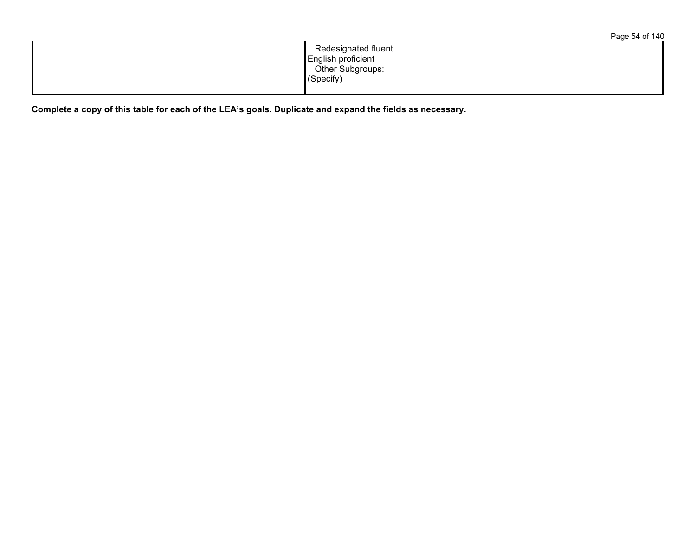|                                                                                            | Page 54 of 140 |
|--------------------------------------------------------------------------------------------|----------------|
| Redesignated fluent<br>English proficient<br>Other Subgroups:<br>$\sqrt{\text{(Specify)}}$ |                |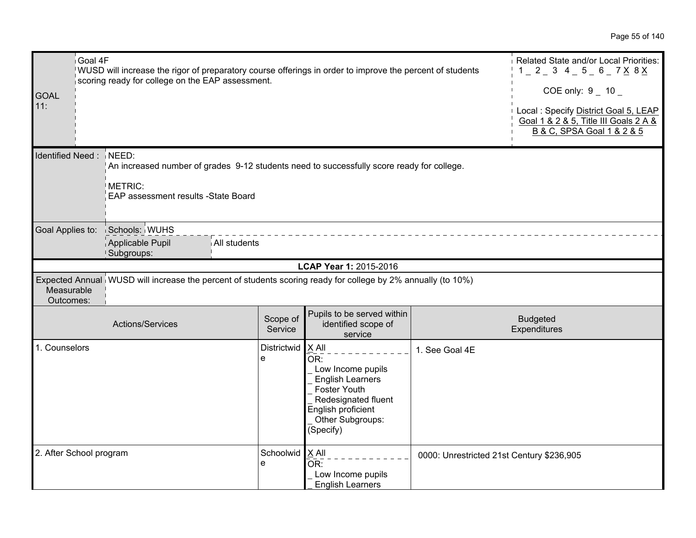| Goal 4F<br><b>GOAL</b><br>11: | WUSD will increase the rigor of preparatory course offerings in order to improve the percent of students<br>scoring ready for college on the EAP assessment. |                        |                                                                                                                                                                   |                                           | Related State and/or Local Priorities:<br>$1 - 2 - 3$ 4 - 5 - 6 - 7 X 8 X<br>COE only: $9 - 10$<br>Local : Specify District Goal 5, LEAP<br>Goal 1 & 2 & 5, Title III Goals 2 A &<br>B & C, SPSA Goal 1 & 2 & 5 |
|-------------------------------|--------------------------------------------------------------------------------------------------------------------------------------------------------------|------------------------|-------------------------------------------------------------------------------------------------------------------------------------------------------------------|-------------------------------------------|-----------------------------------------------------------------------------------------------------------------------------------------------------------------------------------------------------------------|
| <b>Identified Need:</b>       | NEED:<br>METRIC:<br>EAP assessment results -State Board                                                                                                      |                        | An increased number of grades 9-12 students need to successfully score ready for college.                                                                         |                                           |                                                                                                                                                                                                                 |
| Goal Applies to:              | Schools: WUHS<br>Applicable Pupil<br>Subgroups:                                                                                                              | All students           |                                                                                                                                                                   |                                           |                                                                                                                                                                                                                 |
|                               |                                                                                                                                                              |                        | LCAP Year 1: 2015-2016                                                                                                                                            |                                           |                                                                                                                                                                                                                 |
| Measurable<br>Outcomes:       | Expected Annual WUSD will increase the percent of students scoring ready for college by 2% annually (to 10%)                                                 |                        |                                                                                                                                                                   |                                           |                                                                                                                                                                                                                 |
|                               | Actions/Services                                                                                                                                             | Scope of<br>Service    | Pupils to be served within<br>identified scope of<br>service                                                                                                      |                                           | <b>Budgeted</b><br>Expenditures                                                                                                                                                                                 |
| 1. Counselors                 |                                                                                                                                                              | Districtwid<br>e       | X All<br>OR:<br>Low Income pupils<br><b>English Learners</b><br><b>Foster Youth</b><br>Redesignated fluent<br>English proficient<br>Other Subgroups:<br>(Specify) | 1. See Goal 4E                            |                                                                                                                                                                                                                 |
| 2. After School program       |                                                                                                                                                              | Schoolwid   X All<br>e | OR:<br>Low Income pupils<br><b>English Learners</b>                                                                                                               | 0000: Unrestricted 21st Century \$236,905 |                                                                                                                                                                                                                 |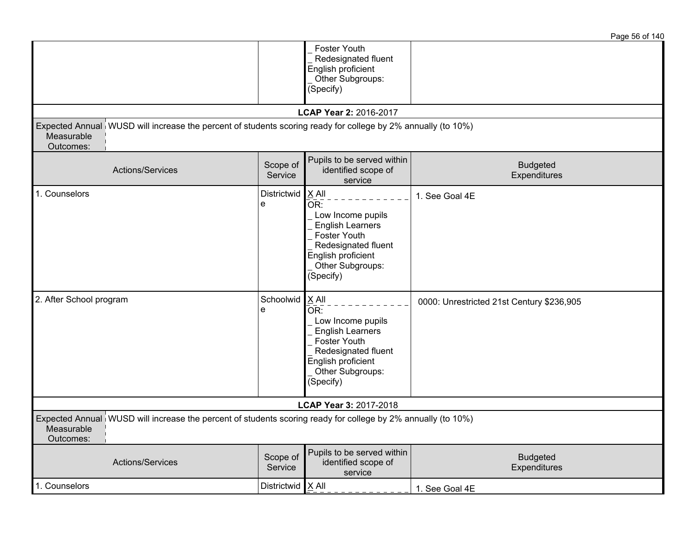|                                                                                                                                         |                     |                                                                                                                                                              | Page 56 of 140                            |
|-----------------------------------------------------------------------------------------------------------------------------------------|---------------------|--------------------------------------------------------------------------------------------------------------------------------------------------------------|-------------------------------------------|
|                                                                                                                                         |                     | Foster Youth<br>Redesignated fluent<br>English proficient<br>Other Subgroups:<br>(Specify)                                                                   |                                           |
|                                                                                                                                         |                     | LCAP Year 2: 2016-2017                                                                                                                                       |                                           |
| Expected Annual WUSD will increase the percent of students scoring ready for college by 2% annually (to 10%)<br>Measurable<br>Outcomes: |                     |                                                                                                                                                              |                                           |
| Actions/Services                                                                                                                        | Scope of<br>Service | Pupils to be served within<br>identified scope of<br>service                                                                                                 | <b>Budgeted</b><br>Expenditures           |
| 1. Counselors                                                                                                                           | Districtwid<br>e    | X All<br>OR:<br>Low Income pupils<br><b>English Learners</b><br>Foster Youth<br>Redesignated fluent<br>English proficient<br>Other Subgroups:<br>(Specify)   | 1. See Goal 4E                            |
| 2. After School program                                                                                                                 | Schoolwid<br>e      | $X$ All<br>OR:<br>Low Income pupils<br><b>English Learners</b><br>Foster Youth<br>Redesignated fluent<br>English proficient<br>Other Subgroups:<br>(Specify) | 0000: Unrestricted 21st Century \$236,905 |
|                                                                                                                                         |                     | LCAP Year 3: 2017-2018                                                                                                                                       |                                           |
| Expected Annual WUSD will increase the percent of students scoring ready for college by 2% annually (to 10%)<br>Measurable<br>Outcomes: |                     |                                                                                                                                                              |                                           |
| Actions/Services                                                                                                                        | Scope of<br>Service | Pupils to be served within<br>identified scope of<br>service                                                                                                 | <b>Budgeted</b><br>Expenditures           |
| 1. Counselors                                                                                                                           | Districtwid         | $X$ All                                                                                                                                                      | 1. See Goal 4E                            |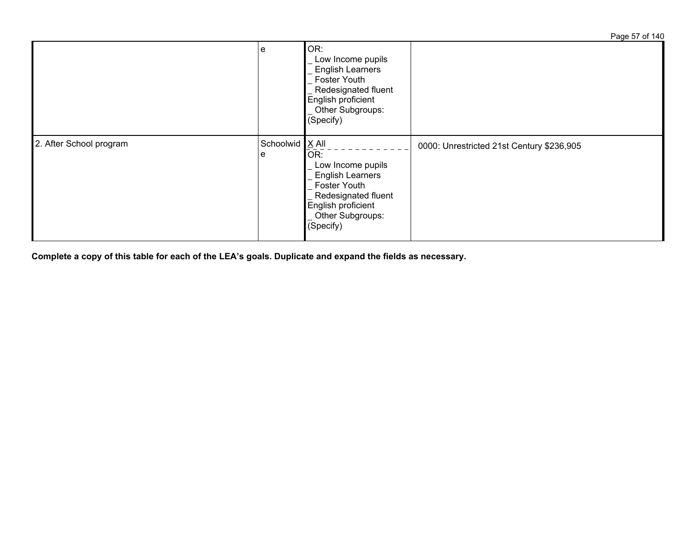Page 57 of 140  $e$  OR: Low Income pupils English Learners Foster Youth Redesignated fluent English proficient Other Subgroups: (Specify) 2. After School program e Schoolwid X All  $\overline{OR:}$  Low Income pupils English Learners Foster Youth Redesignated fluent English proficient Other Subgroups: (Specify) 0000: Unrestricted 21st Century \$236,905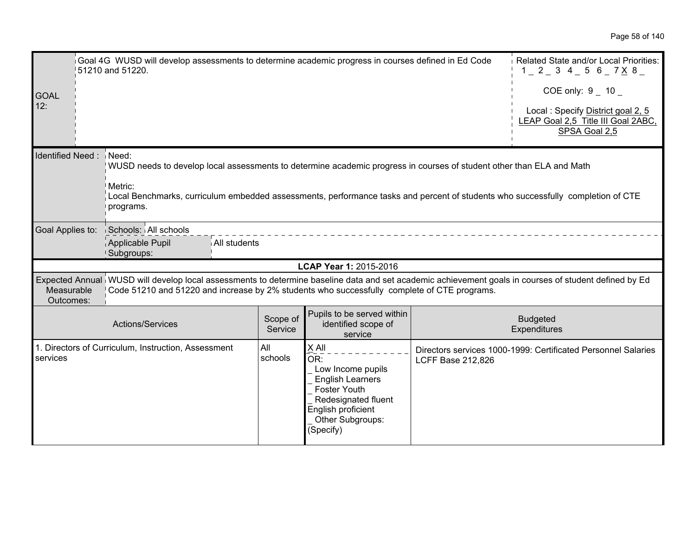| <b>GOAL</b><br>12:                                                                                                                                                                                                                                                                                           |  | Goal 4G WUSD will develop assessments to determine academic progress in courses defined in Ed Code<br>51210 and 51220.                                                                                                                               | Related State and/or Local Priorities:<br>$1$ $2$ $3$ $4$ $5$ $6$ $7$ $\times$ $8$ $-$<br>COE only: $9 - 10 -$<br>Local: Specify District goal 2, 5<br>LEAP Goal 2,5 Title III Goal 2ABC,<br>SPSA Goal 2,5 |                                                                                                                                                                   |                          |                                                               |
|--------------------------------------------------------------------------------------------------------------------------------------------------------------------------------------------------------------------------------------------------------------------------------------------------------------|--|------------------------------------------------------------------------------------------------------------------------------------------------------------------------------------------------------------------------------------------------------|------------------------------------------------------------------------------------------------------------------------------------------------------------------------------------------------------------|-------------------------------------------------------------------------------------------------------------------------------------------------------------------|--------------------------|---------------------------------------------------------------|
| Identified Need:<br>Need:<br>WUSD needs to develop local assessments to determine academic progress in courses of student other than ELA and Math<br>Metric:<br>Local Benchmarks, curriculum embedded assessments, performance tasks and percent of students who successfully completion of CTE<br>programs. |  |                                                                                                                                                                                                                                                      |                                                                                                                                                                                                            |                                                                                                                                                                   |                          |                                                               |
| Goal Applies to:                                                                                                                                                                                                                                                                                             |  | Schools: All schools<br>Applicable Pupil<br>All students<br>Subgroups:                                                                                                                                                                               |                                                                                                                                                                                                            |                                                                                                                                                                   |                          |                                                               |
|                                                                                                                                                                                                                                                                                                              |  |                                                                                                                                                                                                                                                      |                                                                                                                                                                                                            | LCAP Year 1: 2015-2016                                                                                                                                            |                          |                                                               |
| Measurable<br>Outcomes:                                                                                                                                                                                                                                                                                      |  | Expected Annual WUSD will develop local assessments to determine baseline data and set academic achievement goals in courses of student defined by Ed<br>Code 51210 and 51220 and increase by 2% students who successfully complete of CTE programs. |                                                                                                                                                                                                            |                                                                                                                                                                   |                          |                                                               |
|                                                                                                                                                                                                                                                                                                              |  | Actions/Services                                                                                                                                                                                                                                     | Scope of<br>Service                                                                                                                                                                                        | Pupils to be served within<br>identified scope of<br>service                                                                                                      |                          | <b>Budgeted</b><br>Expenditures                               |
| services                                                                                                                                                                                                                                                                                                     |  | 1. Directors of Curriculum, Instruction, Assessment                                                                                                                                                                                                  | All<br>schools                                                                                                                                                                                             | X All<br>OR:<br>Low Income pupils<br><b>English Learners</b><br><b>Foster Youth</b><br>Redesignated fluent<br>English proficient<br>Other Subgroups:<br>(Specify) | <b>LCFF Base 212,826</b> | Directors services 1000-1999: Certificated Personnel Salaries |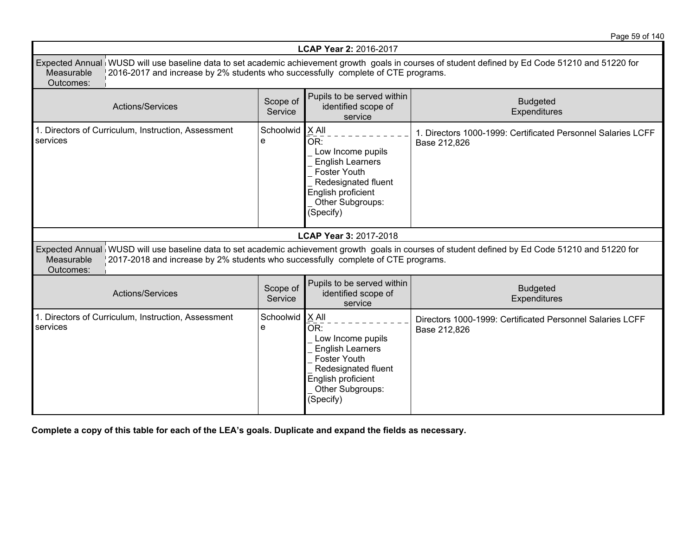Page 59 of 140

| <b>LCAP Year 2: 2016-2017</b>                                                                                                                                                                                                                                    |                     |                                                                                                                                                                     |                                                                                                                                                   |  |  |
|------------------------------------------------------------------------------------------------------------------------------------------------------------------------------------------------------------------------------------------------------------------|---------------------|---------------------------------------------------------------------------------------------------------------------------------------------------------------------|---------------------------------------------------------------------------------------------------------------------------------------------------|--|--|
| Expected Annual WUSD will use baseline data to set academic achievement growth goals in courses of student defined by Ed Code 51210 and 51220 for<br>2016-2017 and increase by 2% students who successfully complete of CTE programs.<br>Measurable<br>Outcomes: |                     |                                                                                                                                                                     |                                                                                                                                                   |  |  |
| <b>Actions/Services</b>                                                                                                                                                                                                                                          | Scope of<br>Service | Pupils to be served within<br>identified scope of<br>service                                                                                                        | <b>Budgeted</b><br>Expenditures                                                                                                                   |  |  |
| 1. Directors of Curriculum, Instruction, Assessment<br>services                                                                                                                                                                                                  | Schoolwid<br>e      | $X$ All<br>OR:<br>Low Income pupils<br><b>English Learners</b><br><b>Foster Youth</b><br>Redesignated fluent<br>English proficient<br>Other Subgroups:<br>(Specify) | 1. Directors 1000-1999: Certificated Personnel Salaries LCFF<br>Base 212,826                                                                      |  |  |
|                                                                                                                                                                                                                                                                  |                     | LCAP Year 3: 2017-2018                                                                                                                                              |                                                                                                                                                   |  |  |
| 2017-2018 and increase by 2% students who successfully complete of CTE programs.<br>Measurable<br>Outcomes:                                                                                                                                                      |                     |                                                                                                                                                                     | Expected Annual WUSD will use baseline data to set academic achievement growth goals in courses of student defined by Ed Code 51210 and 51220 for |  |  |
| <b>Actions/Services</b>                                                                                                                                                                                                                                          | Scope of<br>Service | Pupils to be served within<br>identified scope of<br>service                                                                                                        | <b>Budgeted</b><br>Expenditures                                                                                                                   |  |  |
| 1. Directors of Curriculum, Instruction, Assessment<br>services                                                                                                                                                                                                  | Schoolwid<br>e      | $X$ All<br>OR:<br>Low Income pupils<br><b>English Learners</b><br><b>Foster Youth</b><br>Redesignated fluent<br>English proficient<br>Other Subgroups:<br>(Specify) | Directors 1000-1999: Certificated Personnel Salaries LCFF<br>Base 212,826                                                                         |  |  |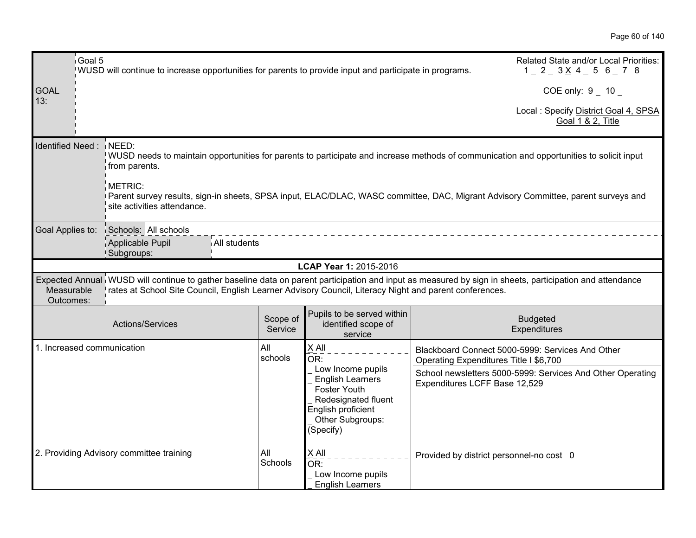|                         | Goal 5<br>Related State and/or Local Priorities:<br>WUSD will continue to increase opportunities for parents to provide input and participate in programs.<br>$1 - 2 - 3 \times 4 - 5$ 6 $- 7$ 8                                                                   |                     |                                                                                                                                                   |                                          |                                                                                 |  |  |
|-------------------------|--------------------------------------------------------------------------------------------------------------------------------------------------------------------------------------------------------------------------------------------------------------------|---------------------|---------------------------------------------------------------------------------------------------------------------------------------------------|------------------------------------------|---------------------------------------------------------------------------------|--|--|
| <b>GOAL</b><br>13:      |                                                                                                                                                                                                                                                                    |                     |                                                                                                                                                   |                                          | COE only: $9 - 10$<br>Local: Specify District Goal 4, SPSA<br>Goal 1 & 2, Title |  |  |
|                         | Identified Need: NEED:<br>WUSD needs to maintain opportunities for parents to participate and increase methods of communication and opportunities to solicit input<br>from parents.                                                                                |                     |                                                                                                                                                   |                                          |                                                                                 |  |  |
|                         | <b>METRIC:</b><br>Parent survey results, sign-in sheets, SPSA input, ELAC/DLAC, WASC committee, DAC, Migrant Advisory Committee, parent surveys and<br>site activities attendance.                                                                                 |                     |                                                                                                                                                   |                                          |                                                                                 |  |  |
| Goal Applies to:        | Schools: All schools<br>Applicable Pupil<br>All students<br>Subgroups:                                                                                                                                                                                             |                     |                                                                                                                                                   |                                          |                                                                                 |  |  |
|                         |                                                                                                                                                                                                                                                                    |                     | LCAP Year 1: 2015-2016                                                                                                                            |                                          |                                                                                 |  |  |
| Measurable<br>Outcomes: | Expected Annual WUSD will continue to gather baseline data on parent participation and input as measured by sign in sheets, participation and attendance<br>rates at School Site Council, English Learner Advisory Council, Literacy Night and parent conferences. |                     |                                                                                                                                                   |                                          |                                                                                 |  |  |
|                         | Actions/Services                                                                                                                                                                                                                                                   | Scope of<br>Service | Pupils to be served within<br>identified scope of<br>service                                                                                      |                                          | <b>Budgeted</b><br>Expenditures                                                 |  |  |
|                         | 1. Increased communication                                                                                                                                                                                                                                         | All<br>schools      | X All<br>OR:                                                                                                                                      | Operating Expenditures Title I \$6,700   | Blackboard Connect 5000-5999: Services And Other                                |  |  |
|                         |                                                                                                                                                                                                                                                                    |                     | Low Income pupils<br><b>English Learners</b><br><b>Foster Youth</b><br>Redesignated fluent<br>English proficient<br>Other Subgroups:<br>(Specify) | Expenditures LCFF Base 12,529            | School newsletters 5000-5999: Services And Other Operating                      |  |  |
|                         | 2. Providing Advisory committee training                                                                                                                                                                                                                           | All<br>Schools      | $X$ All<br>OR:<br>Low Income pupils<br><b>English Learners</b>                                                                                    | Provided by district personnel-no cost 0 |                                                                                 |  |  |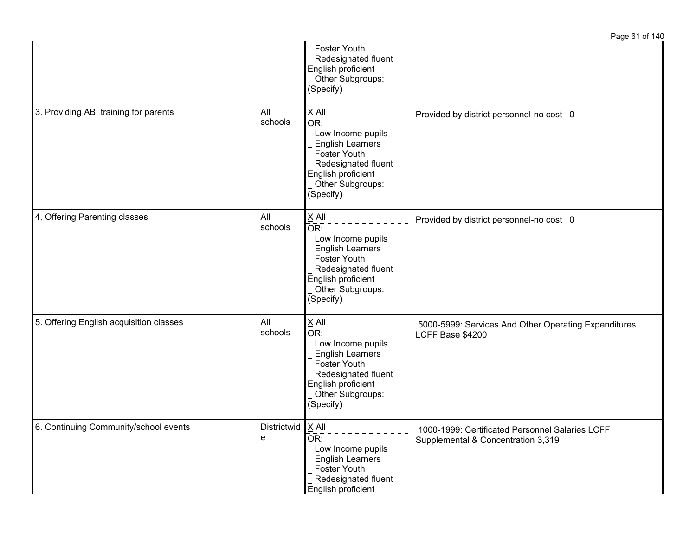|                                         |                  |                                                                                                                                                              | Page 61 of 140                                                                        |
|-----------------------------------------|------------------|--------------------------------------------------------------------------------------------------------------------------------------------------------------|---------------------------------------------------------------------------------------|
|                                         |                  | Foster Youth<br>Redesignated fluent<br>English proficient<br>Other Subgroups:<br>(Specify)                                                                   |                                                                                       |
| 3. Providing ABI training for parents   | All<br>schools   | $X$ All<br>OR:<br>Low Income pupils<br><b>English Learners</b><br>Foster Youth<br>Redesignated fluent<br>English proficient<br>Other Subgroups:<br>(Specify) | Provided by district personnel-no cost 0                                              |
| 4. Offering Parenting classes           | All<br>schools   | $X$ All<br>OR:<br>Low Income pupils<br><b>English Learners</b><br>Foster Youth<br>Redesignated fluent<br>English proficient<br>Other Subgroups:<br>(Specify) | Provided by district personnel-no cost 0                                              |
| 5. Offering English acquisition classes | All<br>schools   | $X$ All<br>OR:<br>Low Income pupils<br><b>English Learners</b><br>Foster Youth<br>Redesignated fluent<br>English proficient<br>Other Subgroups:<br>(Specify) | 5000-5999: Services And Other Operating Expenditures<br>LCFF Base \$4200              |
| 6. Continuing Community/school events   | Districtwid<br>e | $X$ All<br>OR:<br>Low Income pupils<br><b>English Learners</b><br>Foster Youth<br>Redesignated fluent<br>English proficient                                  | 1000-1999: Certificated Personnel Salaries LCFF<br>Supplemental & Concentration 3,319 |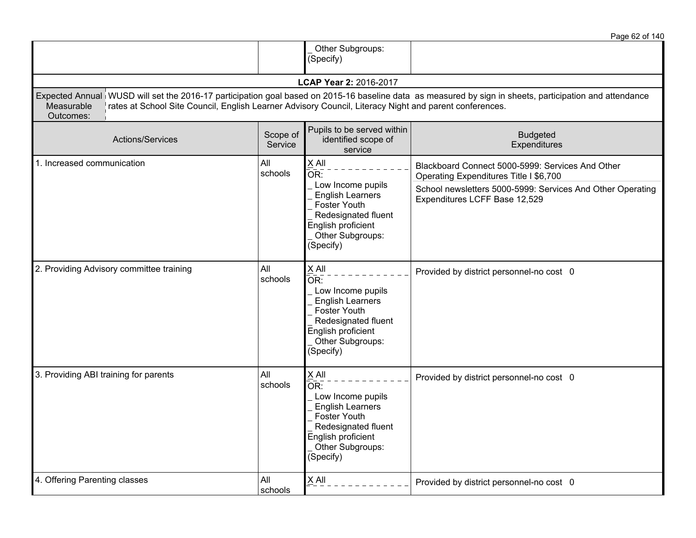|                                                                                                                                   |                     |                                                                                                                                                                                | Page 62 of 140                                                                                                                                                                            |
|-----------------------------------------------------------------------------------------------------------------------------------|---------------------|--------------------------------------------------------------------------------------------------------------------------------------------------------------------------------|-------------------------------------------------------------------------------------------------------------------------------------------------------------------------------------------|
|                                                                                                                                   |                     | Other Subgroups:<br>(Specify)                                                                                                                                                  |                                                                                                                                                                                           |
|                                                                                                                                   |                     | LCAP Year 2: 2016-2017                                                                                                                                                         |                                                                                                                                                                                           |
| rates at School Site Council, English Learner Advisory Council, Literacy Night and parent conferences.<br>Measurable<br>Outcomes: |                     |                                                                                                                                                                                | Expected Annual WUSD will set the 2016-17 participation goal based on 2015-16 baseline data as measured by sign in sheets, participation and attendance                                   |
| <b>Actions/Services</b>                                                                                                           | Scope of<br>Service | Pupils to be served within<br>identified scope of<br>service                                                                                                                   | <b>Budgeted</b><br>Expenditures                                                                                                                                                           |
| 1. Increased communication                                                                                                        | All<br>schools      | X All<br>OR:<br>Low Income pupils<br><b>English Learners</b><br>Foster Youth<br>Redesignated fluent<br>English proficient<br>Other Subgroups:                                  | Blackboard Connect 5000-5999: Services And Other<br>Operating Expenditures Title I \$6,700<br>School newsletters 5000-5999: Services And Other Operating<br>Expenditures LCFF Base 12,529 |
| 2. Providing Advisory committee training                                                                                          | All<br>schools      | (Specify)<br>$X$ All<br>OR:<br>Low Income pupils<br><b>English Learners</b><br>Foster Youth<br>Redesignated fluent<br>English proficient<br>Other Subgroups:                   | Provided by district personnel-no cost 0                                                                                                                                                  |
| 3. Providing ABI training for parents                                                                                             | All<br>schools      | (Specify)<br>X All<br>OR:<br>Low Income pupils<br><b>English Learners</b><br><b>Foster Youth</b><br>Redesignated fluent<br>English proficient<br>Other Subgroups:<br>(Specify) | Provided by district personnel-no cost 0                                                                                                                                                  |
| 4. Offering Parenting classes                                                                                                     | All<br>schools      | $X$ All                                                                                                                                                                        | Provided by district personnel-no cost 0                                                                                                                                                  |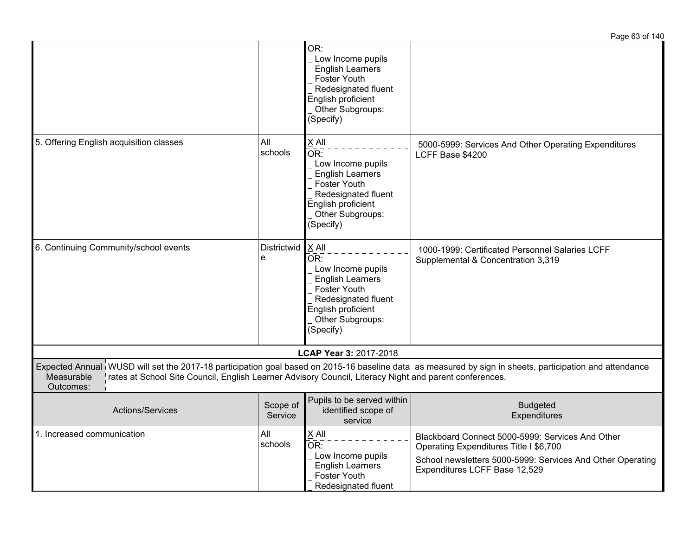|                                                                                                                                   |                     |                                                                                                                                                                                            | Page 63 of 140                                                                                                                                                                            |
|-----------------------------------------------------------------------------------------------------------------------------------|---------------------|--------------------------------------------------------------------------------------------------------------------------------------------------------------------------------------------|-------------------------------------------------------------------------------------------------------------------------------------------------------------------------------------------|
|                                                                                                                                   |                     | OR:<br>Low Income pupils<br><b>English Learners</b><br><b>Foster Youth</b><br>Redesignated fluent<br>English proficient<br>Other Subgroups:<br>(Specify)                                   |                                                                                                                                                                                           |
| 5. Offering English acquisition classes                                                                                           | All<br>schools      | $X$ All<br>$\overline{\mathsf{OR}}$ :<br>Low Income pupils<br><b>English Learners</b><br><b>Foster Youth</b><br>Redesignated fluent<br>English proficient<br>Other Subgroups:<br>(Specify) | 5000-5999: Services And Other Operating Expenditures<br>LCFF Base \$4200                                                                                                                  |
| 6. Continuing Community/school events                                                                                             | Districtwid<br>e    | $X$ All<br>OR:<br>Low Income pupils<br><b>English Learners</b><br>Foster Youth<br>Redesignated fluent<br>English proficient<br>Other Subgroups:<br>(Specify)                               | 1000-1999: Certificated Personnel Salaries LCFF<br>Supplemental & Concentration 3,319                                                                                                     |
|                                                                                                                                   |                     | LCAP Year 3: 2017-2018                                                                                                                                                                     |                                                                                                                                                                                           |
| Measurable<br>rates at School Site Council, English Learner Advisory Council, Literacy Night and parent conferences.<br>Outcomes: |                     |                                                                                                                                                                                            | Expected Annual WUSD will set the 2017-18 participation goal based on 2015-16 baseline data as measured by sign in sheets, participation and attendance                                   |
| Actions/Services                                                                                                                  | Scope of<br>Service | Pupils to be served within<br>identified scope of<br>service                                                                                                                               | <b>Budgeted</b><br>Expenditures                                                                                                                                                           |
| 1. Increased communication                                                                                                        | All<br>schools      | X All<br>OR:<br>Low Income pupils<br><b>English Learners</b><br>Foster Youth<br>Redesignated fluent                                                                                        | Blackboard Connect 5000-5999: Services And Other<br>Operating Expenditures Title I \$6,700<br>School newsletters 5000-5999: Services And Other Operating<br>Expenditures LCFF Base 12,529 |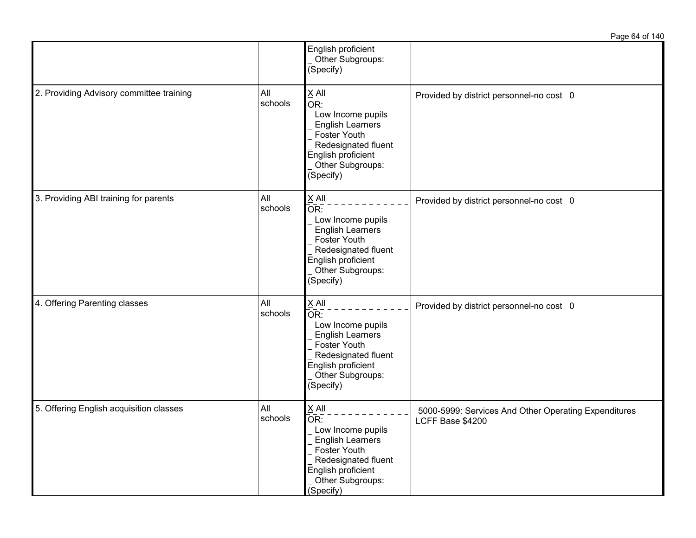|                                          |                |                                                                                                                                                                            | Page 64 of 140                                                           |
|------------------------------------------|----------------|----------------------------------------------------------------------------------------------------------------------------------------------------------------------------|--------------------------------------------------------------------------|
|                                          |                | English proficient<br>Other Subgroups:<br>(Specify)                                                                                                                        |                                                                          |
| 2. Providing Advisory committee training | All<br>schools | $X$ All<br>$\overline{OR}$ :<br>Low Income pupils<br><b>English Learners</b><br>Foster Youth<br>Redesignated fluent<br>English proficient<br>Other Subgroups:<br>(Specify) | Provided by district personnel-no cost 0                                 |
| 3. Providing ABI training for parents    | All<br>schools | $X$ All<br>$\bar{OR}$ :<br>Low Income pupils<br><b>English Learners</b><br>Foster Youth<br>Redesignated fluent<br>English proficient<br>Other Subgroups:<br>(Specify)      | Provided by district personnel-no cost 0                                 |
| 4. Offering Parenting classes            | All<br>schools | $X$ All<br>$\bar{OR}$ :<br>Low Income pupils<br><b>English Learners</b><br>Foster Youth<br>Redesignated fluent<br>English proficient<br>Other Subgroups:<br>(Specify)      | Provided by district personnel-no cost 0                                 |
| 5. Offering English acquisition classes  | All<br>schools | $X$ All<br>$\overline{OR}$ :<br>Low Income pupils<br><b>English Learners</b><br>Foster Youth<br>Redesignated fluent<br>English proficient<br>Other Subgroups:<br>(Specify) | 5000-5999: Services And Other Operating Expenditures<br>LCFF Base \$4200 |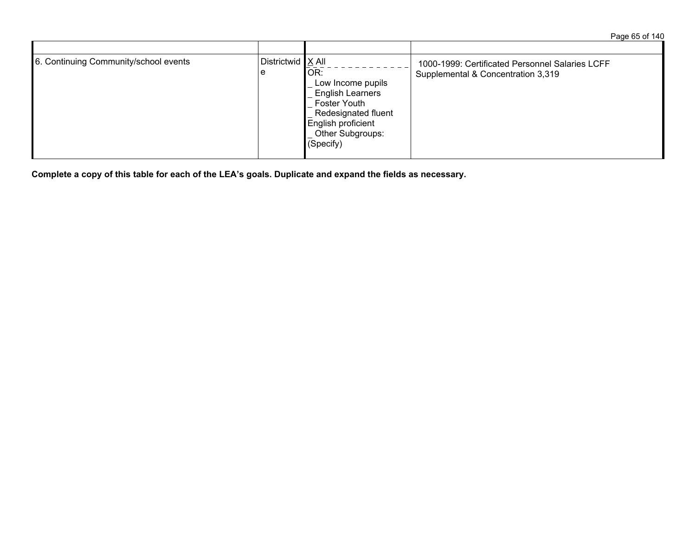Page 65 of 140

| 6. Continuing Community/school events | ∣ Districtwid <u>I</u> X All<br>e | OR:<br>Low Income pupils<br><b>English Learners</b><br><b>Foster Youth</b><br>Redesignated fluent<br>English proficient<br>Other Subgroups:<br>(Specify) | 1000-1999: Certificated Personnel Salaries LCFF<br>Supplemental & Concentration 3,319 |
|---------------------------------------|-----------------------------------|----------------------------------------------------------------------------------------------------------------------------------------------------------|---------------------------------------------------------------------------------------|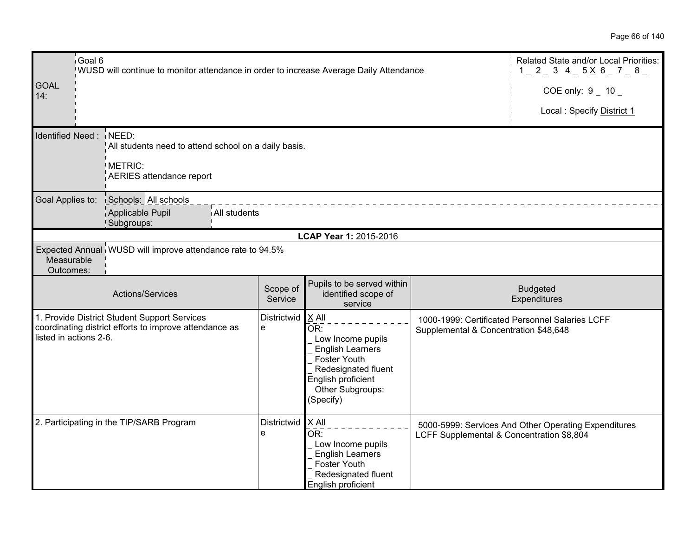| Goal 6<br>WUSD will continue to monitor attendance in order to increase Average Daily Attendance<br><b>GOAL</b><br>14: | Related State and/or Local Priorities:<br>$1$ $2$ $3$ $4$ $5$ $\times$ $6$ $7$ $8$ $-$<br>COE only: $9 - 10 -$ |                     |                                                                                                                                                              |                                           |                                                      |
|------------------------------------------------------------------------------------------------------------------------|----------------------------------------------------------------------------------------------------------------|---------------------|--------------------------------------------------------------------------------------------------------------------------------------------------------------|-------------------------------------------|------------------------------------------------------|
|                                                                                                                        |                                                                                                                |                     |                                                                                                                                                              |                                           | Local: Specify District 1                            |
| Identified Need: NEED:                                                                                                 | All students need to attend school on a daily basis.<br>METRIC:                                                |                     |                                                                                                                                                              |                                           |                                                      |
|                                                                                                                        | AERIES attendance report                                                                                       |                     |                                                                                                                                                              |                                           |                                                      |
| Goal Applies to:                                                                                                       | Schools: All schools<br>Applicable Pupil<br>All students<br>Subgroups:                                         |                     |                                                                                                                                                              |                                           |                                                      |
|                                                                                                                        |                                                                                                                |                     | LCAP Year 1: 2015-2016                                                                                                                                       |                                           |                                                      |
| Measurable<br>Outcomes:                                                                                                | Expected Annual WUSD will improve attendance rate to 94.5%                                                     |                     |                                                                                                                                                              |                                           |                                                      |
|                                                                                                                        | Actions/Services                                                                                               | Scope of<br>Service | Pupils to be served within<br>identified scope of<br>service                                                                                                 |                                           | <b>Budgeted</b><br>Expenditures                      |
| listed in actions 2-6.                                                                                                 | 1. Provide District Student Support Services<br>coordinating district efforts to improve attendance as         | Districtwid<br>e    | $X$ All<br>OR:<br>Low Income pupils<br><b>English Learners</b><br>Foster Youth<br>Redesignated fluent<br>English proficient<br>Other Subgroups:<br>(Specify) | Supplemental & Concentration \$48,648     | 1000-1999: Certificated Personnel Salaries LCFF      |
|                                                                                                                        | 2. Participating in the TIP/SARB Program                                                                       | Districtwid<br>e    | $X$ All<br>OR:<br>Low Income pupils<br><b>English Learners</b><br><b>Foster Youth</b><br>Redesignated fluent<br>English proficient                           | LCFF Supplemental & Concentration \$8,804 | 5000-5999: Services And Other Operating Expenditures |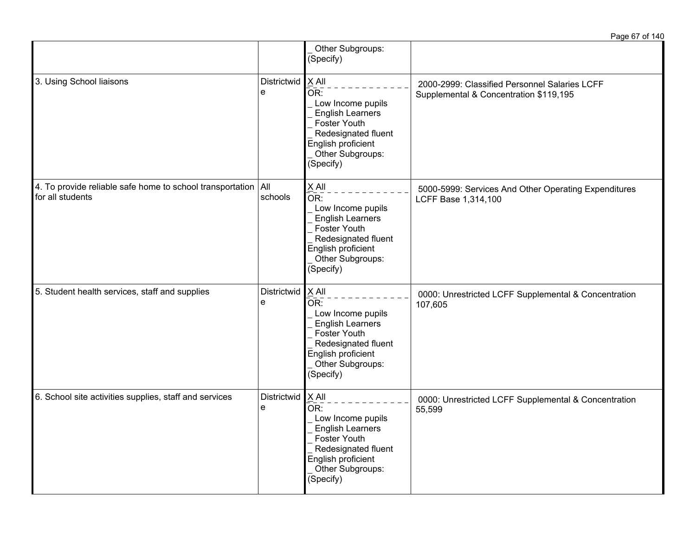|                                                                                           |                  | Other Subgroups:<br>(Specify)                                                                                                                                       |                                                                                         |
|-------------------------------------------------------------------------------------------|------------------|---------------------------------------------------------------------------------------------------------------------------------------------------------------------|-----------------------------------------------------------------------------------------|
| 3. Using School liaisons                                                                  | Districtwid<br>e | $X$ All<br>OR:<br>Low Income pupils<br><b>English Learners</b><br><b>Foster Youth</b><br>Redesignated fluent<br>English proficient<br>Other Subgroups:<br>(Specify) | 2000-2999: Classified Personnel Salaries LCFF<br>Supplemental & Concentration \$119,195 |
| 4. To provide reliable safe home to school transportation $\vert$ All<br>for all students | schools          | X All<br>OR:<br>Low Income pupils<br><b>English Learners</b><br>Foster Youth<br>Redesignated fluent<br>English proficient<br>Other Subgroups:<br>(Specify)          | 5000-5999: Services And Other Operating Expenditures<br>LCFF Base 1,314,100             |
| 5. Student health services, staff and supplies                                            | Districtwid<br>e | $X$ All<br>OR:<br>Low Income pupils<br><b>English Learners</b><br>Foster Youth<br>Redesignated fluent<br>English proficient<br>Other Subgroups:<br>(Specify)        | 0000: Unrestricted LCFF Supplemental & Concentration<br>107,605                         |
| 6. School site activities supplies, staff and services                                    | Districtwid<br>e | $X$ All<br>OR:<br>Low Income pupils<br><b>English Learners</b><br>Foster Youth<br>Redesignated fluent<br>English proficient<br>Other Subgroups:<br>(Specify)        | 0000: Unrestricted LCFF Supplemental & Concentration<br>55,599                          |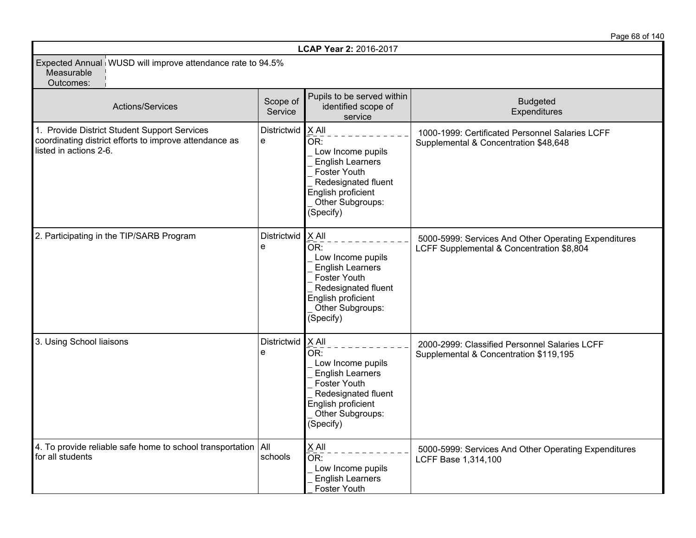|                                                                                                                                  |                     |                                                                                                                                                                     | Page 68 of 140                                                                                    |
|----------------------------------------------------------------------------------------------------------------------------------|---------------------|---------------------------------------------------------------------------------------------------------------------------------------------------------------------|---------------------------------------------------------------------------------------------------|
|                                                                                                                                  |                     | LCAP Year 2: 2016-2017                                                                                                                                              |                                                                                                   |
| Expected Annual WUSD will improve attendance rate to 94.5%<br>Measurable<br>Outcomes:                                            |                     |                                                                                                                                                                     |                                                                                                   |
| Actions/Services                                                                                                                 | Scope of<br>Service | Pupils to be served within<br>identified scope of<br>service                                                                                                        | <b>Budgeted</b><br>Expenditures                                                                   |
| 1. Provide District Student Support Services<br>coordinating district efforts to improve attendance as<br>listed in actions 2-6. | Districtwid<br>e    | X All<br>OR:<br>Low Income pupils<br><b>English Learners</b><br><b>Foster Youth</b><br>Redesignated fluent<br>English proficient<br>Other Subgroups:<br>(Specify)   | 1000-1999: Certificated Personnel Salaries LCFF<br>Supplemental & Concentration \$48,648          |
| 2. Participating in the TIP/SARB Program                                                                                         | Districtwid<br>e    | X All<br>OR:<br>Low Income pupils<br><b>English Learners</b><br><b>Foster Youth</b><br>Redesignated fluent<br>English proficient<br>Other Subgroups:<br>(Specify)   | 5000-5999: Services And Other Operating Expenditures<br>LCFF Supplemental & Concentration \$8,804 |
| 3. Using School liaisons                                                                                                         | Districtwid<br>е    | $X$ All<br>OR:<br>Low Income pupils<br><b>English Learners</b><br><b>Foster Youth</b><br>Redesignated fluent<br>English proficient<br>Other Subgroups:<br>(Specify) | 2000-2999: Classified Personnel Salaries LCFF<br>Supplemental & Concentration \$119,195           |
| 4. To provide reliable safe home to school transportation $\vert$ All<br>for all students                                        | schools             | $X$ All<br>OR:<br>Low Income pupils<br><b>English Learners</b><br><b>Foster Youth</b>                                                                               | 5000-5999: Services And Other Operating Expenditures<br>LCFF Base 1,314,100                       |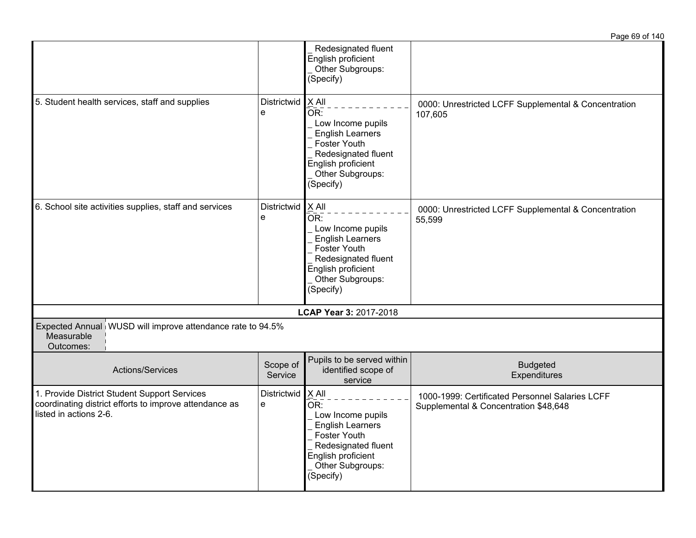|                                                                                                                                  |                     |                                                                                                                                                                       | Page 69 of 140                                                                           |
|----------------------------------------------------------------------------------------------------------------------------------|---------------------|-----------------------------------------------------------------------------------------------------------------------------------------------------------------------|------------------------------------------------------------------------------------------|
|                                                                                                                                  |                     | Redesignated fluent<br>English proficient<br>Other Subgroups:<br>(Specify)                                                                                            |                                                                                          |
| 5. Student health services, staff and supplies                                                                                   | Districtwid<br>e    | X All<br>OR:<br>Low Income pupils<br><b>English Learners</b><br>Foster Youth<br>Redesignated fluent<br>English proficient<br>Other Subgroups:<br>(Specify)            | 0000: Unrestricted LCFF Supplemental & Concentration<br>107,605                          |
| 6. School site activities supplies, staff and services                                                                           | Districtwid<br>e    | $\mathsf{X}$ All<br>OR:<br>Low Income pupils<br><b>English Learners</b><br>Foster Youth<br>Redesignated fluent<br>English proficient<br>Other Subgroups:<br>(Specify) | 0000: Unrestricted LCFF Supplemental & Concentration<br>55,599                           |
|                                                                                                                                  |                     | LCAP Year 3: 2017-2018                                                                                                                                                |                                                                                          |
| Expected Annual WUSD will improve attendance rate to 94.5%<br>Measurable<br>Outcomes:                                            |                     |                                                                                                                                                                       |                                                                                          |
| Actions/Services                                                                                                                 | Scope of<br>Service | Pupils to be served within<br>identified scope of<br>service                                                                                                          | <b>Budgeted</b><br>Expenditures                                                          |
| 1. Provide District Student Support Services<br>coordinating district efforts to improve attendance as<br>listed in actions 2-6. | Districtwid<br>e    | X All<br>OR:<br>Low Income pupils<br><b>English Learners</b><br>Foster Youth<br>Redesignated fluent<br>English proficient<br>Other Subgroups:<br>(Specify)            | 1000-1999: Certificated Personnel Salaries LCFF<br>Supplemental & Concentration \$48,648 |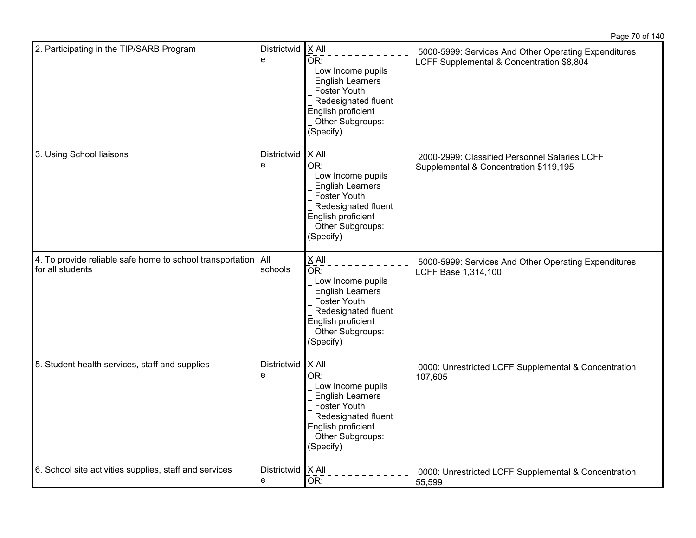| 2. Participating in the TIP/SARB Program                                            | Districtwid   X All<br>e | OR:<br>Low Income pupils<br><b>English Learners</b><br>Foster Youth<br>Redesignated fluent<br>English proficient<br>Other Subgroups:<br>(Specify)                                   | 5000-5999: Services And Other Operating Expenditures<br>LCFF Supplemental & Concentration \$8,804 |
|-------------------------------------------------------------------------------------|--------------------------|-------------------------------------------------------------------------------------------------------------------------------------------------------------------------------------|---------------------------------------------------------------------------------------------------|
| 3. Using School liaisons                                                            | Districtwid<br>e         | $X$ All<br>$\overline{\mathsf{OR}}$ :<br>Low Income pupils<br><b>English Learners</b><br>Foster Youth<br>Redesignated fluent<br>English proficient<br>Other Subgroups:<br>(Specify) | 2000-2999: Classified Personnel Salaries LCFF<br>Supplemental & Concentration \$119,195           |
| 4. To provide reliable safe home to school transportation   All<br>for all students | schools                  | X All<br>OR:<br>Low Income pupils<br><b>English Learners</b><br>Foster Youth<br>Redesignated fluent<br>English proficient<br>Other Subgroups:<br>(Specify)                          | 5000-5999: Services And Other Operating Expenditures<br>LCFF Base 1,314,100                       |
| 5. Student health services, staff and supplies                                      | Districtwid<br>e         | X All<br>OR:<br>Low Income pupils<br><b>English Learners</b><br>Foster Youth<br>Redesignated fluent<br>English proficient<br>Other Subgroups:<br>(Specify)                          | 0000: Unrestricted LCFF Supplemental & Concentration<br>107,605                                   |
| 6. School site activities supplies, staff and services                              | Districtwid<br>e         | X All<br>OR:                                                                                                                                                                        | 0000: Unrestricted LCFF Supplemental & Concentration<br>55,599                                    |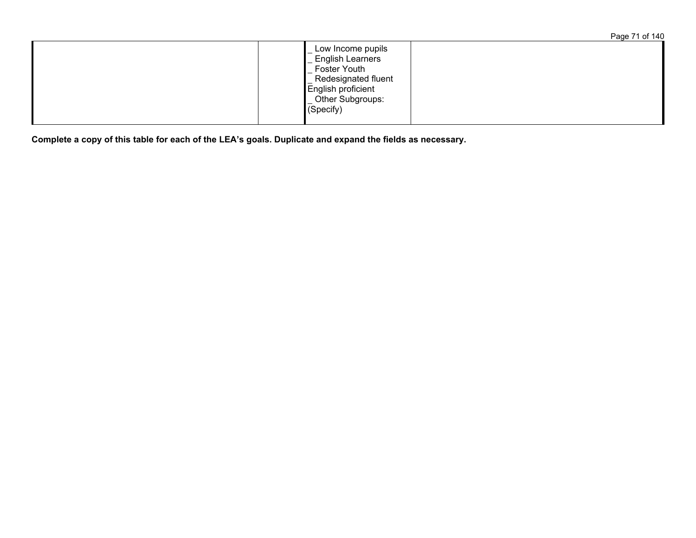| Page 71 of 140 |  |  |
|----------------|--|--|
|                |  |  |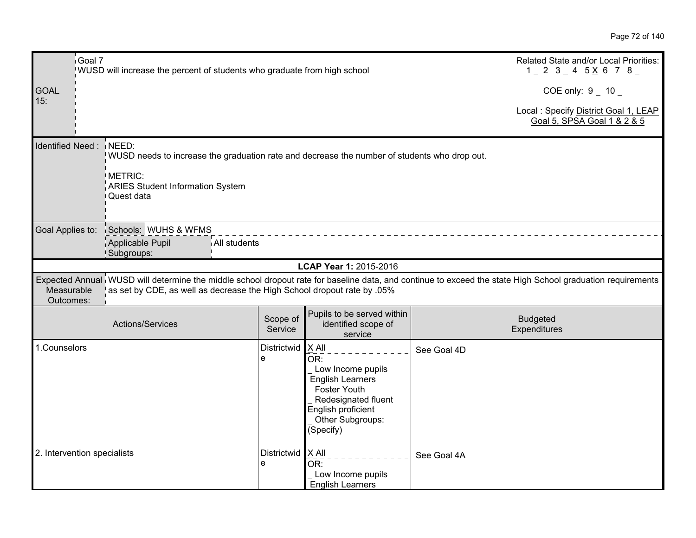|                         | Goal 7<br>WUSD will increase the percent of students who graduate from high school | Related State and/or Local Priorities:<br>$1$ $-$ 2 $3$ $-$ 4 $5$ $\times$ 6 7 $8$ $-$ |              |                     |                                                                                                                                                                     |             |                                                                                                                                                            |
|-------------------------|------------------------------------------------------------------------------------|----------------------------------------------------------------------------------------|--------------|---------------------|---------------------------------------------------------------------------------------------------------------------------------------------------------------------|-------------|------------------------------------------------------------------------------------------------------------------------------------------------------------|
| <b>GOAL</b><br>15:      |                                                                                    |                                                                                        |              |                     |                                                                                                                                                                     |             | COE only: $9 - 10$                                                                                                                                         |
|                         |                                                                                    |                                                                                        |              |                     |                                                                                                                                                                     |             | Local : Specify District Goal 1, LEAP<br>Goal 5, SPSA Goal 1 & 2 & 5                                                                                       |
|                         | Identified Need: NEED:<br>METRIC:                                                  | <b>ARIES Student Information System</b>                                                |              |                     | WUSD needs to increase the graduation rate and decrease the number of students who drop out.                                                                        |             |                                                                                                                                                            |
|                         | Quest data                                                                         |                                                                                        |              |                     |                                                                                                                                                                     |             |                                                                                                                                                            |
| Goal Applies to:        | Applicable Pupil<br>Subgroups:                                                     | Schools: WUHS & WFMS                                                                   | All students |                     |                                                                                                                                                                     |             |                                                                                                                                                            |
|                         |                                                                                    |                                                                                        |              |                     | LCAP Year 1: 2015-2016                                                                                                                                              |             |                                                                                                                                                            |
| Measurable<br>Outcomes: |                                                                                    |                                                                                        |              |                     | as set by CDE, as well as decrease the High School dropout rate by .05%                                                                                             |             | Expected Annual WUSD will determine the middle school dropout rate for baseline data, and continue to exceed the state High School graduation requirements |
|                         | Actions/Services                                                                   |                                                                                        |              | Scope of<br>Service | Pupils to be served within<br>identified scope of<br>service                                                                                                        |             | <b>Budgeted</b><br>Expenditures                                                                                                                            |
| 1.Counselors            |                                                                                    |                                                                                        | e            | Districtwid         | $X$ All<br>OR:<br>Low Income pupils<br><b>English Learners</b><br><b>Foster Youth</b><br>Redesignated fluent<br>English proficient<br>Other Subgroups:<br>(Specify) | See Goal 4D |                                                                                                                                                            |
|                         | 2. Intervention specialists                                                        |                                                                                        | е            | Districtwid   X All | OR:<br>Low Income pupils<br><b>English Learners</b>                                                                                                                 | See Goal 4A |                                                                                                                                                            |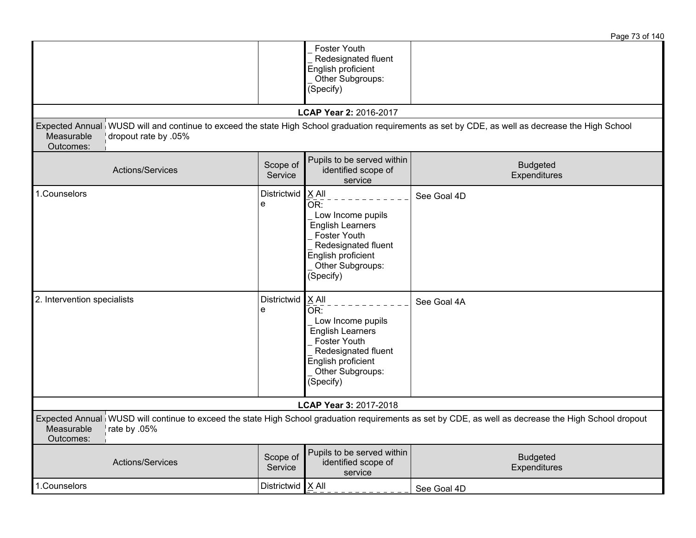|                                                 |                         |                                                                                                                                                            | Page 73 of 140                                                                                                                                        |
|-------------------------------------------------|-------------------------|------------------------------------------------------------------------------------------------------------------------------------------------------------|-------------------------------------------------------------------------------------------------------------------------------------------------------|
|                                                 |                         | Foster Youth<br>Redesignated fluent<br>English proficient<br>Other Subgroups:<br>(Specify)                                                                 |                                                                                                                                                       |
|                                                 |                         | LCAP Year 2: 2016-2017                                                                                                                                     |                                                                                                                                                       |
| Measurable<br>dropout rate by .05%<br>Outcomes: |                         |                                                                                                                                                            | Expected Annual WUSD will and continue to exceed the state High School graduation requirements as set by CDE, as well as decrease the High School     |
| Actions/Services                                | Scope of<br>Service     | Pupils to be served within<br>identified scope of<br>service                                                                                               | <b>Budgeted</b><br>Expenditures                                                                                                                       |
| 1.Counselors                                    | Districtwid<br>e        | X All<br>OR:<br>Low Income pupils<br><b>English Learners</b><br>Foster Youth<br>Redesignated fluent<br>English proficient<br>Other Subgroups:<br>(Specify) | See Goal 4D                                                                                                                                           |
| 2. Intervention specialists                     | <b>Districtwid</b><br>e | X All<br>OR:<br>Low Income pupils<br><b>English Learners</b><br>Foster Youth<br>Redesignated fluent<br>English proficient<br>Other Subgroups:<br>(Specify) | See Goal 4A                                                                                                                                           |
|                                                 |                         | LCAP Year 3: 2017-2018                                                                                                                                     |                                                                                                                                                       |
| Measurable<br>rate by .05%<br>Outcomes:         |                         |                                                                                                                                                            | Expected Annual WUSD will continue to exceed the state High School graduation requirements as set by CDE, as well as decrease the High School dropout |
| Actions/Services                                | Scope of<br>Service     | Pupils to be served within<br>identified scope of<br>service                                                                                               | <b>Budgeted</b><br>Expenditures                                                                                                                       |
| 1.Counselors                                    | Districtwid $X$ All     |                                                                                                                                                            | See Goal 4D                                                                                                                                           |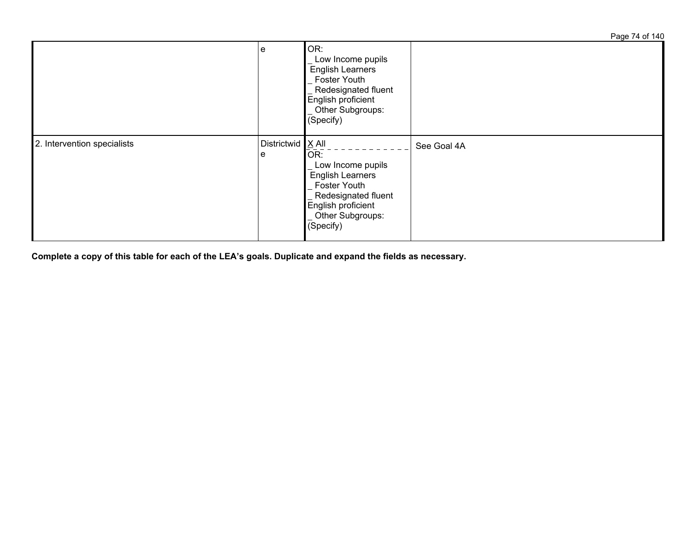Page 74 of 140

|                             | e                        | OR:<br>Low Income pupils<br><b>English Learners</b><br><b>Foster Youth</b><br>Redesignated fluent<br>English proficient<br>Other Subgroups:<br>(Specify) |             |
|-----------------------------|--------------------------|----------------------------------------------------------------------------------------------------------------------------------------------------------|-------------|
| 2. Intervention specialists | Districtwid $X$ All<br>e | OR:<br>Low Income pupils<br>English Learners<br><b>Foster Youth</b><br>Redesignated fluent<br>English proficient<br>Other Subgroups:<br>(Specify)        | See Goal 4A |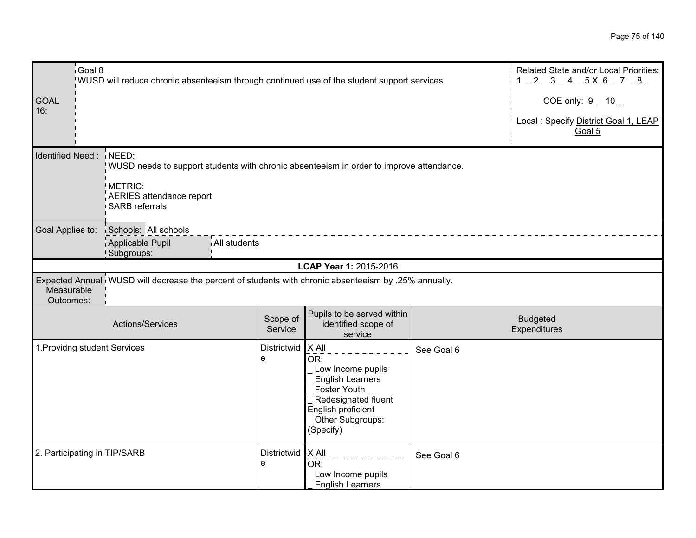|                         | Goal 8<br>WUSD will reduce chronic absenteeism through continued use of the student support services |                                                        |              |                         |                                                                                                                                                              |            | Related State and/or Local Priorities:<br>$1 = 2 = 3 = 4 = 5 \times 6 = 7 = 8 =$ |
|-------------------------|------------------------------------------------------------------------------------------------------|--------------------------------------------------------|--------------|-------------------------|--------------------------------------------------------------------------------------------------------------------------------------------------------------|------------|----------------------------------------------------------------------------------|
| <b>GOAL</b>             |                                                                                                      |                                                        |              |                         |                                                                                                                                                              |            | COE only: $9 - 10 -$                                                             |
| 16:                     |                                                                                                      |                                                        |              |                         |                                                                                                                                                              |            | Local : Specify District Goal 1, LEAP<br>Goal 5                                  |
| Identified Need: NEED:  |                                                                                                      | <b>METRIC:</b><br>AERIES attendance report             |              |                         | WUSD needs to support students with chronic absenteeism in order to improve attendance.                                                                      |            |                                                                                  |
|                         |                                                                                                      | <b>SARB</b> referrals                                  |              |                         |                                                                                                                                                              |            |                                                                                  |
| Goal Applies to:        |                                                                                                      | Schools: All schools<br>Applicable Pupil<br>Subgroups: | All students |                         |                                                                                                                                                              |            |                                                                                  |
|                         |                                                                                                      |                                                        |              |                         | LCAP Year 1: 2015-2016                                                                                                                                       |            |                                                                                  |
| Measurable<br>Outcomes: |                                                                                                      |                                                        |              |                         | Expected Annual WUSD will decrease the percent of students with chronic absenteeism by .25% annually.                                                        |            |                                                                                  |
|                         |                                                                                                      | Actions/Services                                       |              | Scope of<br>Service     | Pupils to be served within<br>identified scope of<br>service                                                                                                 |            | <b>Budgeted</b><br>Expenditures                                                  |
|                         |                                                                                                      | 1. Providng student Services                           |              | <b>Districtwid</b><br>e | $X$ All<br>OR:<br>Low Income pupils<br><b>English Learners</b><br>Foster Youth<br>Redesignated fluent<br>English proficient<br>Other Subgroups:<br>(Specify) | See Goal 6 |                                                                                  |
|                         |                                                                                                      | 2. Participating in TIP/SARB                           |              | Districtwid<br>e        | $X$ All<br>$\bar{\mathsf{OR}}$ :<br>Low Income pupils<br><b>English Learners</b>                                                                             | See Goal 6 |                                                                                  |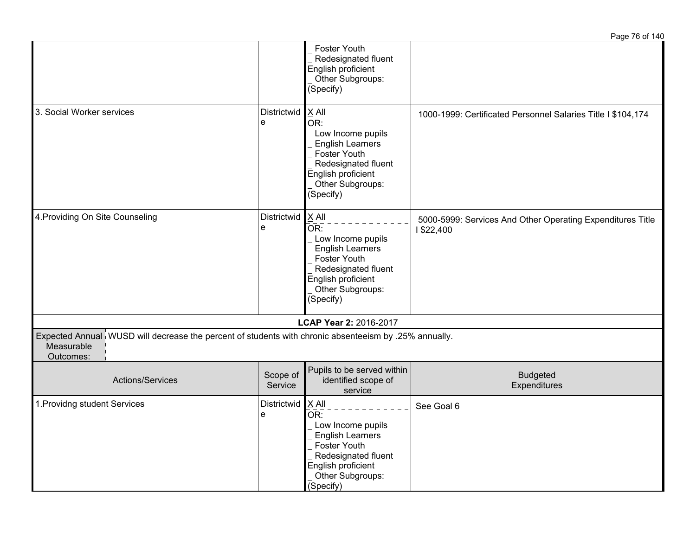|                                                                                                                                  |                     |                                                                                                                                                                     | Page 76 of 140                                                          |
|----------------------------------------------------------------------------------------------------------------------------------|---------------------|---------------------------------------------------------------------------------------------------------------------------------------------------------------------|-------------------------------------------------------------------------|
|                                                                                                                                  |                     | Foster Youth<br>Redesignated fluent<br>English proficient<br>Other Subgroups:<br>(Specify)                                                                          |                                                                         |
| 3. Social Worker services                                                                                                        | Districtwid<br>e    | $X$ All<br>OR:<br>Low Income pupils<br><b>English Learners</b><br>Foster Youth<br>Redesignated fluent<br>English proficient<br>Other Subgroups:<br>(Specify)        | 1000-1999: Certificated Personnel Salaries Title I \$104,174            |
| 4. Providing On Site Counseling                                                                                                  | Districtwid<br>e    | X All<br>OR:<br>Low Income pupils<br><b>English Learners</b><br>Foster Youth<br>Redesignated fluent<br>English proficient<br>Other Subgroups:<br>(Specify)          | 5000-5999: Services And Other Operating Expenditures Title<br>1\$22,400 |
|                                                                                                                                  |                     | LCAP Year 2: 2016-2017                                                                                                                                              |                                                                         |
| Expected Annual WUSD will decrease the percent of students with chronic absenteeism by .25% annually.<br>Measurable<br>Outcomes: |                     |                                                                                                                                                                     |                                                                         |
| Actions/Services                                                                                                                 | Scope of<br>Service | Pupils to be served within<br>identified scope of<br>service                                                                                                        | <b>Budgeted</b><br>Expenditures                                         |
| 1. Providng student Services                                                                                                     | Districtwid<br>e    | $X$ All<br>OR:<br>Low Income pupils<br><b>English Learners</b><br><b>Foster Youth</b><br>Redesignated fluent<br>English proficient<br>Other Subgroups:<br>(Specify) | See Goal 6                                                              |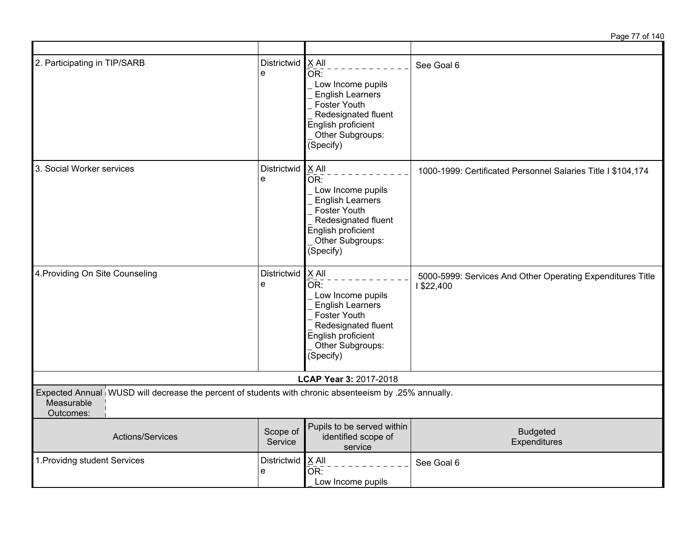Page 77 of 140

| 2. Participating in TIP/SARB                                                                                                     | Districtwid<br>e    | X All<br>OR:<br>Low Income pupils<br><b>English Learners</b><br><b>Foster Youth</b><br>Redesignated fluent<br>English proficient<br>Other Subgroups:<br>(Specify)                 | See Goal 6                                                               |
|----------------------------------------------------------------------------------------------------------------------------------|---------------------|-----------------------------------------------------------------------------------------------------------------------------------------------------------------------------------|--------------------------------------------------------------------------|
| 3. Social Worker services                                                                                                        | Districtwid<br>e    | X All<br>$\overline{\mathsf{OR}}$ :<br>Low Income pupils<br><b>English Learners</b><br>Foster Youth<br>Redesignated fluent<br>English proficient<br>Other Subgroups:<br>(Specify) | 1000-1999: Certificated Personnel Salaries Title I \$104,174             |
| 4. Providing On Site Counseling                                                                                                  | Districtwid<br>e    | $X$ All<br>OR:<br>Low Income pupils<br><b>English Learners</b><br><b>Foster Youth</b><br>Redesignated fluent<br>English proficient<br>Other Subgroups:<br>(Specify)               | 5000-5999: Services And Other Operating Expenditures Title<br>1 \$22,400 |
|                                                                                                                                  |                     | LCAP Year 3: 2017-2018                                                                                                                                                            |                                                                          |
| Expected Annual WUSD will decrease the percent of students with chronic absenteeism by .25% annually.<br>Measurable<br>Outcomes: |                     |                                                                                                                                                                                   |                                                                          |
| Actions/Services                                                                                                                 | Scope of<br>Service | Pupils to be served within<br>identified scope of<br>service                                                                                                                      | <b>Budgeted</b><br>Expenditures                                          |
| 1. Providng student Services                                                                                                     | Districtwid<br>e    | X All<br>OR:<br>Low Income pupils                                                                                                                                                 | See Goal 6                                                               |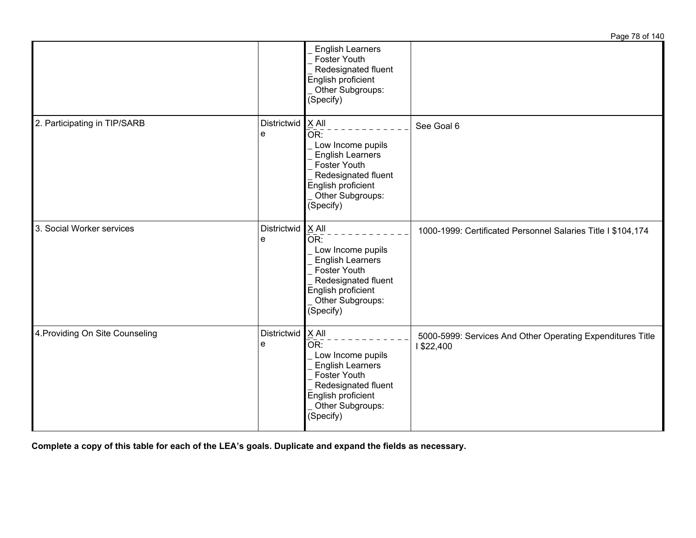|                                 |                         |                                                                                                                                                                                         | Page 78 of 140                                                          |
|---------------------------------|-------------------------|-----------------------------------------------------------------------------------------------------------------------------------------------------------------------------------------|-------------------------------------------------------------------------|
|                                 |                         | <b>English Learners</b><br><b>Foster Youth</b><br>Redesignated fluent<br>English proficient<br>Other Subgroups:<br>(Specify)                                                            |                                                                         |
| 2. Participating in TIP/SARB    | <b>Districtwid</b><br>e | X All<br>$\overline{\mathsf{OR}}$ :<br>Low Income pupils<br><b>English Learners</b><br>Foster Youth<br>Redesignated fluent<br>English proficient<br>Other Subgroups:<br>(Specify)       | See Goal 6                                                              |
| 3. Social Worker services       | Districtwid<br>e        | $X$ All<br>OR:<br>Low Income pupils<br><b>English Learners</b><br><b>Foster Youth</b><br>Redesignated fluent<br>English proficient<br>Other Subgroups:<br>$\overline{\text{(Specify)}}$ | 1000-1999: Certificated Personnel Salaries Title I \$104,174            |
| 4. Providing On Site Counseling | Districtwid<br>e        | X All<br>OR:<br>Low Income pupils<br><b>English Learners</b><br>Foster Youth<br>Redesignated fluent<br>English proficient<br>Other Subgroups:<br>(Specify)                              | 5000-5999: Services And Other Operating Expenditures Title<br>1\$22,400 |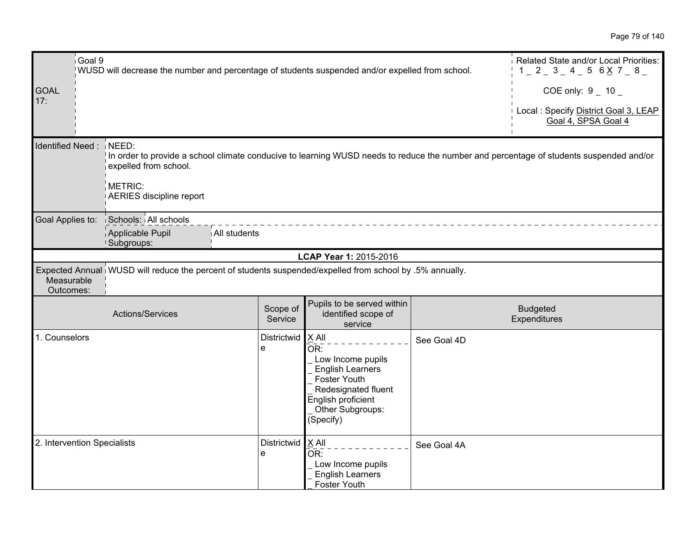| <b>GOAL</b><br>17:          | Goal 9 | WUSD will decrease the number and percentage of students suspended and/or expelled from school.          |                     |                                                                                                                                                            |             | Related State and/or Local Priorities:<br>$1 - 2 - 3 - 4 - 5 6 \times 7 - 8$<br>COE only: $9 - 10$                                     |
|-----------------------------|--------|----------------------------------------------------------------------------------------------------------|---------------------|------------------------------------------------------------------------------------------------------------------------------------------------------------|-------------|----------------------------------------------------------------------------------------------------------------------------------------|
|                             |        |                                                                                                          |                     |                                                                                                                                                            |             | Local : Specify District Goal 3, LEAP<br>Goal 4, SPSA Goal 4                                                                           |
| Identified Need:            |        | NEED:<br>expelled from school.                                                                           |                     |                                                                                                                                                            |             | In order to provide a school climate conducive to learning WUSD needs to reduce the number and percentage of students suspended and/or |
|                             |        | METRIC:<br>AERIES discipline report                                                                      |                     |                                                                                                                                                            |             |                                                                                                                                        |
|                             |        | Goal Applies to: Schools: All schools<br>Applicable Pupil<br>All students<br>Subgroups:                  |                     |                                                                                                                                                            |             |                                                                                                                                        |
|                             |        |                                                                                                          |                     | LCAP Year 1: 2015-2016                                                                                                                                     |             |                                                                                                                                        |
| Measurable<br>Outcomes:     |        | Expected Annual WUSD will reduce the percent of students suspended/expelled from school by .5% annually. |                     |                                                                                                                                                            |             |                                                                                                                                        |
|                             |        | Actions/Services                                                                                         | Scope of<br>Service | Pupils to be served within<br>identified scope of<br>service                                                                                               |             | <b>Budgeted</b><br>Expenditures                                                                                                        |
| 1. Counselors               |        |                                                                                                          | Districtwid<br>e    | X All<br>OR:<br>Low Income pupils<br><b>English Learners</b><br>Foster Youth<br>Redesignated fluent<br>English proficient<br>Other Subgroups:<br>(Specify) | See Goal 4D |                                                                                                                                        |
| 2. Intervention Specialists |        |                                                                                                          | Districtwid<br>e    | X All<br>OR:<br>Low Income pupils<br><b>English Learners</b><br><b>Foster Youth</b>                                                                        | See Goal 4A |                                                                                                                                        |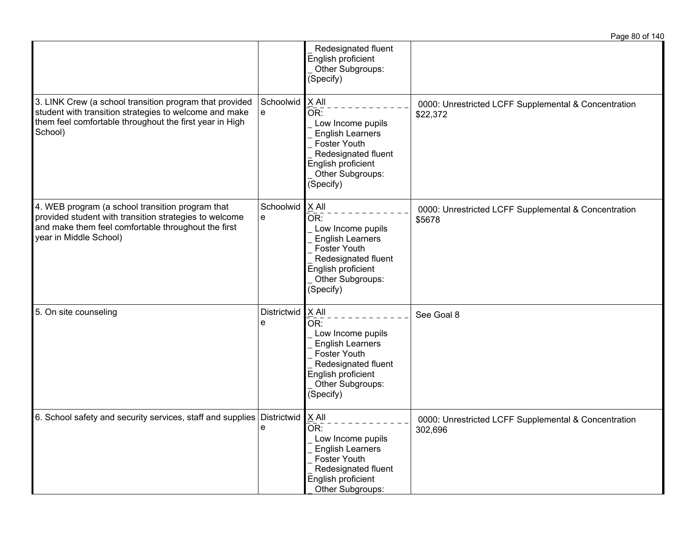|                                                                                                                                                                                             |                  |                                                                                                                                                                     | Page 80 of 140                                                   |
|---------------------------------------------------------------------------------------------------------------------------------------------------------------------------------------------|------------------|---------------------------------------------------------------------------------------------------------------------------------------------------------------------|------------------------------------------------------------------|
|                                                                                                                                                                                             |                  | Redesignated fluent<br>English proficient<br>Other Subgroups:<br>(Specify)                                                                                          |                                                                  |
| 3. LINK Crew (a school transition program that provided<br>student with transition strategies to welcome and make<br>them feel comfortable throughout the first year in High<br>School)     | Schoolwid<br>e   | X All<br>OR:<br>Low Income pupils<br><b>English Learners</b><br><b>Foster Youth</b><br>Redesignated fluent<br>English proficient<br>Other Subgroups:<br>(Specify)   | 0000: Unrestricted LCFF Supplemental & Concentration<br>\$22,372 |
| 4. WEB program (a school transition program that<br>provided student with transition strategies to welcome<br>and make them feel comfortable throughout the first<br>year in Middle School) | Schoolwid<br>e   | X All<br>OR:<br>Low Income pupils<br><b>English Learners</b><br><b>Foster Youth</b><br>Redesignated fluent<br>English proficient<br>Other Subgroups:<br>(Specify)   | 0000: Unrestricted LCFF Supplemental & Concentration<br>\$5678   |
| 5. On site counseling                                                                                                                                                                       | Districtwid<br>е | $X$ All<br>OR:<br>Low Income pupils<br><b>English Learners</b><br><b>Foster Youth</b><br>Redesignated fluent<br>English proficient<br>Other Subgroups:<br>(Specify) | See Goal 8                                                       |
| 6. School safety and security services, staff and supplies Districtwid $X$ All                                                                                                              | е                | OR:<br>Low Income pupils<br><b>English Learners</b><br>Foster Youth<br>Redesignated fluent<br>English proficient<br>Other Subgroups:                                | 0000: Unrestricted LCFF Supplemental & Concentration<br>302,696  |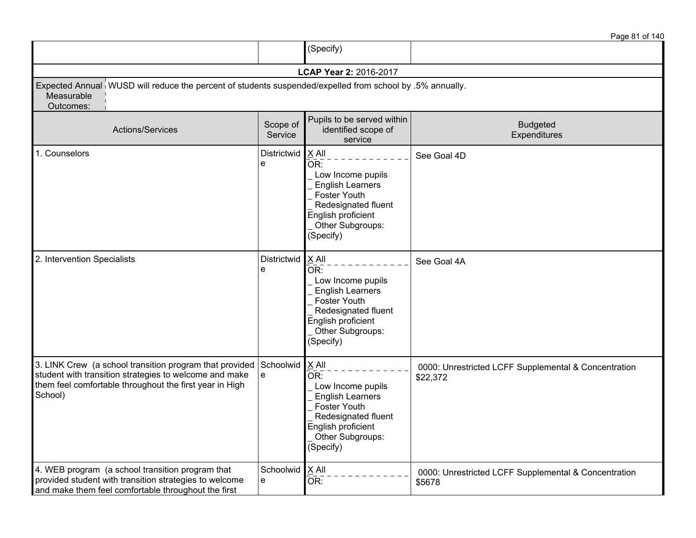|                                                                                                                                                                                                   |                     |                                                                                                                                                                     | Page 81 of 140                                                   |
|---------------------------------------------------------------------------------------------------------------------------------------------------------------------------------------------------|---------------------|---------------------------------------------------------------------------------------------------------------------------------------------------------------------|------------------------------------------------------------------|
|                                                                                                                                                                                                   |                     | (Specify)                                                                                                                                                           |                                                                  |
|                                                                                                                                                                                                   |                     | LCAP Year 2: 2016-2017                                                                                                                                              |                                                                  |
| Expected Annual WUSD will reduce the percent of students suspended/expelled from school by .5% annually.<br>Measurable<br>Outcomes:                                                               |                     |                                                                                                                                                                     |                                                                  |
| Actions/Services                                                                                                                                                                                  | Scope of<br>Service | Pupils to be served within<br>identified scope of<br>service                                                                                                        | <b>Budgeted</b><br>Expenditures                                  |
| 1. Counselors                                                                                                                                                                                     | Districtwid<br>e    | $X$ All<br>OR:<br>Low Income pupils<br><b>English Learners</b><br><b>Foster Youth</b><br>Redesignated fluent<br>English proficient<br>Other Subgroups:<br>(Specify) | See Goal 4D                                                      |
| 2. Intervention Specialists                                                                                                                                                                       | Districtwid<br>e    | $X$ All<br>OR:<br>Low Income pupils<br><b>English Learners</b><br><b>Foster Youth</b><br>Redesignated fluent<br>English proficient<br>Other Subgroups:<br>(Specify) | See Goal 4A                                                      |
| 3. LINK Crew (a school transition program that provided Schoolwid<br>student with transition strategies to welcome and make<br>them feel comfortable throughout the first year in High<br>School) | e                   | $X$ All<br>OR:<br>Low Income pupils<br><b>English Learners</b><br>Foster Youth<br>Redesignated fluent<br>English proficient<br>Other Subgroups:<br>(Specify)        | 0000: Unrestricted LCFF Supplemental & Concentration<br>\$22,372 |
| 4. WEB program (a school transition program that<br>provided student with transition strategies to welcome<br>and make them feel comfortable throughout the first                                 | Schoolwid<br>e      | <b>X All</b><br>OR:                                                                                                                                                 | 0000: Unrestricted LCFF Supplemental & Concentration<br>\$5678   |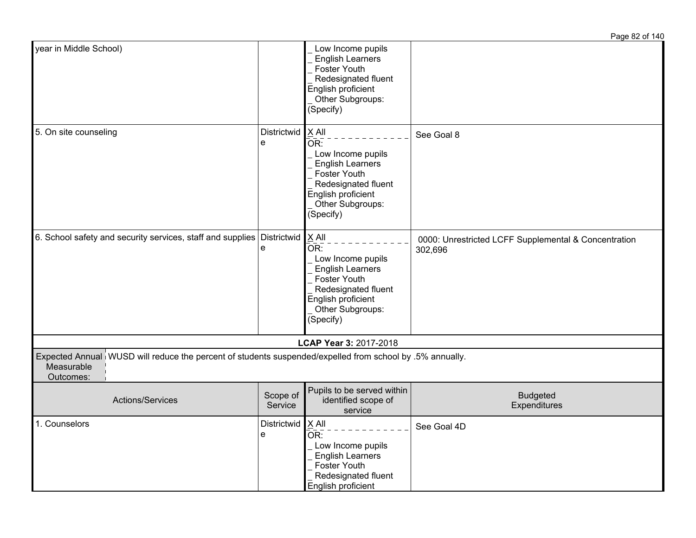|                                                                                                                                     |                     |                                                                                                                                                                   | Page 82 of 140                                                  |
|-------------------------------------------------------------------------------------------------------------------------------------|---------------------|-------------------------------------------------------------------------------------------------------------------------------------------------------------------|-----------------------------------------------------------------|
| year in Middle School)                                                                                                              |                     | Low Income pupils<br><b>English Learners</b><br><b>Foster Youth</b><br>Redesignated fluent<br>English proficient<br>Other Subgroups:<br>(Specify)                 |                                                                 |
| 5. On site counseling                                                                                                               | Districtwid<br>e    | X All<br>OR:<br>Low Income pupils<br><b>English Learners</b><br><b>Foster Youth</b><br>Redesignated fluent<br>English proficient<br>Other Subgroups:<br>(Specify) | See Goal 8                                                      |
| 6. School safety and security services, staff and supplies Districtwid                                                              | e                   | X All<br>OR:<br>Low Income pupils<br><b>English Learners</b><br>Foster Youth<br>Redesignated fluent<br>English proficient<br>Other Subgroups:<br>(Specify)        | 0000: Unrestricted LCFF Supplemental & Concentration<br>302,696 |
|                                                                                                                                     |                     | LCAP Year 3: 2017-2018                                                                                                                                            |                                                                 |
| Expected Annual WUSD will reduce the percent of students suspended/expelled from school by .5% annually.<br>Measurable<br>Outcomes: |                     |                                                                                                                                                                   |                                                                 |
| Actions/Services                                                                                                                    | Scope of<br>Service | Pupils to be served within<br>identified scope of<br>service                                                                                                      | <b>Budgeted</b><br>Expenditures                                 |
| 1. Counselors                                                                                                                       | Districtwid<br>e    | X All<br>OR:<br>Low Income pupils<br><b>English Learners</b><br>Foster Youth<br>Redesignated fluent<br>English proficient                                         | See Goal 4D                                                     |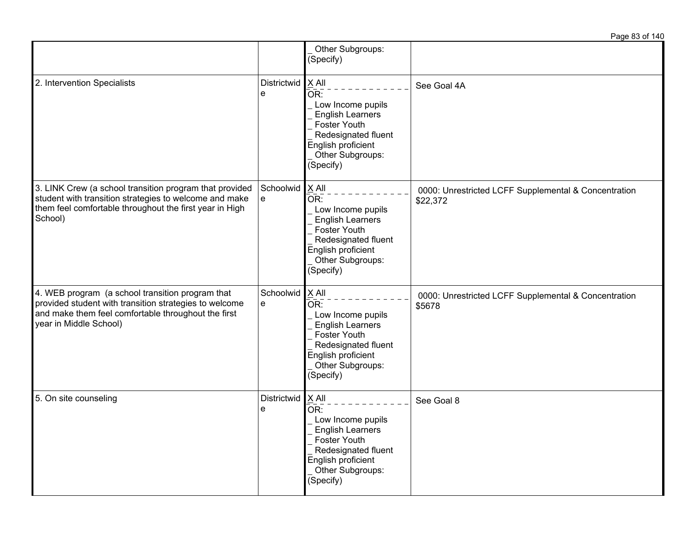|                                                                                                                                                                                             |                        | Other Subgroups:<br>(Specify)                                                                                                                                              |                                                                  |
|---------------------------------------------------------------------------------------------------------------------------------------------------------------------------------------------|------------------------|----------------------------------------------------------------------------------------------------------------------------------------------------------------------------|------------------------------------------------------------------|
| 2. Intervention Specialists                                                                                                                                                                 | Districtwid<br>e       | $X$ All<br>$\overline{OR}$ :<br>Low Income pupils<br><b>English Learners</b><br>Foster Youth<br>Redesignated fluent<br>English proficient<br>Other Subgroups:<br>(Specify) | See Goal 4A                                                      |
| 3. LINK Crew (a school transition program that provided<br>student with transition strategies to welcome and make<br>them feel comfortable throughout the first year in High<br>School)     | Schoolwid<br>e         | $X$ All<br>OR:<br>Low Income pupils<br><b>English Learners</b><br>Foster Youth<br>Redesignated fluent<br>English proficient<br>Other Subgroups:<br>(Specify)               | 0000: Unrestricted LCFF Supplemental & Concentration<br>\$22,372 |
| 4. WEB program (a school transition program that<br>provided student with transition strategies to welcome<br>and make them feel comfortable throughout the first<br>year in Middle School) | Schoolwid<br>e         | X All<br>OR:<br>Low Income pupils<br><b>English Learners</b><br>Foster Youth<br>Redesignated fluent<br>English proficient<br>Other Subgroups:<br>(Specify)                 | 0000: Unrestricted LCFF Supplemental & Concentration<br>\$5678   |
| 5. On site counseling                                                                                                                                                                       | Districtwid X All<br>e | OR:<br>Low Income pupils<br><b>English Learners</b><br>Foster Youth<br>Redesignated fluent<br>English proficient<br>Other Subgroups:<br>(Specify)                          | See Goal 8                                                       |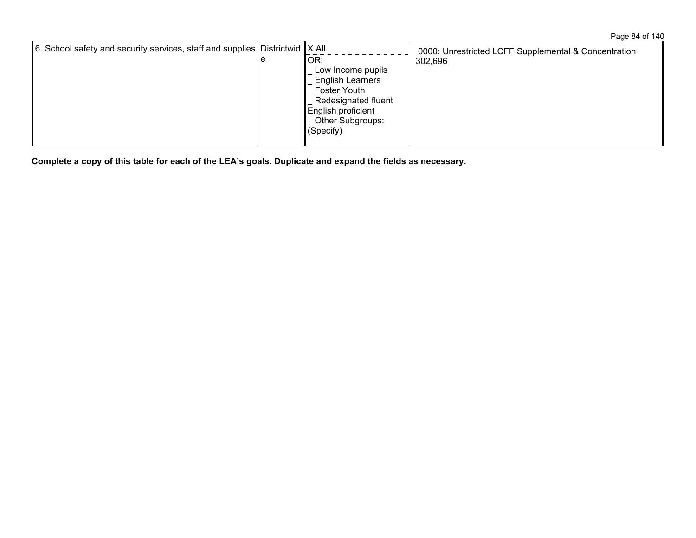| 6. School safety and security services, staff and supplies Districtwid $X$ All<br>e |  | OR:<br>Low Income pupils<br><b>English Learners</b><br><b>Foster Youth</b><br>Redesignated fluent<br>English proficient<br>Other Subgroups:<br>(Specify) | 0000: Unrestricted LCFF Supplemental & Concentration<br>302,696 |
|-------------------------------------------------------------------------------------|--|----------------------------------------------------------------------------------------------------------------------------------------------------------|-----------------------------------------------------------------|
|-------------------------------------------------------------------------------------|--|----------------------------------------------------------------------------------------------------------------------------------------------------------|-----------------------------------------------------------------|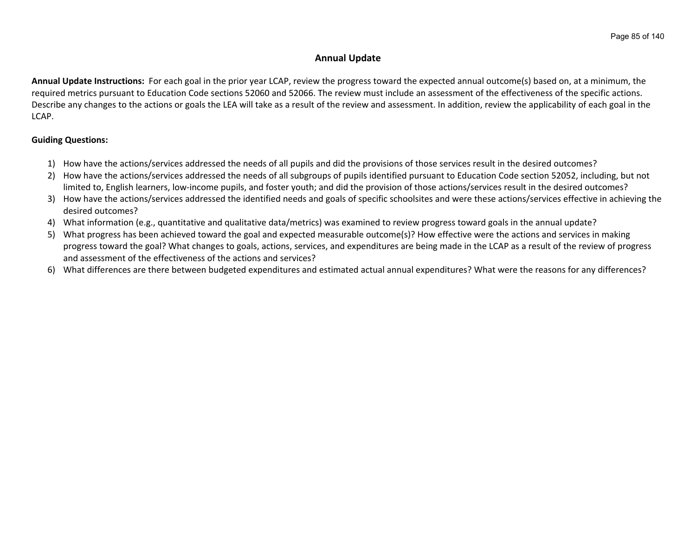## **Annual Update**

**Annual Update Instructions:** For each goal in the prior year LCAP, review the progress toward the expected annual outcome(s) based on, at a minimum, the required metrics pursuant to Education Code sections 52060 and 52066. The review must include an assessment of the effectiveness of the specific actions. Describe any changes to the actions or goals the LEA will take as a result of the review and assessment. In addition, review the applicability of each goal in the LCAP.

## **Guiding Questions:**

- 1) How have the actions/services addressed the needs of all pupils and did the provisions of those services result in the desired outcomes?
- 2) How have the actions/services addressed the needs of all subgroups of pupils identified pursuant to Education Code section 52052, including, but not limited to, English learners, low-income pupils, and foster youth; and did the provision of those actions/services result in the desired outcomes?
- 3) How have the actions/services addressed the identified needs and goals of specific schoolsites and were these actions/services effective in achieving the desired outcomes?
- 4) What information (e.g., quantitative and qualitative data/metrics) was examined to review progress toward goals in the annual update?
- 5) What progress has been achieved toward the goal and expected measurable outcome(s)? How effective were the actions and services in making progress toward the goal? What changes to goals, actions, services, and expenditures are being made in the LCAP as a result of the review of progress and assessment of the effectiveness of the actions and services?
- 6) What differences are there between budgeted expenditures and estimated actual annual expenditures? What were the reasons for any differences?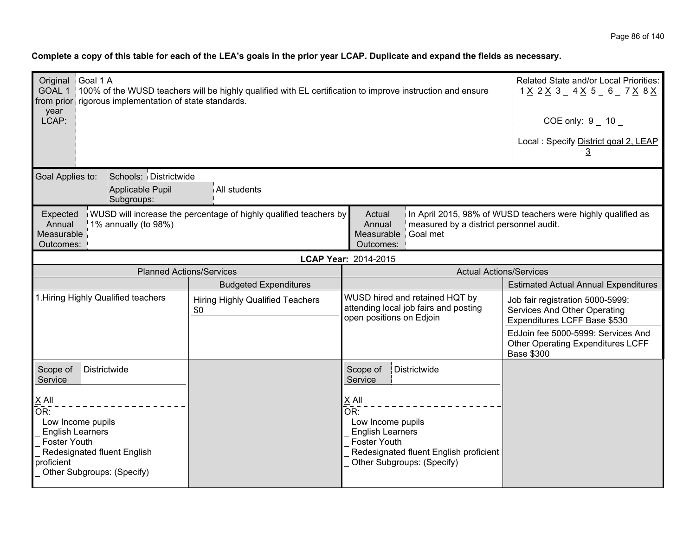| Original Goal 1 A<br>GOAL 1   100% of the WUSD teachers will be highly qualified with EL certification to improve instruction and ensure<br>from prior rigorous implementation of state standards.<br>year<br>LCAP: |                                                                                                                                                                                                                                      |                                                                                                                                                      | Related State and/or Local Priorities:<br>1 <u>X</u> 2 <u>X</u> 3 _ 4 <u>X</u> 5 _ 6 _ 7 <u>X</u> 8 <u>X</u><br>COE only: $9 - 10$<br>Local: Specify District goal 2, LEAP |  |  |
|---------------------------------------------------------------------------------------------------------------------------------------------------------------------------------------------------------------------|--------------------------------------------------------------------------------------------------------------------------------------------------------------------------------------------------------------------------------------|------------------------------------------------------------------------------------------------------------------------------------------------------|----------------------------------------------------------------------------------------------------------------------------------------------------------------------------|--|--|
| Goal Applies to:<br>Schools: Districtwide<br>Applicable Pupil<br><sup>1</sup> Subgroups:                                                                                                                            | All students                                                                                                                                                                                                                         |                                                                                                                                                      |                                                                                                                                                                            |  |  |
| Expected<br>$1\%$ annually (to 98%)<br>Annual<br>Measurable<br>Outcomes:                                                                                                                                            | WUSD will increase the percentage of highly qualified teachers by<br>In April 2015, 98% of WUSD teachers were highly qualified as<br>Actual<br>Annual<br>measured by a district personnel audit.<br>Measurable Goal met<br>Outcomes: |                                                                                                                                                      |                                                                                                                                                                            |  |  |
|                                                                                                                                                                                                                     |                                                                                                                                                                                                                                      | LCAP Year: 2014-2015                                                                                                                                 |                                                                                                                                                                            |  |  |
| <b>Planned Actions/Services</b>                                                                                                                                                                                     |                                                                                                                                                                                                                                      | <b>Actual Actions/Services</b>                                                                                                                       |                                                                                                                                                                            |  |  |
|                                                                                                                                                                                                                     | <b>Budgeted Expenditures</b>                                                                                                                                                                                                         |                                                                                                                                                      | <b>Estimated Actual Annual Expenditures</b>                                                                                                                                |  |  |
| 1. Hiring Highly Qualified teachers                                                                                                                                                                                 | <b>Hiring Highly Qualified Teachers</b><br>\$0                                                                                                                                                                                       | WUSD hired and retained HQT by<br>attending local job fairs and posting<br>open positions on Edjoin                                                  | Job fair registration 5000-5999:<br>Services And Other Operating<br>Expenditures LCFF Base \$530                                                                           |  |  |
|                                                                                                                                                                                                                     |                                                                                                                                                                                                                                      |                                                                                                                                                      | EdJoin fee 5000-5999: Services And<br><b>Other Operating Expenditures LCFF</b><br><b>Base \$300</b>                                                                        |  |  |
| Scope of<br>Districtwide<br>Service                                                                                                                                                                                 |                                                                                                                                                                                                                                      | Scope of<br>Districtwide<br>Service                                                                                                                  |                                                                                                                                                                            |  |  |
| $X$ All<br>OR:<br>Low Income pupils<br><b>English Learners</b><br>Foster Youth<br>Redesignated fluent English<br>proficient<br>Other Subgroups: (Specify)                                                           |                                                                                                                                                                                                                                      | X All<br>OR:<br>Low Income pupils<br><b>English Learners</b><br>Foster Youth<br>Redesignated fluent English proficient<br>Other Subgroups: (Specify) |                                                                                                                                                                            |  |  |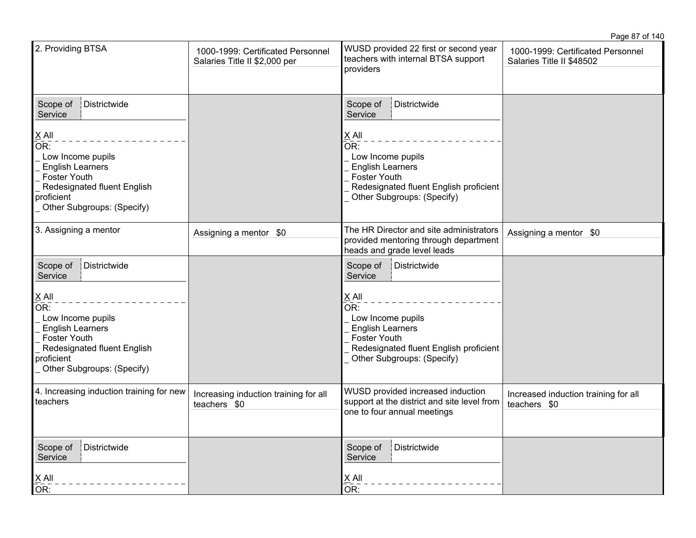|                                                                                                                                                                       |                                                                    |                                                                                                                                                                                         | Page 87 of 140                                                 |
|-----------------------------------------------------------------------------------------------------------------------------------------------------------------------|--------------------------------------------------------------------|-----------------------------------------------------------------------------------------------------------------------------------------------------------------------------------------|----------------------------------------------------------------|
| 2. Providing BTSA                                                                                                                                                     | 1000-1999: Certificated Personnel<br>Salaries Title II \$2,000 per | WUSD provided 22 first or second year<br>teachers with internal BTSA support<br>providers                                                                                               | 1000-1999: Certificated Personnel<br>Salaries Title II \$48502 |
| Districtwide<br>Scope of<br>Service                                                                                                                                   |                                                                    | Scope of<br>Districtwide<br>Service                                                                                                                                                     |                                                                |
| $X$ All<br>OR:<br>Low Income pupils<br><b>English Learners</b><br><b>Foster Youth</b><br>Redesignated fluent English<br>proficient<br>Other Subgroups: (Specify)      |                                                                    | $\underline{X}$ All<br>$\overline{OR}$ :<br>Low Income pupils<br><b>English Learners</b><br><b>Foster Youth</b><br>Redesignated fluent English proficient<br>Other Subgroups: (Specify) |                                                                |
| 3. Assigning a mentor                                                                                                                                                 | Assigning a mentor \$0                                             | The HR Director and site administrators<br>provided mentoring through department<br>heads and grade level leads                                                                         | Assigning a mentor \$0                                         |
| Districtwide<br>Scope of<br>Service                                                                                                                                   |                                                                    | Scope of<br>Districtwide<br>Service                                                                                                                                                     |                                                                |
| $\times$ All<br>OR:<br>Low Income pupils<br><b>English Learners</b><br><b>Foster Youth</b><br>Redesignated fluent English<br>proficient<br>Other Subgroups: (Specify) |                                                                    | X All<br>OR:<br>Low Income pupils<br><b>English Learners</b><br><b>Foster Youth</b><br>Redesignated fluent English proficient<br>Other Subgroups: (Specify)                             |                                                                |
| 4. Increasing induction training for new<br>teachers                                                                                                                  | Increasing induction training for all<br>teachers \$0              | WUSD provided increased induction<br>support at the district and site level from<br>one to four annual meetings                                                                         | Increased induction training for all<br>teachers \$0           |
| Districtwide<br>Scope of<br>Service<br>$\frac{X}{X}$ All<br>OR:                                                                                                       |                                                                    | Scope of<br>Districtwide<br>Service<br>$\underline{\underline{X}}$ All<br>OR:                                                                                                           |                                                                |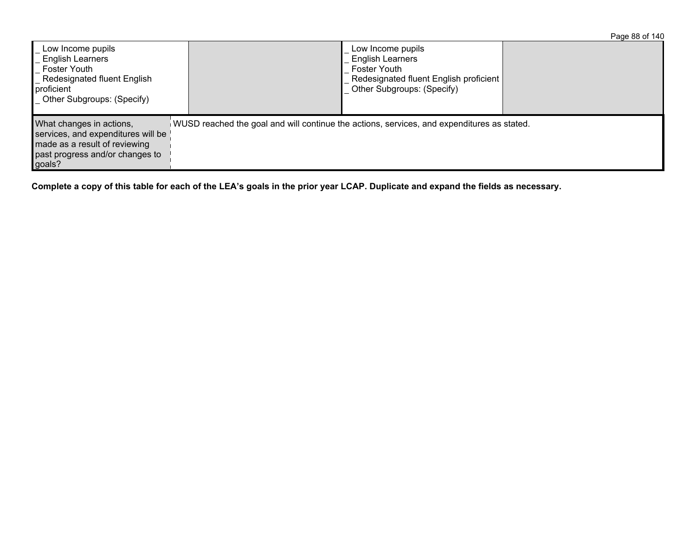|                                                                                                                                              |                                                                                            |                                                                                                                                             | Page 88 of 140 |
|----------------------------------------------------------------------------------------------------------------------------------------------|--------------------------------------------------------------------------------------------|---------------------------------------------------------------------------------------------------------------------------------------------|----------------|
| Low Income pupils<br><b>English Learners</b><br>Foster Youth<br>Redesignated fluent English<br>proficient<br>Other Subgroups: (Specify)      |                                                                                            | Low Income pupils<br><b>English Learners</b><br><b>Foster Youth</b><br>Redesignated fluent English proficient<br>Other Subgroups: (Specify) |                |
| What changes in actions,<br>services, and expenditures will be<br>made as a result of reviewing<br>past progress and/or changes to<br>goals? | WUSD reached the goal and will continue the actions, services, and expenditures as stated. |                                                                                                                                             |                |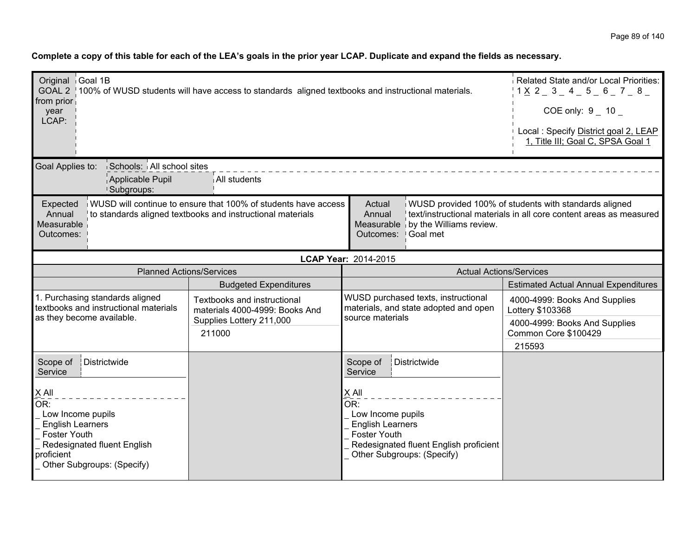| Original Goal 1B<br>Related State and/or Local Priorities:<br>GOAL 2   100% of WUSD students will have access to standards aligned textbooks and instructional materials.<br>1 X 2 3 4 5 6 7 8<br>from prior<br>$COE$ only: $9$ 10<br>year<br>LCAP:<br>Local: Specify District goal 2, LEAP<br>1, Title III; Goal C, SPSA Goal 1<br>Goal Applies to:<br>Schools: All school sites<br>Applicable Pupil<br>All students |                                                                                                     |                                                                                                                                                                                                      |                                                                                                                      |  |
|-----------------------------------------------------------------------------------------------------------------------------------------------------------------------------------------------------------------------------------------------------------------------------------------------------------------------------------------------------------------------------------------------------------------------|-----------------------------------------------------------------------------------------------------|------------------------------------------------------------------------------------------------------------------------------------------------------------------------------------------------------|----------------------------------------------------------------------------------------------------------------------|--|
| <b>Subgroups:</b><br>WUSD will continue to ensure that 100% of students have access<br>WUSD provided 100% of students with standards aligned<br>Expected<br>Actual<br>Annual<br>text/instructional materials in all core content areas as measured<br>Annual<br>to standards aligned textbooks and instructional materials<br>Measurable<br>Measurable by the Williams review.<br>Goal met<br>Outcomes:<br>Outcomes:  |                                                                                                     |                                                                                                                                                                                                      |                                                                                                                      |  |
|                                                                                                                                                                                                                                                                                                                                                                                                                       |                                                                                                     | LCAP Year: 2014-2015                                                                                                                                                                                 |                                                                                                                      |  |
| <b>Planned Actions/Services</b>                                                                                                                                                                                                                                                                                                                                                                                       |                                                                                                     |                                                                                                                                                                                                      | <b>Actual Actions/Services</b>                                                                                       |  |
|                                                                                                                                                                                                                                                                                                                                                                                                                       | <b>Budgeted Expenditures</b>                                                                        |                                                                                                                                                                                                      | <b>Estimated Actual Annual Expenditures</b>                                                                          |  |
| 1. Purchasing standards aligned<br>textbooks and instructional materials<br>as they become available.                                                                                                                                                                                                                                                                                                                 | Textbooks and instructional<br>materials 4000-4999: Books And<br>Supplies Lottery 211,000<br>211000 | WUSD purchased texts, instructional<br>materials, and state adopted and open<br>source materials                                                                                                     | 4000-4999: Books And Supplies<br>Lottery \$103368<br>4000-4999: Books And Supplies<br>Common Core \$100429<br>215593 |  |
| Districtwide<br>Scope of<br>Service<br>X All<br>OR:<br>Low Income pupils<br><b>English Learners</b><br><b>Foster Youth</b><br>Redesignated fluent English<br>proficient<br>Other Subgroups: (Specify)                                                                                                                                                                                                                 |                                                                                                     | Districtwide<br>Scope of<br>Service<br>$X$ All<br>OR:<br>Low Income pupils<br><b>English Learners</b><br><b>Foster Youth</b><br>Redesignated fluent English proficient<br>Other Subgroups: (Specify) |                                                                                                                      |  |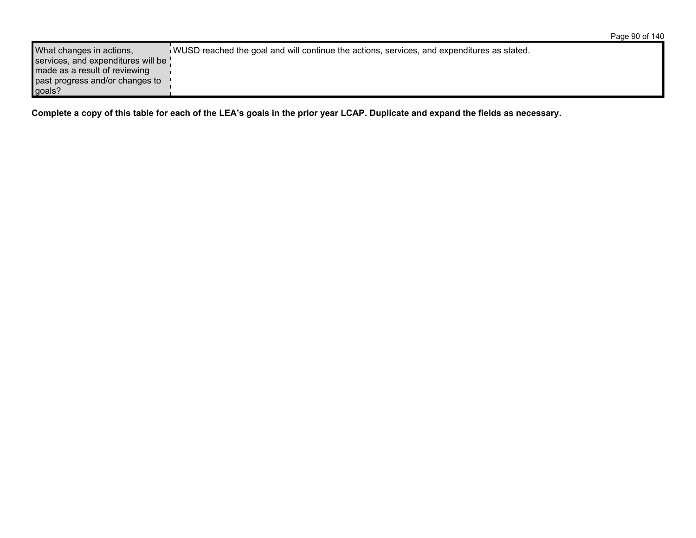| What changes in actions,           | WUSD reached the goal and will continue the actions, services, and expenditures as stated. |
|------------------------------------|--------------------------------------------------------------------------------------------|
| services, and expenditures will be |                                                                                            |
| made as a result of reviewing      |                                                                                            |
| past progress and/or changes to    |                                                                                            |
| goals?                             |                                                                                            |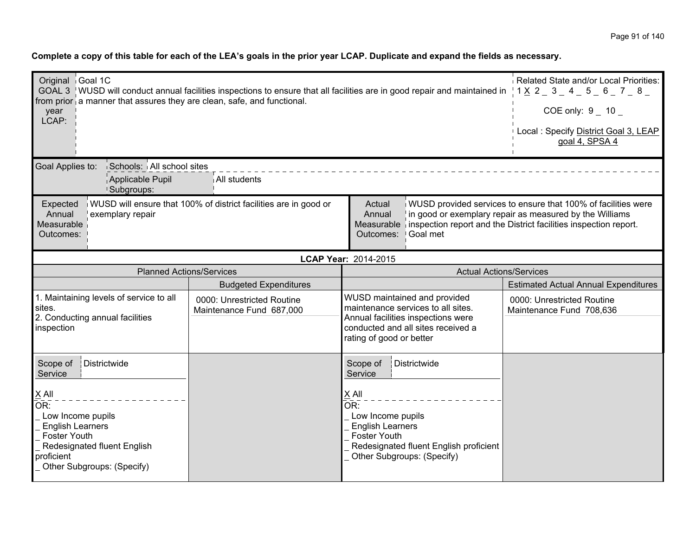| Original Goal 1C<br>GOAL 3 WUSD will conduct annual facilities inspections to ensure that all facilities are in good repair and maintained in<br>from prior a manner that assures they are clean, safe, and functional.<br>year<br>LCAP: | Related State and/or Local Priorities:<br>$1X_{2}3A_{5}450 - 78$<br>$COE$ only: $9$ 10<br>Local : Specify District Goal 3, LEAP<br>goal 4, SPSA 4 |                                                                                                                                                                                                                                  |                                                                                                                          |
|------------------------------------------------------------------------------------------------------------------------------------------------------------------------------------------------------------------------------------------|---------------------------------------------------------------------------------------------------------------------------------------------------|----------------------------------------------------------------------------------------------------------------------------------------------------------------------------------------------------------------------------------|--------------------------------------------------------------------------------------------------------------------------|
| Goal Applies to:<br>Schools: All school sites<br>Applicable Pupil<br><b>Subgroups:</b>                                                                                                                                                   | All students                                                                                                                                      |                                                                                                                                                                                                                                  |                                                                                                                          |
| Expected<br>Annual<br>exemplary repair<br>Measurable<br>Outcomes:                                                                                                                                                                        | WUSD will ensure that 100% of district facilities are in good or                                                                                  | Actual<br>Annual<br>Measurable inspection report and the District facilities inspection report.<br>Goal met<br>Outcomes:                                                                                                         | WUSD provided services to ensure that 100% of facilities were<br>in good or exemplary repair as measured by the Williams |
|                                                                                                                                                                                                                                          |                                                                                                                                                   | LCAP Year: 2014-2015                                                                                                                                                                                                             |                                                                                                                          |
| <b>Planned Actions/Services</b>                                                                                                                                                                                                          |                                                                                                                                                   | <b>Actual Actions/Services</b>                                                                                                                                                                                                   |                                                                                                                          |
|                                                                                                                                                                                                                                          | <b>Budgeted Expenditures</b>                                                                                                                      |                                                                                                                                                                                                                                  | <b>Estimated Actual Annual Expenditures</b>                                                                              |
| 1. Maintaining levels of service to all<br>sites.<br>2. Conducting annual facilities<br>inspection                                                                                                                                       | 0000: Unrestricted Routine<br>Maintenance Fund 687,000                                                                                            | WUSD maintained and provided<br>maintenance services to all sites.<br>Annual facilities inspections were<br>conducted and all sites received a<br>rating of good or better                                                       | 0000: Unrestricted Routine<br>Maintenance Fund 708,636                                                                   |
| Districtwide<br>Scope of<br>Service<br>$\times$ All<br>OR:<br>Low Income pupils<br><b>English Learners</b><br>Foster Youth<br>Redesignated fluent English<br>proficient<br>Other Subgroups: (Specify)                                    |                                                                                                                                                   | Districtwide<br>Scope of<br>Service<br>$\underline{X}$ All<br>$\overline{\mathsf{OR}}$ :<br>Low Income pupils<br><b>English Learners</b><br>Foster Youth<br>Redesignated fluent English proficient<br>Other Subgroups: (Specify) |                                                                                                                          |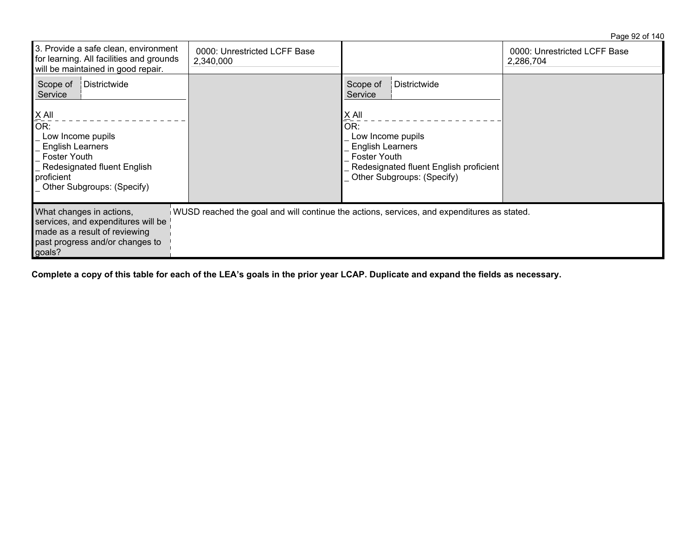Page 92 of 140

| 3. Provide a safe clean, environment<br>for learning. All facilities and grounds<br>will be maintained in good repair.                                           | 0000: Unrestricted LCFF Base<br>2,340,000 |                                                                                                                                               | 0000: Unrestricted LCFF Base<br>2,286,704 |
|------------------------------------------------------------------------------------------------------------------------------------------------------------------|-------------------------------------------|-----------------------------------------------------------------------------------------------------------------------------------------------|-------------------------------------------|
| Districtwide<br>Scope of<br>Service                                                                                                                              |                                           | Scope of<br>Districtwide<br>Service                                                                                                           |                                           |
| $X$ All<br>OR:<br>Low Income pupils<br><b>English Learners</b><br><b>Foster Youth</b><br>Redesignated fluent English<br>proficient<br>Other Subgroups: (Specify) |                                           | X All<br>OR:<br>Low Income pupils<br>English Learners<br>Foster Youth<br>Redesignated fluent English proficient<br>Other Subgroups: (Specify) |                                           |
| What changes in actions,<br>services, and expenditures will be<br>made as a result of reviewing<br>past progress and/or changes to<br>goals?                     |                                           | WUSD reached the goal and will continue the actions, services, and expenditures as stated.                                                    |                                           |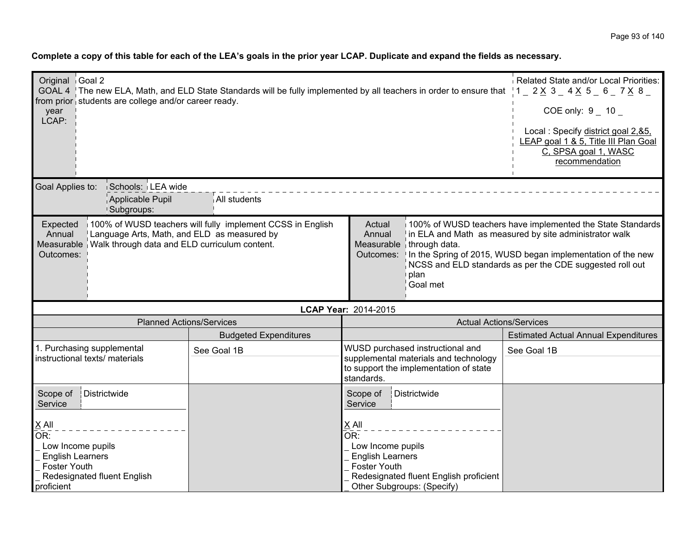| Original Goal 2<br>GOAL 4 The new ELA, Math, and ELD State Standards will be fully implemented by all teachers in order to ensure that $1 - 2 \times 3 - 4 \times 5 - 6 - 7 \times 8 - 1$<br>from prior students are college and/or career ready.<br>year<br>LCAP:                 | Related State and/or Local Priorities:<br>COE only: $9 - 10 -$<br>Local: Specify district goal 2, & 5,<br>LEAP goal 1 & 5, Title III Plan Goal<br>C, SPSA goal 1, WASC<br>recommendation |                                                                                                                                                                                      |                                                                                                                                                                                                                                                           |  |
|------------------------------------------------------------------------------------------------------------------------------------------------------------------------------------------------------------------------------------------------------------------------------------|------------------------------------------------------------------------------------------------------------------------------------------------------------------------------------------|--------------------------------------------------------------------------------------------------------------------------------------------------------------------------------------|-----------------------------------------------------------------------------------------------------------------------------------------------------------------------------------------------------------------------------------------------------------|--|
| Goal Applies to:<br>Schools: LEA wide                                                                                                                                                                                                                                              |                                                                                                                                                                                          |                                                                                                                                                                                      |                                                                                                                                                                                                                                                           |  |
| Applicable Pupil<br><sup>1</sup> Subgroups:                                                                                                                                                                                                                                        | All students                                                                                                                                                                             |                                                                                                                                                                                      |                                                                                                                                                                                                                                                           |  |
| 100% of WUSD teachers will fully implement CCSS in English<br>Expected<br>Actual<br>Language Arts, Math, and ELD as measured by<br>Annual<br>Annual<br>Walk through data and ELD curriculum content.<br>Measurable<br>Measurable<br>through data.<br>Outcomes:<br>plan<br>Goal met |                                                                                                                                                                                          |                                                                                                                                                                                      | 100% of WUSD teachers have implemented the State Standards<br>in ELA and Math as measured by site administrator walk<br>Outcomes: In the Spring of 2015, WUSD began implementation of the new<br>NCSS and ELD standards as per the CDE suggested roll out |  |
|                                                                                                                                                                                                                                                                                    |                                                                                                                                                                                          | LCAP Year: 2014-2015                                                                                                                                                                 |                                                                                                                                                                                                                                                           |  |
| <b>Planned Actions/Services</b>                                                                                                                                                                                                                                                    |                                                                                                                                                                                          | <b>Actual Actions/Services</b>                                                                                                                                                       |                                                                                                                                                                                                                                                           |  |
|                                                                                                                                                                                                                                                                                    | <b>Budgeted Expenditures</b>                                                                                                                                                             |                                                                                                                                                                                      | <b>Estimated Actual Annual Expenditures</b>                                                                                                                                                                                                               |  |
| 1. Purchasing supplemental<br>instructional texts/ materials                                                                                                                                                                                                                       | See Goal 1B                                                                                                                                                                              | WUSD purchased instructional and<br>supplemental materials and technology<br>to support the implementation of state<br>standards.                                                    | See Goal 1B                                                                                                                                                                                                                                               |  |
| Scope of<br>Districtwide<br>Service                                                                                                                                                                                                                                                |                                                                                                                                                                                          | Districtwide<br>Scope of<br>Service                                                                                                                                                  |                                                                                                                                                                                                                                                           |  |
| $X$ All<br>OR:<br>Low Income pupils<br><b>English Learners</b><br><b>Foster Youth</b><br>Redesignated fluent English<br>proficient                                                                                                                                                 |                                                                                                                                                                                          | $X$ All<br>$\overline{\mathsf{OR}}$ :<br>Low Income pupils<br><b>English Learners</b><br><b>Foster Youth</b><br>Redesignated fluent English proficient<br>Other Subgroups: (Specify) |                                                                                                                                                                                                                                                           |  |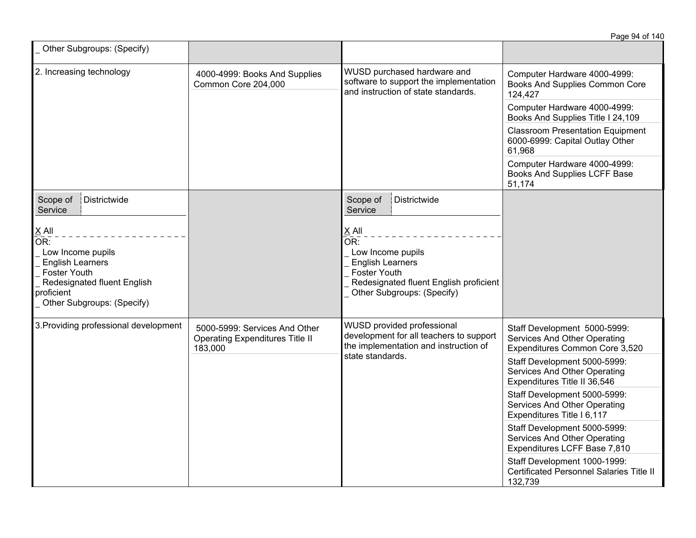|                                                                                                                                                                      |                                                                                    |                                                                                                                                                      | Page 94 of 140                                                                                 |
|----------------------------------------------------------------------------------------------------------------------------------------------------------------------|------------------------------------------------------------------------------------|------------------------------------------------------------------------------------------------------------------------------------------------------|------------------------------------------------------------------------------------------------|
| Other Subgroups: (Specify)                                                                                                                                           |                                                                                    |                                                                                                                                                      |                                                                                                |
| 2. Increasing technology                                                                                                                                             | 4000-4999: Books And Supplies<br>Common Core 204,000                               | WUSD purchased hardware and<br>software to support the implementation<br>and instruction of state standards.                                         | Computer Hardware 4000-4999:<br>Books And Supplies Common Core<br>124,427                      |
|                                                                                                                                                                      |                                                                                    |                                                                                                                                                      | Computer Hardware 4000-4999:<br>Books And Supplies Title I 24,109                              |
|                                                                                                                                                                      |                                                                                    |                                                                                                                                                      | <b>Classroom Presentation Equipment</b><br>6000-6999: Capital Outlay Other<br>61,968           |
|                                                                                                                                                                      |                                                                                    |                                                                                                                                                      | Computer Hardware 4000-4999:<br>Books And Supplies LCFF Base<br>51,174                         |
| Scope of<br>Districtwide<br>Service                                                                                                                                  |                                                                                    | Scope of<br>Districtwide<br>Service                                                                                                                  |                                                                                                |
| <b>XAII</b><br>OR:<br>Low Income pupils<br><b>English Learners</b><br><b>Foster Youth</b><br>Redesignated fluent English<br>proficient<br>Other Subgroups: (Specify) |                                                                                    | X All<br>OR:<br>Low Income pupils<br><b>English Learners</b><br>Foster Youth<br>Redesignated fluent English proficient<br>Other Subgroups: (Specify) |                                                                                                |
| 3. Providing professional development                                                                                                                                | 5000-5999: Services And Other<br><b>Operating Expenditures Title II</b><br>183,000 | WUSD provided professional<br>development for all teachers to support<br>the implementation and instruction of<br>state standards.                   | Staff Development 5000-5999:<br>Services And Other Operating<br>Expenditures Common Core 3,520 |
|                                                                                                                                                                      |                                                                                    |                                                                                                                                                      | Staff Development 5000-5999:<br>Services And Other Operating<br>Expenditures Title II 36,546   |
|                                                                                                                                                                      |                                                                                    |                                                                                                                                                      | Staff Development 5000-5999:<br>Services And Other Operating<br>Expenditures Title I 6,117     |
|                                                                                                                                                                      |                                                                                    |                                                                                                                                                      | Staff Development 5000-5999:<br>Services And Other Operating<br>Expenditures LCFF Base 7,810   |
|                                                                                                                                                                      |                                                                                    |                                                                                                                                                      | Staff Development 1000-1999:<br>Certificated Personnel Salaries Title II<br>132,739            |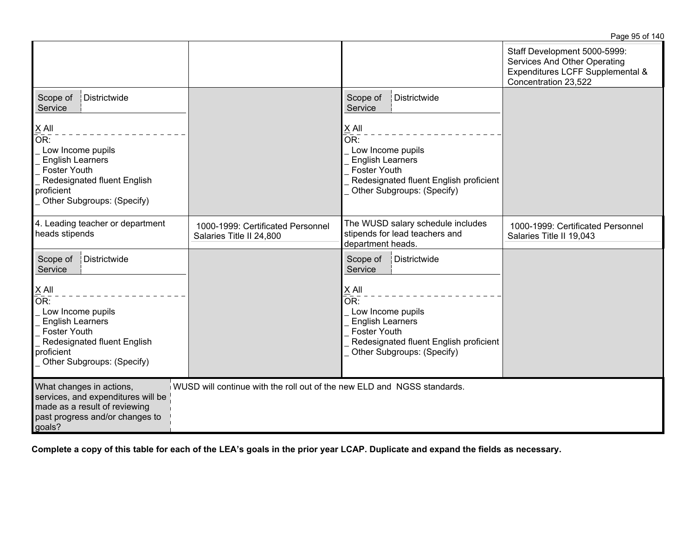|                                                                                                                                                                                                                     |                                                                                   |                                                                                                                                                                                                      | Staff Development 5000-5999:<br>Services And Other Operating<br>Expenditures LCFF Supplemental &<br>Concentration 23,522 |
|---------------------------------------------------------------------------------------------------------------------------------------------------------------------------------------------------------------------|-----------------------------------------------------------------------------------|------------------------------------------------------------------------------------------------------------------------------------------------------------------------------------------------------|--------------------------------------------------------------------------------------------------------------------------|
| Districtwide<br>Scope of<br>Service                                                                                                                                                                                 |                                                                                   | Districtwide<br>Scope of<br>Service                                                                                                                                                                  |                                                                                                                          |
| $\underline{X}$ All<br>OR:<br>Low Income pupils<br><b>English Learners</b><br>Foster Youth<br>Redesignated fluent English<br>proficient<br>Other Subgroups: (Specify)                                               |                                                                                   | $X$ All<br>OR:<br>Low Income pupils<br><b>English Learners</b><br><b>Foster Youth</b><br>Redesignated fluent English proficient<br>Other Subgroups: (Specify)                                        |                                                                                                                          |
| 4. Leading teacher or department<br>heads stipends                                                                                                                                                                  | 1000-1999: Certificated Personnel<br>Salaries Title II 24,800                     | The WUSD salary schedule includes<br>stipends for lead teachers and<br>department heads.                                                                                                             | 1000-1999: Certificated Personnel<br>Salaries Title II 19,043                                                            |
| Districtwide<br>Scope of<br>Service<br>$\underline{X}$ All<br>OR:<br>Low Income pupils<br><b>English Learners</b><br><b>Foster Youth</b><br>Redesignated fluent English<br>proficient<br>Other Subgroups: (Specify) |                                                                                   | Scope of<br>Districtwide<br>Service<br>$X$ All<br>OR:<br>Low Income pupils<br><b>English Learners</b><br><b>Foster Youth</b><br>Redesignated fluent English proficient<br>Other Subgroups: (Specify) |                                                                                                                          |
| What changes in actions,<br>services, and expenditures will be<br>made as a result of reviewing<br>past progress and/or changes to<br>goals?                                                                        | $\dot{a}$ WUSD will continue with the roll out of the new ELD and NGSS standards. |                                                                                                                                                                                                      |                                                                                                                          |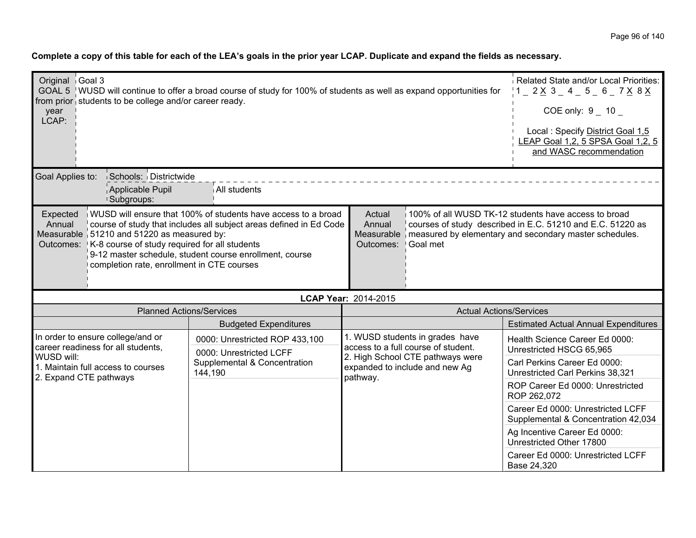| Original Goal 3<br>year<br>LCAP:                                                                                                                                                                                                                                                                                                                                                                                                                                                                                                                                                                                    | GOAL 5   WUSD will continue to offer a broad course of study for 100% of students as well as expand opportunities for<br>from prior students to be college and/or career ready. | Related State and/or Local Priorities:<br>$1 - 2 \times 3 - 4 - 5 - 6 - 7 \times 8 \times$<br>COE only: 9 10<br>Local: Specify District Goal 1,5<br>LEAP Goal 1,2, 5 SPSA Goal 1,2, 5<br>and WASC recommendation |                                                                                |                                                                          |
|---------------------------------------------------------------------------------------------------------------------------------------------------------------------------------------------------------------------------------------------------------------------------------------------------------------------------------------------------------------------------------------------------------------------------------------------------------------------------------------------------------------------------------------------------------------------------------------------------------------------|---------------------------------------------------------------------------------------------------------------------------------------------------------------------------------|------------------------------------------------------------------------------------------------------------------------------------------------------------------------------------------------------------------|--------------------------------------------------------------------------------|--------------------------------------------------------------------------|
| Goal Applies to:                                                                                                                                                                                                                                                                                                                                                                                                                                                                                                                                                                                                    | Schools: Districtwide<br>Applicable Pupil<br><sup>1</sup> Subgroups:                                                                                                            | All students                                                                                                                                                                                                     |                                                                                |                                                                          |
| WUSD will ensure that 100% of students have access to a broad<br>100% of all WUSD TK-12 students have access to broad<br>Actual<br>Expected<br>course of study that includes all subject areas defined in Ed Code<br>Annual<br>courses of study described in E.C. 51210 and E.C. 51220 as<br>Annual<br>Measurable 51210 and 51220 as measured by:<br>Measurable measured by elementary and secondary master schedules.<br>Outcomes: K-8 course of study required for all students<br>Goal met<br>Outcomes:<br>9-12 master schedule, student course enrollment, course<br>completion rate, enrollment in CTE courses |                                                                                                                                                                                 |                                                                                                                                                                                                                  |                                                                                |                                                                          |
|                                                                                                                                                                                                                                                                                                                                                                                                                                                                                                                                                                                                                     |                                                                                                                                                                                 |                                                                                                                                                                                                                  | LCAP Year: 2014-2015                                                           |                                                                          |
|                                                                                                                                                                                                                                                                                                                                                                                                                                                                                                                                                                                                                     | <b>Planned Actions/Services</b>                                                                                                                                                 |                                                                                                                                                                                                                  | <b>Actual Actions/Services</b>                                                 |                                                                          |
|                                                                                                                                                                                                                                                                                                                                                                                                                                                                                                                                                                                                                     |                                                                                                                                                                                 | <b>Budgeted Expenditures</b>                                                                                                                                                                                     |                                                                                | <b>Estimated Actual Annual Expenditures</b>                              |
|                                                                                                                                                                                                                                                                                                                                                                                                                                                                                                                                                                                                                     | In order to ensure college/and or<br>career readiness for all students,                                                                                                         | 0000: Unrestricted ROP 433,100<br>0000: Unrestricted LCFF                                                                                                                                                        | 1. WUSD students in grades have<br>access to a full course of student.         | Health Science Career Ed 0000:<br>Unrestricted HSCG 65,965               |
| WUSD will:<br>1. Maintain full access to courses<br>2. Expand CTE pathways                                                                                                                                                                                                                                                                                                                                                                                                                                                                                                                                          |                                                                                                                                                                                 | Supplemental & Concentration<br>144,190                                                                                                                                                                          | 2. High School CTE pathways were<br>expanded to include and new Ag<br>pathway. | Carl Perkins Career Ed 0000:<br>Unrestricted Carl Perkins 38,321         |
|                                                                                                                                                                                                                                                                                                                                                                                                                                                                                                                                                                                                                     |                                                                                                                                                                                 |                                                                                                                                                                                                                  |                                                                                | ROP Career Ed 0000: Unrestricted<br>ROP 262,072                          |
|                                                                                                                                                                                                                                                                                                                                                                                                                                                                                                                                                                                                                     |                                                                                                                                                                                 |                                                                                                                                                                                                                  |                                                                                | Career Ed 0000: Unrestricted LCFF<br>Supplemental & Concentration 42,034 |
|                                                                                                                                                                                                                                                                                                                                                                                                                                                                                                                                                                                                                     |                                                                                                                                                                                 |                                                                                                                                                                                                                  |                                                                                | Ag Incentive Career Ed 0000:<br>Unrestricted Other 17800                 |
|                                                                                                                                                                                                                                                                                                                                                                                                                                                                                                                                                                                                                     |                                                                                                                                                                                 |                                                                                                                                                                                                                  |                                                                                | Career Ed 0000: Unrestricted LCFF<br>Base 24,320                         |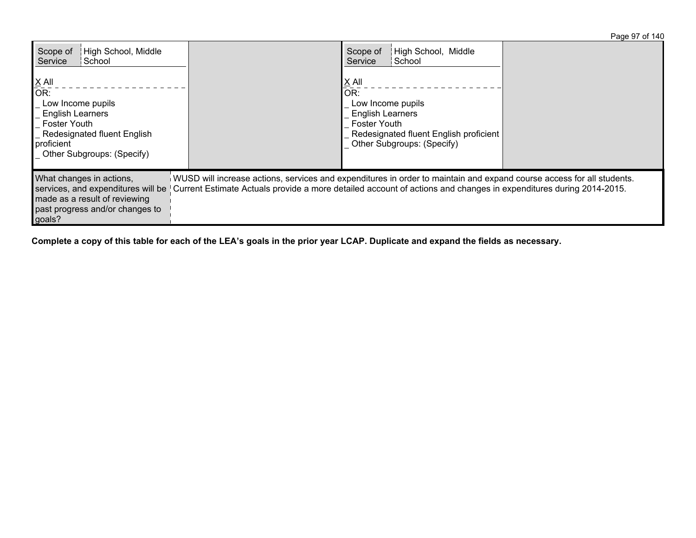Page 97 of 140

| High School, Middle<br>Scope of<br>Service<br>∣ School                                                                                                                             |                                                                                                                                                                                                                                            | High School, Middle<br>Scope of<br>¦ School<br>Service                                                                                                      |  |
|------------------------------------------------------------------------------------------------------------------------------------------------------------------------------------|--------------------------------------------------------------------------------------------------------------------------------------------------------------------------------------------------------------------------------------------|-------------------------------------------------------------------------------------------------------------------------------------------------------------|--|
| $X$ All<br>$\overline{OR}$ :<br>Low Income pupils<br><b>English Learners</b><br><b>Foster Youth</b><br>_ Redesignated fluent English<br>proficient<br>_ Other Subgroups: (Specify) |                                                                                                                                                                                                                                            | X All<br>OR:<br>Low Income pupils<br><b>English Learners</b><br><b>Foster Youth</b><br>Redesignated fluent English proficient<br>Other Subgroups: (Specify) |  |
| What changes in actions,<br>services, and expenditures will be<br>made as a result of reviewing<br>past progress and/or changes to<br>goals?                                       | WUSD will increase actions, services and expenditures in order to maintain and expand course access for all students.<br>Current Estimate Actuals provide a more detailed account of actions and changes in expenditures during 2014-2015. |                                                                                                                                                             |  |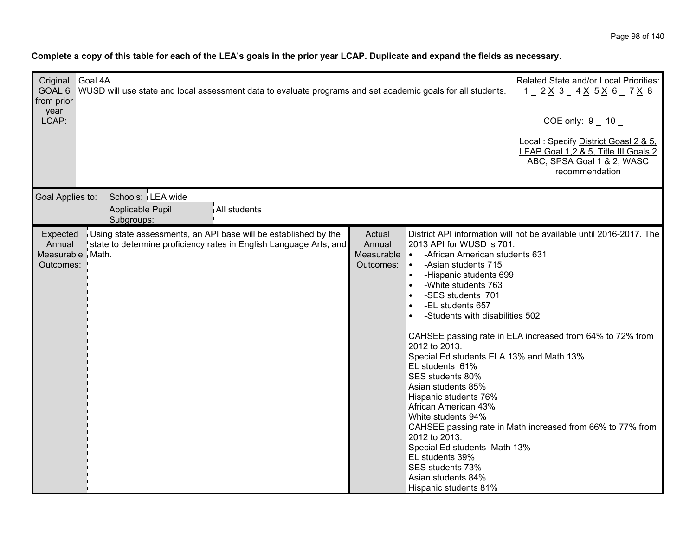| Original Goal 4A<br>GOAL 6 WUSD will use state and local assessment data to evaluate programs and set academic goals for all students.<br>from prior<br>year<br>LCAP:                          |                                                                                                                                                                                                                                                                                                                                                                                                                                                                                                                                                                                                                | Related State and/or Local Priorities:<br>$1$ $2 \times 3$ $4 \times 5 \times 6$ $7 \times 8$<br>COE only: $9 - 10$<br>Local: Specify District Goasl 2 & 5,<br>LEAP Goal 1,2 & 5, Title III Goals 2<br>ABC, SPSA Goal 1 & 2, WASC<br>recommendation |
|------------------------------------------------------------------------------------------------------------------------------------------------------------------------------------------------|----------------------------------------------------------------------------------------------------------------------------------------------------------------------------------------------------------------------------------------------------------------------------------------------------------------------------------------------------------------------------------------------------------------------------------------------------------------------------------------------------------------------------------------------------------------------------------------------------------------|-----------------------------------------------------------------------------------------------------------------------------------------------------------------------------------------------------------------------------------------------------|
| Schools: LEA wide<br>Goal Applies to:<br>Applicable Pupil<br>All students<br><sup>1</sup> Subgroups:                                                                                           |                                                                                                                                                                                                                                                                                                                                                                                                                                                                                                                                                                                                                |                                                                                                                                                                                                                                                     |
| Using state assessments, an API base will be established by the<br>Expected<br>Annual<br>state to determine proficiency rates in English Language Arts, and<br>Measurable   Math.<br>Outcomes: | Actual<br>Annual<br>2013 API for WUSD is 701.<br>Measurable   •<br>-African American students 631<br>Outcomes:   •<br>-Asian students 715<br>-Hispanic students 699<br>-White students 763<br>-SES students 701<br>-EL students 657<br>-Students with disabilities 502<br>2012 to 2013.<br>Special Ed students ELA 13% and Math 13%<br>EL students 61%<br>SES students 80%<br>Asian students 85%<br>Hispanic students 76%<br>African American 43%<br>White students 94%<br>2012 to 2013.<br>Special Ed students Math 13%<br>EL students 39%<br>SES students 73%<br>Asian students 84%<br>Hispanic students 81% | District API information will not be available until 2016-2017. The<br>CAHSEE passing rate in ELA increased from 64% to 72% from<br>CAHSEE passing rate in Math increased from 66% to 77% from                                                      |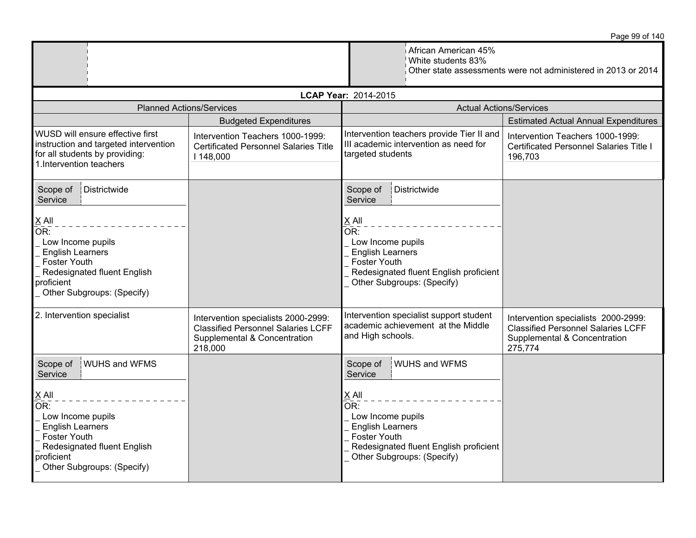|                                                                                                                                                                                                                             |                                                                                                                             |                                                                                                                                                                                                                                     | Page 99 or 140                                                                                                              |
|-----------------------------------------------------------------------------------------------------------------------------------------------------------------------------------------------------------------------------|-----------------------------------------------------------------------------------------------------------------------------|-------------------------------------------------------------------------------------------------------------------------------------------------------------------------------------------------------------------------------------|-----------------------------------------------------------------------------------------------------------------------------|
|                                                                                                                                                                                                                             |                                                                                                                             | African American 45%<br>White students 83%                                                                                                                                                                                          | Other state assessments were not administered in 2013 or 2014                                                               |
|                                                                                                                                                                                                                             |                                                                                                                             | LCAP Year: 2014-2015                                                                                                                                                                                                                |                                                                                                                             |
| <b>Planned Actions/Services</b>                                                                                                                                                                                             |                                                                                                                             |                                                                                                                                                                                                                                     | <b>Actual Actions/Services</b>                                                                                              |
|                                                                                                                                                                                                                             | <b>Budgeted Expenditures</b>                                                                                                |                                                                                                                                                                                                                                     | <b>Estimated Actual Annual Expenditures</b>                                                                                 |
| WUSD will ensure effective first<br>instruction and targeted intervention<br>for all students by providing:<br>1. Intervention teachers                                                                                     | Intervention Teachers 1000-1999:<br><b>Certificated Personnel Salaries Title</b><br>I 148,000                               | Intervention teachers provide Tier II and<br>III academic intervention as need for<br>targeted students                                                                                                                             | Intervention Teachers 1000-1999:<br>Certificated Personnel Salaries Title I<br>196,703                                      |
| Scope of<br>Districtwide<br>Service                                                                                                                                                                                         |                                                                                                                             | Scope of<br>Districtwide<br>Service                                                                                                                                                                                                 |                                                                                                                             |
| $X$ All<br>OR:<br>Low Income pupils<br><b>English Learners</b><br><b>Foster Youth</b><br>Redesignated fluent English<br>proficient<br>Other Subgroups: (Specify)                                                            |                                                                                                                             | X All<br>OR:<br>Low Income pupils<br><b>English Learners</b><br><b>Foster Youth</b><br>Redesignated fluent English proficient<br>Other Subgroups: (Specify)                                                                         |                                                                                                                             |
| 2. Intervention specialist                                                                                                                                                                                                  | Intervention specialists 2000-2999:<br><b>Classified Personnel Salaries LCFF</b><br>Supplemental & Concentration<br>218,000 | Intervention specialist support student<br>academic achievement at the Middle<br>and High schools.                                                                                                                                  | Intervention specialists 2000-2999:<br><b>Classified Personnel Salaries LCFF</b><br>Supplemental & Concentration<br>275,774 |
| <b>WUHS and WFMS</b><br>Scope of<br>Service<br>$\underline{X}$ All<br>OR:<br>Low Income pupils<br><b>English Learners</b><br><b>Foster Youth</b><br>Redesignated fluent English<br>proficient<br>Other Subgroups: (Specify) |                                                                                                                             | Scope of<br><b>WUHS and WFMS</b><br>Service<br>$X$ All<br>$\overline{\mathsf{OR}}$ :<br>Low Income pupils<br><b>English Learners</b><br><b>Foster Youth</b><br>Redesignated fluent English proficient<br>Other Subgroups: (Specify) |                                                                                                                             |

Page 99 of 140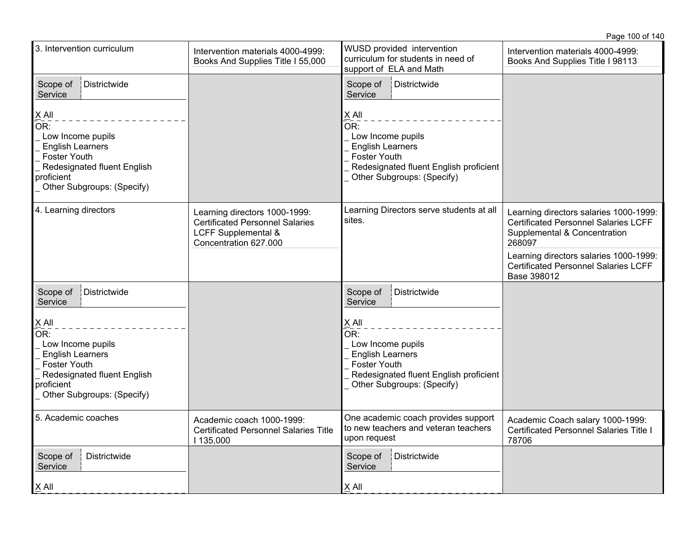3. Intervention curriculum Intervention materials 4000-4999: Books And Supplies Title I 55,000 WUSD provided intervention curriculum for students in need of support of **ELA** and Math Intervention materials 4000-4999: Books And Supplies Title I 98113 Scope of Service Districtwide X All  $\overline{\mathsf{OR}!}$  Low Income pupils English Learners Foster Youth Redesignated fluent English proficient Other Subgroups: (Specify) Scope of Districtwide Service X All  $OR:$  Low Income pupils English Learners Foster Youth Redesignated fluent English proficient Other Subgroups: (Specify) 4. Learning directors **Learning directors 1000-1999:** Certificated Personnel Salaries LCFF Supplemental & Concentration 627.000 Learning Directors serve students at all sites. Learning directors salaries 1000-1999: Certificated Personnel Salaries LCFF Supplemental & Concentration 268097 Learning directors salaries 1000-1999: Certificated Personnel Salaries LCFF Base 398012 Scope of Service Districtwide X All  $\overline{\mathsf{OR}}$ : Low Income pupils English Learners Foster Youth Redesignated fluent English proficient Other Subgroups: (Specify) Scope of **Service** Districtwide X All OR: Low Income pupils English Learners Foster Youth Redesignated fluent English proficient Other Subgroups: (Specify) 5. Academic coaches  $\vert$  Academic coach 1000-1999: Certificated Personnel Salaries Title I 135,000 One academic coach provides support to new teachers and veteran teachers upon request Academic Coach salary 1000-1999: Certificated Personnel Salaries Title I 78706 Scope of **Service Districtwide** X All Scope of Districtwide **Service** X All

Page 100 of 140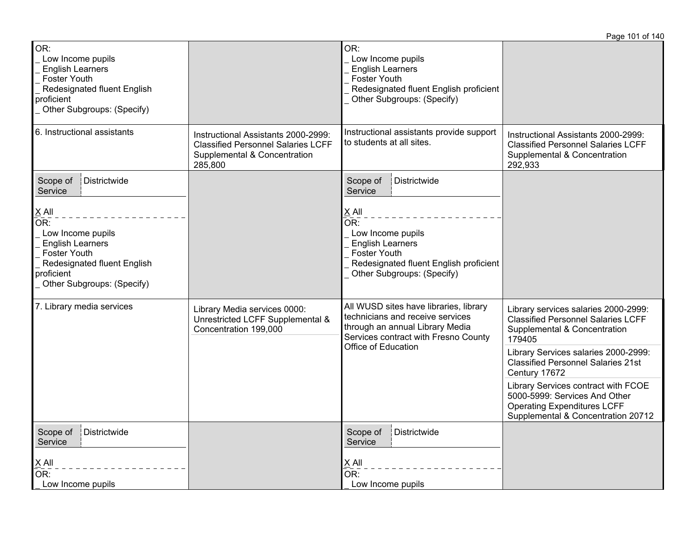|                                                                                                                                                       |                                                                                                                             |                                                                                                                                                       | Page 101 of 140                                                                                                                                  |
|-------------------------------------------------------------------------------------------------------------------------------------------------------|-----------------------------------------------------------------------------------------------------------------------------|-------------------------------------------------------------------------------------------------------------------------------------------------------|--------------------------------------------------------------------------------------------------------------------------------------------------|
| OR:<br>Low Income pupils<br><b>English Learners</b><br><b>Foster Youth</b><br>Redesignated fluent English<br>proficient<br>Other Subgroups: (Specify) |                                                                                                                             | OR:<br>Low Income pupils<br><b>English Learners</b><br>Foster Youth<br>Redesignated fluent English proficient<br>Other Subgroups: (Specify)           |                                                                                                                                                  |
| 6. Instructional assistants                                                                                                                           | Instructional Assistants 2000-2999:<br><b>Classified Personnel Salaries LCFF</b><br>Supplemental & Concentration<br>285,800 | Instructional assistants provide support<br>to students at all sites.                                                                                 | Instructional Assistants 2000-2999:<br><b>Classified Personnel Salaries LCFF</b><br>Supplemental & Concentration<br>292,933                      |
| Districtwide<br>Scope of<br>Service<br>$X$ All<br>OR:<br>Low Income pupils                                                                            |                                                                                                                             | Districtwide<br>Scope of<br>Service<br>$X$ All<br>OR:<br>Low Income pupils                                                                            |                                                                                                                                                  |
| <b>English Learners</b><br><b>Foster Youth</b><br>Redesignated fluent English<br>proficient<br>Other Subgroups: (Specify)                             |                                                                                                                             | <b>English Learners</b><br><b>Foster Youth</b><br>Redesignated fluent English proficient<br>Other Subgroups: (Specify)                                |                                                                                                                                                  |
| 7. Library media services                                                                                                                             | Library Media services 0000:<br>Unrestricted LCFF Supplemental &<br>Concentration 199,000                                   | All WUSD sites have libraries, library<br>technicians and receive services<br>through an annual Library Media<br>Services contract with Fresno County | Library services salaries 2000-2999:<br><b>Classified Personnel Salaries LCFF</b><br>Supplemental & Concentration<br>179405                      |
|                                                                                                                                                       | Office of Education                                                                                                         | Library Services salaries 2000-2999:<br><b>Classified Personnel Salaries 21st</b><br>Century 17672                                                    |                                                                                                                                                  |
|                                                                                                                                                       |                                                                                                                             |                                                                                                                                                       | Library Services contract with FCOE<br>5000-5999: Services And Other<br><b>Operating Expenditures LCFF</b><br>Supplemental & Concentration 20712 |
| Districtwide<br>Scope of<br>Service                                                                                                                   |                                                                                                                             | Scope of<br>Districtwide<br>Service                                                                                                                   |                                                                                                                                                  |
| X All<br>OR:<br>Low Income pupils                                                                                                                     |                                                                                                                             | X All<br>OR:<br>Low Income pupils                                                                                                                     |                                                                                                                                                  |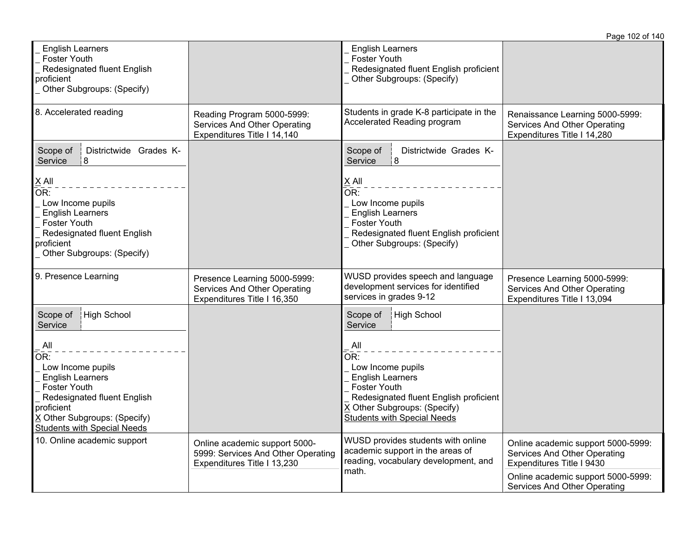|                                                                                                                                                                                                                                            |                                                                                                    |                                                                                                                                                                                                                                                                  | Page 102 of 140                                                                                 |
|--------------------------------------------------------------------------------------------------------------------------------------------------------------------------------------------------------------------------------------------|----------------------------------------------------------------------------------------------------|------------------------------------------------------------------------------------------------------------------------------------------------------------------------------------------------------------------------------------------------------------------|-------------------------------------------------------------------------------------------------|
| <b>English Learners</b><br><b>Foster Youth</b><br>Redesignated fluent English<br>proficient<br>Other Subgroups: (Specify)                                                                                                                  |                                                                                                    | <b>English Learners</b><br><b>Foster Youth</b><br>Redesignated fluent English proficient<br>Other Subgroups: (Specify)                                                                                                                                           |                                                                                                 |
| 8. Accelerated reading                                                                                                                                                                                                                     | Reading Program 5000-5999:<br>Services And Other Operating<br>Expenditures Title I 14,140          | Students in grade K-8 participate in the<br>Accelerated Reading program                                                                                                                                                                                          | Renaissance Learning 5000-5999:<br>Services And Other Operating<br>Expenditures Title I 14,280  |
| Districtwide Grades K-<br>Scope of<br> 8 <br>Service                                                                                                                                                                                       |                                                                                                    | Districtwide Grades K-<br>Scope of<br> 8<br>Service                                                                                                                                                                                                              |                                                                                                 |
| $X$ All<br>OR:<br>Low Income pupils<br><b>English Learners</b><br><b>Foster Youth</b><br>Redesignated fluent English<br>proficient<br>Other Subgroups: (Specify)                                                                           |                                                                                                    | $X$ All<br>OR:<br>Low Income pupils<br><b>English Learners</b><br><b>Foster Youth</b><br>Redesignated fluent English proficient<br>Other Subgroups: (Specify)                                                                                                    |                                                                                                 |
| 9. Presence Learning                                                                                                                                                                                                                       | Presence Learning 5000-5999:<br>Services And Other Operating<br>Expenditures Title I 16,350        | WUSD provides speech and language<br>development services for identified<br>services in grades 9-12                                                                                                                                                              | Presence Learning 5000-5999:<br>Services And Other Operating<br>Expenditures Title I 13,094     |
| Scope of<br>High School<br>Service<br>All<br>OR:<br>Low Income pupils<br><b>English Learners</b><br><b>Foster Youth</b><br>Redesignated fluent English<br>proficient<br>X Other Subgroups: (Specify)<br><b>Students with Special Needs</b> |                                                                                                    | High School<br>Scope of<br>Service<br>$\mathsf{All}$<br>$\overline{OR}$ :<br>Low Income pupils<br><b>English Learners</b><br><b>Foster Youth</b><br>Redesignated fluent English proficient<br>X Other Subgroups: (Specify)<br><b>Students with Special Needs</b> |                                                                                                 |
| 10. Online academic support                                                                                                                                                                                                                | Online academic support 5000-<br>5999: Services And Other Operating<br>Expenditures Title I 13,230 | WUSD provides students with online<br>academic support in the areas of<br>reading, vocabulary development, and<br>math.                                                                                                                                          | Online academic support 5000-5999:<br>Services And Other Operating<br>Expenditures Title I 9430 |
|                                                                                                                                                                                                                                            |                                                                                                    |                                                                                                                                                                                                                                                                  | Online academic support 5000-5999:<br>Services And Other Operating                              |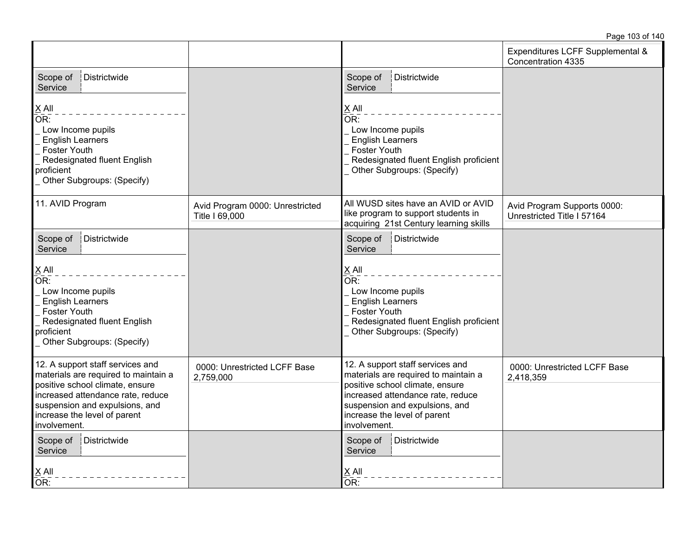|                                                                                                                                                                                                                                    |                                                   |                                                                                                                                                                                                                                    | Expenditures LCFF Supplemental &<br>Concentration 4335    |
|------------------------------------------------------------------------------------------------------------------------------------------------------------------------------------------------------------------------------------|---------------------------------------------------|------------------------------------------------------------------------------------------------------------------------------------------------------------------------------------------------------------------------------------|-----------------------------------------------------------|
| <b>Districtwide</b><br>Scope of<br>Service                                                                                                                                                                                         |                                                   | Scope of<br>Districtwide<br>Service                                                                                                                                                                                                |                                                           |
| $X$ All<br>OR:<br>Low Income pupils<br><b>English Learners</b><br>Foster Youth<br>Redesignated fluent English<br>proficient<br>Other Subgroups: (Specify)                                                                          |                                                   | X All<br>$\overline{\mathsf{OR}}$ :<br>Low Income pupils<br><b>English Learners</b><br><b>Foster Youth</b><br>Redesignated fluent English proficient<br>Other Subgroups: (Specify)                                                 |                                                           |
| 11. AVID Program                                                                                                                                                                                                                   | Avid Program 0000: Unrestricted<br>Title I 69,000 | All WUSD sites have an AVID or AVID<br>like program to support students in<br>acquiring 21st Century learning skills                                                                                                               | Avid Program Supports 0000:<br>Unrestricted Title I 57164 |
| Districtwide<br>Scope of<br>Service                                                                                                                                                                                                |                                                   | Districtwide<br>Scope of<br>Service                                                                                                                                                                                                |                                                           |
| $X$ All<br>OR:<br>Low Income pupils<br><b>English Learners</b><br>Foster Youth<br>Redesignated fluent English<br>proficient<br>Other Subgroups: (Specify)                                                                          |                                                   | X All<br>$\overline{\mathsf{OR}}$ :<br>Low Income pupils<br><b>English Learners</b><br><b>Foster Youth</b><br>Redesignated fluent English proficient<br>Other Subgroups: (Specify)                                                 |                                                           |
| 12. A support staff services and<br>materials are required to maintain a<br>positive school climate, ensure<br>increased attendance rate, reduce<br>suspension and expulsions, and<br>increase the level of parent<br>involvement. | 0000: Unrestricted LCFF Base<br>2,759,000         | 12. A support staff services and<br>materials are required to maintain a<br>positive school climate, ensure<br>increased attendance rate, reduce<br>suspension and expulsions, and<br>increase the level of parent<br>involvement. | 0000: Unrestricted LCFF Base<br>2,418,359                 |
| Districtwide<br>Scope of<br>Service<br>$\underline{X}$ All<br>OR:                                                                                                                                                                  |                                                   | Scope of<br>Districtwide<br>Service<br>$X$ All<br>OR:                                                                                                                                                                              |                                                           |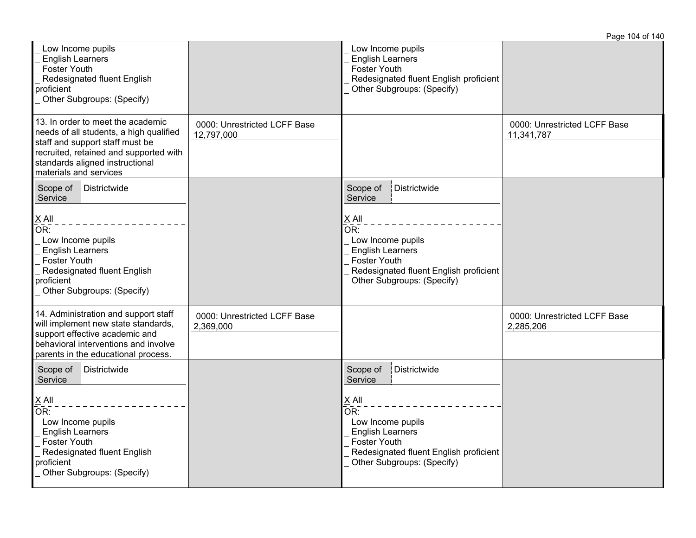|                                                                                                                                                                                                                        |                                            |                                                                                                                                                                                                      | Page 104 of 140                            |
|------------------------------------------------------------------------------------------------------------------------------------------------------------------------------------------------------------------------|--------------------------------------------|------------------------------------------------------------------------------------------------------------------------------------------------------------------------------------------------------|--------------------------------------------|
| Low Income pupils<br><b>English Learners</b><br><b>Foster Youth</b><br>Redesignated fluent English<br>proficient<br>Other Subgroups: (Specify)                                                                         |                                            | Low Income pupils<br><b>English Learners</b><br><b>Foster Youth</b><br>Redesignated fluent English proficient<br>Other Subgroups: (Specify)                                                          |                                            |
| 13. In order to meet the academic<br>needs of all students, a high qualified<br>staff and support staff must be<br>recruited, retained and supported with<br>standards aligned instructional<br>materials and services | 0000: Unrestricted LCFF Base<br>12,797,000 |                                                                                                                                                                                                      | 0000: Unrestricted LCFF Base<br>11,341,787 |
| Scope of<br>Districtwide<br>Service<br>X All<br>OR:<br>Low Income pupils<br><b>English Learners</b><br>Foster Youth<br>Redesignated fluent English<br>proficient<br>Other Subgroups: (Specify)                         |                                            | Scope of<br>Districtwide<br>Service<br>$X$ All<br>OR:<br>Low Income pupils<br><b>English Learners</b><br><b>Foster Youth</b><br>Redesignated fluent English proficient<br>Other Subgroups: (Specify) |                                            |
| 14. Administration and support staff<br>will implement new state standards,<br>support effective academic and<br>behavioral interventions and involve<br>parents in the educational process.                           | 0000: Unrestricted LCFF Base<br>2,369,000  |                                                                                                                                                                                                      | 0000: Unrestricted LCFF Base<br>2,285,206  |
| Scope of<br>Districtwide<br>Service<br>$\underline{X}$ All<br>OR:<br>Low Income pupils<br><b>English Learners</b><br><b>Foster Youth</b><br>Redesignated fluent English<br>proficient<br>Other Subgroups: (Specify)    |                                            | Scope of<br>Districtwide<br>Service<br>$X$ All<br>OR:<br>Low Income pupils<br><b>English Learners</b><br><b>Foster Youth</b><br>Redesignated fluent English proficient<br>Other Subgroups: (Specify) |                                            |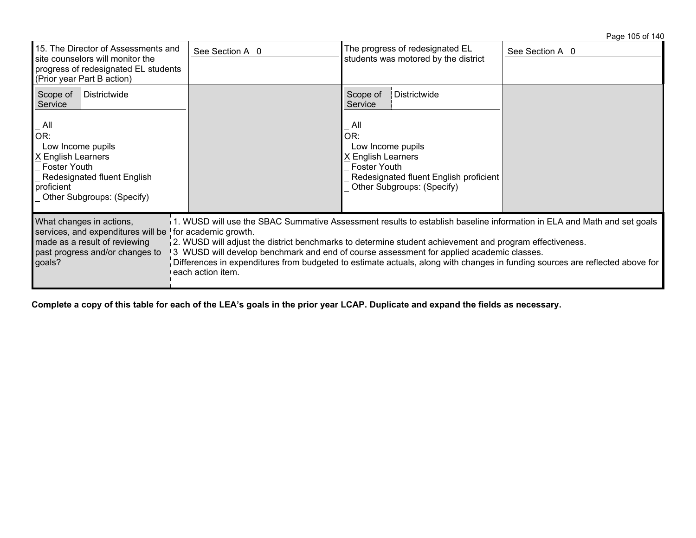## Page 105 of 140

| 15. The Director of Assessments and<br>site counselors will monitor the<br>progress of redesignated EL students<br>(Prior year Part B action)                                                                | See Section A 0                                                                                                                                                                                                                                                                                                                                                                                                                                                                                            | The progress of redesignated EL<br>students was motored by the district                                                                                                                            | See Section A 0 |
|--------------------------------------------------------------------------------------------------------------------------------------------------------------------------------------------------------------|------------------------------------------------------------------------------------------------------------------------------------------------------------------------------------------------------------------------------------------------------------------------------------------------------------------------------------------------------------------------------------------------------------------------------------------------------------------------------------------------------------|----------------------------------------------------------------------------------------------------------------------------------------------------------------------------------------------------|-----------------|
| Districtwide<br>Scope of<br>Service<br>$\overline{A}$ ll<br>OR:<br>Low Income pupils<br>X English Learners<br><b>Foster Youth</b><br>Redesignated fluent English<br>proficient<br>Other Subgroups: (Specify) |                                                                                                                                                                                                                                                                                                                                                                                                                                                                                                            | Scope of<br>Districtwide<br>Service<br>$\overline{A}$ ll<br>OR:<br>Low Income pupils<br>X English Learners<br>Foster Youth<br>Redesignated fluent English proficient<br>Other Subgroups: (Specify) |                 |
| What changes in actions,<br>services, and expenditures will be<br>made as a result of reviewing<br>past progress and/or changes to<br>goals?                                                                 | 1. WUSD will use the SBAC Summative Assessment results to establish baseline information in ELA and Math and set goals<br>for academic growth.<br>2. WUSD will adjust the district benchmarks to determine student achievement and program effectiveness.<br>3 WUSD will develop benchmark and end of course assessment for applied academic classes.<br>Differences in expenditures from budgeted to estimate actuals, along with changes in funding sources are reflected above for<br>each action item. |                                                                                                                                                                                                    |                 |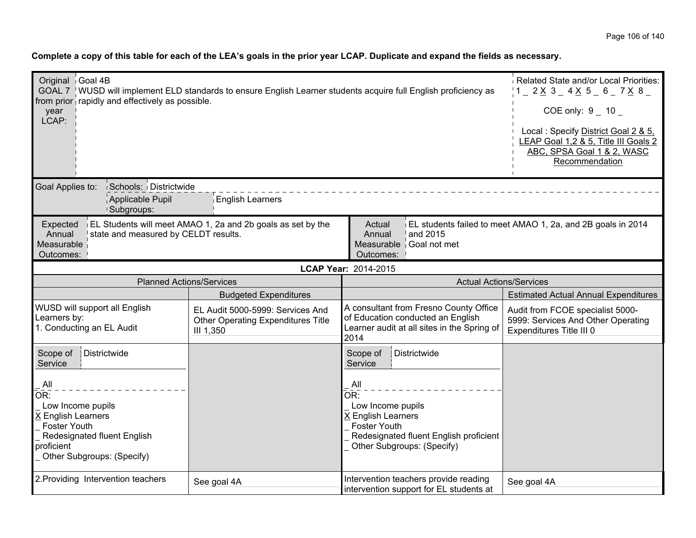| Original Goal 4B<br>GOAL 7   WUSD will implement ELD standards to ensure English Learner students acquire full English proficiency as<br>from prior rapidly and effectively as possible.<br>year<br>LCAP: | Related State and/or Local Priorities:<br>$1 - 2 \times 3 - 4 \times 5 - 6 - 7 \times 8$<br>COE only: $9 - 10 -$<br>Local: Specify District Goal 2 & 5,<br>EAP Goal 1,2 & 5, Title III Goals 2<br>ABC, SPSA Goal 1 & 2, WASC<br>Recommendation |                                                                                                                                               |                                                                                                    |
|-----------------------------------------------------------------------------------------------------------------------------------------------------------------------------------------------------------|------------------------------------------------------------------------------------------------------------------------------------------------------------------------------------------------------------------------------------------------|-----------------------------------------------------------------------------------------------------------------------------------------------|----------------------------------------------------------------------------------------------------|
| Goal Applies to:<br>Schools: Districtwide<br>Applicable Pupil<br><b>Subgroups:</b>                                                                                                                        | <b>English Learners</b>                                                                                                                                                                                                                        |                                                                                                                                               |                                                                                                    |
| Expected<br>state and measured by CELDT results.<br>Annual<br>Measurable<br>Outcomes:                                                                                                                     | EL Students will meet AMAO 1, 2a and 2b goals as set by the                                                                                                                                                                                    | Actual<br>and 2015<br>Annual<br>Measurable Goal not met<br>Outcomes:                                                                          | EL students failed to meet AMAO 1, 2a, and 2B goals in 2014                                        |
|                                                                                                                                                                                                           |                                                                                                                                                                                                                                                | LCAP Year: 2014-2015                                                                                                                          |                                                                                                    |
| <b>Planned Actions/Services</b>                                                                                                                                                                           |                                                                                                                                                                                                                                                | <b>Actual Actions/Services</b>                                                                                                                |                                                                                                    |
|                                                                                                                                                                                                           | <b>Budgeted Expenditures</b>                                                                                                                                                                                                                   |                                                                                                                                               | <b>Estimated Actual Annual Expenditures</b>                                                        |
| WUSD will support all English<br>Learners by:<br>1. Conducting an EL Audit                                                                                                                                | EL Audit 5000-5999: Services And<br><b>Other Operating Expenditures Title</b><br>III 1,350                                                                                                                                                     | A consultant from Fresno County Office<br>of Education conducted an English<br>Learner audit at all sites in the Spring of<br>2014            | Audit from FCOE specialist 5000-<br>5999: Services And Other Operating<br>Expenditures Title III 0 |
| Scope of<br>Districtwide<br>Service                                                                                                                                                                       |                                                                                                                                                                                                                                                | Scope of<br>Districtwide<br>Service                                                                                                           |                                                                                                    |
| $\mathsf{All}$<br>OR:<br>Low Income pupils<br>X English Learners<br><b>Foster Youth</b><br>Redesignated fluent English<br>proficient<br>Other Subgroups: (Specify)                                        |                                                                                                                                                                                                                                                | All<br>OR:<br>Low Income pupils<br>X English Learners<br>Foster Youth<br>Redesignated fluent English proficient<br>Other Subgroups: (Specify) |                                                                                                    |
| 2. Providing Intervention teachers                                                                                                                                                                        | See goal 4A                                                                                                                                                                                                                                    | Intervention teachers provide reading<br>intervention support for EL students at                                                              | See goal 4A                                                                                        |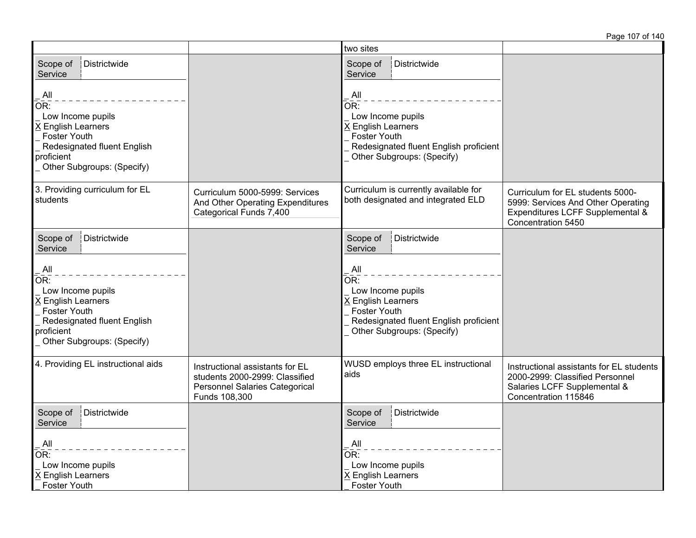Page 107 of 140

|                                                                                                                                                             |                                                                                                                             | two sites                                                                                                                                                          |                                                                                                                                     |
|-------------------------------------------------------------------------------------------------------------------------------------------------------------|-----------------------------------------------------------------------------------------------------------------------------|--------------------------------------------------------------------------------------------------------------------------------------------------------------------|-------------------------------------------------------------------------------------------------------------------------------------|
| Scope of<br>Districtwide<br>Service                                                                                                                         |                                                                                                                             | Scope of<br>Districtwide<br>Service                                                                                                                                |                                                                                                                                     |
| All<br>OR:<br>Low Income pupils<br>X English Learners<br>Foster Youth<br>Redesignated fluent English<br>proficient<br>Other Subgroups: (Specify)            |                                                                                                                             | All<br>OR:<br>Low Income pupils<br>X English Learners<br><b>Foster Youth</b><br>Redesignated fluent English proficient<br>Other Subgroups: (Specify)               |                                                                                                                                     |
| 3. Providing curriculum for EL<br>students                                                                                                                  | Curriculum 5000-5999: Services<br>And Other Operating Expenditures<br>Categorical Funds 7,400                               | Curriculum is currently available for<br>both designated and integrated ELD                                                                                        | Curriculum for EL students 5000-<br>5999: Services And Other Operating<br>Expenditures LCFF Supplemental &<br>Concentration 5450    |
| Districtwide<br>Scope of<br>Service                                                                                                                         |                                                                                                                             | Scope of<br>Districtwide<br>Service                                                                                                                                |                                                                                                                                     |
| $\mathsf{All}$<br>OR:<br>Low Income pupils<br>X English Learners<br>Foster Youth<br>Redesignated fluent English<br>proficient<br>Other Subgroups: (Specify) |                                                                                                                             | $\overline{A}$ ll<br>OR:<br>Low Income pupils<br>X English Learners<br><b>Foster Youth</b><br>Redesignated fluent English proficient<br>Other Subgroups: (Specify) |                                                                                                                                     |
| 4. Providing EL instructional aids                                                                                                                          | Instructional assistants for EL<br>students 2000-2999: Classified<br><b>Personnel Salaries Categorical</b><br>Funds 108,300 | WUSD employs three EL instructional<br>aids                                                                                                                        | Instructional assistants for EL students<br>2000-2999: Classified Personnel<br>Salaries LCFF Supplemental &<br>Concentration 115846 |
| Districtwide<br>Scope of<br>Service                                                                                                                         |                                                                                                                             | Districtwide<br>Scope of<br>Service                                                                                                                                |                                                                                                                                     |
| All<br>OR:<br>Low Income pupils<br>X English Learners<br>Foster Youth                                                                                       |                                                                                                                             | All<br>OR:<br>Low Income pupils<br>X English Learners<br><b>Foster Youth</b>                                                                                       |                                                                                                                                     |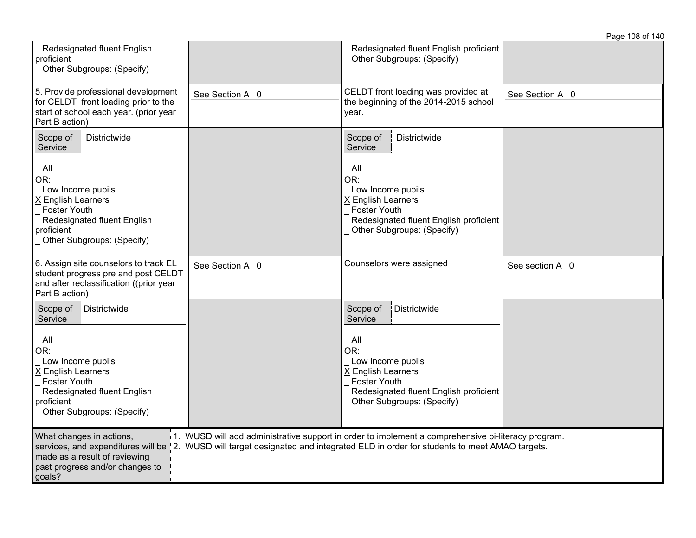|                                                                                                                                                                                                                                                                                                                                                    |                 |                                                                                                                                                                                                           | Page 108 of 140 |
|----------------------------------------------------------------------------------------------------------------------------------------------------------------------------------------------------------------------------------------------------------------------------------------------------------------------------------------------------|-----------------|-----------------------------------------------------------------------------------------------------------------------------------------------------------------------------------------------------------|-----------------|
| Redesignated fluent English<br>proficient<br>Other Subgroups: (Specify)                                                                                                                                                                                                                                                                            |                 | Redesignated fluent English proficient<br>Other Subgroups: (Specify)                                                                                                                                      |                 |
| 5. Provide professional development<br>for CELDT front loading prior to the<br>start of school each year. (prior year<br>Part B action)                                                                                                                                                                                                            | See Section A 0 | CELDT front loading was provided at<br>the beginning of the 2014-2015 school<br>year.                                                                                                                     | See Section A 0 |
| Districtwide<br>Scope of<br>Service                                                                                                                                                                                                                                                                                                                |                 | Districtwide<br>Scope of<br>Service                                                                                                                                                                       |                 |
| All<br>OR:<br>Low Income pupils<br>X English Learners<br><b>Foster Youth</b><br>Redesignated fluent English<br>proficient<br>Other Subgroups: (Specify)                                                                                                                                                                                            |                 | All<br>OR:<br>Low Income pupils<br>X English Learners<br><b>Foster Youth</b><br>Redesignated fluent English proficient<br>Other Subgroups: (Specify)                                                      |                 |
| 6. Assign site counselors to track EL<br>student progress pre and post CELDT<br>and after reclassification ((prior year<br>Part B action)                                                                                                                                                                                                          | See Section A 0 | Counselors were assigned                                                                                                                                                                                  | See section A 0 |
| Districtwide<br>Scope of<br>Service<br>$\mathsf{All}$<br>OR:<br>Low Income pupils<br>X English Learners<br><b>Foster Youth</b><br>Redesignated fluent English<br>proficient<br>Other Subgroups: (Specify)                                                                                                                                          |                 | Scope of<br>Districtwide<br>Service<br>$\overline{A}$ ll<br>OR:<br>Low Income pupils<br>X English Learners<br><b>Foster Youth</b><br>Redesignated fluent English proficient<br>Other Subgroups: (Specify) |                 |
| What changes in actions,<br>1. WUSD will add administrative support in order to implement a comprehensive bi-literacy program.<br>services, and expenditures will be   2. WUSD will target designated and integrated ELD in order for students to meet AMAO targets.<br>made as a result of reviewing<br>past progress and/or changes to<br>goals? |                 |                                                                                                                                                                                                           |                 |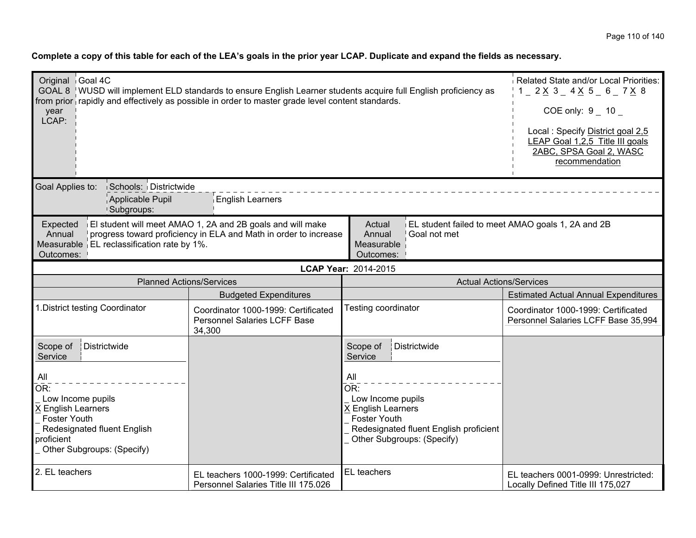| Original Goal 4C<br>GOAL 8   WUSD will implement ELD standards to ensure English Learner students acquire full English proficiency as<br>from prior rapidly and effectively as possible in order to master grade level content standards.<br>year<br>LCAP:                                                                            | Related State and/or Local Priorities:<br>$1 - 2 \times 3 - 4 \times 5 - 6 - 7 \times 8$<br>COE only: $9 - 10$<br>Local: Specify District goal 2,5<br>LEAP Goal 1,2,5 Title III goals<br>2ABC, SPSA Goal 2, WASC<br>recommendation |                                                                                                                                                                                             |                                                                            |  |
|---------------------------------------------------------------------------------------------------------------------------------------------------------------------------------------------------------------------------------------------------------------------------------------------------------------------------------------|------------------------------------------------------------------------------------------------------------------------------------------------------------------------------------------------------------------------------------|---------------------------------------------------------------------------------------------------------------------------------------------------------------------------------------------|----------------------------------------------------------------------------|--|
| Goal Applies to:<br>Schools: Districtwide<br>Applicable Pupil<br><b>Subgroups:</b>                                                                                                                                                                                                                                                    | <b>English Learners</b>                                                                                                                                                                                                            |                                                                                                                                                                                             |                                                                            |  |
| El student will meet AMAO 1, 2A and 2B goals and will make<br>EL student failed to meet AMAO goals 1, 2A and 2B<br>Expected<br>Actual<br>progress toward proficiency in ELA and Math in order to increase<br>Goal not met<br>Annual<br>Annual<br>Measurable   EL reclassification rate by 1%.<br>Measurable<br>Outcomes:<br>Outcomes: |                                                                                                                                                                                                                                    |                                                                                                                                                                                             |                                                                            |  |
| LCAP Year: 2014-2015                                                                                                                                                                                                                                                                                                                  |                                                                                                                                                                                                                                    |                                                                                                                                                                                             |                                                                            |  |
| <b>Planned Actions/Services</b>                                                                                                                                                                                                                                                                                                       |                                                                                                                                                                                                                                    | <b>Actual Actions/Services</b>                                                                                                                                                              |                                                                            |  |
|                                                                                                                                                                                                                                                                                                                                       | <b>Budgeted Expenditures</b>                                                                                                                                                                                                       |                                                                                                                                                                                             | <b>Estimated Actual Annual Expenditures</b>                                |  |
| 1. District testing Coordinator                                                                                                                                                                                                                                                                                                       | Coordinator 1000-1999: Certificated<br><b>Personnel Salaries LCFF Base</b><br>34,300                                                                                                                                               | Testing coordinator                                                                                                                                                                         | Coordinator 1000-1999: Certificated<br>Personnel Salaries LCFF Base 35,994 |  |
| Districtwide<br>Scope of<br>Service<br>All<br>$\overline{\mathsf{OR}}$ :<br>Low Income pupils<br>X English Learners<br><b>Foster Youth</b><br>Redesignated fluent English<br>proficient<br>Other Subgroups: (Specify)                                                                                                                 |                                                                                                                                                                                                                                    | Scope of<br>Districtwide<br>Service<br>All<br>OR:<br>Low Income pupils<br>X English Learners<br><b>Foster Youth</b><br>Redesignated fluent English proficient<br>Other Subgroups: (Specify) |                                                                            |  |
| 2. EL teachers                                                                                                                                                                                                                                                                                                                        | EL teachers 1000-1999: Certificated<br>Personnel Salaries Title III 175.026                                                                                                                                                        | EL teachers<br>EL teachers 0001-0999: Unrestricted:<br>Locally Defined Title III 175,027                                                                                                    |                                                                            |  |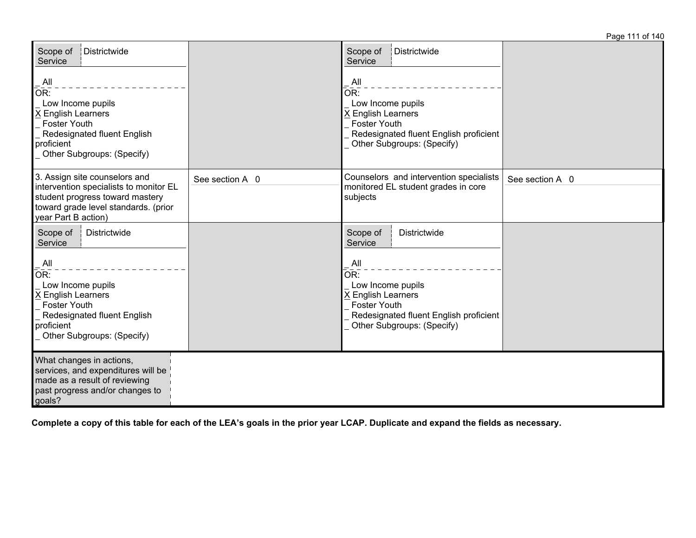| Districtwide<br>Scope of<br>Service<br>All<br>OR:<br>Low Income pupils<br>X English Learners<br><b>Foster Youth</b><br>Redesignated fluent English<br>proficient<br>Other Subgroups: (Specify)            |                 | Scope of<br>Districtwide<br>Service<br>All<br>OR:<br>Low Income pupils<br>X English Learners<br><b>Foster Youth</b><br>Redesignated fluent English proficient<br>Other Subgroups: (Specify)               |                 |
|-----------------------------------------------------------------------------------------------------------------------------------------------------------------------------------------------------------|-----------------|-----------------------------------------------------------------------------------------------------------------------------------------------------------------------------------------------------------|-----------------|
| 3. Assign site counselors and<br>intervention specialists to monitor EL<br>student progress toward mastery<br>toward grade level standards. (prior<br>year Part B action)                                 | See section A 0 | Counselors and intervention specialists<br>monitored EL student grades in core<br>subjects                                                                                                                | See section A 0 |
| Districtwide<br>Scope of<br>Service<br>$\mathsf{All}$<br>OR:<br>Low Income pupils<br>X English Learners<br><b>Foster Youth</b><br>Redesignated fluent English<br>proficient<br>Other Subgroups: (Specify) |                 | Scope of<br>Districtwide<br>Service<br>$\overline{A}$ ll<br>OR:<br>Low Income pupils<br>X English Learners<br><b>Foster Youth</b><br>Redesignated fluent English proficient<br>Other Subgroups: (Specify) |                 |
| What changes in actions,<br>services, and expenditures will be<br>made as a result of reviewing<br>past progress and/or changes to<br>goals?                                                              |                 |                                                                                                                                                                                                           |                 |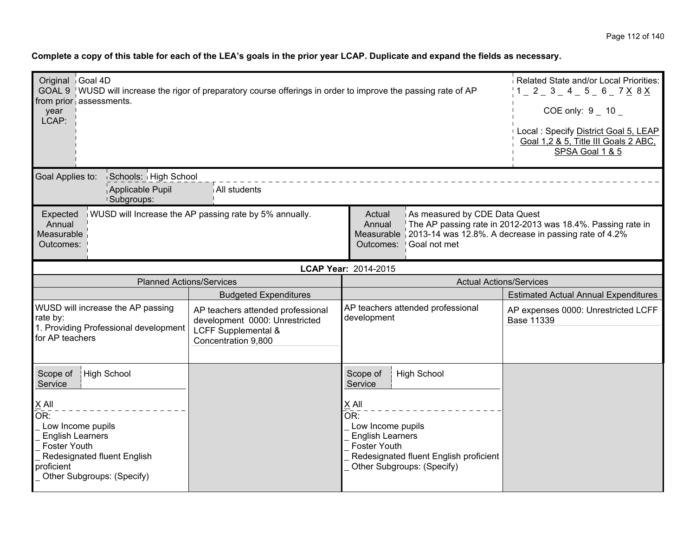| Original Goal 4D<br>GOAL 9   WUSD will increase the rigor of preparatory course offerings in order to improve the passing rate of AP<br>from prior assessments.<br>year<br>LCAP:                                                                                                                                             | Related State and/or Local Priorities:<br>$1 = 2 = 3 = 4 = 5 = 6 = 7 \times 8 \times 1$<br>COE only: $9 - 10$<br>Local: Specify District Goal 5, LEAP<br>Goal 1,2 & 5, Title III Goals 2 ABC,<br>SPSA Goal 1 & 5 |                                                                                                                                                                                                                          |                                                          |  |
|------------------------------------------------------------------------------------------------------------------------------------------------------------------------------------------------------------------------------------------------------------------------------------------------------------------------------|------------------------------------------------------------------------------------------------------------------------------------------------------------------------------------------------------------------|--------------------------------------------------------------------------------------------------------------------------------------------------------------------------------------------------------------------------|----------------------------------------------------------|--|
| Goal Applies to:<br>Schools: High School<br>Applicable Pupil<br><sup>1</sup> Subgroups:                                                                                                                                                                                                                                      | All students                                                                                                                                                                                                     |                                                                                                                                                                                                                          |                                                          |  |
| WUSD will Increase the AP passing rate by 5% annually.<br>As measured by CDE Data Quest<br>Expected<br>Actual<br>The AP passing rate in 2012-2013 was 18.4%. Passing rate in<br>Annual<br>Annual<br>Measurable 2013-14 was 12.8%. A decrease in passing rate of 4.2%<br>Measurable<br>Goal not met<br>Outcomes:<br>Outcomes: |                                                                                                                                                                                                                  |                                                                                                                                                                                                                          |                                                          |  |
| LCAP Year: 2014-2015                                                                                                                                                                                                                                                                                                         |                                                                                                                                                                                                                  |                                                                                                                                                                                                                          |                                                          |  |
|                                                                                                                                                                                                                                                                                                                              | <b>Planned Actions/Services</b><br><b>Actual Actions/Services</b>                                                                                                                                                |                                                                                                                                                                                                                          |                                                          |  |
|                                                                                                                                                                                                                                                                                                                              | <b>Budgeted Expenditures</b>                                                                                                                                                                                     |                                                                                                                                                                                                                          | <b>Estimated Actual Annual Expenditures</b>              |  |
| WUSD will increase the AP passing<br>rate by:<br>1. Providing Professional development<br>for AP teachers                                                                                                                                                                                                                    | AP teachers attended professional<br>development 0000: Unrestricted<br>LCFF Supplemental &<br>Concentration 9,800                                                                                                | AP teachers attended professional<br>development                                                                                                                                                                         | AP expenses 0000: Unrestricted LCFF<br><b>Base 11339</b> |  |
| Scope of<br>High School<br>Service<br>$\times$ All<br>$\overline{\mathsf{OR}}$ :<br>Low Income pupils<br><b>English Learners</b><br>Foster Youth<br>Redesignated fluent English<br>proficient<br>Other Subgroups: (Specify)                                                                                                  |                                                                                                                                                                                                                  | Scope of<br><b>High School</b><br>Service<br>X All<br>$\overline{\mathsf{OR}}$ :<br>Low Income pupils<br><b>English Learners</b><br>Foster Youth<br>Redesignated fluent English proficient<br>Other Subgroups: (Specify) |                                                          |  |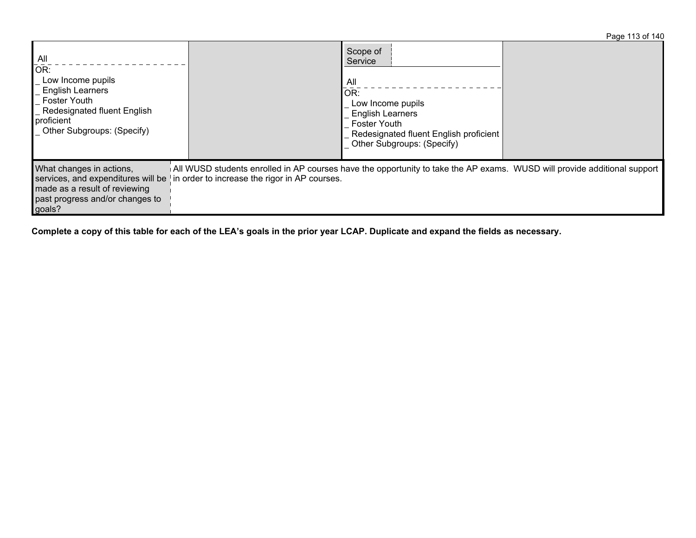Page 113 of 140

| All<br>OR:<br>Low Income pupils<br><b>English Learners</b><br><b>Foster Youth</b><br><b>Redesignated fluent English</b><br>proficient<br>_ Other Subgroups: (Specify) |                                                                                                                                                                           | Scope of<br>Service<br>All<br>OR:<br>Low Income pupils<br><b>English Learners</b><br><b>Foster Youth</b><br>Redesignated fluent English proficient<br>Other Subgroups: (Specify) |  |
|-----------------------------------------------------------------------------------------------------------------------------------------------------------------------|---------------------------------------------------------------------------------------------------------------------------------------------------------------------------|----------------------------------------------------------------------------------------------------------------------------------------------------------------------------------|--|
| What changes in actions,<br>services, and expenditures will be<br>made as a result of reviewing<br>past progress and/or changes to<br>goals?                          | All WUSD students enrolled in AP courses have the opportunity to take the AP exams. WUSD will provide additional support<br>in order to increase the rigor in AP courses. |                                                                                                                                                                                  |  |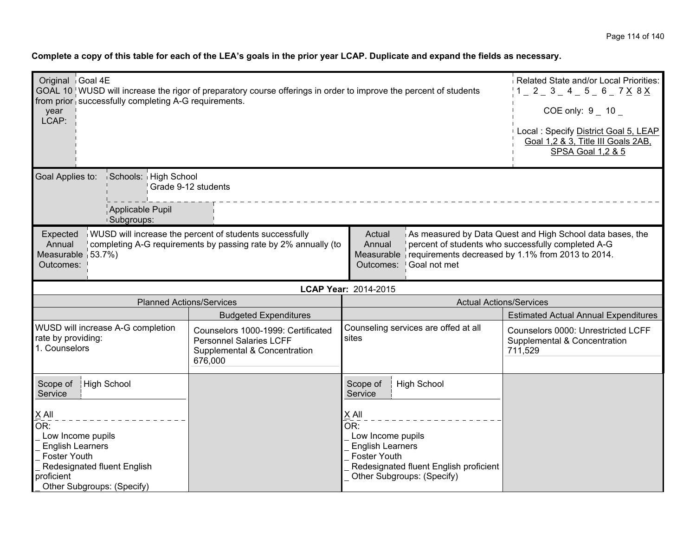| Original Goal 4E<br>GOAL 10   WUSD will increase the rigor of preparatory course offerings in order to improve the percent of students<br>from prior successfully completing A-G requirements.<br>year<br>LCAP:                                                                                                                                                                                                          |                                                                   |                                                                                                                 |                                                                                                                                                             | Related State and/or Local Priorities:<br>$1 = 2 = 3 = 4 = 5 = 6 = 7 \times 8 \times 1$<br>COE only: $9 - 10 -$<br>Local: Specify District Goal 5, LEAP<br>Goal 1,2 & 3, Title III Goals 2AB,<br>SPSA Goal 1,2 & 5 |  |
|--------------------------------------------------------------------------------------------------------------------------------------------------------------------------------------------------------------------------------------------------------------------------------------------------------------------------------------------------------------------------------------------------------------------------|-------------------------------------------------------------------|-----------------------------------------------------------------------------------------------------------------|-------------------------------------------------------------------------------------------------------------------------------------------------------------|--------------------------------------------------------------------------------------------------------------------------------------------------------------------------------------------------------------------|--|
| Goal Applies to:                                                                                                                                                                                                                                                                                                                                                                                                         | Schools: High School<br>Grade 9-12 students                       |                                                                                                                 |                                                                                                                                                             |                                                                                                                                                                                                                    |  |
|                                                                                                                                                                                                                                                                                                                                                                                                                          | Applicable Pupil<br><b>Subgroups:</b>                             |                                                                                                                 |                                                                                                                                                             |                                                                                                                                                                                                                    |  |
| WUSD will increase the percent of students successfully<br>As measured by Data Quest and High School data bases, the<br>Expected<br>Actual<br>completing A-G requirements by passing rate by 2% annually (to<br>percent of students who successfully completed A-G<br>Annual<br>Annual<br>Measurable 53.7%)<br>requirements decreased by 1.1% from 2013 to 2014.<br>Measurable<br>Goal not met<br>Outcomes:<br>Outcomes: |                                                                   |                                                                                                                 |                                                                                                                                                             |                                                                                                                                                                                                                    |  |
|                                                                                                                                                                                                                                                                                                                                                                                                                          | LCAP Year: 2014-2015                                              |                                                                                                                 |                                                                                                                                                             |                                                                                                                                                                                                                    |  |
|                                                                                                                                                                                                                                                                                                                                                                                                                          | <b>Planned Actions/Services</b><br><b>Actual Actions/Services</b> |                                                                                                                 |                                                                                                                                                             |                                                                                                                                                                                                                    |  |
|                                                                                                                                                                                                                                                                                                                                                                                                                          |                                                                   | <b>Budgeted Expenditures</b>                                                                                    |                                                                                                                                                             | <b>Estimated Actual Annual Expenditures</b>                                                                                                                                                                        |  |
| WUSD will increase A-G completion<br>rate by providing:<br>1. Counselors                                                                                                                                                                                                                                                                                                                                                 |                                                                   | Counselors 1000-1999: Certificated<br><b>Personnel Salaries LCFF</b><br>Supplemental & Concentration<br>676,000 | Counseling services are offed at all<br>sites                                                                                                               | Counselors 0000: Unrestricted LCFF<br>Supplemental & Concentration<br>711,529                                                                                                                                      |  |
| High School<br>Scope of<br>Service                                                                                                                                                                                                                                                                                                                                                                                       |                                                                   |                                                                                                                 | <b>High School</b><br>Scope of<br>Service                                                                                                                   |                                                                                                                                                                                                                    |  |
| X All<br>OR:<br>Low Income pupils<br><b>English Learners</b><br>Foster Youth<br>Redesignated fluent English<br>proficient<br>Other Subgroups: (Specify)                                                                                                                                                                                                                                                                  |                                                                   |                                                                                                                 | X All<br>OR:<br>Low Income pupils<br><b>English Learners</b><br><b>Foster Youth</b><br>Redesignated fluent English proficient<br>Other Subgroups: (Specify) |                                                                                                                                                                                                                    |  |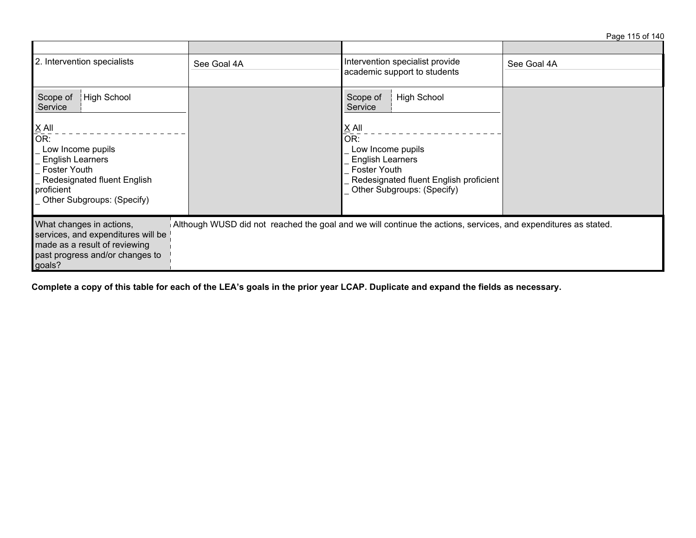Page 115 of 140

| 2. Intervention specialists                                                                                                                                                    | See Goal 4A                                                                                                    | Intervention specialist provide<br>academic support to students                                                                                               | See Goal 4A |  |
|--------------------------------------------------------------------------------------------------------------------------------------------------------------------------------|----------------------------------------------------------------------------------------------------------------|---------------------------------------------------------------------------------------------------------------------------------------------------------------|-------------|--|
| High School<br>Scope of<br>Service                                                                                                                                             |                                                                                                                | <b>High School</b><br>Scope of<br>Service                                                                                                                     |             |  |
| $\underline{X}$ All<br>OR:<br>_ Low Income pupils<br><b>English Learners</b><br><b>Foster Youth</b><br>Redesignated fluent English<br>proficient<br>Other Subgroups: (Specify) |                                                                                                                | $X$ All<br>OR:<br>Low Income pupils<br><b>English Learners</b><br><b>Foster Youth</b><br>Redesignated fluent English proficient<br>Other Subgroups: (Specify) |             |  |
| What changes in actions,<br>services, and expenditures will be<br>made as a result of reviewing<br>past progress and/or changes to<br>goals?                                   | Although WUSD did not reached the goal and we will continue the actions, services, and expenditures as stated. |                                                                                                                                                               |             |  |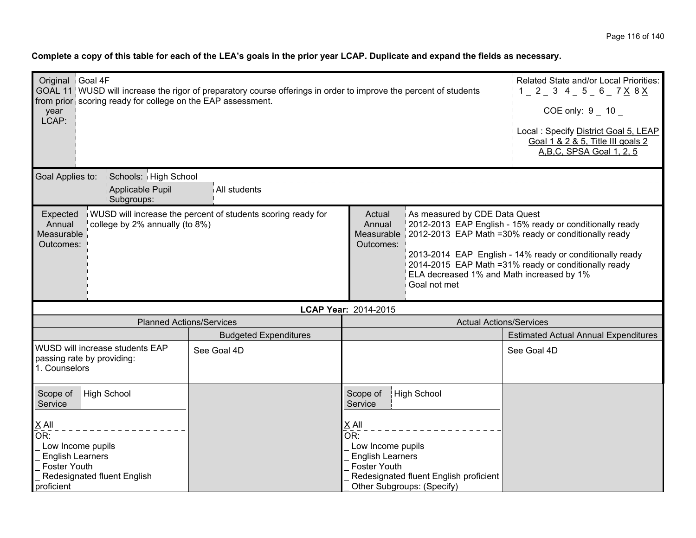| Complete a copy of this table for each of the LEA's goals in the prior year LCAP. Duplicate and expand the fields as necessary. |
|---------------------------------------------------------------------------------------------------------------------------------|
|---------------------------------------------------------------------------------------------------------------------------------|

| Original Goal 4F<br>GOAL 11 WUSD will increase the rigor of preparatory course offerings in order to improve the percent of students<br>from prior scoring ready for college on the EAP assessment.<br>year<br>LCAP:                                                                                                                               |                                 |                                                                                                                                                                               |                                        | Related State and/or Local Priorities:<br>$1 - 2 - 3$ 4 - 5 - 6 - 7 X 8 X<br>$COE$ only: $9$ 10<br>Local: Specify District Goal 5, LEAP<br>Goal 1 & 2 & 5, Title III goals 2<br>A, B, C, SPSA Goal 1, 2, 5 |
|----------------------------------------------------------------------------------------------------------------------------------------------------------------------------------------------------------------------------------------------------------------------------------------------------------------------------------------------------|---------------------------------|-------------------------------------------------------------------------------------------------------------------------------------------------------------------------------|----------------------------------------|------------------------------------------------------------------------------------------------------------------------------------------------------------------------------------------------------------|
| Goal Applies to:<br>Schools: High School<br>Applicable Pupil<br><sup>1</sup> Subgroups:                                                                                                                                                                                                                                                            | All students                    |                                                                                                                                                                               |                                        |                                                                                                                                                                                                            |
| WUSD will increase the percent of students scoring ready for<br>As measured by CDE Data Quest<br>Expected<br>Actual<br>Annual<br>college by 2% annually (to 8%)<br>Annual<br>Measurable<br>Measurable 2012-2013 EAP Math = 30% ready or conditionally ready<br>Outcomes:<br>Outcomes:<br>ELA decreased 1% and Math increased by 1%<br>Goal not met |                                 | 2012-2013 EAP English - 15% ready or conditionally ready<br>2013-2014 EAP English - 14% ready or conditionally ready<br>2014-2015 EAP Math = 31% ready or conditionally ready |                                        |                                                                                                                                                                                                            |
|                                                                                                                                                                                                                                                                                                                                                    |                                 | LCAP Year: 2014-2015                                                                                                                                                          |                                        |                                                                                                                                                                                                            |
|                                                                                                                                                                                                                                                                                                                                                    | <b>Planned Actions/Services</b> |                                                                                                                                                                               | <b>Actual Actions/Services</b>         |                                                                                                                                                                                                            |
|                                                                                                                                                                                                                                                                                                                                                    | <b>Budgeted Expenditures</b>    |                                                                                                                                                                               |                                        | <b>Estimated Actual Annual Expenditures</b>                                                                                                                                                                |
| WUSD will increase students EAP<br>passing rate by providing:<br>1. Counselors                                                                                                                                                                                                                                                                     | See Goal 4D                     |                                                                                                                                                                               |                                        | See Goal 4D                                                                                                                                                                                                |
| High School<br>Scope of<br>Service                                                                                                                                                                                                                                                                                                                 |                                 | High School<br>Scope of<br>Service                                                                                                                                            |                                        |                                                                                                                                                                                                            |
| $\times$ All<br>OR:<br>Low Income pupils<br><b>English Learners</b><br><b>Foster Youth</b><br>Redesignated fluent English<br>proficient                                                                                                                                                                                                            |                                 | X All<br>OR:<br>Low Income pupils<br><b>English Learners</b><br><b>Foster Youth</b><br>Other Subgroups: (Specify)                                                             | Redesignated fluent English proficient |                                                                                                                                                                                                            |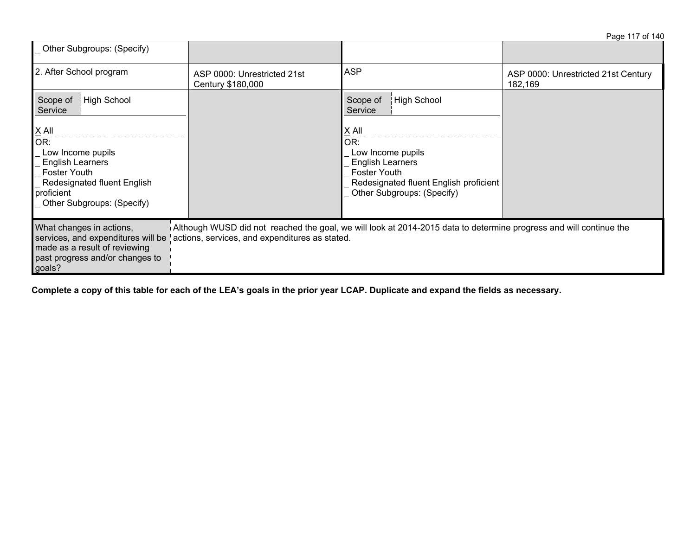| Other Subgroups: (Specify)                                                                                                                                                                                                                                                                                           |                                                  |                                                                                                                                                               |                                                |  |
|----------------------------------------------------------------------------------------------------------------------------------------------------------------------------------------------------------------------------------------------------------------------------------------------------------------------|--------------------------------------------------|---------------------------------------------------------------------------------------------------------------------------------------------------------------|------------------------------------------------|--|
| 2. After School program                                                                                                                                                                                                                                                                                              | ASP 0000: Unrestricted 21st<br>Century \$180,000 | <b>ASP</b>                                                                                                                                                    | ASP 0000: Unrestricted 21st Century<br>182,169 |  |
| High School<br>Scope of<br>Service                                                                                                                                                                                                                                                                                   |                                                  | <b>High School</b><br>Scope of<br>Service                                                                                                                     |                                                |  |
| $\underline{X}$ All<br>OR:<br>Low Income pupils<br><b>English Learners</b><br><b>Foster Youth</b><br>Redesignated fluent English<br>proficient<br>Other Subgroups: (Specify)                                                                                                                                         |                                                  | $X$ All<br>OR:<br>Low Income pupils<br><b>English Learners</b><br><b>Foster Youth</b><br>Redesignated fluent English proficient<br>Other Subgroups: (Specify) |                                                |  |
| Although WUSD did not reached the goal, we will look at 2014-2015 data to determine progress and will continue the<br>What changes in actions,<br>actions, services, and expenditures as stated.<br>services, and expenditures will be<br>made as a result of reviewing<br>past progress and/or changes to<br>goals? |                                                  |                                                                                                                                                               |                                                |  |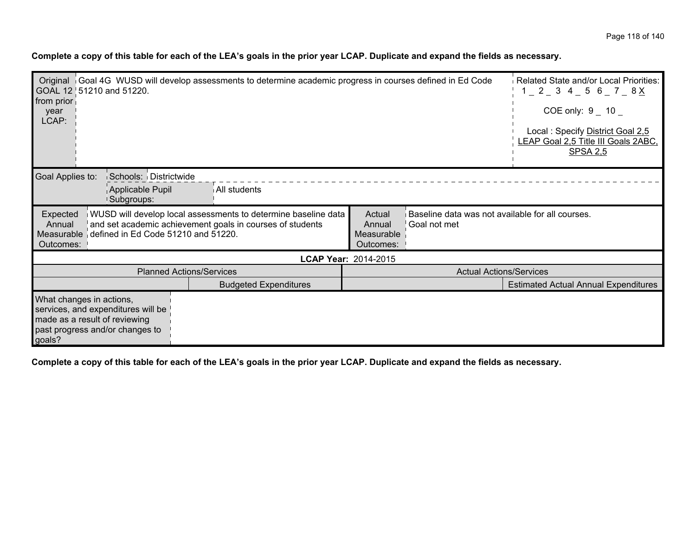|  |  | Complete a copy of this table for each of the LEA's goals in the prior year LCAP. Duplicate and expand the fields as necessary. |
|--|--|---------------------------------------------------------------------------------------------------------------------------------|
|--|--|---------------------------------------------------------------------------------------------------------------------------------|

| Original Goal 4G WUSD will develop assessments to determine academic progress in courses defined in Ed Code<br>GOAL 12 51210 and 51220.<br>from prior<br>year<br>LCAP: |                                                                                                                             |                                                                                                                 | Related State and/or Local Priorities:<br>$1 - 2 - 3$ 4 $-$ 5 6 $-$ 7 $-$ 8 $\times$<br>COE only: 9 10<br>Local: Specify District Goal 2,5<br>LEAP Goal 2,5 Title III Goals 2ABC,<br><b>SPSA 2,5</b> |
|------------------------------------------------------------------------------------------------------------------------------------------------------------------------|-----------------------------------------------------------------------------------------------------------------------------|-----------------------------------------------------------------------------------------------------------------|------------------------------------------------------------------------------------------------------------------------------------------------------------------------------------------------------|
| Schools: Districtwide<br>Goal Applies to:<br>Applicable Pupil<br>Subgroups:                                                                                            | All students                                                                                                                |                                                                                                                 |                                                                                                                                                                                                      |
| Expected<br>Annual<br>defined in Ed Code 51210 and 51220.<br>Measurable<br>Outcomes:                                                                                   | WUSD will develop local assessments to determine baseline data<br>and set academic achievement goals in courses of students | Baseline data was not available for all courses.<br>Actual<br>Annual<br>Goal not met<br>Measurable<br>Outcomes: |                                                                                                                                                                                                      |
|                                                                                                                                                                        |                                                                                                                             | LCAP Year: 2014-2015                                                                                            |                                                                                                                                                                                                      |
|                                                                                                                                                                        | <b>Planned Actions/Services</b>                                                                                             | <b>Actual Actions/Services</b>                                                                                  |                                                                                                                                                                                                      |
|                                                                                                                                                                        | <b>Budgeted Expenditures</b>                                                                                                |                                                                                                                 | <b>Estimated Actual Annual Expenditures</b>                                                                                                                                                          |
| What changes in actions,<br>services, and expenditures will be<br>made as a result of reviewing<br>past progress and/or changes to<br>goals?                           |                                                                                                                             |                                                                                                                 |                                                                                                                                                                                                      |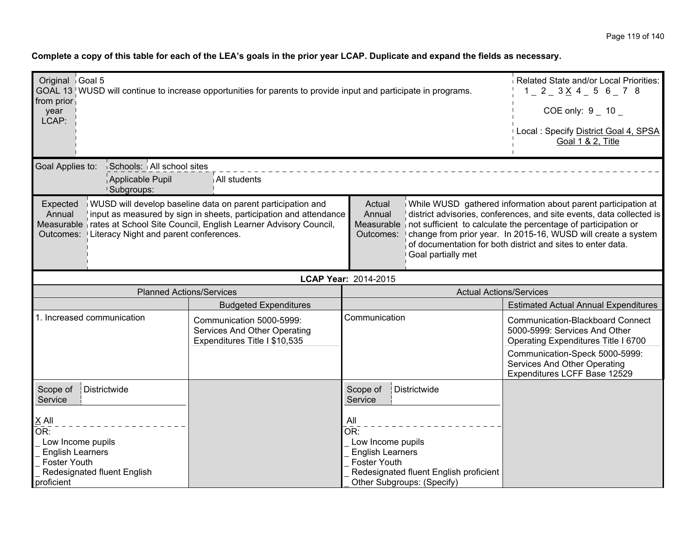| Original Goal 5<br>GOAL 13 WUSD will continue to increase opportunities for parents to provide input and participate in programs.                                                                                                                                                                                                                                                                                                |                                                                                           |                                                                                   |                                                                      | Related State and/or Local Priorities:<br>$1$ $2$ $3$ $\times$ 4 $5$ 6 $7$ 8                                                                                                                                                                                          |  |
|----------------------------------------------------------------------------------------------------------------------------------------------------------------------------------------------------------------------------------------------------------------------------------------------------------------------------------------------------------------------------------------------------------------------------------|-------------------------------------------------------------------------------------------|-----------------------------------------------------------------------------------|----------------------------------------------------------------------|-----------------------------------------------------------------------------------------------------------------------------------------------------------------------------------------------------------------------------------------------------------------------|--|
| from prior<br>year                                                                                                                                                                                                                                                                                                                                                                                                               |                                                                                           |                                                                                   |                                                                      | COE only: $9 - 10$                                                                                                                                                                                                                                                    |  |
| LCAP:                                                                                                                                                                                                                                                                                                                                                                                                                            | Local : Specify District Goal 4, SPSA<br>Goal 1 & 2, Title                                |                                                                                   |                                                                      |                                                                                                                                                                                                                                                                       |  |
| Goal Applies to:<br>Applicable Pupil<br><b>Subgroups:</b>                                                                                                                                                                                                                                                                                                                                                                        | Schools: All school sites<br>All students                                                 |                                                                                   |                                                                      |                                                                                                                                                                                                                                                                       |  |
| WUSD will develop baseline data on parent participation and<br>Actual<br>Expected<br>input as measured by sign in sheets, participation and attendance<br>Annual<br>Annual<br>Measurable   rates at School Site Council, English Learner Advisory Council,<br>Measurable not sufficient to calculate the percentage of participation or<br>Outcomes:   Literacy Night and parent conferences.<br>Outcomes:<br>Goal partially met |                                                                                           |                                                                                   |                                                                      | While WUSD gathered information about parent participation at<br>district advisories, conferences, and site events, data collected is<br>change from prior year. In 2015-16, WUSD will create a system<br>of documentation for both district and sites to enter data. |  |
|                                                                                                                                                                                                                                                                                                                                                                                                                                  | LCAP Year: 2014-2015                                                                      |                                                                                   |                                                                      |                                                                                                                                                                                                                                                                       |  |
| <b>Planned Actions/Services</b>                                                                                                                                                                                                                                                                                                                                                                                                  |                                                                                           |                                                                                   | <b>Actual Actions/Services</b>                                       |                                                                                                                                                                                                                                                                       |  |
|                                                                                                                                                                                                                                                                                                                                                                                                                                  | <b>Budgeted Expenditures</b>                                                              |                                                                                   |                                                                      | <b>Estimated Actual Annual Expenditures</b>                                                                                                                                                                                                                           |  |
| 1. Increased communication                                                                                                                                                                                                                                                                                                                                                                                                       | Communication 5000-5999:<br>Services And Other Operating<br>Expenditures Title I \$10,535 | Communication                                                                     |                                                                      | <b>Communication-Blackboard Connect</b><br>5000-5999: Services And Other<br>Operating Expenditures Title I 6700<br>Communication-Speck 5000-5999:<br>Services And Other Operating<br>Expenditures LCFF Base 12529                                                     |  |
| Districtwide<br>Scope of<br>Service                                                                                                                                                                                                                                                                                                                                                                                              |                                                                                           | Scope of<br>Service                                                               | Districtwide                                                         |                                                                                                                                                                                                                                                                       |  |
| $X$ All<br>OR:<br>Low Income pupils<br><b>English Learners</b><br><b>Foster Youth</b><br>Redesignated fluent English<br>proficient                                                                                                                                                                                                                                                                                               |                                                                                           | All<br>OR:<br>Low Income pupils<br><b>English Learners</b><br><b>Foster Youth</b> | Redesignated fluent English proficient<br>Other Subgroups: (Specify) |                                                                                                                                                                                                                                                                       |  |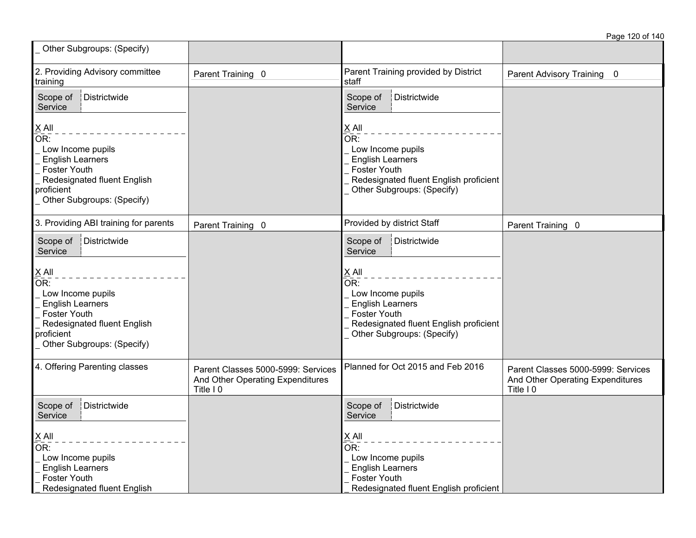| Other Subgroups: (Specify)                                                                                                                                                     |                                                                                     |                                                                                                                                                                                      |                                                                                     |
|--------------------------------------------------------------------------------------------------------------------------------------------------------------------------------|-------------------------------------------------------------------------------------|--------------------------------------------------------------------------------------------------------------------------------------------------------------------------------------|-------------------------------------------------------------------------------------|
| 2. Providing Advisory committee<br>training                                                                                                                                    | Parent Training 0                                                                   | Parent Training provided by District<br>staff                                                                                                                                        | Parent Advisory Training 0                                                          |
| Districtwide<br>Scope of<br>Service                                                                                                                                            |                                                                                     | Districtwide<br>Scope of<br>Service                                                                                                                                                  |                                                                                     |
| $X$ All<br>OR:<br>Low Income pupils<br><b>English Learners</b><br><b>Foster Youth</b><br>Redesignated fluent English<br>proficient<br>Other Subgroups: (Specify)               |                                                                                     | $X$ All<br>$\overline{\mathsf{OR}}$ :<br>Low Income pupils<br><b>English Learners</b><br><b>Foster Youth</b><br>Redesignated fluent English proficient<br>Other Subgroups: (Specify) |                                                                                     |
| 3. Providing ABI training for parents                                                                                                                                          | Parent Training 0                                                                   | Provided by district Staff                                                                                                                                                           | Parent Training 0                                                                   |
| Scope of<br>Districtwide<br>Service                                                                                                                                            |                                                                                     | Scope of<br>Districtwide<br>Service                                                                                                                                                  |                                                                                     |
| $X$ All<br>$\overline{OR}$ :<br>Low Income pupils<br><b>English Learners</b><br><b>Foster Youth</b><br>Redesignated fluent English<br>proficient<br>Other Subgroups: (Specify) |                                                                                     | $X$ All<br>$\overline{\mathsf{OR}}$ :<br>Low Income pupils<br><b>English Learners</b><br><b>Foster Youth</b><br>Redesignated fluent English proficient<br>Other Subgroups: (Specify) |                                                                                     |
| 4. Offering Parenting classes                                                                                                                                                  | Parent Classes 5000-5999: Services<br>And Other Operating Expenditures<br>Title I 0 | Planned for Oct 2015 and Feb 2016                                                                                                                                                    | Parent Classes 5000-5999: Services<br>And Other Operating Expenditures<br>Title I 0 |
| Districtwide<br>Scope of<br>Service                                                                                                                                            |                                                                                     | Districtwide<br>Scope of<br>Service                                                                                                                                                  |                                                                                     |
| $X$ All<br>$\overline{OR}$ :<br>Low Income pupils<br><b>English Learners</b><br><b>Foster Youth</b><br>Redesignated fluent English                                             |                                                                                     | X All<br>OR:<br>Low Income pupils<br><b>English Learners</b><br><b>Foster Youth</b><br>Redesignated fluent English proficient                                                        |                                                                                     |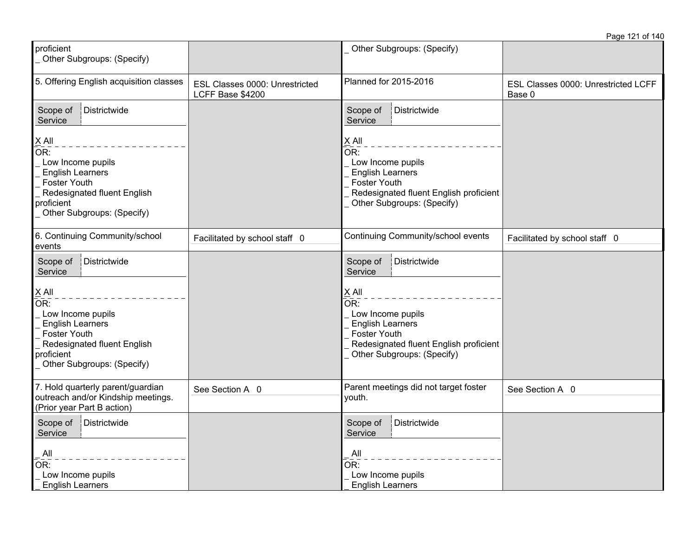| proficient<br>Other Subgroups: (Specify)                                                                                                                         |                                                    | Other Subgroups: (Specify)                                                                                                                                                |                                               |
|------------------------------------------------------------------------------------------------------------------------------------------------------------------|----------------------------------------------------|---------------------------------------------------------------------------------------------------------------------------------------------------------------------------|-----------------------------------------------|
| 5. Offering English acquisition classes                                                                                                                          | ESL Classes 0000: Unrestricted<br>LCFF Base \$4200 | Planned for 2015-2016                                                                                                                                                     | ESL Classes 0000: Unrestricted LCFF<br>Base 0 |
| Districtwide<br>Scope of<br>Service                                                                                                                              |                                                    | Districtwide<br>Scope of<br>Service                                                                                                                                       |                                               |
| X All<br>OR:<br>Low Income pupils<br><b>English Learners</b><br><b>Foster Youth</b><br>Redesignated fluent English<br>proficient<br>Other Subgroups: (Specify)   |                                                    | X All<br>$\overline{OR}$ :<br>Low Income pupils<br><b>English Learners</b><br><b>Foster Youth</b><br>Redesignated fluent English proficient<br>Other Subgroups: (Specify) |                                               |
| 6. Continuing Community/school<br>events                                                                                                                         | Facilitated by school staff 0                      | Continuing Community/school events                                                                                                                                        | Facilitated by school staff 0                 |
| Districtwide<br>Scope of<br>Service                                                                                                                              |                                                    | Districtwide<br>Scope of<br>Service                                                                                                                                       |                                               |
| $X$ All<br>OR:<br>Low Income pupils<br><b>English Learners</b><br><b>Foster Youth</b><br>Redesignated fluent English<br>proficient<br>Other Subgroups: (Specify) |                                                    | X All<br>OR <sub>1</sub><br>Low Income pupils<br><b>English Learners</b><br><b>Foster Youth</b><br>Redesignated fluent English proficient<br>Other Subgroups: (Specify)   |                                               |
| 7. Hold quarterly parent/guardian<br>outreach and/or Kindship meetings.<br>(Prior year Part B action)                                                            | See Section A 0                                    | Parent meetings did not target foster<br>youth.                                                                                                                           | See Section A 0                               |
| Scope of<br>Districtwide<br>Service<br>All                                                                                                                       |                                                    | Scope of<br>Districtwide<br>Service<br>All                                                                                                                                |                                               |
| OR:<br>Low Income pupils<br><b>English Learners</b>                                                                                                              |                                                    | OR:<br>Low Income pupils<br><b>English Learners</b>                                                                                                                       |                                               |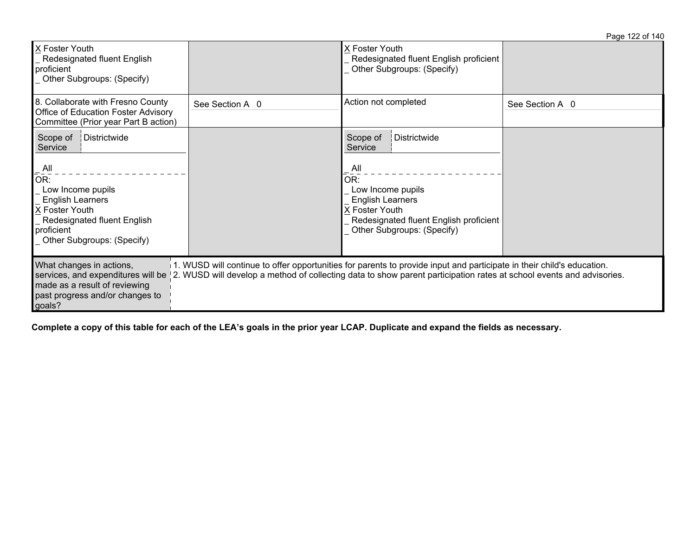| X Foster Youth<br>Redesignated fluent English<br>proficient<br>Other Subgroups: (Specify)                                                                                                                            |                 | X Foster Youth<br>Redesignated fluent English proficient<br>Other Subgroups: (Specify)                                                                                                                                                        |                 |
|----------------------------------------------------------------------------------------------------------------------------------------------------------------------------------------------------------------------|-----------------|-----------------------------------------------------------------------------------------------------------------------------------------------------------------------------------------------------------------------------------------------|-----------------|
| 8. Collaborate with Fresno County<br>Office of Education Foster Advisory<br>Committee (Prior year Part B action)                                                                                                     | See Section A 0 | Action not completed                                                                                                                                                                                                                          | See Section A 0 |
| Districtwide<br>Scope of<br>Service<br>$\overline{\mathsf{All}}$<br>OR:<br>Low Income pupils<br><b>English Learners</b><br>X Foster Youth<br>Redesignated fluent English<br>proficient<br>Other Subgroups: (Specify) |                 | Scope of<br>Districtwide<br>Service<br>_ All<br>OR:<br>Low Income pupils<br><b>English Learners</b><br>X Foster Youth<br>Redesignated fluent English proficient<br>Other Subgroups: (Specify)                                                 |                 |
| What changes in actions,<br>services, and expenditures will be<br>made as a result of reviewing<br>past progress and/or changes to<br>goals?                                                                         |                 | 1. WUSD will continue to offer opportunities for parents to provide input and participate in their child's education.<br>2. WUSD will develop a method of collecting data to show parent participation rates at school events and advisories. |                 |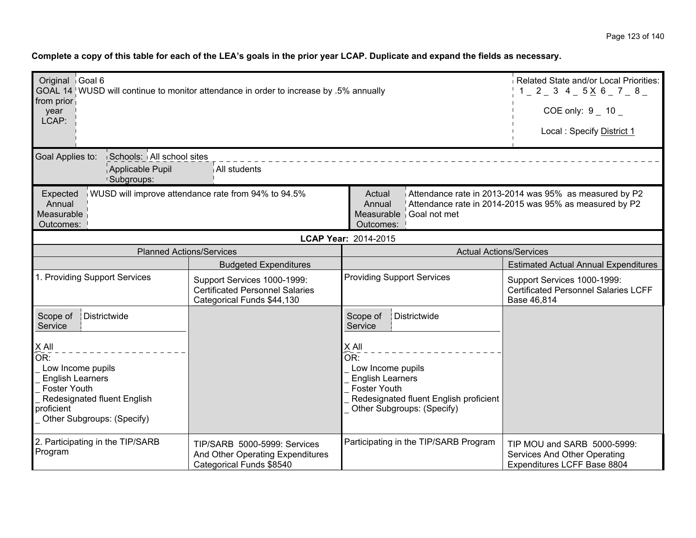| Original Goal 6                                                                       |                                                                                                     |                                                                                                            | Related State and/or Local Priorities:                                                                           |
|---------------------------------------------------------------------------------------|-----------------------------------------------------------------------------------------------------|------------------------------------------------------------------------------------------------------------|------------------------------------------------------------------------------------------------------------------|
|                                                                                       | GOAL 14 WUSD will continue to monitor attendance in order to increase by .5% annually               |                                                                                                            | $1 - 2 - 3$ 4 - 5 $\times$ 6 - 7 - 8 -                                                                           |
| from prior<br>year<br>LCAP:                                                           |                                                                                                     |                                                                                                            | COE only: $9 - 10 -$                                                                                             |
|                                                                                       |                                                                                                     |                                                                                                            | Local: Specify District 1                                                                                        |
| Schools: All school sites<br>Goal Applies to:                                         |                                                                                                     |                                                                                                            |                                                                                                                  |
| Applicable Pupil<br>!Subgroups:                                                       | All students                                                                                        |                                                                                                            |                                                                                                                  |
| Expected<br>Annual<br>Measurable<br>Outcomes:                                         | WUSD will improve attendance rate from 94% to 94.5%                                                 | Actual<br>Annual<br>Measurable<br>Goal not met<br>Outcomes:                                                | Attendance rate in 2013-2014 was 95% as measured by P2<br>Attendance rate in 2014-2015 was 95% as measured by P2 |
|                                                                                       |                                                                                                     | LCAP Year: 2014-2015                                                                                       |                                                                                                                  |
|                                                                                       | <b>Planned Actions/Services</b>                                                                     | <b>Actual Actions/Services</b>                                                                             |                                                                                                                  |
|                                                                                       | <b>Budgeted Expenditures</b>                                                                        |                                                                                                            | <b>Estimated Actual Annual Expenditures</b>                                                                      |
| 1. Providing Support Services                                                         | Support Services 1000-1999:<br><b>Certificated Personnel Salaries</b><br>Categorical Funds \$44,130 | <b>Providing Support Services</b>                                                                          | Support Services 1000-1999:<br><b>Certificated Personnel Salaries LCFF</b><br>Base 46,814                        |
| Scope of<br>Districtwide<br>Service                                                   |                                                                                                     | Scope of<br>Districtwide<br>Service                                                                        |                                                                                                                  |
| $X$ All<br>OR:<br>Low Income pupils<br><b>English Learners</b><br><b>Foster Youth</b> |                                                                                                     | X All<br>$\overline{\mathsf{OR}}$ :<br>Low Income pupils<br><b>English Learners</b><br><b>Foster Youth</b> |                                                                                                                  |
| Redesignated fluent English<br>proficient<br>Other Subgroups: (Specify)               |                                                                                                     | Redesignated fluent English proficient<br>Other Subgroups: (Specify)                                       |                                                                                                                  |
| 2. Participating in the TIP/SARB<br>Program                                           | TIP/SARB 5000-5999: Services<br>And Other Operating Expenditures<br>Categorical Funds \$8540        | Participating in the TIP/SARB Program                                                                      | TIP MOU and SARB 5000-5999:<br>Services And Other Operating<br>Expenditures LCFF Base 8804                       |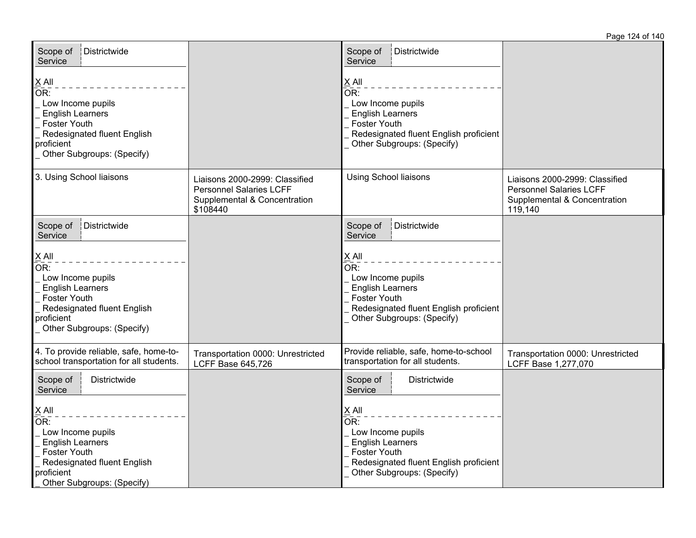| Scope of<br>Districtwide<br>Service                                                                                                                                               |                                                                                                              | Scope of<br>Districtwide<br>Service                                                                                                                                                                       |                                                                                                             |
|-----------------------------------------------------------------------------------------------------------------------------------------------------------------------------------|--------------------------------------------------------------------------------------------------------------|-----------------------------------------------------------------------------------------------------------------------------------------------------------------------------------------------------------|-------------------------------------------------------------------------------------------------------------|
| $X$ All<br>$\overline{OR}$ :<br>Low Income pupils<br><b>English Learners</b><br><b>Foster Youth</b><br>Redesignated fluent English<br>proficient<br>Other Subgroups: (Specify)    |                                                                                                              | $\underline{X}$ All<br>$\overline{OR}$ :<br>Low Income pupils<br><b>English Learners</b><br><b>Foster Youth</b><br>Redesignated fluent English proficient<br>Other Subgroups: (Specify)                   |                                                                                                             |
| 3. Using School liaisons                                                                                                                                                          | Liaisons 2000-2999: Classified<br><b>Personnel Salaries LCFF</b><br>Supplemental & Concentration<br>\$108440 | <b>Using School liaisons</b>                                                                                                                                                                              | Liaisons 2000-2999: Classified<br><b>Personnel Salaries LCFF</b><br>Supplemental & Concentration<br>119,140 |
| Districtwide<br>Scope of<br>Service                                                                                                                                               |                                                                                                              | Scope of<br>Districtwide<br>Service                                                                                                                                                                       |                                                                                                             |
| $X$ All<br>OR:<br>Low Income pupils<br><b>English Learners</b><br>Foster Youth<br>Redesignated fluent English<br>proficient<br>Other Subgroups: (Specify)                         |                                                                                                              | $\underline{X}$ All<br>OR:<br>Low Income pupils<br><b>English Learners</b><br>Foster Youth<br>Redesignated fluent English proficient<br>Other Subgroups: (Specify)                                        |                                                                                                             |
| 4. To provide reliable, safe, home-to-<br>school transportation for all students.                                                                                                 | Transportation 0000: Unrestricted<br><b>LCFF Base 645,726</b>                                                | Provide reliable, safe, home-to-school<br>transportation for all students.                                                                                                                                | Transportation 0000: Unrestricted<br>LCFF Base 1,277,070                                                    |
| Scope of<br>Districtwide<br>Service                                                                                                                                               |                                                                                                              | Scope of<br>Districtwide<br>Service                                                                                                                                                                       |                                                                                                             |
| $\underline{\underline{X}}$ All<br>OR:<br>Low Income pupils<br><b>English Learners</b><br>Foster Youth<br>Redesignated fluent English<br>proficient<br>Other Subgroups: (Specify) |                                                                                                              | $\underline{X}$ All<br>$\overline{\overline{\text{OR}}}$ :<br>Low Income pupils<br><b>English Learners</b><br><b>Foster Youth</b><br>Redesignated fluent English proficient<br>Other Subgroups: (Specify) |                                                                                                             |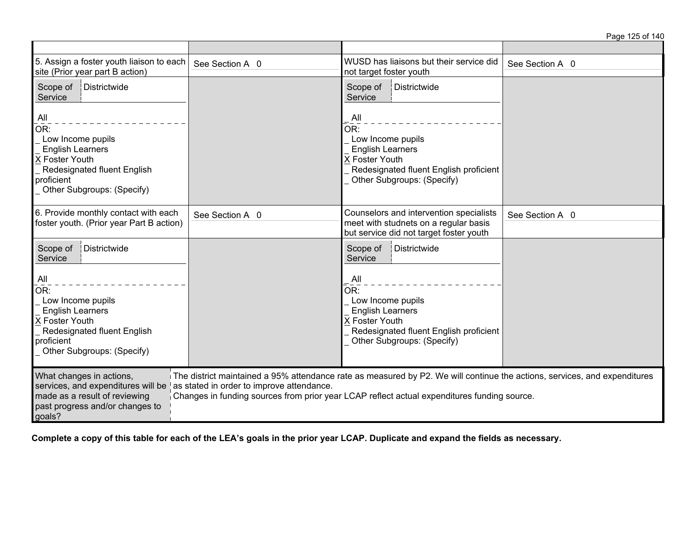| 5. Assign a foster youth liaison to each<br>site (Prior year part B action)                                                                             | See Section A 0                           | WUSD has liaisons but their service did<br>not target foster youth                                                                                                                                                       | See Section A 0 |
|---------------------------------------------------------------------------------------------------------------------------------------------------------|-------------------------------------------|--------------------------------------------------------------------------------------------------------------------------------------------------------------------------------------------------------------------------|-----------------|
| Scope of<br>Districtwide<br>Service                                                                                                                     |                                           | Scope of<br>Districtwide<br>Service                                                                                                                                                                                      |                 |
| All<br>OR:<br>Low Income pupils<br><b>English Learners</b><br>X Foster Youth<br>Redesignated fluent English<br>proficient<br>Other Subgroups: (Specify) |                                           | All<br>OR:<br>Low Income pupils<br><b>English Learners</b><br>X Foster Youth<br>Redesignated fluent English proficient<br>Other Subgroups: (Specify)                                                                     |                 |
| 6. Provide monthly contact with each<br>foster youth. (Prior year Part B action)                                                                        | See Section A 0                           | Counselors and intervention specialists<br>meet with studnets on a regular basis<br>but service did not target foster youth                                                                                              | See Section A 0 |
| Districtwide<br>Scope of<br>Service                                                                                                                     |                                           | Districtwide<br>Scope of<br>Service                                                                                                                                                                                      |                 |
| All<br>OR:<br>Low Income pupils<br><b>English Learners</b><br>X Foster Youth<br>Redesignated fluent English<br>proficient<br>Other Subgroups: (Specify) |                                           | All<br>OR:<br>Low Income pupils<br><b>English Learners</b><br>X Foster Youth<br>Redesignated fluent English proficient<br>Other Subgroups: (Specify)                                                                     |                 |
| What changes in actions,<br>services, and expenditures will be<br>made as a result of reviewing<br>past progress and/or changes to<br>goals?            | as stated in order to improve attendance. | The district maintained a 95% attendance rate as measured by P2. We will continue the actions, services, and expenditures<br>Changes in funding sources from prior year LCAP reflect actual expenditures funding source. |                 |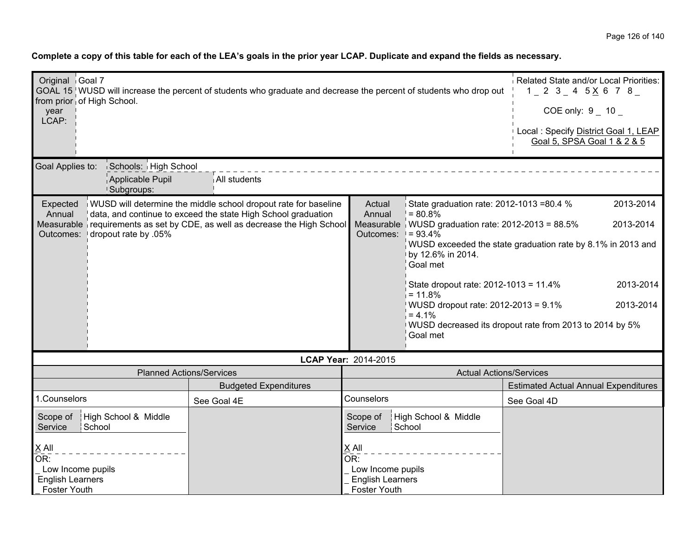| Original Goal 7<br>from prior of High School.<br>vear<br>LCAP:             | GOAL 15 WUSD will increase the percent of students who graduate and decrease the percent of students who drop out                                                                                              |                                                                     |                                                                                                                                                                                                                                                                                              | Related State and/or Local Priorities:<br>$1$ 2 3 4 5 $\times$ 6 7 8<br>COE only: $9 - 10 -$<br>Local: Specify District Goal 1, LEAP<br>Goal 5, SPSA Goal 1 & 2 & 5        |
|----------------------------------------------------------------------------|----------------------------------------------------------------------------------------------------------------------------------------------------------------------------------------------------------------|---------------------------------------------------------------------|----------------------------------------------------------------------------------------------------------------------------------------------------------------------------------------------------------------------------------------------------------------------------------------------|----------------------------------------------------------------------------------------------------------------------------------------------------------------------------|
| Goal Applies to:<br>Schools: High School<br>Applicable Pupil<br>Subgroups: | All students                                                                                                                                                                                                   |                                                                     |                                                                                                                                                                                                                                                                                              |                                                                                                                                                                            |
| Expected<br>Annual<br>dropout rate by .05%<br>Outcomes:                    | WUSD will determine the middle school dropout rate for baseline<br>data, and continue to exceed the state High School graduation<br>Measurable requirements as set by CDE, as well as decrease the High School | Actual<br>Annual<br>Outcomes:                                       | State graduation rate: 2012-1013 =80.4 %<br>$= 80.8%$<br>Measurable $\frac{1}{2}$ WUSD graduation rate: 2012-2013 = 88.5%<br>$= 93.4%$<br>by 12.6% in 2014.<br>Goal met<br>State dropout rate: 2012-1013 = 11.4%<br>$= 11.8%$<br>WUSD dropout rate: 2012-2013 = 9.1%<br>$= 4.1%$<br>Goal met | 2013-2014<br>2013-2014<br>WUSD exceeded the state graduation rate by 8.1% in 2013 and<br>2013-2014<br>2013-2014<br>WUSD decreased its dropout rate from 2013 to 2014 by 5% |
|                                                                            |                                                                                                                                                                                                                | LCAP Year: 2014-2015                                                |                                                                                                                                                                                                                                                                                              |                                                                                                                                                                            |
| <b>Planned Actions/Services</b>                                            |                                                                                                                                                                                                                |                                                                     | <b>Actual Actions/Services</b>                                                                                                                                                                                                                                                               |                                                                                                                                                                            |
|                                                                            | <b>Budgeted Expenditures</b>                                                                                                                                                                                   |                                                                     |                                                                                                                                                                                                                                                                                              | <b>Estimated Actual Annual Expenditures</b>                                                                                                                                |
| 1.Counselors                                                               | See Goal 4E                                                                                                                                                                                                    | Counselors                                                          |                                                                                                                                                                                                                                                                                              | See Goal 4D                                                                                                                                                                |
| High School & Middle<br>Scope of<br>School<br>Service<br>X All             |                                                                                                                                                                                                                | Scope of<br>Service<br>X All                                        | High School & Middle<br>School                                                                                                                                                                                                                                                               |                                                                                                                                                                            |
| OR:                                                                        |                                                                                                                                                                                                                | OR:                                                                 |                                                                                                                                                                                                                                                                                              |                                                                                                                                                                            |
| Low Income pupils<br><b>English Learners</b><br><b>Foster Youth</b>        |                                                                                                                                                                                                                | Low Income pupils<br><b>English Learners</b><br><b>Foster Youth</b> |                                                                                                                                                                                                                                                                                              |                                                                                                                                                                            |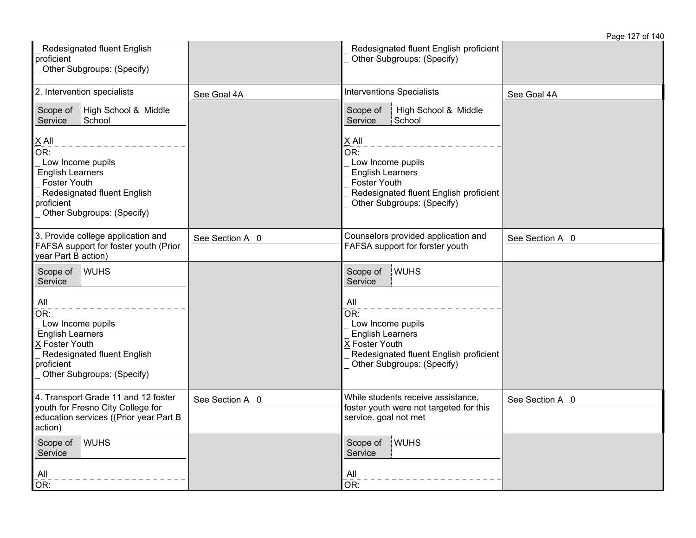|                                                                                                                                                                  |                 |                                                                                                                                                                                      | Page 127 of 140 |
|------------------------------------------------------------------------------------------------------------------------------------------------------------------|-----------------|--------------------------------------------------------------------------------------------------------------------------------------------------------------------------------------|-----------------|
| Redesignated fluent English<br>proficient<br>Other Subgroups: (Specify)                                                                                          |                 | Redesignated fluent English proficient<br>Other Subgroups: (Specify)                                                                                                                 |                 |
| 2. Intervention specialists                                                                                                                                      | See Goal 4A     | <b>Interventions Specialists</b>                                                                                                                                                     | See Goal 4A     |
| High School & Middle<br>Scope of<br>School<br>Service                                                                                                            |                 | High School & Middle<br>Scope of<br>Service<br>School                                                                                                                                |                 |
| $X$ All<br>OR:<br>Low Income pupils<br><b>English Learners</b><br><b>Foster Youth</b><br>Redesignated fluent English<br>proficient<br>Other Subgroups: (Specify) |                 | $X$ All<br>$\overline{\mathsf{OR}}$ :<br>Low Income pupils<br><b>English Learners</b><br><b>Foster Youth</b><br>Redesignated fluent English proficient<br>Other Subgroups: (Specify) |                 |
| 3. Provide college application and<br>FAFSA support for foster youth (Prior<br>year Part B action)                                                               | See Section A 0 | Counselors provided application and<br>FAFSA support for forster youth                                                                                                               | See Section A 0 |
| Scope of WUHS<br>Service                                                                                                                                         |                 | Scope of<br>WUHS<br>Service                                                                                                                                                          |                 |
| All<br>OR:<br>Low Income pupils<br><b>English Learners</b><br>X Foster Youth<br>Redesignated fluent English<br>proficient<br>Other Subgroups: (Specify)          |                 | All<br>OR:<br>Low Income pupils<br><b>English Learners</b><br>X Foster Youth<br>Redesignated fluent English proficient<br>Other Subgroups: (Specify)                                 |                 |
| 4. Transport Grade 11 and 12 foster<br>youth for Fresno City College for<br>education services ((Prior year Part B<br>action)                                    | See Section A 0 | While students receive assistance.<br>foster youth were not targeted for this<br>service. goal not met                                                                               | See Section A 0 |
| <b>WUHS</b><br>Scope of<br>Service<br>All<br>OR:                                                                                                                 |                 | WUHS<br>Scope of<br>Service<br>All<br>OR:                                                                                                                                            |                 |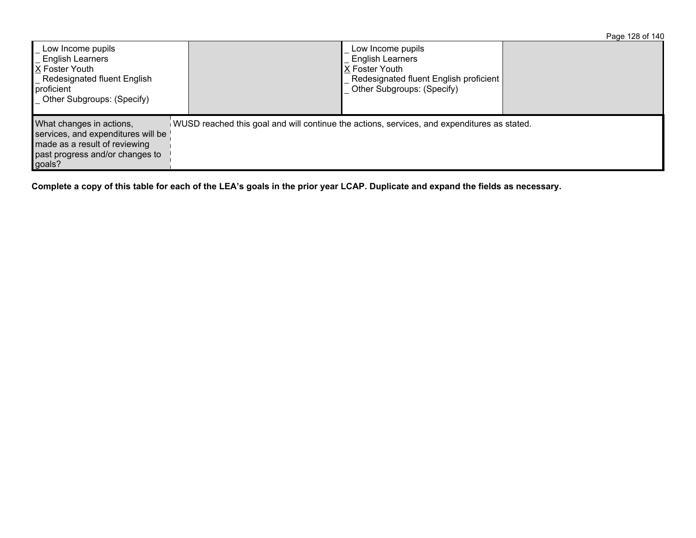|                                                                                                                                                    |                                                                                             |                                                                                                                                         | Page 128 of 140 |
|----------------------------------------------------------------------------------------------------------------------------------------------------|---------------------------------------------------------------------------------------------|-----------------------------------------------------------------------------------------------------------------------------------------|-----------------|
| Low Income pupils<br><b>English Learners</b><br>X Foster Youth<br>_ Redesignated fluent English<br>proficient<br><b>Other Subgroups: (Specify)</b> |                                                                                             | Low Income pupils<br><b>English Learners</b><br>IX Foster Youth<br>Redesignated fluent English proficient<br>Other Subgroups: (Specify) |                 |
| What changes in actions,<br>services, and expenditures will be<br>made as a result of reviewing<br>past progress and/or changes to<br>goals?       | WUSD reached this goal and will continue the actions, services, and expenditures as stated. |                                                                                                                                         |                 |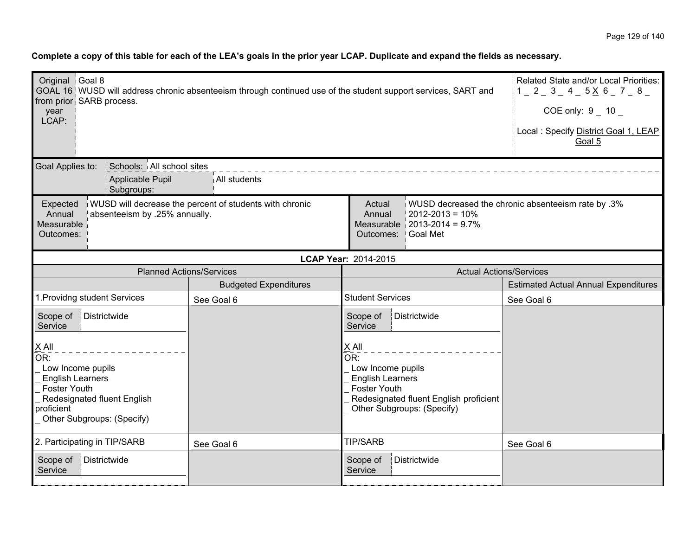| Original Goal 8<br>year<br>LCAP:                                                                                                                                 | GOAL 16 WUSD will address chronic absenteeism through continued use of the student support services, SART and from prior SARB process. |                                                                                                                     |                                                         | Related State and/or Local Priorities:<br>$1 - 2 - 3 - 4 - 5 \times 6 - 7 - 8$<br>COE only: $9 - 10$<br>Local: Specify District Goal 1, LEAP<br>Goal 5 |
|------------------------------------------------------------------------------------------------------------------------------------------------------------------|----------------------------------------------------------------------------------------------------------------------------------------|---------------------------------------------------------------------------------------------------------------------|---------------------------------------------------------|--------------------------------------------------------------------------------------------------------------------------------------------------------|
| Schools: All school sites<br>Goal Applies to:<br>Applicable Pupil<br><sup>1</sup> Subgroups:                                                                     | All students                                                                                                                           |                                                                                                                     |                                                         |                                                                                                                                                        |
| Expected<br>absenteeism by .25% annually.<br>Annual<br>Measurable<br>Outcomes:                                                                                   | WUSD will decrease the percent of students with chronic                                                                                | Actual<br>Annual<br>Outcomes:   Goal Met                                                                            | $2012 - 2013 = 10\%$<br>Measurable $ 2013-2014 = 9.7\%$ | WUSD decreased the chronic absenteeism rate by .3%                                                                                                     |
|                                                                                                                                                                  |                                                                                                                                        | LCAP Year: 2014-2015                                                                                                |                                                         |                                                                                                                                                        |
| <b>Planned Actions/Services</b>                                                                                                                                  |                                                                                                                                        |                                                                                                                     | <b>Actual Actions/Services</b>                          |                                                                                                                                                        |
|                                                                                                                                                                  | <b>Budgeted Expenditures</b>                                                                                                           |                                                                                                                     |                                                         | <b>Estimated Actual Annual Expenditures</b>                                                                                                            |
| 1. Providng student Services                                                                                                                                     | See Goal 6                                                                                                                             | <b>Student Services</b>                                                                                             |                                                         | See Goal 6                                                                                                                                             |
| Districtwide<br>Scope of<br>Service                                                                                                                              |                                                                                                                                        | Districtwide<br>Scope of<br>Service                                                                                 |                                                         |                                                                                                                                                        |
| $X$ All<br>OR:<br>Low Income pupils<br><b>English Learners</b><br><b>Foster Youth</b><br>Redesignated fluent English<br>proficient<br>Other Subgroups: (Specify) |                                                                                                                                        | $X$ All<br>OR:<br>Low Income pupils<br><b>English Learners</b><br><b>Foster Youth</b><br>Other Subgroups: (Specify) | Redesignated fluent English proficient                  |                                                                                                                                                        |
| 2. Participating in TIP/SARB                                                                                                                                     | See Goal 6                                                                                                                             | <b>TIP/SARB</b>                                                                                                     |                                                         | See Goal 6                                                                                                                                             |
| Scope of<br>Districtwide<br>Service                                                                                                                              |                                                                                                                                        | Districtwide<br>Scope of<br>Service                                                                                 |                                                         |                                                                                                                                                        |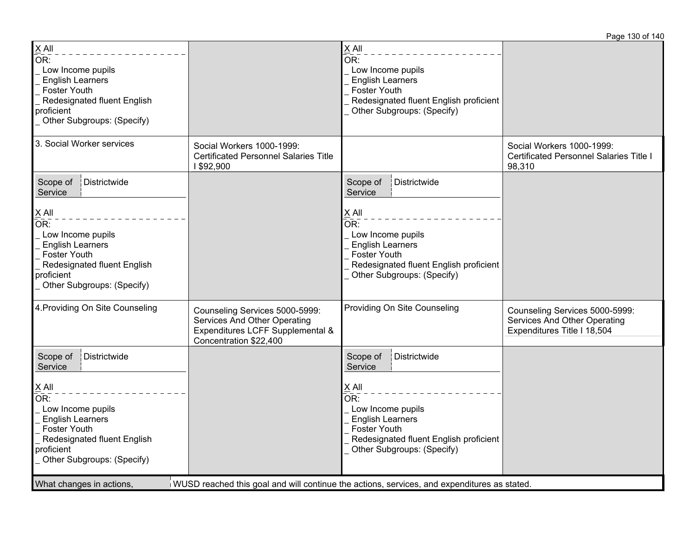Page 130 of 140

| $\underline{X}$ All<br>$\overline{\mathsf{OR}}$ :<br>Low Income pupils<br><b>English Learners</b><br><b>Foster Youth</b><br>Redesignated fluent English<br>proficient<br>Other Subgroups: (Specify)                                             |                                                                                                                                     | $\underline{X}$ All<br>$\overline{\mathsf{OR}}$ :<br>Low Income pupils<br><b>English Learners</b><br><b>Foster Youth</b><br>Redesignated fluent English proficient<br>Other Subgroups: (Specify)                                                                                                                          |                                                                                               |
|-------------------------------------------------------------------------------------------------------------------------------------------------------------------------------------------------------------------------------------------------|-------------------------------------------------------------------------------------------------------------------------------------|---------------------------------------------------------------------------------------------------------------------------------------------------------------------------------------------------------------------------------------------------------------------------------------------------------------------------|-----------------------------------------------------------------------------------------------|
| 3. Social Worker services                                                                                                                                                                                                                       | Social Workers 1000-1999:<br><b>Certificated Personnel Salaries Title</b><br>1 \$92,900                                             |                                                                                                                                                                                                                                                                                                                           | Social Workers 1000-1999:<br><b>Certificated Personnel Salaries Title I</b><br>98,310         |
| Districtwide<br>Scope of<br>Service<br>$\underline{X}$ All<br>OR:<br>Low Income pupils<br><b>English Learners</b><br><b>Foster Youth</b><br>Redesignated fluent English<br>proficient<br>Other Subgroups: (Specify)                             |                                                                                                                                     | Districtwide<br>Scope of<br>Service<br>$\underline{X}$ All<br>OR:<br>Low Income pupils<br><b>English Learners</b><br><b>Foster Youth</b><br>Redesignated fluent English proficient<br>Other Subgroups: (Specify)                                                                                                          |                                                                                               |
| 4. Providing On Site Counseling                                                                                                                                                                                                                 | Counseling Services 5000-5999:<br><b>Services And Other Operating</b><br>Expenditures LCFF Supplemental &<br>Concentration \$22,400 | Providing On Site Counseling                                                                                                                                                                                                                                                                                              | Counseling Services 5000-5999:<br>Services And Other Operating<br>Expenditures Title I 18,504 |
| Districtwide<br>Scope of<br>Service<br>$\underline{X}$ All<br>OR:<br>Low Income pupils<br><b>English Learners</b><br><b>Foster Youth</b><br>Redesignated fluent English<br>proficient<br>Other Subgroups: (Specify)<br>What changes in actions, |                                                                                                                                     | Districtwide<br>Scope of<br>Service<br>$X$ All<br>$\overline{\mathsf{OR}}$ :<br>Low Income pupils<br><b>English Learners</b><br><b>Foster Youth</b><br>Redesignated fluent English proficient<br>Other Subgroups: (Specify)<br>WUSD reached this goal and will continue the actions, services, and expenditures as stated |                                                                                               |
|                                                                                                                                                                                                                                                 |                                                                                                                                     |                                                                                                                                                                                                                                                                                                                           |                                                                                               |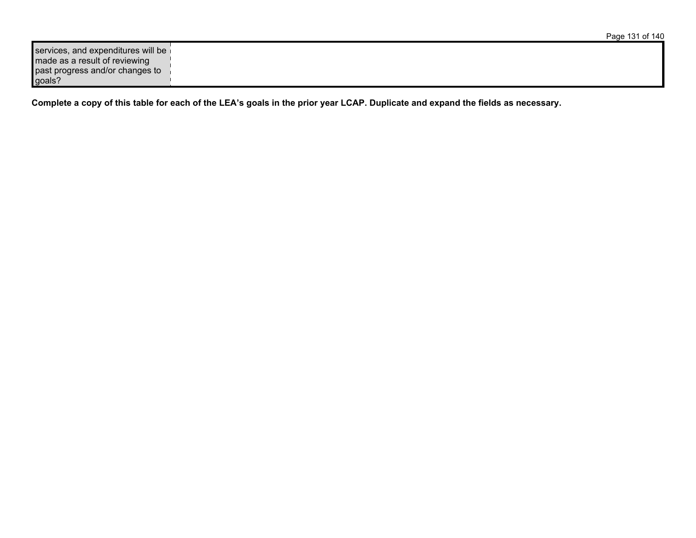| services, and expenditures will be |  |
|------------------------------------|--|
| made as a result of reviewing      |  |
| past progress and/or changes to    |  |
| goals?                             |  |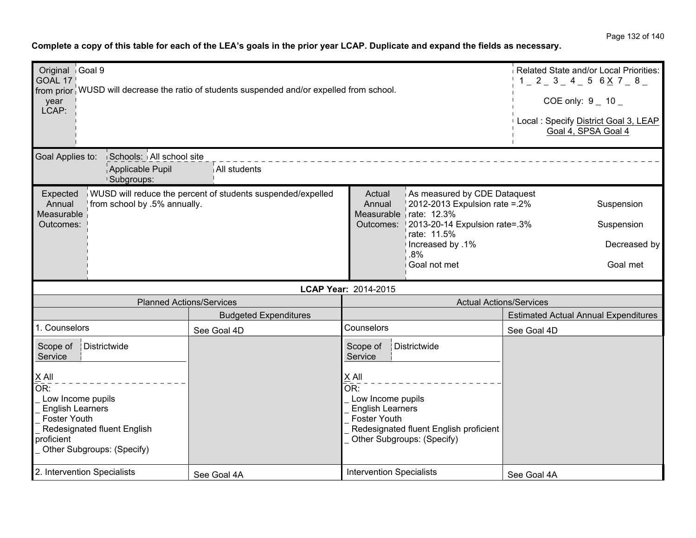Page 132 of 140

| Original Goal 9<br>GOAL 17<br>year<br>LCAP:                                                                                                                                             |                                                                         | from prior WUSD will decrease the ratio of students suspended and/or expelled from school. |                                                                                                                                                                                    | Related State and/or Local Priorities:<br>$1 - 2 - 3 - 4 - 5 6 \times 7 - 8$<br>COE only: 9 _ 10 _<br>Local : Specify District Goal 3, LEAP<br>Goal 4, SPSA Goal 4 |                                             |  |  |
|-----------------------------------------------------------------------------------------------------------------------------------------------------------------------------------------|-------------------------------------------------------------------------|--------------------------------------------------------------------------------------------|------------------------------------------------------------------------------------------------------------------------------------------------------------------------------------|--------------------------------------------------------------------------------------------------------------------------------------------------------------------|---------------------------------------------|--|--|
| Goal Applies to:                                                                                                                                                                        | Schools: All school site<br>Applicable Pupil<br><sup>1</sup> Subgroups: | All students                                                                               |                                                                                                                                                                                    |                                                                                                                                                                    |                                             |  |  |
| WUSD will reduce the percent of students suspended/expelled<br>Expected<br>from school by .5% annually.<br>Annual<br>Measurable<br>Outcomes:                                            |                                                                         | Actual<br>Annual                                                                           | As measured by CDE Dataquest<br>2012-2013 Expulsion rate = .2%<br>Measurable rate: 12.3%<br>Outcomes: 2013-20-14 Expulsion rate=.3%                                                | Suspension<br>Suspension                                                                                                                                           |                                             |  |  |
|                                                                                                                                                                                         |                                                                         |                                                                                            |                                                                                                                                                                                    | rate: 11.5%<br>lncreased by .1%<br>.8%<br>Goal not met                                                                                                             | Decreased by<br>Goal met                    |  |  |
|                                                                                                                                                                                         |                                                                         |                                                                                            | LCAP Year: 2014-2015                                                                                                                                                               |                                                                                                                                                                    |                                             |  |  |
|                                                                                                                                                                                         | <b>Planned Actions/Services</b>                                         |                                                                                            | <b>Actual Actions/Services</b>                                                                                                                                                     |                                                                                                                                                                    |                                             |  |  |
|                                                                                                                                                                                         |                                                                         | <b>Budgeted Expenditures</b>                                                               |                                                                                                                                                                                    |                                                                                                                                                                    | <b>Estimated Actual Annual Expenditures</b> |  |  |
| 1. Counselors                                                                                                                                                                           |                                                                         | See Goal 4D                                                                                | Counselors                                                                                                                                                                         |                                                                                                                                                                    | See Goal 4D                                 |  |  |
| Districtwide<br>Scope of<br>Service                                                                                                                                                     |                                                                         |                                                                                            | Districtwide<br>Scope of<br>Service                                                                                                                                                |                                                                                                                                                                    |                                             |  |  |
| $X$ All<br>$\overline{\mathsf{OR}}$ :<br>Low Income pupils<br><b>English Learners</b><br><b>Foster Youth</b><br>Redesignated fluent English<br>proficient<br>Other Subgroups: (Specify) |                                                                         |                                                                                            | X All<br>$\overline{\mathsf{OR}}$ :<br>Low Income pupils<br><b>English Learners</b><br><b>Foster Youth</b><br>Redesignated fluent English proficient<br>Other Subgroups: (Specify) |                                                                                                                                                                    |                                             |  |  |
| 2. Intervention Specialists                                                                                                                                                             |                                                                         | See Goal 4A                                                                                | <b>Intervention Specialists</b>                                                                                                                                                    |                                                                                                                                                                    | See Goal 4A                                 |  |  |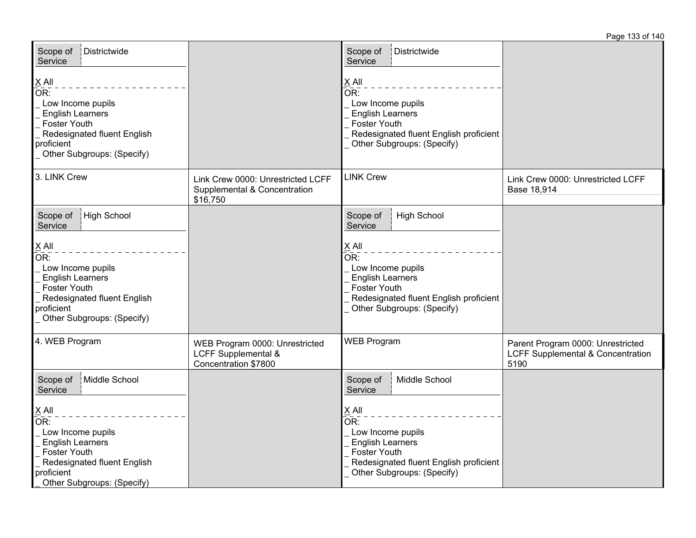| Districtwide<br>Scope of<br>Service                                                                                                                                          |                                                                                          | Scope of<br>Districtwide<br>Service                                                                                                                                                             |                                                                                           |
|------------------------------------------------------------------------------------------------------------------------------------------------------------------------------|------------------------------------------------------------------------------------------|-------------------------------------------------------------------------------------------------------------------------------------------------------------------------------------------------|-------------------------------------------------------------------------------------------|
| $\times$ All<br>OR:<br>Low Income pupils<br><b>English Learners</b><br>Foster Youth<br>Redesignated fluent English<br>proficient<br>Other Subgroups: (Specify)               |                                                                                          | X All<br>$\overline{\mathsf{OR}}$ :<br>Low Income pupils<br><b>English Learners</b><br><b>Foster Youth</b><br>Redesignated fluent English proficient<br>Other Subgroups: (Specify)              |                                                                                           |
| 3. LINK Crew                                                                                                                                                                 | Link Crew 0000: Unrestricted LCFF<br>Supplemental & Concentration<br>\$16,750            | <b>LINK Crew</b>                                                                                                                                                                                | Link Crew 0000: Unrestricted LCFF<br>Base 18,914                                          |
| High School<br>Scope of<br>Service                                                                                                                                           |                                                                                          | <b>High School</b><br>Scope of<br>Service                                                                                                                                                       |                                                                                           |
| $X$ All<br>OR:<br>Low Income pupils<br><b>English Learners</b><br>Foster Youth<br>Redesignated fluent English<br>proficient<br>Other Subgroups: (Specify)                    |                                                                                          | $X$ All<br>OR:<br>Low Income pupils<br><b>English Learners</b><br><b>Foster Youth</b><br>Redesignated fluent English proficient<br>Other Subgroups: (Specify)                                   |                                                                                           |
| 4. WEB Program                                                                                                                                                               | WEB Program 0000: Unrestricted<br><b>LCFF Supplemental &amp;</b><br>Concentration \$7800 | <b>WEB Program</b>                                                                                                                                                                              | Parent Program 0000: Unrestricted<br><b>LCFF Supplemental &amp; Concentration</b><br>5190 |
| Middle School<br>Scope of<br>Service                                                                                                                                         |                                                                                          | Middle School<br>Scope of<br>Service                                                                                                                                                            |                                                                                           |
| $\underline{X}$ All<br>OR:<br>Low Income pupils<br><b>English Learners</b><br><b>Foster Youth</b><br>Redesignated fluent English<br>proficient<br>Other Subgroups: (Specify) |                                                                                          | $\underline{X}$ All<br>$\overline{\mathsf{OR}!}$<br>Low Income pupils<br><b>English Learners</b><br><b>Foster Youth</b><br>Redesignated fluent English proficient<br>Other Subgroups: (Specify) |                                                                                           |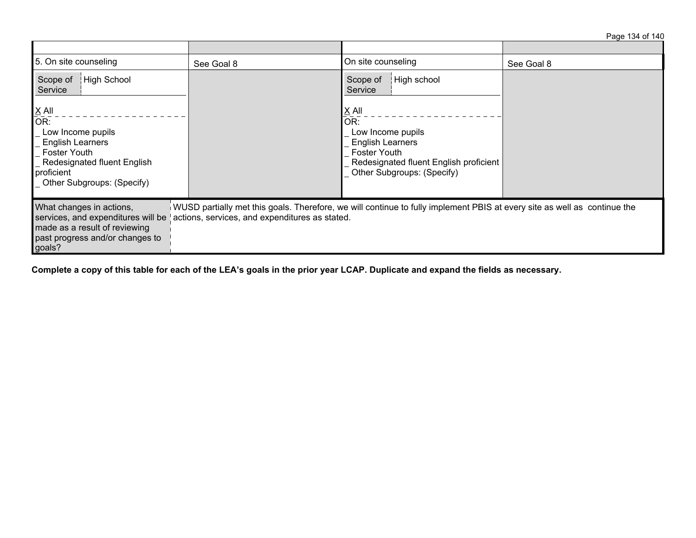Page 134 of 140

| 5. On site counseling                                                                                                                                                                      | See Goal 8                                     | On site counseling                                                                                                                                                        | See Goal 8 |  |  |  |
|--------------------------------------------------------------------------------------------------------------------------------------------------------------------------------------------|------------------------------------------------|---------------------------------------------------------------------------------------------------------------------------------------------------------------------------|------------|--|--|--|
| High School<br>Scope of<br>Service                                                                                                                                                         |                                                | High school<br>Scope of<br>Service                                                                                                                                        |            |  |  |  |
| $\underline{X}$ All<br>OR:<br>Low Income pupils<br><b>English Learners</b><br><b>Foster Youth</b><br><b>Redesignated fluent English</b><br>proficient<br><b>Other Subgroups: (Specify)</b> |                                                | $\underline{X}$ All<br>OR:<br>Low Income pupils<br><b>English Learners</b><br><b>Foster Youth</b><br>Redesignated fluent English proficient<br>Other Subgroups: (Specify) |            |  |  |  |
| What changes in actions,<br>services, and expenditures will be<br>made as a result of reviewing<br>past progress and/or changes to<br>goals?                                               | actions, services, and expenditures as stated. | WUSD partially met this goals. Therefore, we will continue to fully implement PBIS at every site as well as continue the                                                  |            |  |  |  |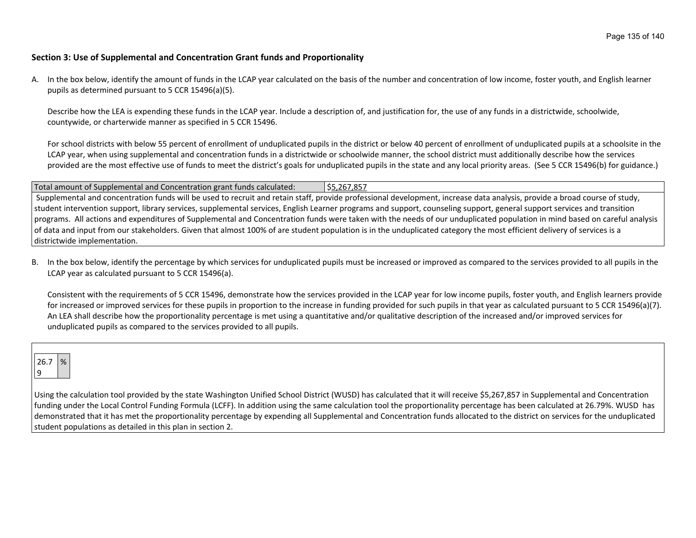## **Section 3: Use of Supplemental and Concentration Grant funds and Proportionality**

A. In the box below, identify the amount of funds in the LCAP year calculated on the basis of the number and concentration of low income, foster youth, and English learner pupils as determined pursuant to 5 CCR 15496(a)(5).

Describe how the LEA is expending these funds in the LCAP year. Include a description of, and justification for, the use of any funds in a districtwide, schoolwide, countywide, or charterwide manner as specified in 5 CCR 15496.

For school districts with below 55 percent of enrollment of unduplicated pupils in the district or below 40 percent of enrollment of unduplicated pupils at a schoolsite in the LCAP year, when using supplemental and concentration funds in a districtwide or schoolwide manner, the school district must additionally describe how the services provided are the most effective use of funds to meet the district's goals for unduplicated pupils in the state and any local priority areas. (See 5 CCR 15496(b) for guidance.)

Total amount of Supplemental and Concentration grant funds calculated: \$5,267,857 Supplemental and concentration funds will be used to recruit and retain staff, provide professional development, increase data analysis, provide a broad course of study, student intervention support, library services, supplemental services, English Learner programs and support, counseling support, general support services and transition programs. All actions and expenditures of Supplemental and Concentration funds were taken with the needs of our unduplicated population in mind based on careful analysis of data and input from our stakeholders. Given that almost 100% of are student population is in the unduplicated category the most efficient delivery of services is a districtwide implementation.

B. In the box below, identify the percentage by which services for unduplicated pupils must be increased or improved as compared to the services provided to all pupils in the LCAP year as calculated pursuant to 5 CCR 15496(a).

Consistent with the requirements of 5 CCR 15496, demonstrate how the services provided in the LCAP year for low income pupils, foster youth, and English learners provide for increased or improved services for these pupils in proportion to the increase in funding provided for such pupils in that year as calculated pursuant to 5 CCR 15496(a)(7). An LEA shall describe how the proportionality percentage is met using a quantitative and/or qualitative description of the increased and/or improved services for unduplicated pupils as compared to the services provided to all pupils.

26.7 % 9

Using the calculation tool provided by the state Washington Unified School District (WUSD) has calculated that it will receive \$5,267,857 in Supplemental and Concentration funding under the Local Control Funding Formula (LCFF). In addition using the same calculation tool the proportionality percentage has been calculated at 26.79%. WUSD has demonstrated that it has met the proportionality percentage by expending all Supplemental and Concentration funds allocated to the district on services for the unduplicated student populations as detailed in this plan in section 2.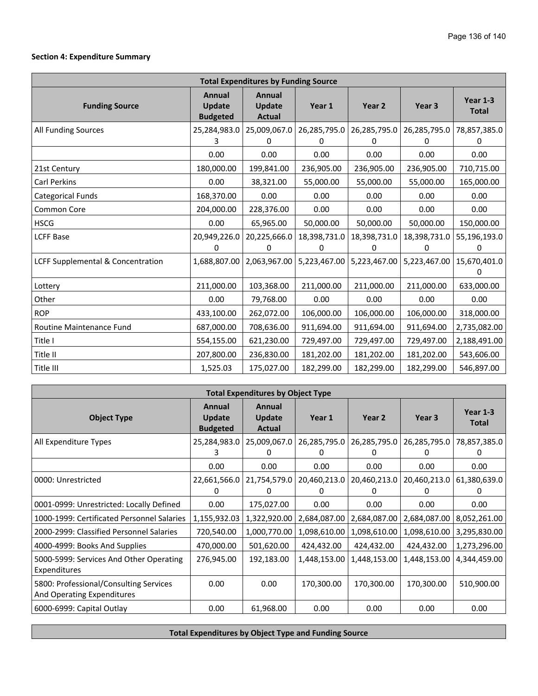## **Section 4: Expenditure Summary**

| <b>Total Expenditures by Funding Source</b> |                                            |                                          |                   |                   |                   |                          |  |  |  |
|---------------------------------------------|--------------------------------------------|------------------------------------------|-------------------|-------------------|-------------------|--------------------------|--|--|--|
| <b>Funding Source</b>                       | Annual<br><b>Update</b><br><b>Budgeted</b> | Annual<br><b>Update</b><br><b>Actual</b> | Year 1            | Year <sub>2</sub> | Year <sub>3</sub> | Year 1-3<br><b>Total</b> |  |  |  |
| <b>All Funding Sources</b>                  | 25,284,983.0                               | 25,009,067.0                             | 26,285,795.0      | 26,285,795.0      | 26,285,795.0      | 78,857,385.0             |  |  |  |
|                                             |                                            | $\mathbf{0}$                             |                   | 0                 | 0                 | 0                        |  |  |  |
|                                             | 0.00                                       | 0.00                                     | 0.00              | 0.00              | 0.00              | 0.00                     |  |  |  |
| 21st Century                                | 180,000.00                                 | 199,841.00                               | 236,905.00        | 236,905.00        | 236,905.00        | 710,715.00               |  |  |  |
| <b>Carl Perkins</b>                         | 0.00                                       | 38,321.00                                | 55,000.00         | 55,000.00         | 55,000.00         | 165,000.00               |  |  |  |
| <b>Categorical Funds</b>                    | 168,370.00                                 | 0.00                                     | 0.00              | 0.00              | 0.00              | 0.00                     |  |  |  |
| Common Core                                 | 204,000.00                                 | 228,376.00                               | 0.00              | 0.00              | 0.00              | 0.00                     |  |  |  |
| <b>HSCG</b>                                 | 0.00                                       | 65,965.00                                | 50,000.00         | 50,000.00         | 50,000.00         | 150,000.00               |  |  |  |
| <b>LCFF Base</b>                            | 20,949,226.0<br>0                          | 20,225,666.0<br>0                        | 18,398,731.0<br>0 | 18,398,731.0<br>0 | 18,398,731.0<br>0 | 55,196,193.0<br>0        |  |  |  |
| LCFF Supplemental & Concentration           | 1,688,807.00                               | 2,063,967.00                             | 5,223,467.00      | 5,223,467.00      | 5,223,467.00      | 15,670,401.0<br>0        |  |  |  |
| Lottery                                     | 211,000.00                                 | 103,368.00                               | 211,000.00        | 211,000.00        | 211,000.00        | 633,000.00               |  |  |  |
| Other                                       | 0.00                                       | 79,768.00                                | 0.00              | 0.00              | 0.00              | 0.00                     |  |  |  |
| <b>ROP</b>                                  | 433,100.00                                 | 262,072.00                               | 106,000.00        | 106,000.00        | 106,000.00        | 318,000.00               |  |  |  |
| Routine Maintenance Fund                    | 687,000.00                                 | 708,636.00                               | 911,694.00        | 911,694.00        | 911,694.00        | 2,735,082.00             |  |  |  |
| Title I                                     | 554,155.00                                 | 621,230.00                               | 729,497.00        | 729,497.00        | 729,497.00        | 2,188,491.00             |  |  |  |
| Title II                                    | 207,800.00                                 | 236,830.00                               | 181,202.00        | 181,202.00        | 181,202.00        | 543,606.00               |  |  |  |
| Title III                                   | 1,525.03                                   | 175,027.00                               | 182,299.00        | 182,299.00        | 182,299.00        | 546,897.00               |  |  |  |

| <b>Total Expenditures by Object Type</b>                             |                                     |                                   |                   |                          |                   |                            |  |  |  |
|----------------------------------------------------------------------|-------------------------------------|-----------------------------------|-------------------|--------------------------|-------------------|----------------------------|--|--|--|
| <b>Object Type</b>                                                   | Annual<br>Update<br><b>Budgeted</b> | Annual<br>Update<br><b>Actual</b> | Year 1            | Year 2                   | Year 3            | Year $1-3$<br><b>Total</b> |  |  |  |
| All Expenditure Types                                                | 25,284,983.0<br>3.                  | 25,009,067.0<br>0                 | 26,285,795.0<br>U | 26,285,795.0<br>U        | 26,285,795.0<br>0 | 78,857,385.0<br>O          |  |  |  |
|                                                                      | 0.00                                | 0.00                              | 0.00              | 0.00                     | 0.00              | 0.00                       |  |  |  |
| 0000: Unrestricted                                                   | 22,661,566.0<br>0                   | 21,754,579.0<br>$^{(1)}$          | 20,460,213.0<br>0 | 20,460,213.0<br>$^{(1)}$ | 20,460,213.0<br>0 | 61,380,639.0<br>0          |  |  |  |
| 0001-0999: Unrestricted: Locally Defined                             | 0.00                                | 175,027.00                        | 0.00              | 0.00                     | 0.00              | 0.00                       |  |  |  |
| 1000-1999: Certificated Personnel Salaries                           | 1,155,932.03                        | 1,322,920.00                      | 2,684,087.00      | 2,684,087.00             | 2,684,087.00      | 8,052,261.00               |  |  |  |
| 2000-2999: Classified Personnel Salaries                             | 720,540.00                          | 1,000,770.00                      | 1,098,610.00      | 1,098,610.00             | 1,098,610.00      | 3,295,830.00               |  |  |  |
| 4000-4999: Books And Supplies                                        | 470,000.00                          | 501,620.00                        | 424,432.00        | 424,432.00               | 424,432.00        | 1,273,296.00               |  |  |  |
| 5000-5999: Services And Other Operating<br>Expenditures              | 276,945.00                          | 192,183.00                        | 1,448,153.00      | 1,448,153.00             | 1,448,153.00      | 4,344,459.00               |  |  |  |
| 5800: Professional/Consulting Services<br>And Operating Expenditures | 0.00                                | 0.00                              | 170,300.00        | 170,300.00               | 170,300.00        | 510,900.00                 |  |  |  |
| 6000-6999: Capital Outlay                                            | 0.00                                | 61,968.00                         | 0.00              | 0.00                     | 0.00              | 0.00                       |  |  |  |

**Total Expenditures by Object Type and Funding Source**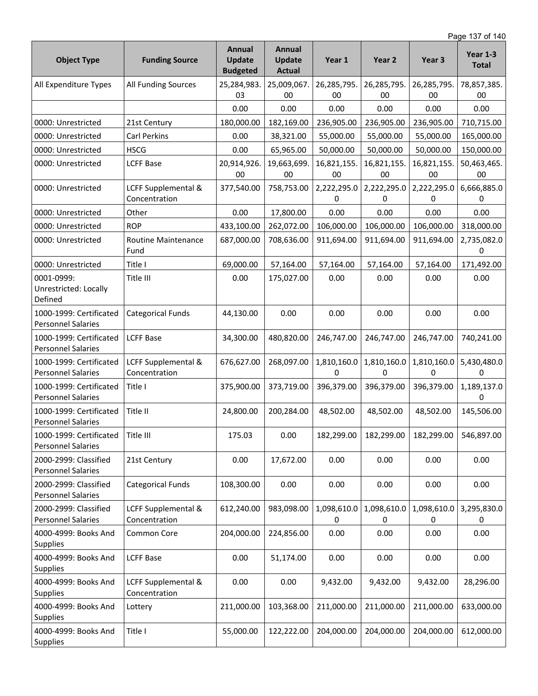Page 137 of 140

| <b>Object Type</b>                                   | <b>Funding Source</b>                | Annual<br><b>Update</b><br><b>Budgeted</b> | Annual<br><b>Update</b><br><b>Actual</b> | Year 1            | Year <sub>2</sub> | Year 3                     | <b>Year 1-3</b><br><b>Total</b> |
|------------------------------------------------------|--------------------------------------|--------------------------------------------|------------------------------------------|-------------------|-------------------|----------------------------|---------------------------------|
| All Expenditure Types                                | All Funding Sources                  | 25,284,983.<br>03                          | 25,009,067.<br>00                        | 26,285,795.<br>00 | 26,285,795.<br>00 | 26,285,795.<br>00          | 78,857,385.<br>$00\,$           |
|                                                      |                                      | 0.00                                       | 0.00                                     | 0.00              | 0.00              | 0.00                       | 0.00                            |
| 0000: Unrestricted                                   | 21st Century                         | 180,000.00                                 | 182,169.00                               | 236,905.00        | 236,905.00        | 236,905.00                 | 710,715.00                      |
| 0000: Unrestricted                                   | Carl Perkins                         | 0.00                                       | 38,321.00                                | 55,000.00         | 55,000.00         | 55,000.00                  | 165,000.00                      |
| 0000: Unrestricted                                   | <b>HSCG</b>                          | 0.00                                       | 65,965.00                                | 50,000.00         | 50,000.00         | 50,000.00                  | 150,000.00                      |
| 0000: Unrestricted                                   | <b>LCFF Base</b>                     | 20,914,926.<br>00                          | 19,663,699.<br>00                        | 16,821,155.<br>00 | 16,821,155.<br>00 | 16,821,155.<br>00          | 50,463,465.<br>00               |
| 0000: Unrestricted                                   | LCFF Supplemental &<br>Concentration | 377,540.00                                 | 758,753.00                               | 2,222,295.0<br>0  | 2,222,295.0<br>0  | 2,222,295.0<br>0           | 6,666,885.0<br>0                |
| 0000: Unrestricted                                   | Other                                | 0.00                                       | 17,800.00                                | 0.00              | 0.00              | 0.00                       | 0.00                            |
| 0000: Unrestricted                                   | <b>ROP</b>                           | 433,100.00                                 | 262,072.00                               | 106,000.00        | 106,000.00        | 106,000.00                 | 318,000.00                      |
| 0000: Unrestricted                                   | Routine Maintenance<br>Fund          | 687,000.00                                 | 708,636.00                               | 911,694.00        | 911,694.00        | 911,694.00                 | 2,735,082.0<br>0                |
| 0000: Unrestricted                                   | Title I                              | 69,000.00                                  | 57,164.00                                | 57,164.00         | 57,164.00         | 57,164.00                  | 171,492.00                      |
| 0001-0999:<br>Unrestricted: Locally<br>Defined       | Title III                            | 0.00                                       | 175,027.00                               | 0.00              | 0.00              | 0.00                       | 0.00                            |
| 1000-1999: Certificated<br><b>Personnel Salaries</b> | <b>Categorical Funds</b>             | 44,130.00                                  | 0.00                                     | 0.00              | 0.00              | 0.00                       | 0.00                            |
| 1000-1999: Certificated<br><b>Personnel Salaries</b> | <b>LCFF Base</b>                     | 34,300.00                                  | 480,820.00                               | 246,747.00        | 246,747.00        | 246,747.00                 | 740,241.00                      |
| 1000-1999: Certificated<br><b>Personnel Salaries</b> | LCFF Supplemental &<br>Concentration | 676,627.00                                 | 268,097.00                               | 1,810,160.0<br>0  | 1,810,160.0<br>0  | 1,810,160.0<br>0           | 5,430,480.0<br>0                |
| 1000-1999: Certificated<br><b>Personnel Salaries</b> | Title I                              | 375,900.00                                 | 373,719.00                               | 396,379.00        | 396,379.00        | 396,379.00                 | 1,189,137.0<br>0                |
| 1000-1999: Certificated<br>Personnel Salaries        | Title II                             | 24,800.00                                  | 200,284.00                               | 48,502.00         | 48,502.00         | 48,502.00                  | 145,506.00                      |
| 1000-1999: Certificated<br><b>Personnel Salaries</b> | Title III                            | 175.03                                     | 0.00                                     | 182,299.00        |                   | 182,299.00   182,299.00    | 546,897.00                      |
| 2000-2999: Classified<br><b>Personnel Salaries</b>   | 21st Century                         | 0.00                                       | 17,672.00                                | 0.00              | 0.00              | 0.00                       | 0.00                            |
| 2000-2999: Classified<br><b>Personnel Salaries</b>   | <b>Categorical Funds</b>             | 108,300.00                                 | 0.00                                     | 0.00              | 0.00              | 0.00                       | 0.00                            |
| 2000-2999: Classified<br><b>Personnel Salaries</b>   | LCFF Supplemental &<br>Concentration | 612,240.00                                 | 983,098.00                               | 1,098,610.0<br>0  | 1,098,610.0<br>0  | 1,098,610.0<br>$\mathbf 0$ | 3,295,830.0<br>0                |
| 4000-4999: Books And<br>Supplies                     | Common Core                          | 204,000.00                                 | 224,856.00                               | 0.00              | 0.00              | 0.00                       | 0.00                            |
| 4000-4999: Books And<br>Supplies                     | <b>LCFF Base</b>                     | 0.00                                       | 51,174.00                                | 0.00              | 0.00              | 0.00                       | 0.00                            |
| 4000-4999: Books And<br>Supplies                     | LCFF Supplemental &<br>Concentration | 0.00                                       | 0.00                                     | 9,432.00          | 9,432.00          | 9,432.00                   | 28,296.00                       |
| 4000-4999: Books And<br><b>Supplies</b>              | Lottery                              | 211,000.00                                 | 103,368.00                               | 211,000.00        | 211,000.00        | 211,000.00                 | 633,000.00                      |
| 4000-4999: Books And<br>Supplies                     | Title I                              | 55,000.00                                  | 122,222.00                               | 204,000.00        | 204,000.00        | 204,000.00                 | 612,000.00                      |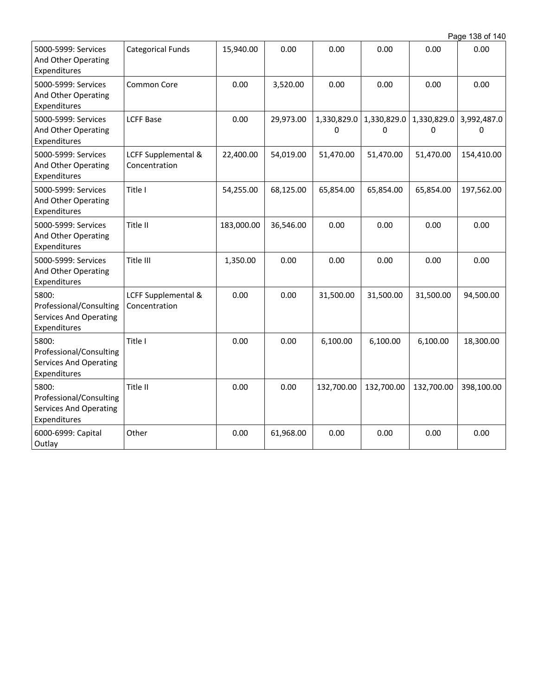| Page 138 of 140 |  |  |  |
|-----------------|--|--|--|
|-----------------|--|--|--|

| 5000-5999: Services<br>And Other Operating<br>Expenditures                        | <b>Categorical Funds</b>             | 15,940.00  | 0.00      | 0.00             | 0.00             | 0.00             | 0.00             |
|-----------------------------------------------------------------------------------|--------------------------------------|------------|-----------|------------------|------------------|------------------|------------------|
| 5000-5999: Services<br>And Other Operating<br>Expenditures                        | Common Core                          | 0.00       | 3,520.00  | 0.00             | 0.00             | 0.00             | 0.00             |
| 5000-5999: Services<br>And Other Operating<br>Expenditures                        | <b>LCFF Base</b>                     | 0.00       | 29,973.00 | 1,330,829.0<br>0 | 1,330,829.0<br>0 | 1,330,829.0<br>0 | 3,992,487.0<br>0 |
| 5000-5999: Services<br>And Other Operating<br>Expenditures                        | LCFF Supplemental &<br>Concentration | 22,400.00  | 54,019.00 | 51,470.00        | 51,470.00        | 51,470.00        | 154,410.00       |
| 5000-5999: Services<br>And Other Operating<br>Expenditures                        | Title I                              | 54,255.00  | 68,125.00 | 65,854.00        | 65,854.00        | 65,854.00        | 197,562.00       |
| 5000-5999: Services<br>And Other Operating<br>Expenditures                        | Title II                             | 183,000.00 | 36,546.00 | 0.00             | 0.00             | 0.00             | 0.00             |
| 5000-5999: Services<br>And Other Operating<br>Expenditures                        | Title III                            | 1,350.00   | 0.00      | 0.00             | 0.00             | 0.00             | 0.00             |
| 5800:<br>Professional/Consulting<br><b>Services And Operating</b><br>Expenditures | LCFF Supplemental &<br>Concentration | 0.00       | 0.00      | 31,500.00        | 31,500.00        | 31,500.00        | 94,500.00        |
| 5800:<br>Professional/Consulting<br><b>Services And Operating</b><br>Expenditures | Title I                              | 0.00       | 0.00      | 6,100.00         | 6,100.00         | 6,100.00         | 18,300.00        |
| 5800:<br>Professional/Consulting<br><b>Services And Operating</b><br>Expenditures | Title II                             | 0.00       | 0.00      | 132,700.00       | 132,700.00       | 132,700.00       | 398,100.00       |
| 6000-6999: Capital<br>Outlay                                                      | Other                                | 0.00       | 61,968.00 | 0.00             | 0.00             | 0.00             | 0.00             |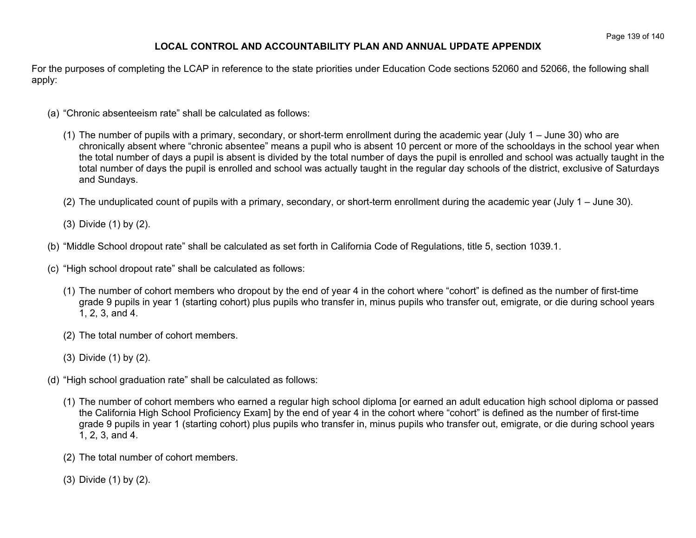## **LOCAL CONTROL AND ACCOUNTABILITY PLAN AND ANNUAL UPDATE APPENDIX**

For the purposes of completing the LCAP in reference to the state priorities under Education Code sections 52060 and 52066, the following shall apply:

- (a) "Chronic absenteeism rate" shall be calculated as follows:
	- (1) The number of pupils with a primary, secondary, or short-term enrollment during the academic year (July 1 June 30) who are chronically absent where "chronic absentee" means a pupil who is absent 10 percent or more of the schooldays in the school year when the total number of days a pupil is absent is divided by the total number of days the pupil is enrolled and school was actually taught in the total number of days the pupil is enrolled and school was actually taught in the regular day schools of the district, exclusive of Saturdays and Sundays.
	- (2) The unduplicated count of pupils with a primary, secondary, or short-term enrollment during the academic year (July 1 June 30).
	- (3) Divide (1) by (2).
- (b) "Middle School dropout rate" shall be calculated as set forth in California Code of Regulations, title 5, section 1039.1.
- (c) "High school dropout rate" shall be calculated as follows:
	- (1) The number of cohort members who dropout by the end of year 4 in the cohort where "cohort" is defined as the number of first-time grade 9 pupils in year 1 (starting cohort) plus pupils who transfer in, minus pupils who transfer out, emigrate, or die during school years 1, 2, 3, and 4.
	- (2) The total number of cohort members.
	- (3) Divide (1) by (2).
- (d) "High school graduation rate" shall be calculated as follows:
	- (1) The number of cohort members who earned a regular high school diploma [or earned an adult education high school diploma or passed the California High School Proficiency Exam] by the end of year 4 in the cohort where "cohort" is defined as the number of first-time grade 9 pupils in year 1 (starting cohort) plus pupils who transfer in, minus pupils who transfer out, emigrate, or die during school years 1, 2, 3, and 4.
	- (2) The total number of cohort members.
	- (3) Divide (1) by (2).